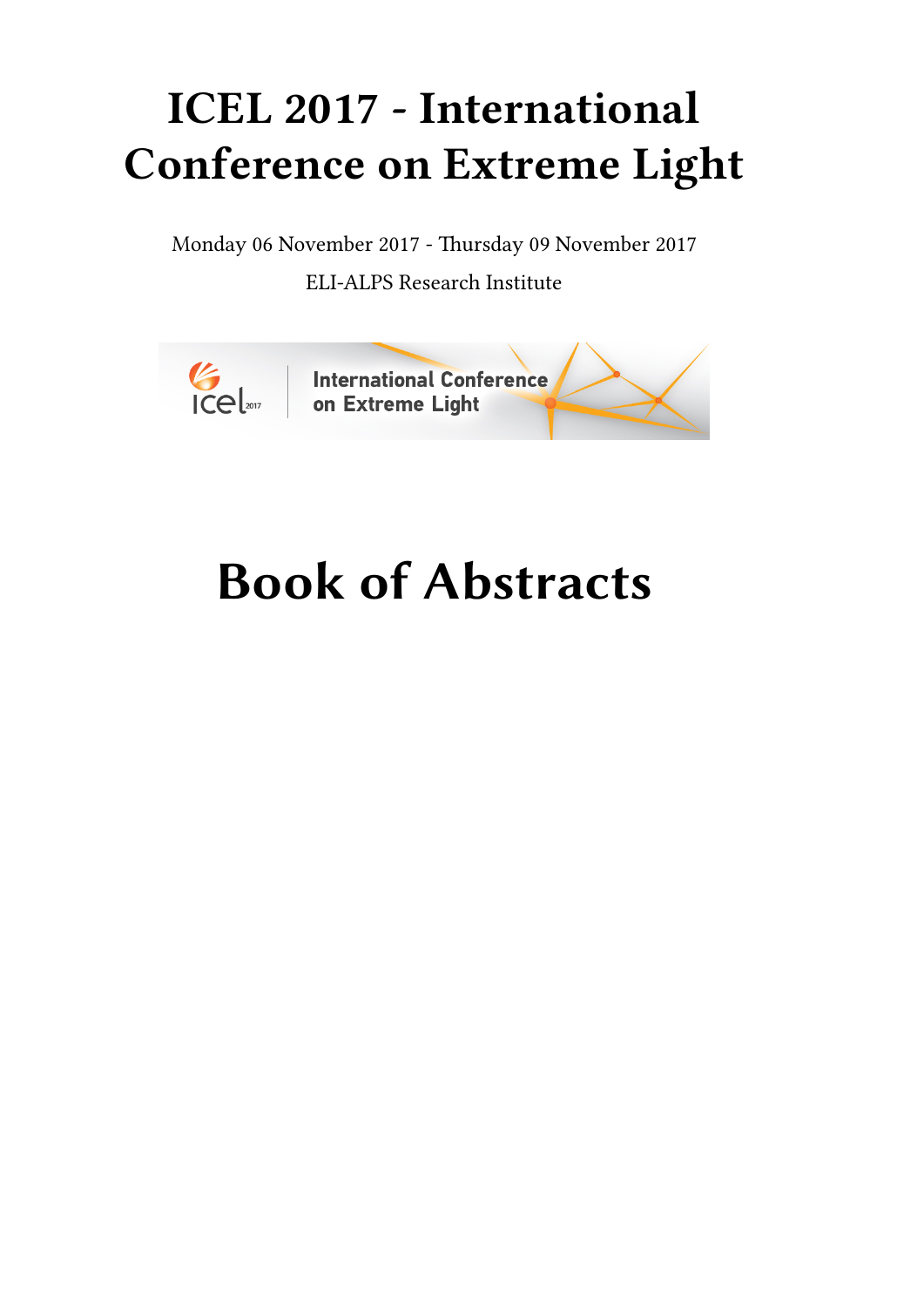## **ICEL 2017 - International Conference on Extreme Light**

Monday 06 November 2017 - Thursday 09 November 2017 ELI-ALPS Research Institute



# **Book of Abstracts**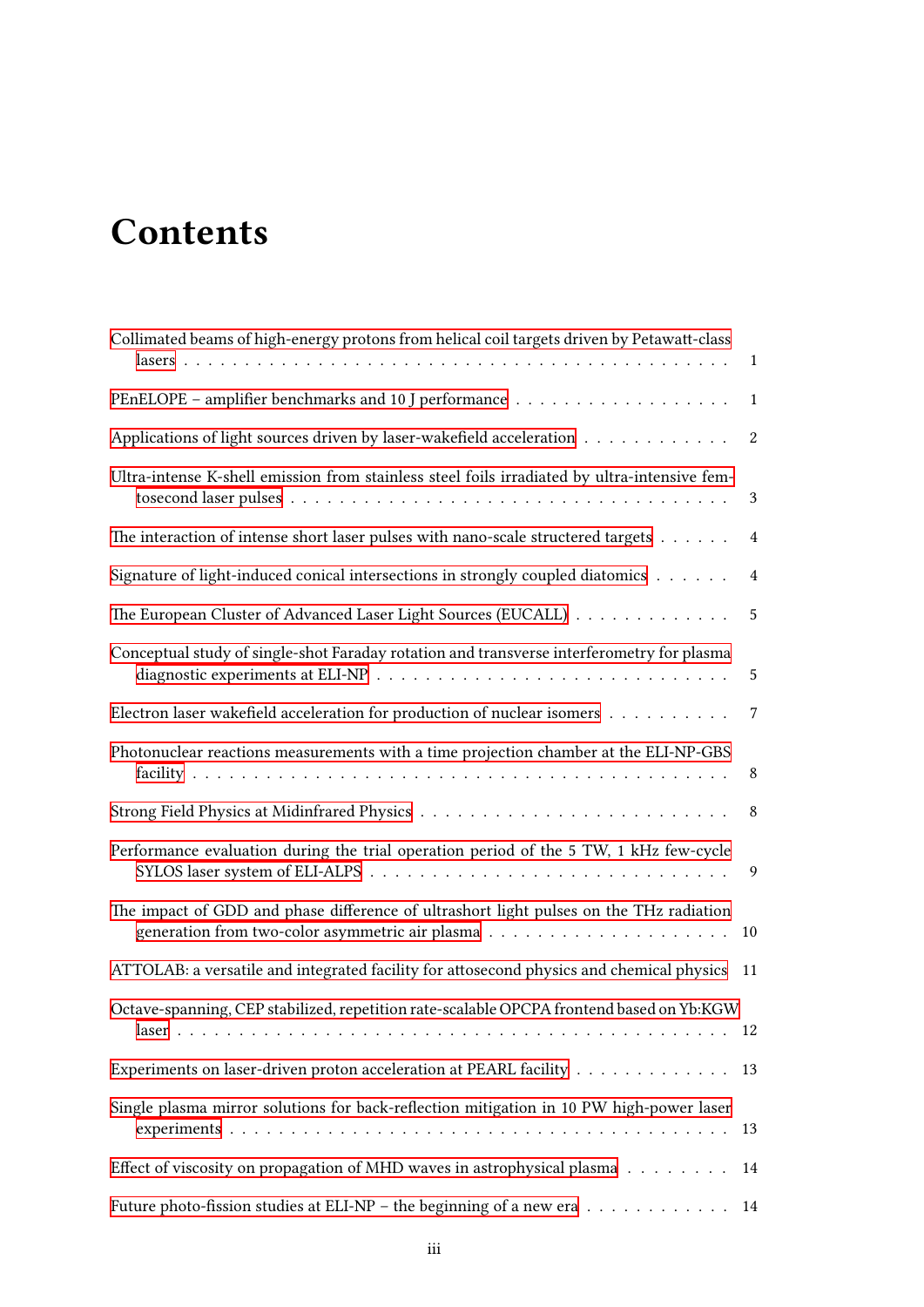## **Contents**

| Collimated beams of high-energy protons from helical coil targets driven by Petawatt-class     | $\mathbf{1}$     |
|------------------------------------------------------------------------------------------------|------------------|
|                                                                                                | $\mathbf{1}$     |
| Applications of light sources driven by laser-wakefield acceleration                           | $\boldsymbol{2}$ |
| Ultra-intense K-shell emission from stainless steel foils irradiated by ultra-intensive fem-   | $\mathbf{3}$     |
| The interaction of intense short laser pulses with nano-scale structered targets               | $\overline{4}$   |
| Signature of light-induced conical intersections in strongly coupled diatomics                 | $\overline{4}$   |
| The European Cluster of Advanced Laser Light Sources (EUCALL)                                  | $\sqrt{5}$       |
| Conceptual study of single-shot Faraday rotation and transverse interferometry for plasma      | $\overline{5}$   |
| Electron laser wakefield acceleration for production of nuclear isomers                        | $\overline{7}$   |
| Photonuclear reactions measurements with a time projection chamber at the ELI-NP-GBS           | $\,8\,$          |
|                                                                                                |                  |
| Performance evaluation during the trial operation period of the 5 TW, 1 kHz few-cycle          | 9                |
| The impact of GDD and phase difference of ultrashort light pulses on the THz radiation         |                  |
| ATTOLAB: a versatile and integrated facility for attosecond physics and chemical physics 11    |                  |
| Octave-spanning, CEP stabilized, repetition rate-scalable OPCPA frontend based on Yb:KGW       | 12               |
| Experiments on laser-driven proton acceleration at PEARL facility                              | 13               |
| Single plasma mirror solutions for back-reflection mitigation in 10 PW high-power laser        | 13               |
| Effect of viscosity on propagation of MHD waves in astrophysical plasma $\ldots \ldots \ldots$ | 14               |
| Future photo-fission studies at ELI-NP - the beginning of a new era 14                         |                  |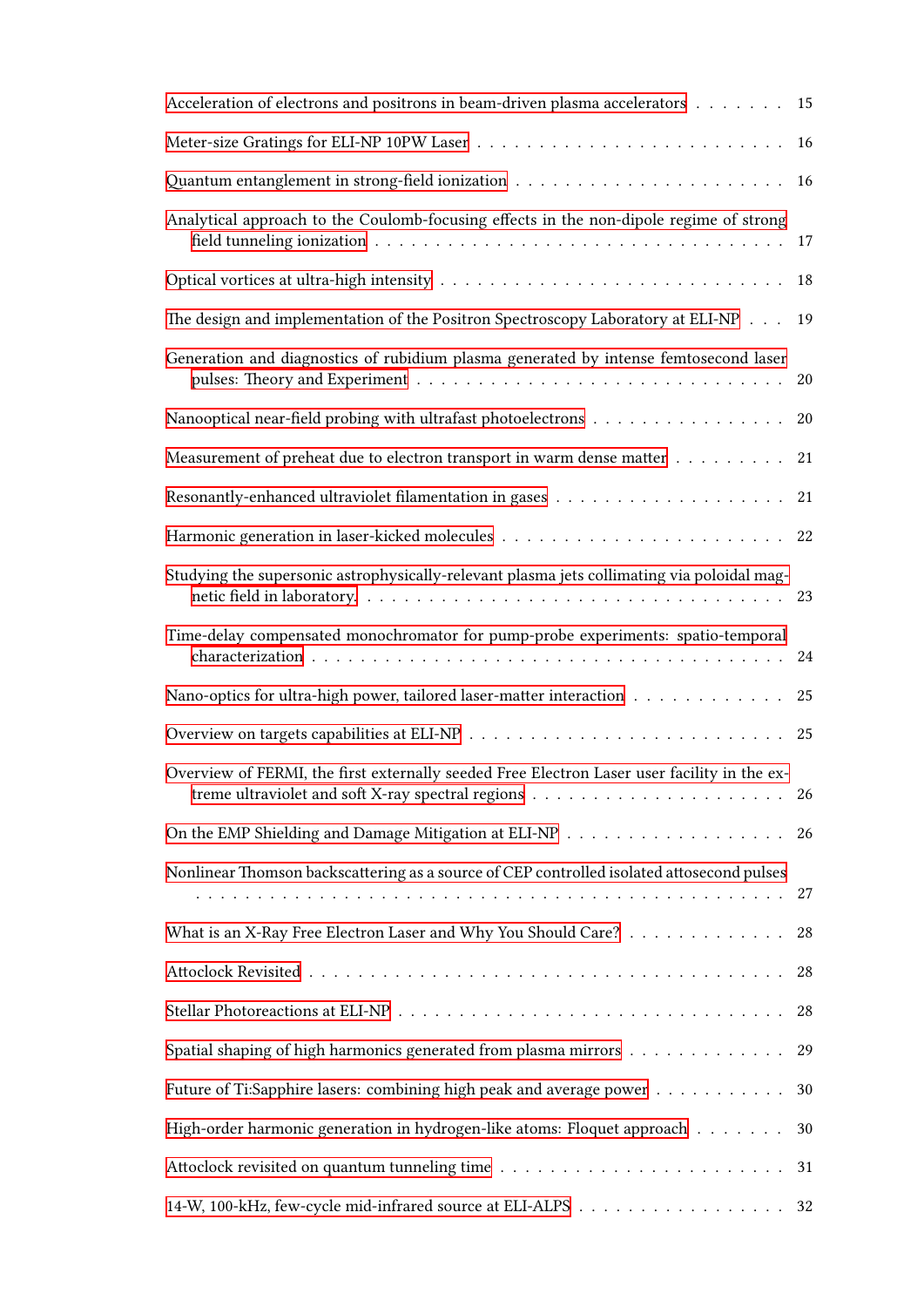| Acceleration of electrons and positrons in beam-driven plasma accelerators                  | 15 |
|---------------------------------------------------------------------------------------------|----|
|                                                                                             | 16 |
|                                                                                             | 16 |
| Analytical approach to the Coulomb-focusing effects in the non-dipole regime of strong      |    |
|                                                                                             | 18 |
| The design and implementation of the Positron Spectroscopy Laboratory at ELI-NP             | 19 |
| Generation and diagnostics of rubidium plasma generated by intense femtosecond laser        | 20 |
| Nanooptical near-field probing with ultrafast photoelectrons                                | 20 |
| Measurement of preheat due to electron transport in warm dense matter                       | 21 |
|                                                                                             |    |
|                                                                                             |    |
| Studying the supersonic astrophysically-relevant plasma jets collimating via poloidal mag-  |    |
| Time-delay compensated monochromator for pump-probe experiments: spatio-temporal            |    |
| Nano-optics for ultra-high power, tailored laser-matter interaction                         | 25 |
|                                                                                             |    |
| Overview of FERMI, the first externally seeded Free Electron Laser user facility in the ex- |    |
|                                                                                             | 26 |
| Nonlinear Thomson backscattering as a source of CEP controlled isolated attosecond pulses   | 27 |
| What is an X-Ray Free Electron Laser and Why You Should Care?                               | 28 |
|                                                                                             | 28 |
|                                                                                             | 28 |
| Spatial shaping of high harmonics generated from plasma mirrors                             | 29 |
| Future of Ti:Sapphire lasers: combining high peak and average power                         | 30 |
| High-order harmonic generation in hydrogen-like atoms: Floquet approach                     | 30 |
|                                                                                             |    |
| 14-W, 100-kHz, few-cycle mid-infrared source at ELI-ALPS 32                                 |    |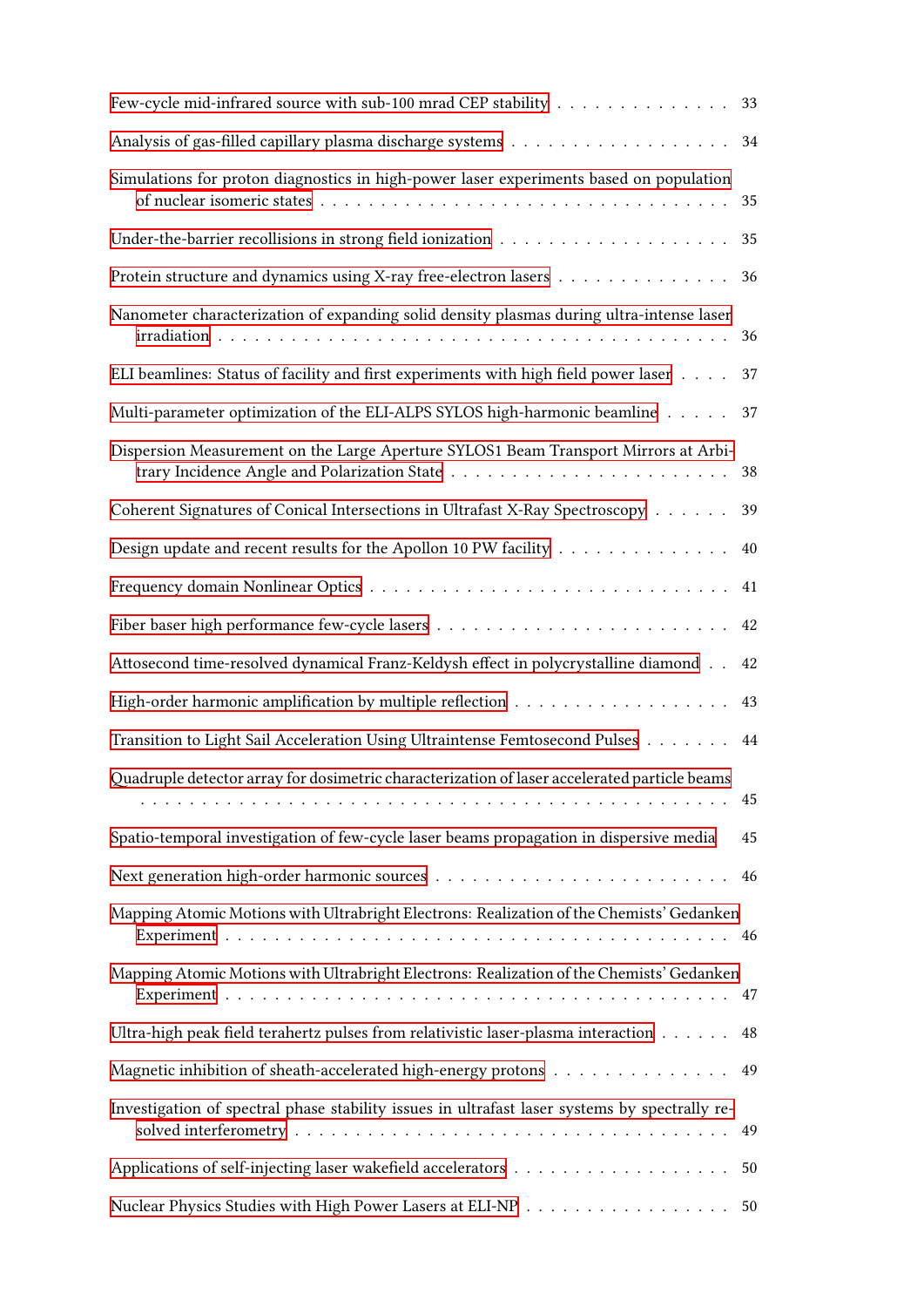| Few-cycle mid-infrared source with sub-100 mrad CEP stability 33                                                     |    |
|----------------------------------------------------------------------------------------------------------------------|----|
|                                                                                                                      | 34 |
| Simulations for proton diagnostics in high-power laser experiments based on population                               |    |
|                                                                                                                      | 35 |
| Protein structure and dynamics using X-ray free-electron lasers                                                      | 36 |
| Nanometer characterization of expanding solid density plasmas during ultra-intense laser                             | 36 |
| ELI beamlines: Status of facility and first experiments with high field power laser                                  | 37 |
| Multi-parameter optimization of the ELI-ALPS SYLOS high-harmonic beamline                                            | 37 |
| Dispersion Measurement on the Large Aperture SYLOS1 Beam Transport Mirrors at Arbi-                                  | 38 |
| Coherent Signatures of Conical Intersections in Ultrafast X-Ray Spectroscopy                                         | 39 |
| Design update and recent results for the Apollon 10 PW facility                                                      | 40 |
|                                                                                                                      | 41 |
| Fiber baser high performance few-cycle lasers $\dots \dots \dots \dots \dots \dots \dots \dots \dots \dots$          | 42 |
| Attosecond time-resolved dynamical Franz-Keldysh effect in polycrystalline diamond                                   | 42 |
| High-order harmonic amplification by multiple reflection<br>$\hfill\ldots\ldots\ldots\ldots\ldots\ldots\ldots\ldots$ | 43 |
| Transition to Light Sail Acceleration Using Ultraintense Femtosecond Pulses                                          | 44 |
| Quadruple detector array for dosimetric characterization of laser accelerated particle beams                         | 45 |
| Spatio-temporal investigation of few-cycle laser beams propagation in dispersive media                               | 45 |
| Next generation high-order harmonic sources $\dots\dots\dots\dots\dots\dots\dots\dots\dots\dots\dots$                | 46 |
| Mapping Atomic Motions with Ultrabright Electrons: Realization of the Chemists' Gedanken                             |    |
| Mapping Atomic Motions with Ultrabright Electrons: Realization of the Chemists' Gedanken                             |    |
| Ultra-high peak field terahertz pulses from relativistic laser-plasma interaction                                    | 48 |
| Magnetic inhibition of sheath-accelerated high-energy protons                                                        | 49 |
| Investigation of spectral phase stability issues in ultrafast laser systems by spectrally re-                        | 49 |
|                                                                                                                      | 50 |
| Nuclear Physics Studies with High Power Lasers at ELI-NP 50                                                          |    |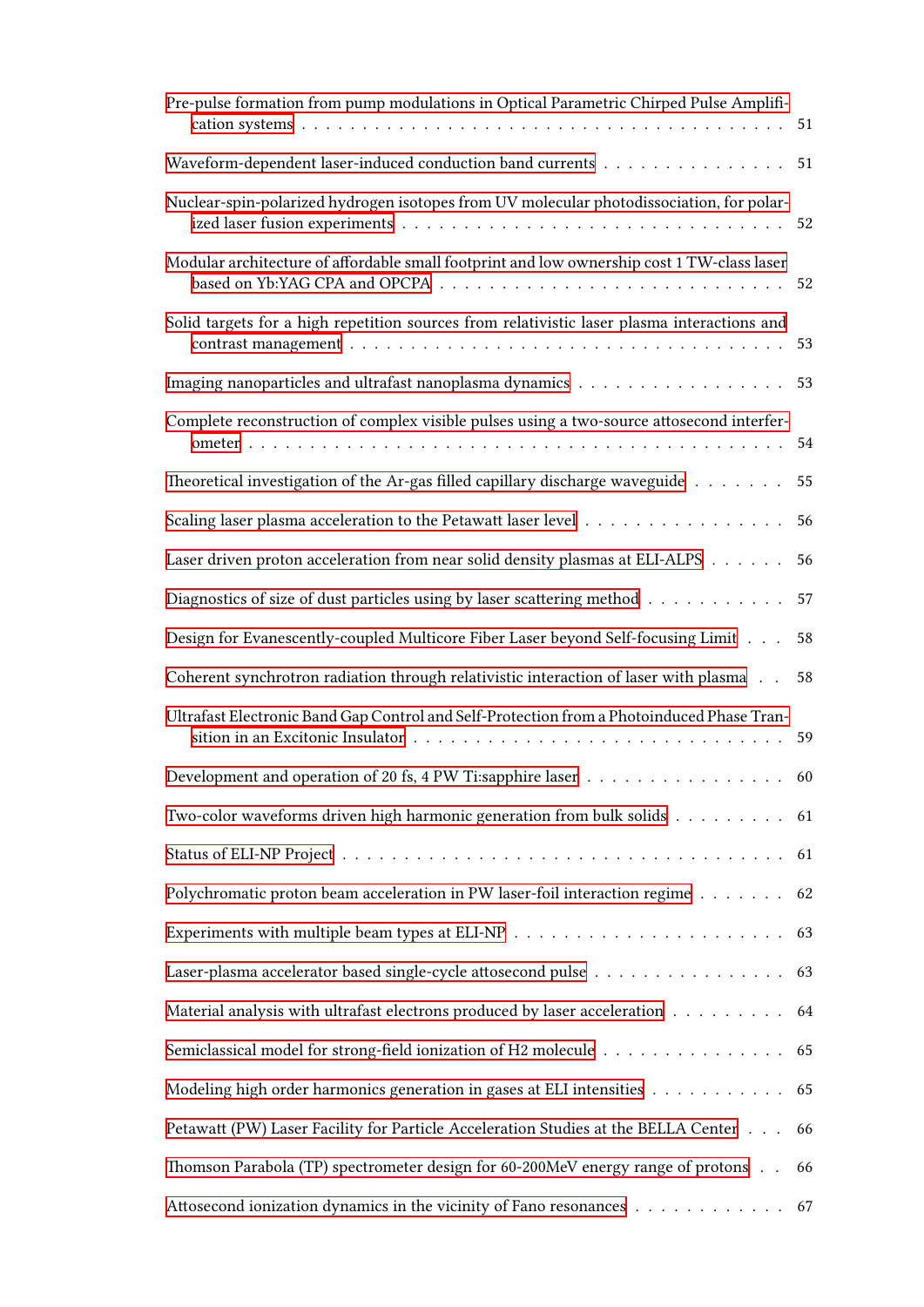| Pre-pulse formation from pump modulations in Optical Parametric Chirped Pulse Amplifi-                                                  |    |
|-----------------------------------------------------------------------------------------------------------------------------------------|----|
| Waveform-dependent laser-induced conduction band currents                                                                               | 51 |
| Nuclear-spin-polarized hydrogen isotopes from UV molecular photodissociation, for polar-                                                |    |
| Modular architecture of affordable small footprint and low ownership cost 1 TW-class laser                                              |    |
| Solid targets for a high repetition sources from relativistic laser plasma interactions and                                             | 53 |
|                                                                                                                                         | 53 |
| Complete reconstruction of complex visible pulses using a two-source attosecond interfer-                                               | 54 |
| Theoretical investigation of the Ar-gas filled capillary discharge waveguide $\dots \dots$                                              | 55 |
| Scaling laser plasma acceleration to the Petawatt laser level                                                                           | 56 |
| Laser driven proton acceleration from near solid density plasmas at ELI-ALPS                                                            | 56 |
| Diagnostics of size of dust particles using by laser scattering method                                                                  | 57 |
| Design for Evanescently-coupled Multicore Fiber Laser beyond Self-focusing Limit                                                        | 58 |
| Coherent synchrotron radiation through relativistic interaction of laser with plasma.                                                   | 58 |
| Ultrafast Electronic Band Gap Control and Self-Protection from a Photoinduced Phase Tran-                                               |    |
| Development and operation of 20 fs, 4 PW Ti:sapphire laser $\dots \dots \dots \dots \dots \dots \dots$                                  |    |
| Two-color waveforms driven high harmonic generation from bulk solids $\ldots \ldots \ldots$ 61                                          |    |
|                                                                                                                                         |    |
| Polychromatic proton beam acceleration in PW laser-foil interaction regime 62                                                           |    |
| Experiments with multiple beam types at ELI-NP $\ldots \ldots \ldots \ldots \ldots \ldots \ldots \ldots \ldots \ldots \ldots \qquad 63$ |    |
| Laser-plasma accelerator based single-cycle attosecond pulse 63                                                                         |    |
| Material analysis with ultrafast electrons produced by laser acceleration 64                                                            |    |
| Semiclassical model for strong-field ionization of H2 molecule 65                                                                       |    |
| Modeling high order harmonics generation in gases at ELI intensities 65                                                                 |    |
| Petawatt (PW) Laser Facility for Particle Acceleration Studies at the BELLA Center 66                                                   |    |
| Thomson Parabola (TP) spectrometer design for 60-200MeV energy range of protons                                                         | 66 |
| Attosecond ionization dynamics in the vicinity of Fano resonances 67                                                                    |    |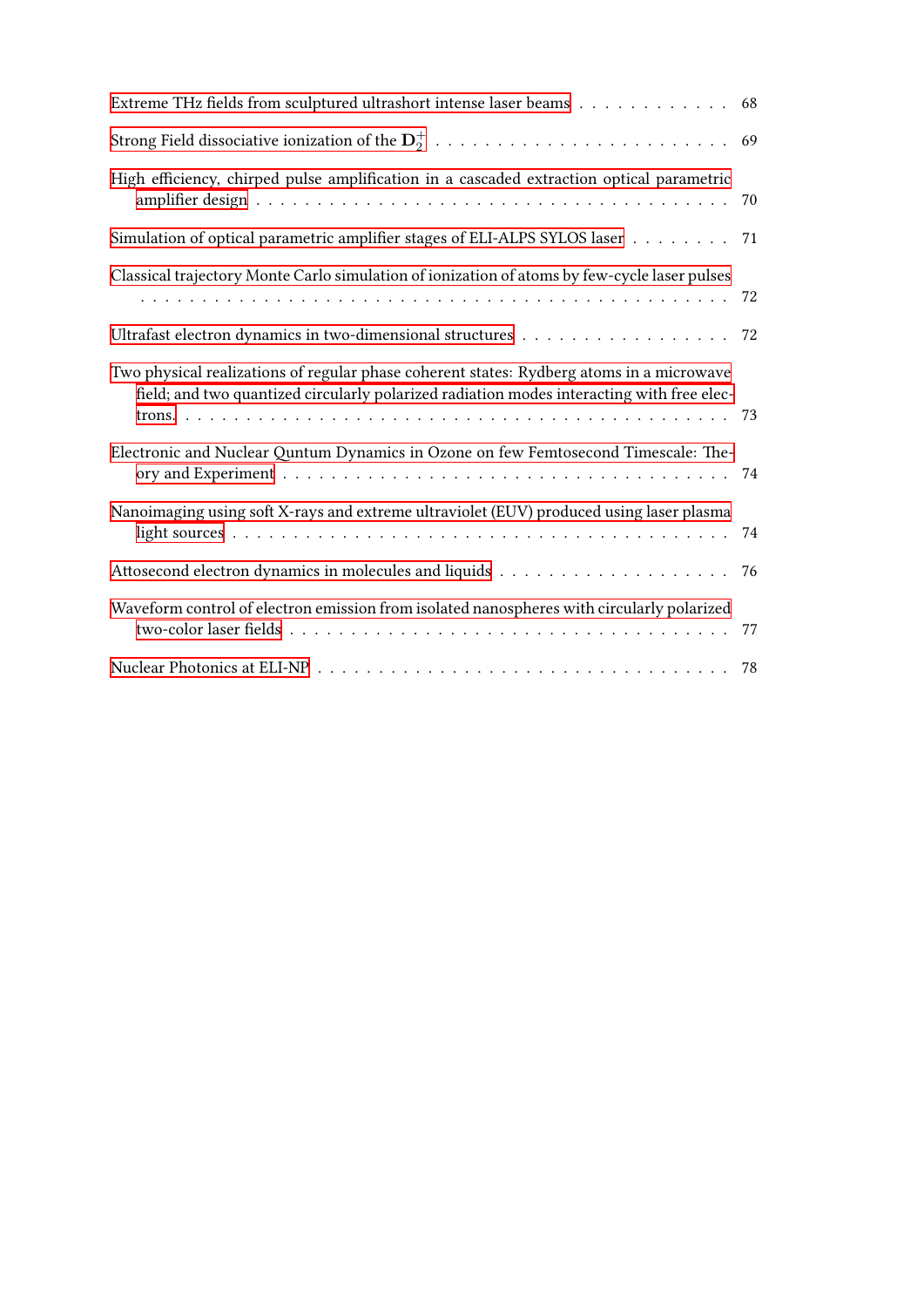| Extreme THz fields from sculptured ultrashort intense laser beams                                                                                                                     | 68 |
|---------------------------------------------------------------------------------------------------------------------------------------------------------------------------------------|----|
|                                                                                                                                                                                       |    |
| High efficiency, chirped pulse amplification in a cascaded extraction optical parametric                                                                                              | 70 |
| Simulation of optical parametric amplifier stages of ELI-ALPS SYLOS laser 71                                                                                                          |    |
| Classical trajectory Monte Carlo simulation of ionization of atoms by few-cycle laser pulses                                                                                          |    |
| Ultrafast electron dynamics in two-dimensional structures 72                                                                                                                          |    |
| Two physical realizations of regular phase coherent states: Rydberg atoms in a microwave<br>field; and two quantized circularly polarized radiation modes interacting with free elec- |    |
| Electronic and Nuclear Quntum Dynamics in Ozone on few Femtosecond Timescale: The-                                                                                                    |    |
| Nanoimaging using soft X-rays and extreme ultraviolet (EUV) produced using laser plasma                                                                                               |    |
|                                                                                                                                                                                       |    |
| Waveform control of electron emission from isolated nanospheres with circularly polarized                                                                                             | 77 |
|                                                                                                                                                                                       |    |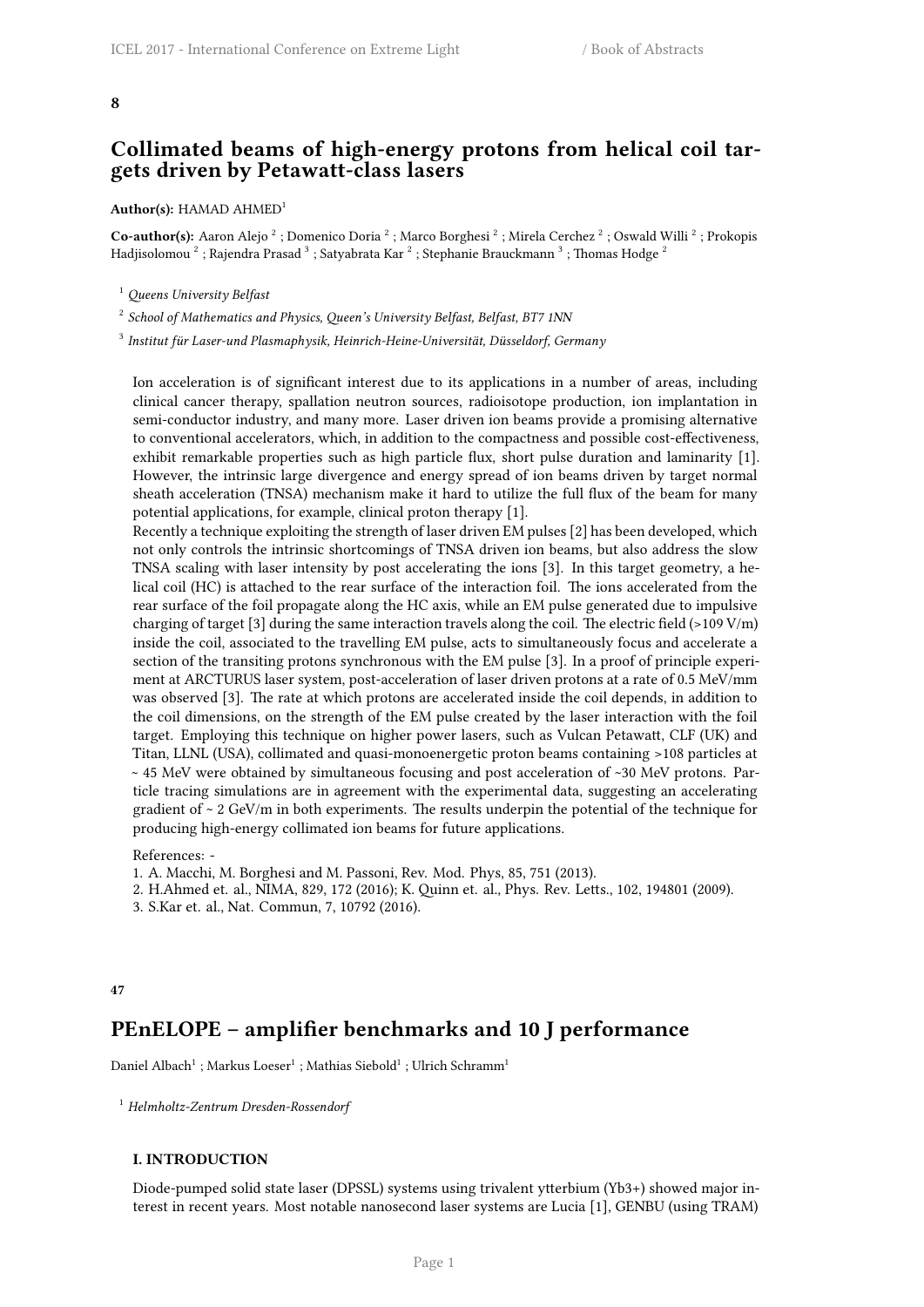#### <span id="page-8-0"></span>**8**

## **Collimated beams of high-energy protons from helical coil targets driven by Petawatt-class lasers**

#### **Author(s):** HAMAD AHMED<sup>1</sup>

Co-author(s): Aaron Alejo<sup>2</sup>; Domenico Doria<sup>2</sup>; Marco Borghesi<sup>2</sup>; Mirela Cerchez<sup>2</sup>; Oswald Willi<sup>2</sup>; Prokopis Hadjisolomou  $^2$  ; Rajendra Prasad  $^3$  ; Satyabrata Kar  $^2$  ; Stephanie Brauckmann  $^3$  ; Thomas Hodge  $^2$ 

<sup>1</sup> *Queens University Belfast*

2 *School of Mathematics and Physics, Queen's University Belfast, Belfast, BT7 1NN*

3 *Institut für Laser-und Plasmaphysik, Heinrich-Heine-Universität, Düsseldorf, Germany*

Ion acceleration is of significant interest due to its applications in a number of areas, including clinical cancer therapy, spallation neutron sources, radioisotope production, ion implantation in semi-conductor industry, and many more. Laser driven ion beams provide a promising alternative to conventional accelerators, which, in addition to the compactness and possible cost-effectiveness, exhibit remarkable properties such as high particle flux, short pulse duration and laminarity [1]. However, the intrinsic large divergence and energy spread of ion beams driven by target normal sheath acceleration (TNSA) mechanism make it hard to utilize the full flux of the beam for many potential applications, for example, clinical proton therapy [1].

Recently a technique exploiting the strength of laser driven EM pulses [2] has been developed, which not only controls the intrinsic shortcomings of TNSA driven ion beams, but also address the slow TNSA scaling with laser intensity by post accelerating the ions [3]. In this target geometry, a helical coil (HC) is attached to the rear surface of the interaction foil. The ions accelerated from the rear surface of the foil propagate along the HC axis, while an EM pulse generated due to impulsive charging of target [3] during the same interaction travels along the coil. The electric field  $(>109 \text{ V/m})$ inside the coil, associated to the travelling EM pulse, acts to simultaneously focus and accelerate a section of the transiting protons synchronous with the EM pulse [3]. In a proof of principle experiment at ARCTURUS laser system, post-acceleration of laser driven protons at a rate of 0.5 MeV/mm was observed [3]. The rate at which protons are accelerated inside the coil depends, in addition to the coil dimensions, on the strength of the EM pulse created by the laser interaction with the foil target. Employing this technique on higher power lasers, such as Vulcan Petawatt, CLF (UK) and Titan, LLNL (USA), collimated and quasi-monoenergetic proton beams containing >108 particles at ~ 45 MeV were obtained by simultaneous focusing and post acceleration of ~30 MeV protons. Particle tracing simulations are in agreement with the experimental data, suggesting an accelerating gradient of  $\sim$  2 GeV/m in both experiments. The results underpin the potential of the technique for producing high-energy collimated ion beams for future applications.

References: -

1. A. Macchi, M. Borghesi and M. Passoni, Rev. Mod. Phys, 85, 751 (2013).

2. H.Ahmed et. al., NIMA, 829, 172 (2016); K. Quinn et. al., Phys. Rev. Letts., 102, 194801 (2009).

3. S.Kar et. al., Nat. Commun, 7, 10792 (2016).

## <span id="page-8-1"></span>**47**

## **PEnELOPE – amplifier benchmarks and 10 J performance**

Daniel Albach $^1$  ; Markus Loeser $^1$  ; Mathias Siebold $^1$  ; Ulrich Schramm $^1$ 

<sup>1</sup> *Helmholtz-Zentrum Dresden-Rossendorf*

#### **I. INTRODUCTION**

Diode-pumped solid state laser (DPSSL) systems using trivalent ytterbium (Yb3+) showed major interest in recent years. Most notable nanosecond laser systems are Lucia [1], GENBU (using TRAM)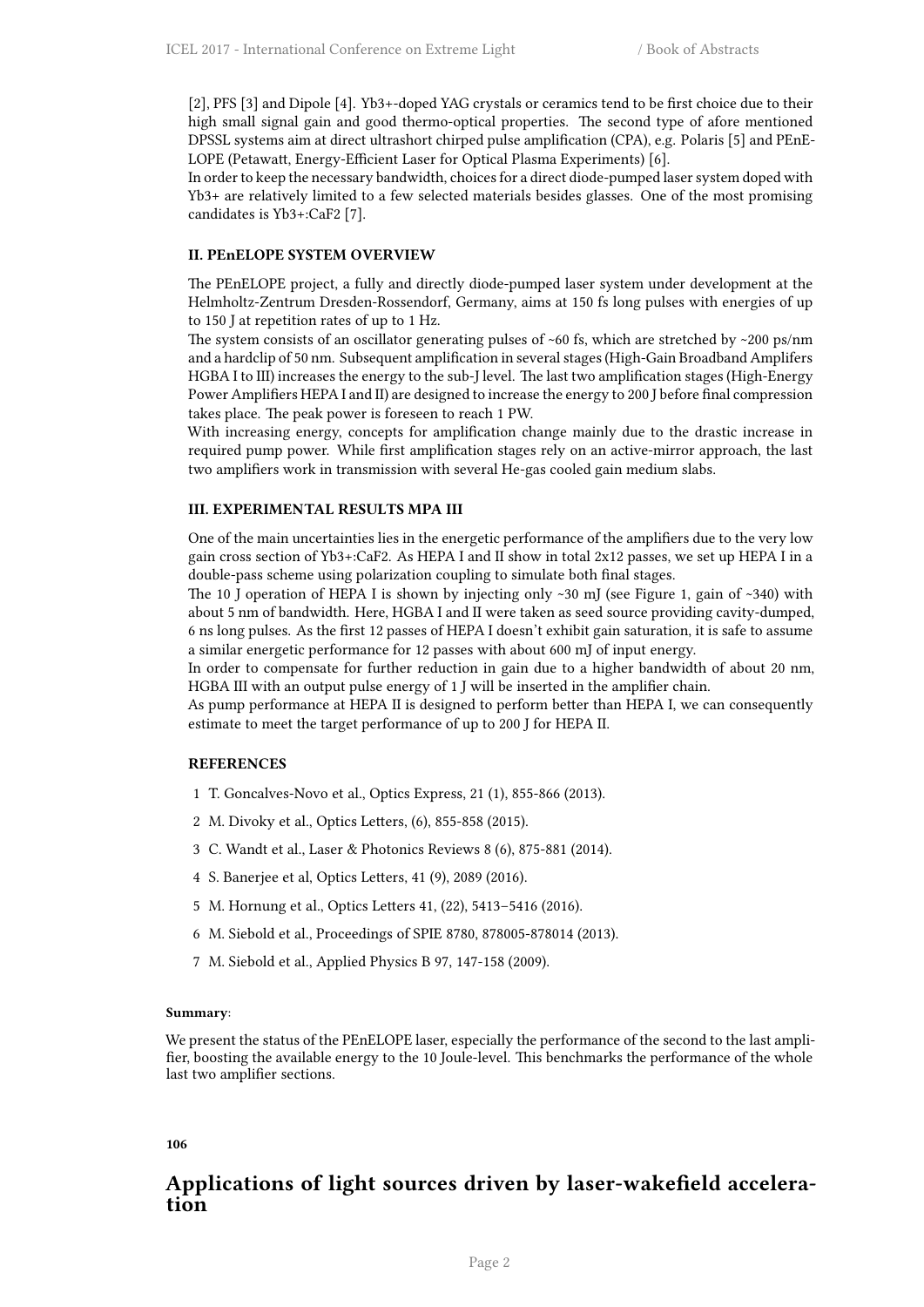[2], PFS [3] and Dipole [4]. Yb3+-doped YAG crystals or ceramics tend to be first choice due to their high small signal gain and good thermo-optical properties. The second type of afore mentioned DPSSL systems aim at direct ultrashort chirped pulse amplification (CPA), e.g. Polaris [5] and PEnE-LOPE (Petawatt, Energy-Efficient Laser for Optical Plasma Experiments) [6].

In order to keep the necessary bandwidth, choices for a direct diode-pumped laser system doped with Yb3+ are relatively limited to a few selected materials besides glasses. One of the most promising candidates is Yb3+:CaF2 [7].

## **II. PEnELOPE SYSTEM OVERVIEW**

The PEnELOPE project, a fully and directly diode-pumped laser system under development at the Helmholtz-Zentrum Dresden-Rossendorf, Germany, aims at 150 fs long pulses with energies of up to 150 J at repetition rates of up to 1 Hz.

The system consists of an oscillator generating pulses of  $~60$  fs, which are stretched by  $~200$  ps/nm and a hardclip of 50 nm. Subsequent amplification in several stages (High-Gain Broadband Amplifers HGBA I to III) increases the energy to the sub-J level. The last two amplification stages (High-Energy Power Amplifiers HEPA I and II) are designed to increase the energy to 200 J before final compression takes place. The peak power is foreseen to reach 1 PW.

With increasing energy, concepts for amplification change mainly due to the drastic increase in required pump power. While first amplification stages rely on an active-mirror approach, the last two amplifiers work in transmission with several He-gas cooled gain medium slabs.

## **III. EXPERIMENTAL RESULTS MPA III**

One of the main uncertainties lies in the energetic performance of the amplifiers due to the very low gain cross section of Yb3+:CaF2. As HEPA I and II show in total 2x12 passes, we set up HEPA I in a double-pass scheme using polarization coupling to simulate both final stages.

The 10 J operation of HEPA I is shown by injecting only  $~30$  mJ (see Figure 1, gain of  $~340$ ) with about 5 nm of bandwidth. Here, HGBA I and II were taken as seed source providing cavity-dumped, 6 ns long pulses. As the first 12 passes of HEPA I doesn't exhibit gain saturation, it is safe to assume a similar energetic performance for 12 passes with about 600 mJ of input energy.

In order to compensate for further reduction in gain due to a higher bandwidth of about 20 nm, HGBA III with an output pulse energy of 1 J will be inserted in the amplifier chain.

As pump performance at HEPA II is designed to perform better than HEPA I, we can consequently estimate to meet the target performance of up to 200 J for HEPA II.

## **REFERENCES**

- 1 T. Goncalves-Novo et al., Optics Express, 21 (1), 855-866 (2013).
- 2 M. Divoky et al., Optics Letters, (6), 855-858 (2015).
- 3 C. Wandt et al., Laser & Photonics Reviews 8 (6), 875-881 (2014).
- 4 S. Banerjee et al, Optics Letters, 41 (9), 2089 (2016).
- 5 M. Hornung et al., Optics Letters 41, (22), 5413–5416 (2016).
- 6 M. Siebold et al., Proceedings of SPIE 8780, 878005-878014 (2013).
- 7 M. Siebold et al., Applied Physics B 97, 147-158 (2009).

## **Summary**:

We present the status of the PEnELOPE laser, especially the performance of the second to the last amplifier, boosting the available energy to the 10 Joule-level. This benchmarks the performance of the whole last two amplifier sections.

## <span id="page-9-0"></span>**106**

## **Applications of light sources driven by laser-wakefield acceleration**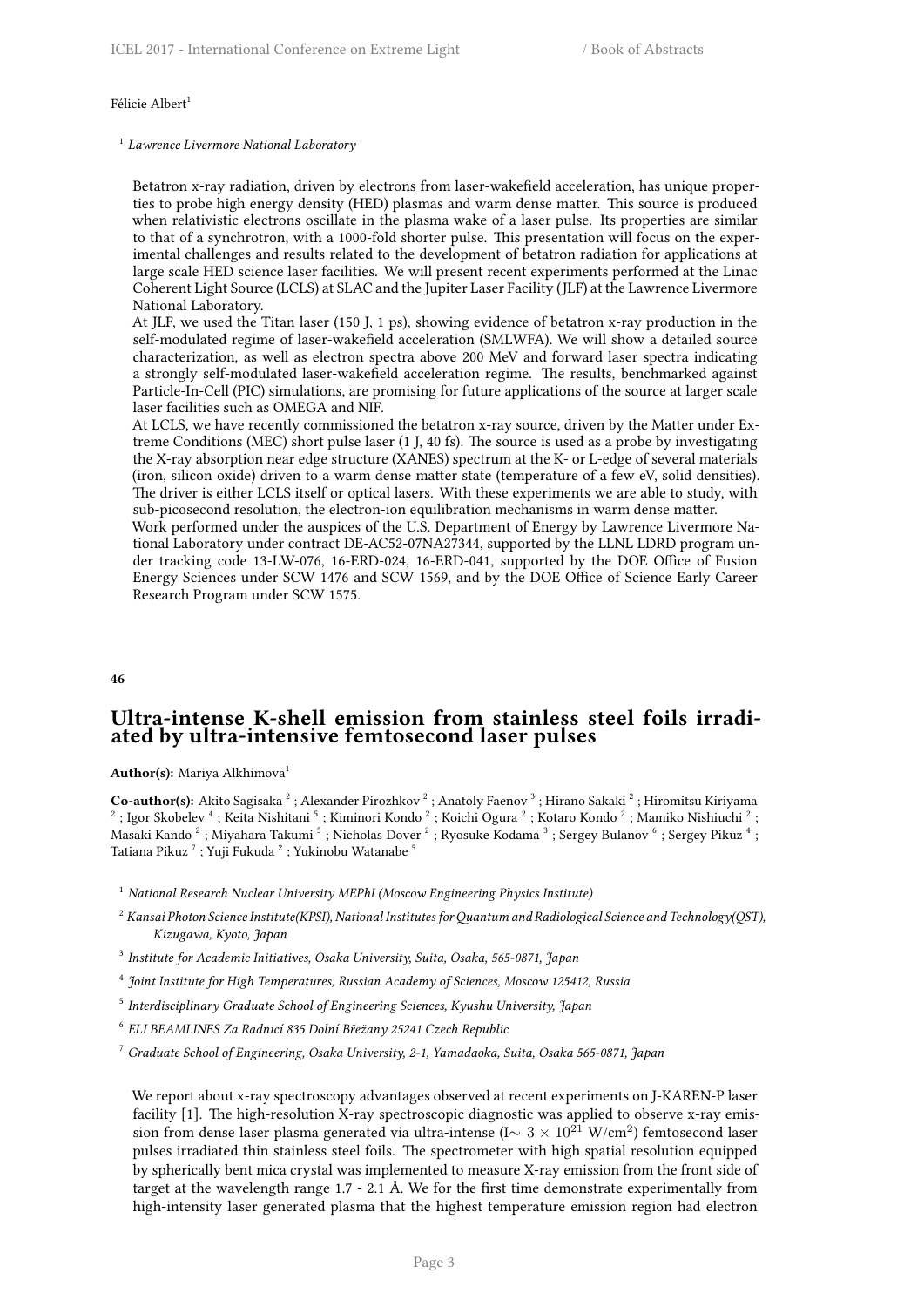#### Félicie Albert<sup>1</sup>

1 *Lawrence Livermore National Laboratory*

Betatron x-ray radiation, driven by electrons from laser-wakefield acceleration, has unique properties to probe high energy density (HED) plasmas and warm dense matter. This source is produced when relativistic electrons oscillate in the plasma wake of a laser pulse. Its properties are similar to that of a synchrotron, with a 1000-fold shorter pulse. This presentation will focus on the experimental challenges and results related to the development of betatron radiation for applications at large scale HED science laser facilities. We will present recent experiments performed at the Linac Coherent Light Source (LCLS) at SLAC and the Jupiter Laser Facility (JLF) at the Lawrence Livermore National Laboratory.

At JLF, we used the Titan laser (150 J, 1 ps), showing evidence of betatron x-ray production in the self-modulated regime of laser-wakefield acceleration (SMLWFA). We will show a detailed source characterization, as well as electron spectra above 200 MeV and forward laser spectra indicating a strongly self-modulated laser-wakefield acceleration regime. The results, benchmarked against Particle-In-Cell (PIC) simulations, are promising for future applications of the source at larger scale laser facilities such as OMEGA and NIF.

At LCLS, we have recently commissioned the betatron x-ray source, driven by the Matter under Extreme Conditions (MEC) short pulse laser (1 J, 40 fs). The source is used as a probe by investigating the X-ray absorption near edge structure (XANES) spectrum at the K- or L-edge of several materials (iron, silicon oxide) driven to a warm dense matter state (temperature of a few eV, solid densities). The driver is either LCLS itself or optical lasers. With these experiments we are able to study, with sub-picosecond resolution, the electron-ion equilibration mechanisms in warm dense matter.

Work performed under the auspices of the U.S. Department of Energy by Lawrence Livermore National Laboratory under contract DE-AC52-07NA27344, supported by the LLNL LDRD program under tracking code 13-LW-076, 16-ERD-024, 16-ERD-041, supported by the DOE Office of Fusion Energy Sciences under SCW 1476 and SCW 1569, and by the DOE Office of Science Early Career Research Program under SCW 1575.

#### <span id="page-10-0"></span>**46**

## **Ultra-intense K-shell emission from stainless steel foils irradiated by ultra-intensive femtosecond laser pulses**

Author(s): Mariya Alkhimova<sup>1</sup>

**Co-author(s):** Akito Sagisaka  $^2$  ; Alexander Pirozhkov  $^2$  ; Anatoly Faenov  $^3$  ; Hirano Sakaki  $^2$  ; Hiromitsu Kiriyama<br> $^2$  ; Igor Skobelev  $^4$  ; Keita Nishitani  $^5$  ; Kiminori Kondo  $^2$  ; Koichi Ogura  $^2$  ; Ko Masaki Kando  $^2$  ; Miyahara Takumi  $^5$  ; Nicholas Dover  $^2$  ; Ryosuke Kodama  $^3$  ; Sergey Bulanov  $^6$  ; Sergey Pikuz  $^4$  ; Tatiana Pikuz <sup>7</sup> ; Yuji Fukuda <sup>2</sup> ; Yukinobu Watanabe <sup>5</sup>

- <sup>1</sup> *National Research Nuclear University MEPhI (Moscow Engineering Physics Institute)*
- <sup>2</sup> Kansai Photon Science Institute(KPSI), National Institutes for Quantum and Radiological Science and Technology(QST), *Kizugawa, Kyoto, Japan*
- 3 *Institute for Academic Initiatives, Osaka University, Suita, Osaka, 565-0871, Japan*
- 4 *Joint Institute for High Temperatures, Russian Academy of Sciences, Moscow 125412, Russia*
- 5 *Interdisciplinary Graduate School of Engineering Sciences, Kyushu University, Japan*
- 6 *ELI BEAMLINES Za Radnicí 835 Dolní Břežany 25241 Czech Republic*
- <sup>7</sup> *Graduate School of Engineering, Osaka University, 2-1, Yamadaoka, Suita, Osaka 565-0871, Japan*

We report about x-ray spectroscopy advantages observed at recent experiments on J-KAREN-P laser facility [1]. The high-resolution X-ray spectroscopic diagnostic was applied to observe x-ray emission from dense laser plasma generated via ultra-intense (I∼ 3 × 10<sup>21</sup> W/cm<sup>2</sup>) femtosecond laser pulses irradiated thin stainless steel foils. The spectrometer with high spatial resolution equipped by spherically bent mica crystal was implemented to measure X-ray emission from the front side of target at the wavelength range 1.7 - 2.1 Å. We for the first time demonstrate experimentally from high-intensity laser generated plasma that the highest temperature emission region had electron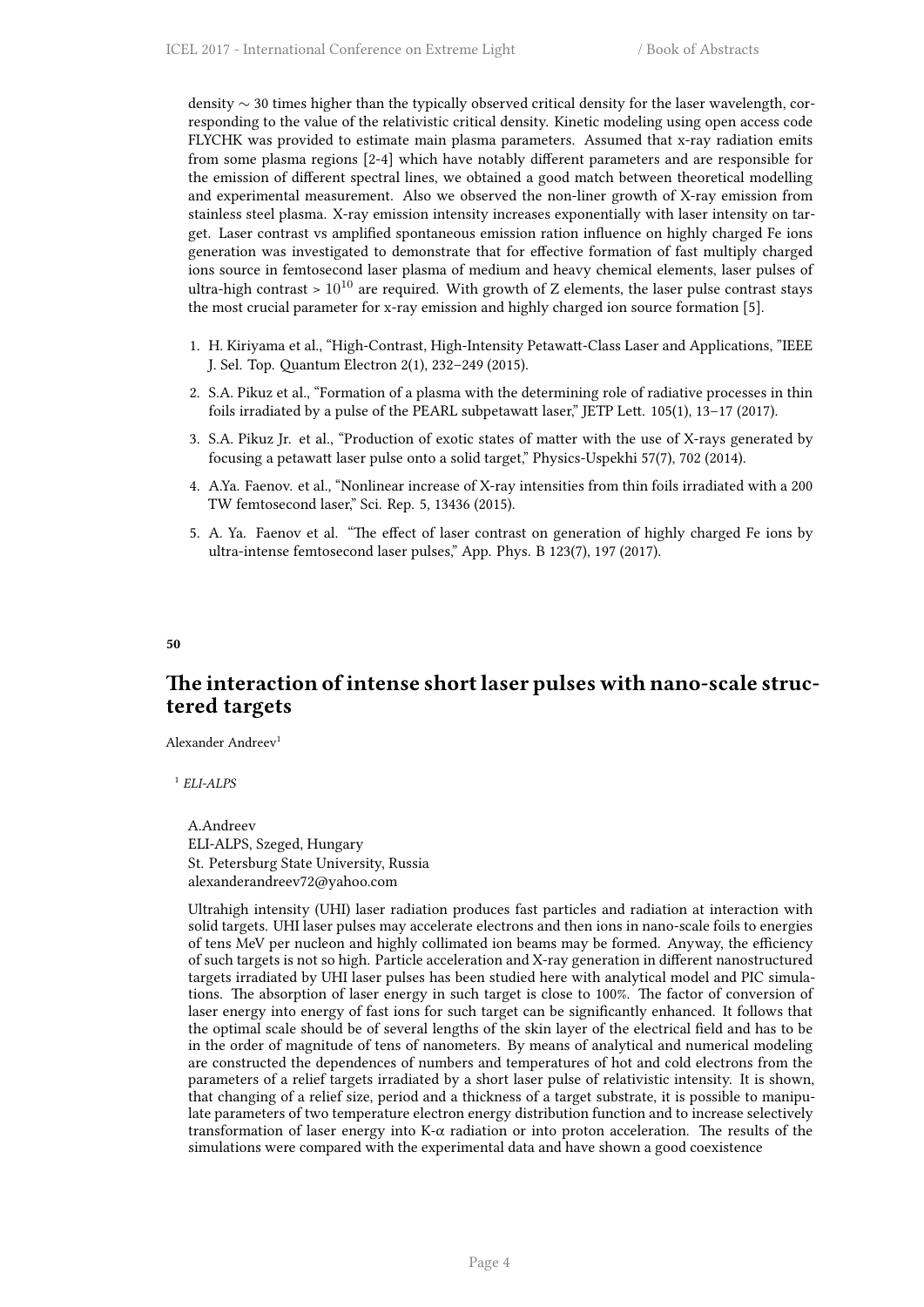density *∼* 30 times higher than the typically observed critical density for the laser wavelength, corresponding to the value of the relativistic critical density. Kinetic modeling using open access code FLYCHK was provided to estimate main plasma parameters. Assumed that x-ray radiation emits from some plasma regions [2-4] which have notably different parameters and are responsible for the emission of different spectral lines, we obtained a good match between theoretical modelling and experimental measurement. Also we observed the non-liner growth of X-ray emission from stainless steel plasma. X-ray emission intensity increases exponentially with laser intensity on target. Laser contrast vs amplified spontaneous emission ration influence on highly charged Fe ions generation was investigated to demonstrate that for effective formation of fast multiply charged ions source in femtosecond laser plasma of medium and heavy chemical elements, laser pulses of ultra-high contrast  $> 10^{10}$  are required. With growth of Z elements, the laser pulse contrast stays the most crucial parameter for x-ray emission and highly charged ion source formation [5].

- 1. H. Kiriyama et al., "High-Contrast, High-Intensity Petawatt-Class Laser and Applications, "IEEE J. Sel. Top. Quantum Electron 2(1), 232–249 (2015).
- 2. S.A. Pikuz et al., "Formation of a plasma with the determining role of radiative processes in thin foils irradiated by a pulse of the PEARL subpetawatt laser," JETP Lett. 105(1), 13–17 (2017).
- 3. S.A. Pikuz Jr. et al., "Production of exotic states of matter with the use of X-rays generated by focusing a petawatt laser pulse onto a solid target," Physics-Uspekhi 57(7), 702 (2014).
- 4. A.Ya. Faenov. et al., "Nonlinear increase of X-ray intensities from thin foils irradiated with a 200 TW femtosecond laser," Sci. Rep. 5, 13436 (2015).
- 5. A. Ya. Faenov et al. "The effect of laser contrast on generation of highly charged Fe ions by ultra-intense femtosecond laser pulses," App. Phys. B 123(7), 197 (2017).

<span id="page-11-0"></span>**50**

## **The interaction of intense short laser pulses with nano-scale structered targets**

Alexander Andreev<sup>1</sup>

1 *ELI-ALPS*

A.Andreev ELI-ALPS, Szeged, Hungary St. Petersburg State University, Russia alexanderandreev72@yahoo.com

<span id="page-11-1"></span>Ultrahigh intensity (UHI) laser radiation produces fast particles and radiation at interaction with solid targets. UHI laser pulses may accelerate electrons and then ions in nano-scale foils to energies of tens MeV per nucleon and highly collimated ion beams may be formed. Anyway, the efficiency of such targets is not so high. Particle acceleration and X-ray generation in different nanostructured targets irradiated by UHI laser pulses has been studied here with analytical model and PIC simulations. The absorption of laser energy in such target is close to 100%. The factor of conversion of laser energy into energy of fast ions for such target can be significantly enhanced. It follows that the optimal scale should be of several lengths of the skin layer of the electrical field and has to be in the order of magnitude of tens of nanometers. By means of analytical and numerical modeling are constructed the dependences of numbers and temperatures of hot and cold electrons from the parameters of a relief targets irradiated by a short laser pulse of relativistic intensity. It is shown, that changing of a relief size, period and a thickness of a target substrate, it is possible to manipulate parameters of two temperature electron energy distribution function and to increase selectively transformation of laser energy into K-α radiation or into proton acceleration. The results of the simulations were compared with the experimental data and have shown a good coexistence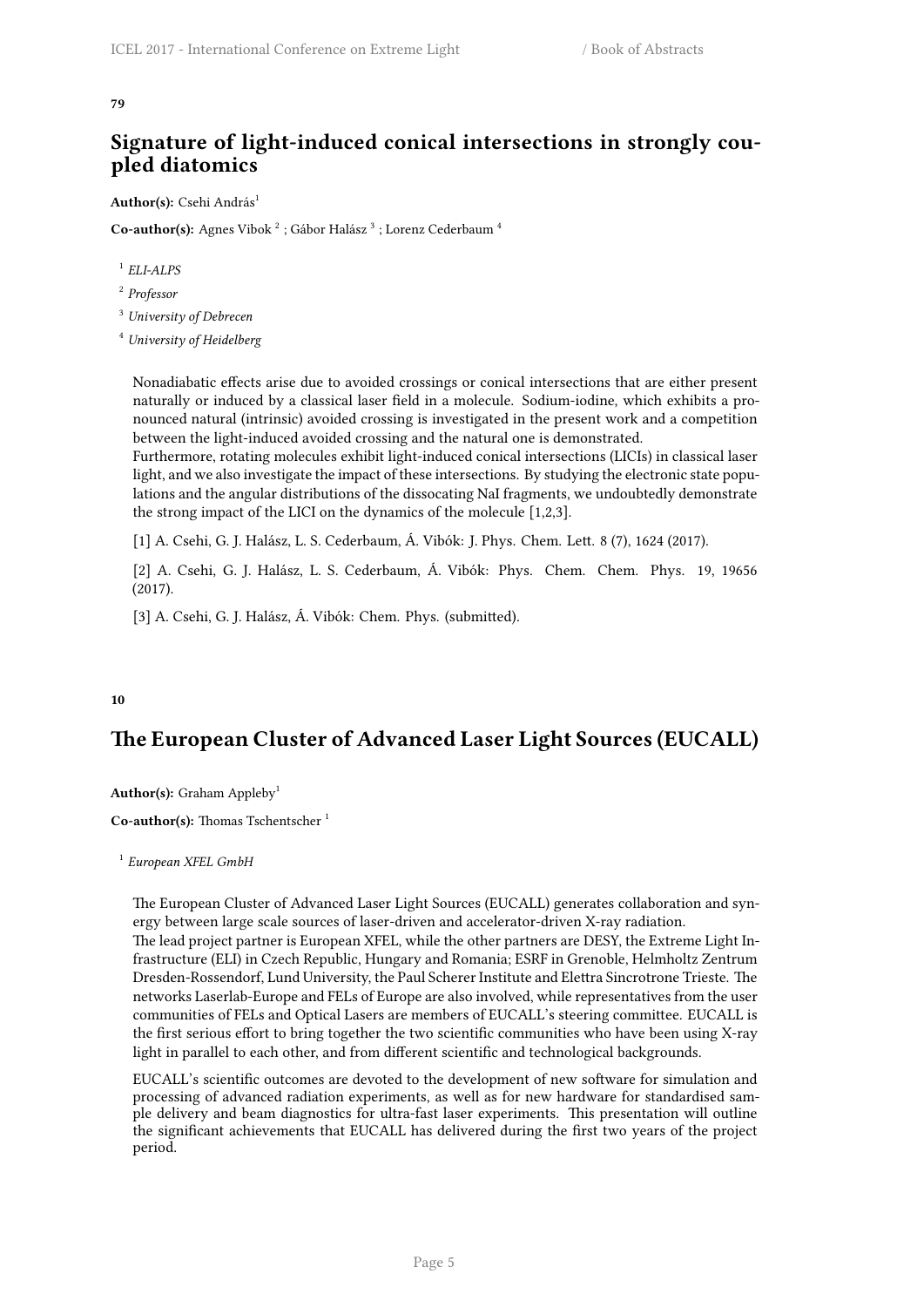#### **79**

## **Signature of light-induced conical intersections in strongly coupled diatomics**

Author(s): Csehi András<sup>1</sup>

 $\mathbf C$ o-author(s): Agnes Vibok  $^2$  ; Gábor Halász  $^3$  ; Lorenz Cederbaum  $^4$ 

1 *ELI-ALPS*

2 *Professor*

<sup>3</sup> *University of Debrecen*

<sup>4</sup> *University of Heidelberg*

Nonadiabatic effects arise due to avoided crossings or conical intersections that are either present naturally or induced by a classical laser field in a molecule. Sodium-iodine, which exhibits a pronounced natural (intrinsic) avoided crossing is investigated in the present work and a competition between the light-induced avoided crossing and the natural one is demonstrated.

Furthermore, rotating molecules exhibit light-induced conical intersections (LICIs) in classical laser light, and we also investigate the impact of these intersections. By studying the electronic state populations and the angular distributions of the dissocating NaI fragments, we undoubtedly demonstrate the strong impact of the LICI on the dynamics of the molecule [1,2,3].

[1] A. Csehi, G. J. Halász, L. S. Cederbaum, Á. Vibók: J. Phys. Chem. Lett. 8 (7), 1624 (2017).

[2] A. Csehi, G. J. Halász, L. S. Cederbaum, Á. Vibók: Phys. Chem. Chem. Phys. 19, 19656 (2017).

[3] A. Csehi, G. J. Halász, Á. Vibók: Chem. Phys. (submitted).

## <span id="page-12-0"></span>**10**

## **The European Cluster of Advanced Laser Light Sources (EUCALL)**

**Author(s):** Graham Appleby<sup>1</sup>

**Co-author(s):** Thomas Tschentscher <sup>1</sup>

1 *European XFEL GmbH*

The European Cluster of Advanced Laser Light Sources (EUCALL) generates collaboration and synergy between large scale sources of laser-driven and accelerator-driven X-ray radiation.

The lead project partner is European XFEL, while the other partners are DESY, the Extreme Light Infrastructure (ELI) in Czech Republic, Hungary and Romania; ESRF in Grenoble, Helmholtz Zentrum Dresden-Rossendorf, Lund University, the Paul Scherer Institute and Elettra Sincrotrone Trieste. The networks Laserlab-Europe and FELs of Europe are also involved, while representatives from the user communities of FELs and Optical Lasers are members of EUCALL's steering committee. EUCALL is the first serious effort to bring together the two scientific communities who have been using X-ray light in parallel to each other, and from different scientific and technological backgrounds.

<span id="page-12-1"></span>EUCALL's scientific outcomes are devoted to the development of new software for simulation and processing of advanced radiation experiments, as well as for new hardware for standardised sample delivery and beam diagnostics for ultra-fast laser experiments. This presentation will outline the significant achievements that EUCALL has delivered during the first two years of the project period.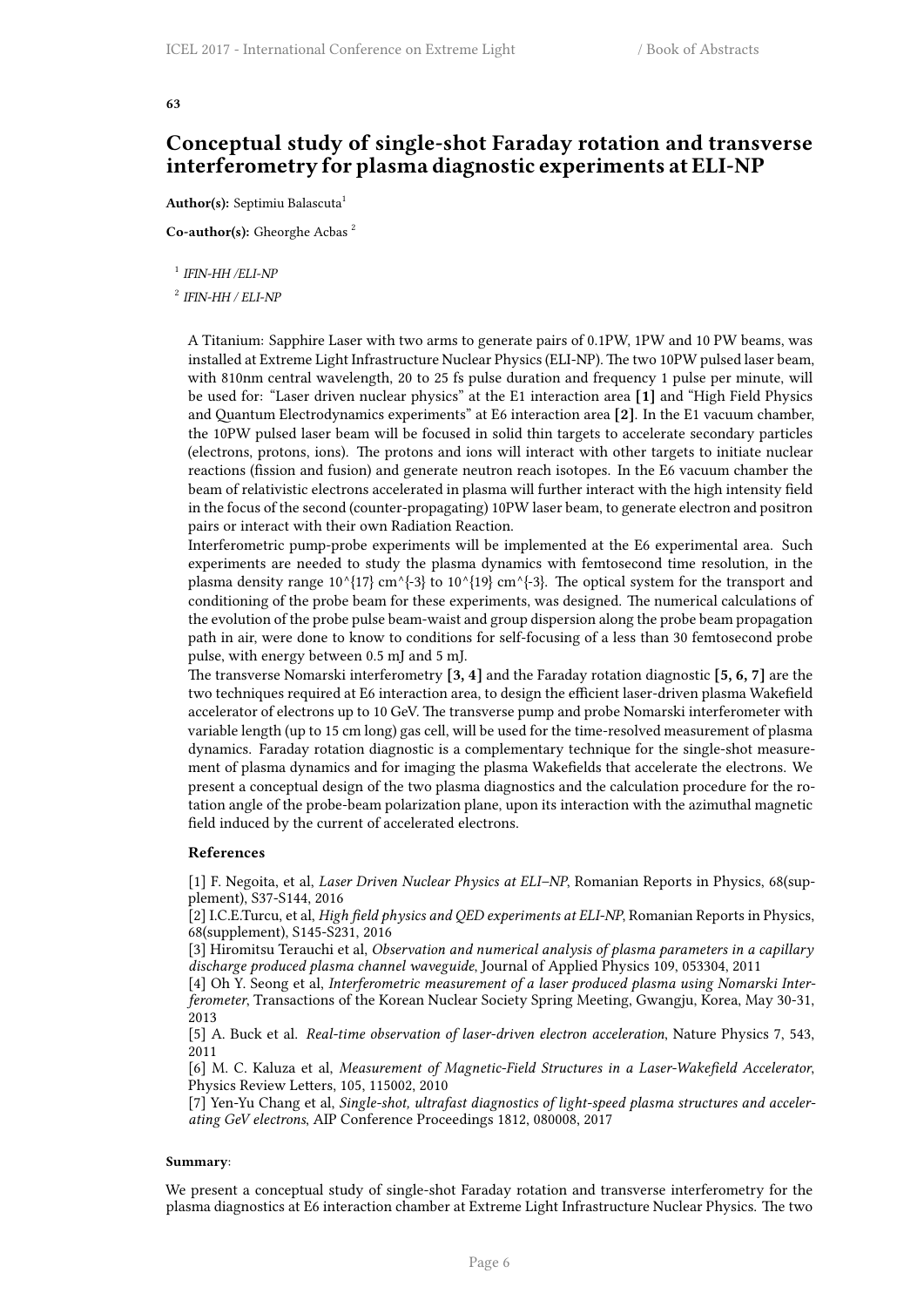#### **63**

## **Conceptual study of single-shot Faraday rotation and transverse interferometry for plasma diagnostic experiments at ELI-NP**

Author(s): Septimiu Balascuta<sup>1</sup>

**Co-author(s):** Gheorghe Acbas <sup>2</sup>

1 *IFIN-HH /ELI-NP*

#### 2 *IFIN-HH / ELI-NP*

A Titanium: Sapphire Laser with two arms to generate pairs of 0.1PW, 1PW and 10 PW beams, was installed at Extreme Light Infrastructure Nuclear Physics (ELI-NP). The two 10PW pulsed laser beam, with 810nm central wavelength, 20 to 25 fs pulse duration and frequency 1 pulse per minute, will be used for: "Laser driven nuclear physics" at the E1 interaction area **[1]** and "High Field Physics and Quantum Electrodynamics experiments" at E6 interaction area **[2]**. In the E1 vacuum chamber, the 10PW pulsed laser beam will be focused in solid thin targets to accelerate secondary particles (electrons, protons, ions). The protons and ions will interact with other targets to initiate nuclear reactions (fission and fusion) and generate neutron reach isotopes. In the E6 vacuum chamber the beam of relativistic electrons accelerated in plasma will further interact with the high intensity field in the focus of the second (counter-propagating) 10PW laser beam, to generate electron and positron pairs or interact with their own Radiation Reaction.

Interferometric pump-probe experiments will be implemented at the E6 experimental area. Such experiments are needed to study the plasma dynamics with femtosecond time resolution, in the plasma density range  $10^{6}$ {17} cm^{-3} to  $10^{6}$ {19} cm^{-3}. The optical system for the transport and conditioning of the probe beam for these experiments, was designed. The numerical calculations of the evolution of the probe pulse beam-waist and group dispersion along the probe beam propagation path in air, were done to know to conditions for self-focusing of a less than 30 femtosecond probe pulse, with energy between 0.5 mJ and 5 mJ.

The transverse Nomarski interferometry **[3, 4]** and the Faraday rotation diagnostic **[5, 6, 7]** are the two techniques required at E6 interaction area, to design the efficient laser-driven plasma Wakefield accelerator of electrons up to 10 GeV. The transverse pump and probe Nomarski interferometer with variable length (up to 15 cm long) gas cell, will be used for the time-resolved measurement of plasma dynamics. Faraday rotation diagnostic is a complementary technique for the single-shot measurement of plasma dynamics and for imaging the plasma Wakefields that accelerate the electrons. We present a conceptual design of the two plasma diagnostics and the calculation procedure for the rotation angle of the probe-beam polarization plane, upon its interaction with the azimuthal magnetic field induced by the current of accelerated electrons.

#### **References**

[1] F. Negoita, et al, *Laser Driven Nuclear Physics at ELI–NP*, Romanian Reports in Physics, 68(supplement), S37-S144, 2016

[2] I.C.E.Turcu, et al, *High field physics and QED experiments at ELI-NP*, Romanian Reports in Physics, 68(supplement), S145-S231, 2016

[3] Hiromitsu Terauchi et al, *Observation and numerical analysis of plasma parameters in a capillary discharge produced plasma channel waveguide*, Journal of Applied Physics 109, 053304, 2011

[4] Oh Y. Seong et al, *Interferometric measurement of a laser produced plasma using Nomarski Interferometer*, Transactions of the Korean Nuclear Society Spring Meeting, Gwangju, Korea, May 30-31, 2013

[5] A. Buck et al. *Real-time observation of laser-driven electron acceleration*, Nature Physics 7, 543, 2011

[6] M. C. Kaluza et al, *Measurement of Magnetic-Field Structures in a Laser-Wakefield Accelerator*, Physics Review Letters, 105, 115002, 2010

[7] Yen-Yu Chang et al, *Single-shot, ultrafast diagnostics of light-speed plasma structures and accelerating GeV electrons*, AIP Conference Proceedings 1812, 080008, 2017

#### **Summary**:

We present a conceptual study of single-shot Faraday rotation and transverse interferometry for the plasma diagnostics at E6 interaction chamber at Extreme Light Infrastructure Nuclear Physics. The two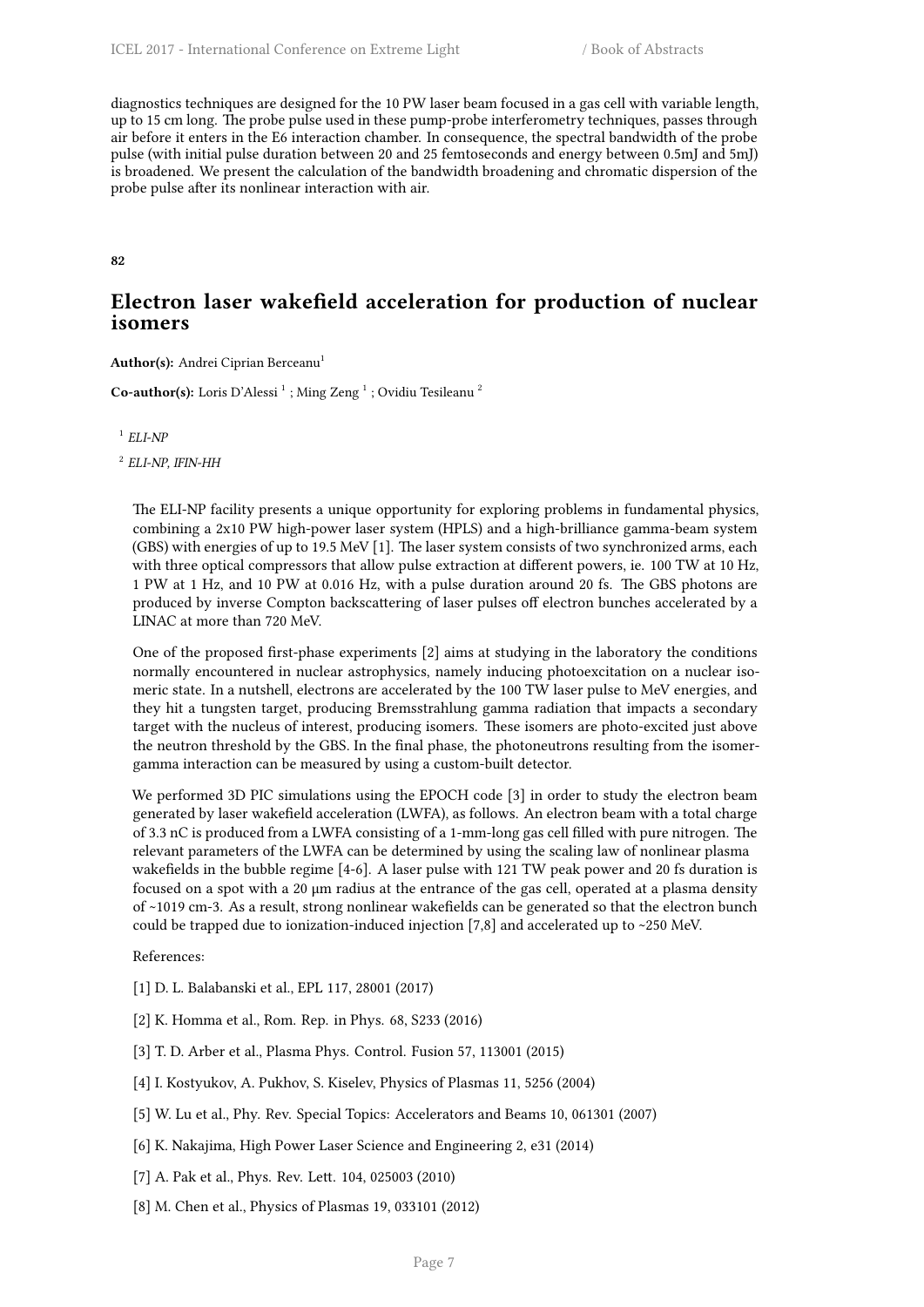diagnostics techniques are designed for the 10 PW laser beam focused in a gas cell with variable length, up to 15 cm long. The probe pulse used in these pump-probe interferometry techniques, passes through air before it enters in the E6 interaction chamber. In consequence, the spectral bandwidth of the probe pulse (with initial pulse duration between 20 and 25 femtoseconds and energy between 0.5mJ and 5mJ) is broadened. We present the calculation of the bandwidth broadening and chromatic dispersion of the probe pulse after its nonlinear interaction with air.

<span id="page-14-0"></span>**82**

## **Electron laser wakefield acceleration for production of nuclear isomers**

**Author(s):** Andrei Ciprian Berceanu<sup>1</sup>

Co-author(s): Loris D'Alessi<sup>1</sup>; Ming Zeng<sup>1</sup>; Ovidiu Tesileanu<sup>2</sup>

1 *ELI-NP*

2 *ELI-NP, IFIN-HH*

The ELI-NP facility presents a unique opportunity for exploring problems in fundamental physics, combining a 2x10 PW high-power laser system (HPLS) and a high-brilliance gamma-beam system (GBS) with energies of up to 19.5 MeV [1]. The laser system consists of two synchronized arms, each with three optical compressors that allow pulse extraction at different powers, ie. 100 TW at 10 Hz, 1 PW at 1 Hz, and 10 PW at 0.016 Hz, with a pulse duration around 20 fs. The GBS photons are produced by inverse Compton backscattering of laser pulses off electron bunches accelerated by a LINAC at more than 720 MeV.

One of the proposed first-phase experiments [2] aims at studying in the laboratory the conditions normally encountered in nuclear astrophysics, namely inducing photoexcitation on a nuclear isomeric state. In a nutshell, electrons are accelerated by the 100 TW laser pulse to MeV energies, and they hit a tungsten target, producing Bremsstrahlung gamma radiation that impacts a secondary target with the nucleus of interest, producing isomers. These isomers are photo-excited just above the neutron threshold by the GBS. In the final phase, the photoneutrons resulting from the isomergamma interaction can be measured by using a custom-built detector.

We performed 3D PIC simulations using the EPOCH code [3] in order to study the electron beam generated by laser wakefield acceleration (LWFA), as follows. An electron beam with a total charge of 3.3 nC is produced from a LWFA consisting of a 1-mm-long gas cell filled with pure nitrogen. The relevant parameters of the LWFA can be determined by using the scaling law of nonlinear plasma wakefields in the bubble regime [4-6]. A laser pulse with 121 TW peak power and 20 fs duration is focused on a spot with a 20 μm radius at the entrance of the gas cell, operated at a plasma density of ~1019 cm-3. As a result, strong nonlinear wakefields can be generated so that the electron bunch could be trapped due to ionization-induced injection [7,8] and accelerated up to ~250 MeV.

References:

- [1] D. L. Balabanski et al., EPL 117, 28001 (2017)
- [2] K. Homma et al., Rom. Rep. in Phys. 68, S233 (2016)
- [3] T. D. Arber et al., Plasma Phys. Control. Fusion 57, 113001 (2015)
- [4] I. Kostyukov, A. Pukhov, S. Kiselev, Physics of Plasmas 11, 5256 (2004)
- [5] W. Lu et al., Phy. Rev. Special Topics: Accelerators and Beams 10, 061301 (2007)
- [6] K. Nakajima, High Power Laser Science and Engineering 2, e31 (2014)
- [7] A. Pak et al., Phys. Rev. Lett. 104, 025003 (2010)
- [8] M. Chen et al., Physics of Plasmas 19, 033101 (2012)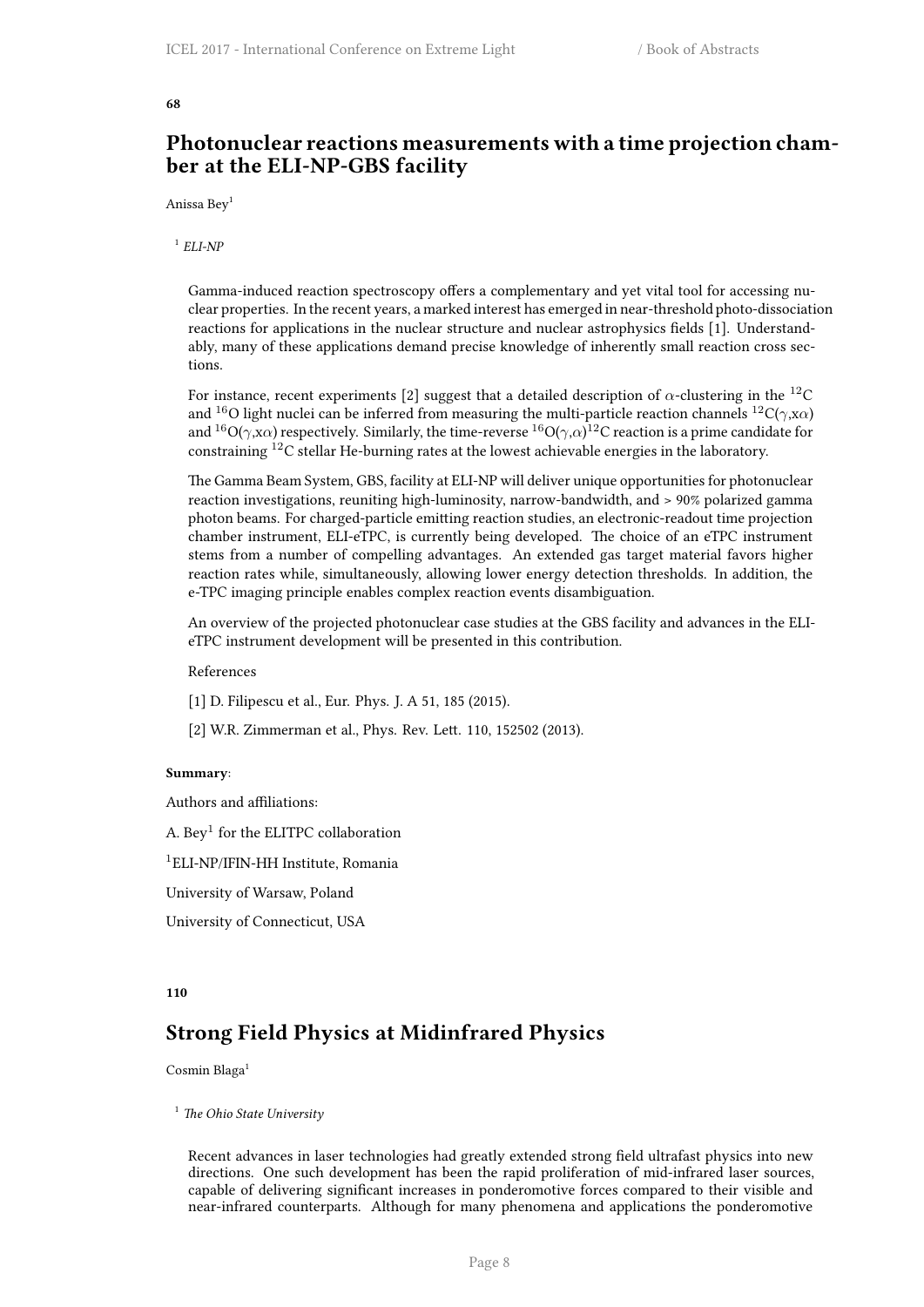#### <span id="page-15-0"></span>**68**

## **Photonuclear reactions measurements with a time projection chamber at the ELI-NP-GBS facility**

Anissa Bey<sup>1</sup>

1 *ELI-NP*

Gamma-induced reaction spectroscopy offers a complementary and yet vital tool for accessing nuclear properties. In the recent years, a marked interest has emerged in near-threshold photo-dissociation reactions for applications in the nuclear structure and nuclear astrophysics fields [1]. Understandably, many of these applications demand precise knowledge of inherently small reaction cross sections.

For instance, recent experiments [2] suggest that a detailed description of  $\alpha$ -clustering in the <sup>12</sup>C and <sup>16</sup>O light nuclei can be inferred from measuring the multi-particle reaction channels <sup>12</sup>C(*γ*,x*α*) and  $^{16}$ O( $\gamma$ ,x $\alpha$ ) respectively. Similarly, the time-reverse  $^{16}$ O( $\gamma$ , $\alpha$ ) $^{12}$ C reaction is a prime candidate for constraining <sup>12</sup>C stellar He-burning rates at the lowest achievable energies in the laboratory.

The Gamma Beam System, GBS, facility at ELI-NP will deliver unique opportunities for photonuclear reaction investigations, reuniting high-luminosity, narrow-bandwidth, and > 90% polarized gamma photon beams. For charged-particle emitting reaction studies, an electronic-readout time projection chamber instrument, ELI-eTPC, is currently being developed. The choice of an eTPC instrument stems from a number of compelling advantages. An extended gas target material favors higher reaction rates while, simultaneously, allowing lower energy detection thresholds. In addition, the e-TPC imaging principle enables complex reaction events disambiguation.

An overview of the projected photonuclear case studies at the GBS facility and advances in the ELIeTPC instrument development will be presented in this contribution.

## References

- [1] D. Filipescu et al., Eur. Phys. J. A 51, 185 (2015).
- [2] W.R. Zimmerman et al., Phys. Rev. Lett. 110, 152502 (2013).

#### **Summary**:

Authors and affiliations:

A. Bey $^1$  for the ELITPC collaboration

<sup>1</sup>ELI-NP/IFIN-HH Institute, Romania

University of Warsaw, Poland

University of Connecticut, USA

#### <span id="page-15-1"></span>**110**

## **Strong Field Physics at Midinfrared Physics**

Cosmin Blaga<sup>1</sup>

<sup>1</sup> *The Ohio State University*

Recent advances in laser technologies had greatly extended strong field ultrafast physics into new directions. One such development has been the rapid proliferation of mid-infrared laser sources, capable of delivering significant increases in ponderomotive forces compared to their visible and near-infrared counterparts. Although for many phenomena and applications the ponderomotive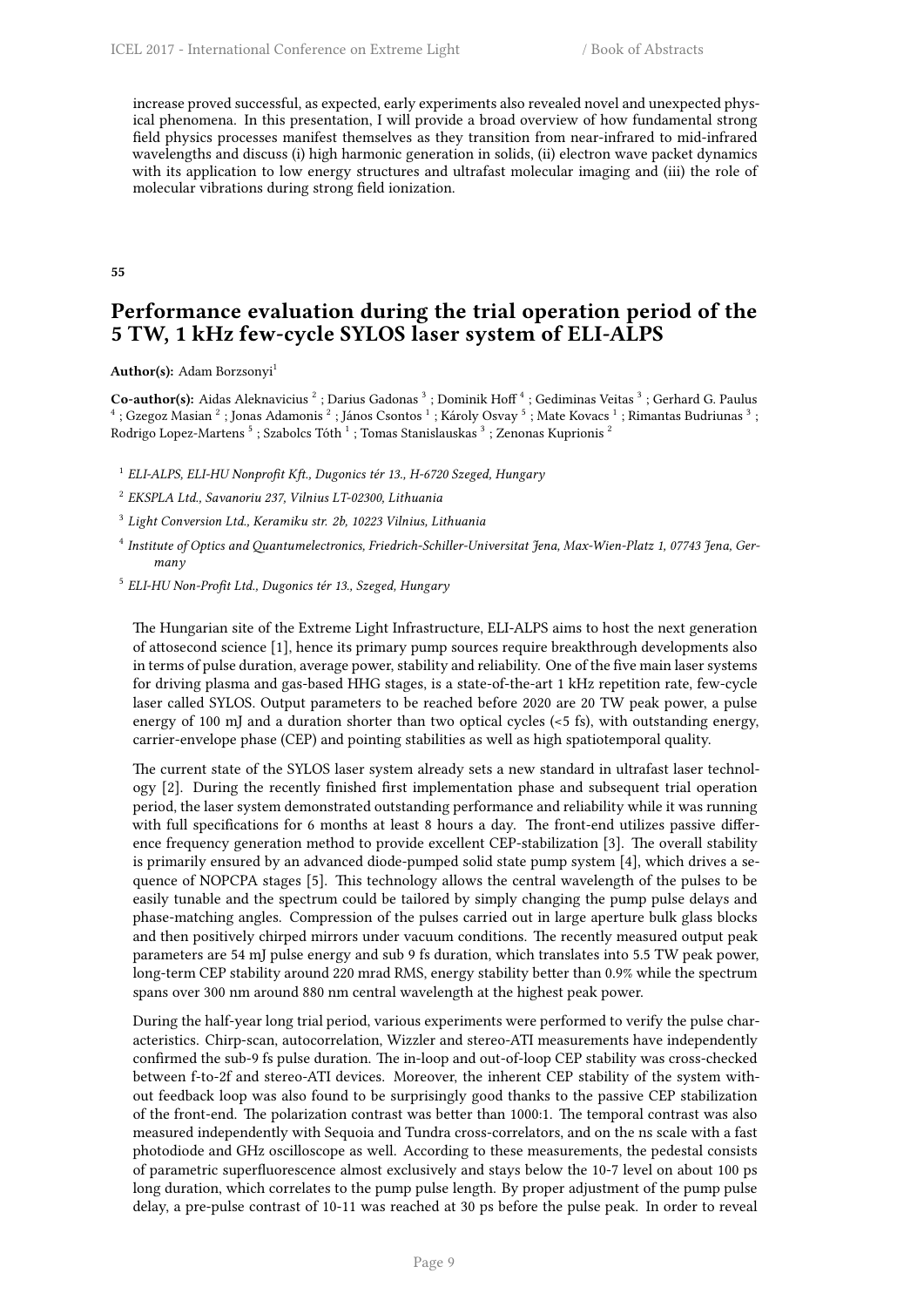increase proved successful, as expected, early experiments also revealed novel and unexpected physical phenomena. In this presentation, I will provide a broad overview of how fundamental strong field physics processes manifest themselves as they transition from near-infrared to mid-infrared wavelengths and discuss (i) high harmonic generation in solids, (ii) electron wave packet dynamics with its application to low energy structures and ultrafast molecular imaging and (iii) the role of molecular vibrations during strong field ionization.

#### <span id="page-16-0"></span>**55**

## **Performance evaluation during the trial operation period of the 5 TW, 1 kHz few-cycle SYLOS laser system of ELI-ALPS**

Author(s): Adam Borzsonyi<sup>1</sup>

**Co-author(s):** Aidas Aleknavicius<sup>2</sup>; Darius Gadonas<sup>3</sup>; Dominik Hoff<sup>4</sup>; Gediminas Veitas<sup>3</sup>; Gerhard G. Paulus<br><sup>4</sup>; Gzegoz Masian<sup>2</sup>; Jonas Adamonis<sup>2</sup>; János Csontos<sup>1</sup>; Károly Osvay<sup>5</sup>; Mate Kovacs<sup>1</sup>; Rimantas Budri Rodrigo Lopez-Martens  $^5$  ; Szabolcs Tóth  $^1$  ; Tomas Stanislauskas  $^3$  ; Zenonas Kuprionis  $^2$ 

1 *ELI-ALPS, ELI-HU Nonprofit Kft., Dugonics tér 13., H-6720 Szeged, Hungary*

2 *EKSPLA Ltd., Savanoriu 237, Vilnius LT-02300, Lithuania*

3 *Light Conversion Ltd., Keramiku str. 2b, 10223 Vilnius, Lithuania*

4 *Institute of Optics and Quantumelectronics, Friedrich-Schiller-Universitat Jena, Max-Wien-Platz 1, 07743 Jena, Germany*

5 *ELI-HU Non-Profit Ltd., Dugonics tér 13., Szeged, Hungary*

The Hungarian site of the Extreme Light Infrastructure, ELI-ALPS aims to host the next generation of attosecond science [1], hence its primary pump sources require breakthrough developments also in terms of pulse duration, average power, stability and reliability. One of the five main laser systems for driving plasma and gas-based HHG stages, is a state-of-the-art 1 kHz repetition rate, few-cycle laser called SYLOS. Output parameters to be reached before 2020 are 20 TW peak power, a pulse energy of 100 mJ and a duration shorter than two optical cycles (<5 fs), with outstanding energy, carrier-envelope phase (CEP) and pointing stabilities as well as high spatiotemporal quality.

The current state of the SYLOS laser system already sets a new standard in ultrafast laser technology [2]. During the recently finished first implementation phase and subsequent trial operation period, the laser system demonstrated outstanding performance and reliability while it was running with full specifications for 6 months at least 8 hours a day. The front-end utilizes passive difference frequency generation method to provide excellent CEP-stabilization [3]. The overall stability is primarily ensured by an advanced diode-pumped solid state pump system [4], which drives a sequence of NOPCPA stages [5]. This technology allows the central wavelength of the pulses to be easily tunable and the spectrum could be tailored by simply changing the pump pulse delays and phase-matching angles. Compression of the pulses carried out in large aperture bulk glass blocks and then positively chirped mirrors under vacuum conditions. The recently measured output peak parameters are 54 mJ pulse energy and sub 9 fs duration, which translates into 5.5 TW peak power, long-term CEP stability around 220 mrad RMS, energy stability better than 0.9% while the spectrum spans over 300 nm around 880 nm central wavelength at the highest peak power.

During the half-year long trial period, various experiments were performed to verify the pulse characteristics. Chirp-scan, autocorrelation, Wizzler and stereo-ATI measurements have independently confirmed the sub-9 fs pulse duration. The in-loop and out-of-loop CEP stability was cross-checked between f-to-2f and stereo-ATI devices. Moreover, the inherent CEP stability of the system without feedback loop was also found to be surprisingly good thanks to the passive CEP stabilization of the front-end. The polarization contrast was better than 1000:1. The temporal contrast was also measured independently with Sequoia and Tundra cross-correlators, and on the ns scale with a fast photodiode and GHz oscilloscope as well. According to these measurements, the pedestal consists of parametric superfluorescence almost exclusively and stays below the 10-7 level on about 100 ps long duration, which correlates to the pump pulse length. By proper adjustment of the pump pulse delay, a pre-pulse contrast of 10-11 was reached at 30 ps before the pulse peak. In order to reveal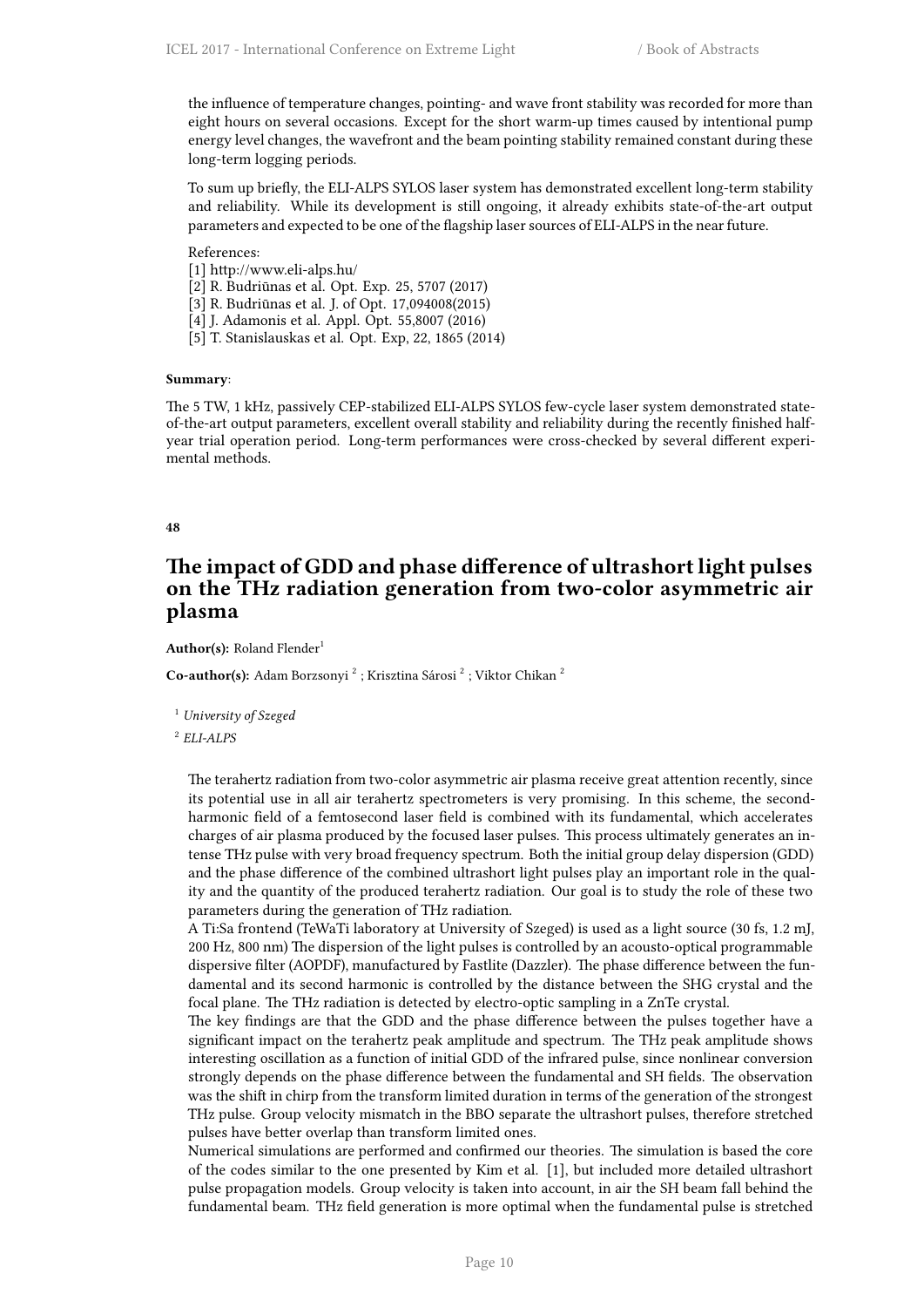the influence of temperature changes, pointing- and wave front stability was recorded for more than eight hours on several occasions. Except for the short warm-up times caused by intentional pump energy level changes, the wavefront and the beam pointing stability remained constant during these long-term logging periods.

To sum up briefly, the ELI-ALPS SYLOS laser system has demonstrated excellent long-term stability and reliability. While its development is still ongoing, it already exhibits state-of-the-art output parameters and expected to be one of the flagship laser sources of ELI-ALPS in the near future.

#### References:

- [1] http://www.eli-alps.hu/
- [2] R. Budriūnas et al. Opt. Exp. 25, 5707 (2017)
- [3] R. Budriūnas et al. J. of Opt. 17,094008(2015)
- [4] J. Adamonis et al. Appl. Opt. 55,8007 (2016)
- [5] T. Stanislauskas et al. Opt. Exp, 22, 1865 (2014)

#### **Summary**:

The 5 TW, 1 kHz, passively CEP-stabilized ELI-ALPS SYLOS few-cycle laser system demonstrated stateof-the-art output parameters, excellent overall stability and reliability during the recently finished halfyear trial operation period. Long-term performances were cross-checked by several different experimental methods.

#### <span id="page-17-0"></span>**48**

## **The impact of GDD and phase difference of ultrashort light pulses on the THz radiation generation from two-color asymmetric air plasma**

Author(s): Roland Flender<sup>1</sup>

Co-author(s): Adam Borzsonyi<sup>2</sup>; Krisztina Sárosi<sup>2</sup>; Viktor Chikan<sup>2</sup>

<sup>1</sup> *University of Szeged*

2 *ELI-ALPS*

The terahertz radiation from two-color asymmetric air plasma receive great attention recently, since its potential use in all air terahertz spectrometers is very promising. In this scheme, the secondharmonic field of a femtosecond laser field is combined with its fundamental, which accelerates charges of air plasma produced by the focused laser pulses. This process ultimately generates an intense THz pulse with very broad frequency spectrum. Both the initial group delay dispersion (GDD) and the phase difference of the combined ultrashort light pulses play an important role in the quality and the quantity of the produced terahertz radiation. Our goal is to study the role of these two parameters during the generation of THz radiation.

A Ti:Sa frontend (TeWaTi laboratory at University of Szeged) is used as a light source (30 fs, 1.2 mJ, 200 Hz, 800 nm) The dispersion of the light pulses is controlled by an acousto-optical programmable dispersive filter (AOPDF), manufactured by Fastlite (Dazzler). The phase difference between the fundamental and its second harmonic is controlled by the distance between the SHG crystal and the focal plane. The THz radiation is detected by electro-optic sampling in a ZnTe crystal.

The key findings are that the GDD and the phase difference between the pulses together have a significant impact on the terahertz peak amplitude and spectrum. The THz peak amplitude shows interesting oscillation as a function of initial GDD of the infrared pulse, since nonlinear conversion strongly depends on the phase difference between the fundamental and SH fields. The observation was the shift in chirp from the transform limited duration in terms of the generation of the strongest THz pulse. Group velocity mismatch in the BBO separate the ultrashort pulses, therefore stretched pulses have better overlap than transform limited ones.

Numerical simulations are performed and confirmed our theories. The simulation is based the core of the codes similar to the one presented by Kim et al. [1], but included more detailed ultrashort pulse propagation models. Group velocity is taken into account, in air the SH beam fall behind the fundamental beam. THz field generation is more optimal when the fundamental pulse is stretched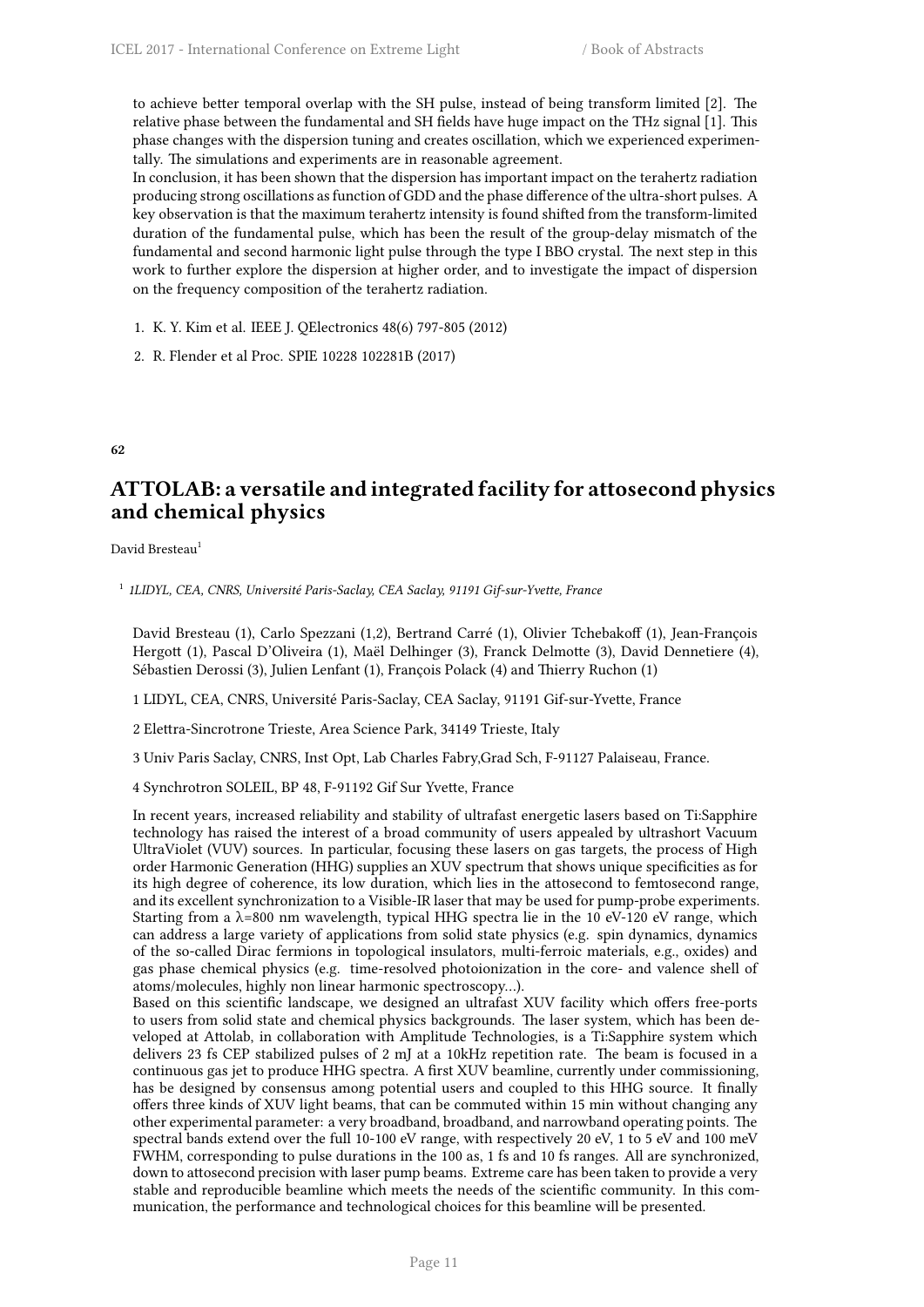to achieve better temporal overlap with the SH pulse, instead of being transform limited [2]. The relative phase between the fundamental and SH fields have huge impact on the THz signal [1]. This phase changes with the dispersion tuning and creates oscillation, which we experienced experimentally. The simulations and experiments are in reasonable agreement.

In conclusion, it has been shown that the dispersion has important impact on the terahertz radiation producing strong oscillations as function of GDD and the phase difference of the ultra-short pulses. A key observation is that the maximum terahertz intensity is found shifted from the transform-limited duration of the fundamental pulse, which has been the result of the group-delay mismatch of the fundamental and second harmonic light pulse through the type I BBO crystal. The next step in this work to further explore the dispersion at higher order, and to investigate the impact of dispersion on the frequency composition of the terahertz radiation.

- 1. K. Y. Kim et al. IEEE J. QElectronics 48(6) 797-805 (2012)
- 2. R. Flender et al Proc. SPIE 10228 102281B (2017)

## <span id="page-18-0"></span>**62**

## **ATTOLAB: a versatile and integrated facility for attosecond physics and chemical physics**

David Bresteau<sup>1</sup>

1 *1LIDYL, CEA, CNRS, Université Paris-Saclay, CEA Saclay, 91191 Gif-sur-Yvette, France*

David Bresteau (1), Carlo Spezzani (1,2), Bertrand Carré (1), Olivier Tchebakoff (1), Jean-François Hergott (1), Pascal D'Oliveira (1), Maël Delhinger (3), Franck Delmotte (3), David Dennetiere (4), Sébastien Derossi (3), Julien Lenfant (1), François Polack (4) and Thierry Ruchon (1)

1 LIDYL, CEA, CNRS, Université Paris-Saclay, CEA Saclay, 91191 Gif-sur-Yvette, France

2 Elettra-Sincrotrone Trieste, Area Science Park, 34149 Trieste, Italy

3 Univ Paris Saclay, CNRS, Inst Opt, Lab Charles Fabry,Grad Sch, F-91127 Palaiseau, France.

4 Synchrotron SOLEIL, BP 48, F-91192 Gif Sur Yvette, France

In recent years, increased reliability and stability of ultrafast energetic lasers based on Ti:Sapphire technology has raised the interest of a broad community of users appealed by ultrashort Vacuum UltraViolet (VUV) sources. In particular, focusing these lasers on gas targets, the process of High order Harmonic Generation (HHG) supplies an XUV spectrum that shows unique specificities as for its high degree of coherence, its low duration, which lies in the attosecond to femtosecond range, and its excellent synchronization to a Visible-IR laser that may be used for pump-probe experiments. Starting from a  $\lambda$ =800 nm wavelength, typical HHG spectra lie in the 10 eV-120 eV range, which can address a large variety of applications from solid state physics (e.g. spin dynamics, dynamics of the so-called Dirac fermions in topological insulators, multi-ferroic materials, e.g., oxides) and gas phase chemical physics (e.g. time-resolved photoionization in the core- and valence shell of atoms/molecules, highly non linear harmonic spectroscopy…).

Based on this scientific landscape, we designed an ultrafast XUV facility which offers free-ports to users from solid state and chemical physics backgrounds. The laser system, which has been developed at Attolab, in collaboration with Amplitude Technologies, is a Ti:Sapphire system which delivers 23 fs CEP stabilized pulses of 2 mJ at a 10kHz repetition rate. The beam is focused in a continuous gas jet to produce HHG spectra. A first XUV beamline, currently under commissioning, has be designed by consensus among potential users and coupled to this HHG source. It finally offers three kinds of XUV light beams, that can be commuted within 15 min without changing any other experimental parameter: a very broadband, broadband, and narrowband operating points. The spectral bands extend over the full 10-100 eV range, with respectively 20 eV, 1 to 5 eV and 100 meV FWHM, corresponding to pulse durations in the 100 as, 1 fs and 10 fs ranges. All are synchronized, down to attosecond precision with laser pump beams. Extreme care has been taken to provide a very stable and reproducible beamline which meets the needs of the scientific community. In this communication, the performance and technological choices for this beamline will be presented.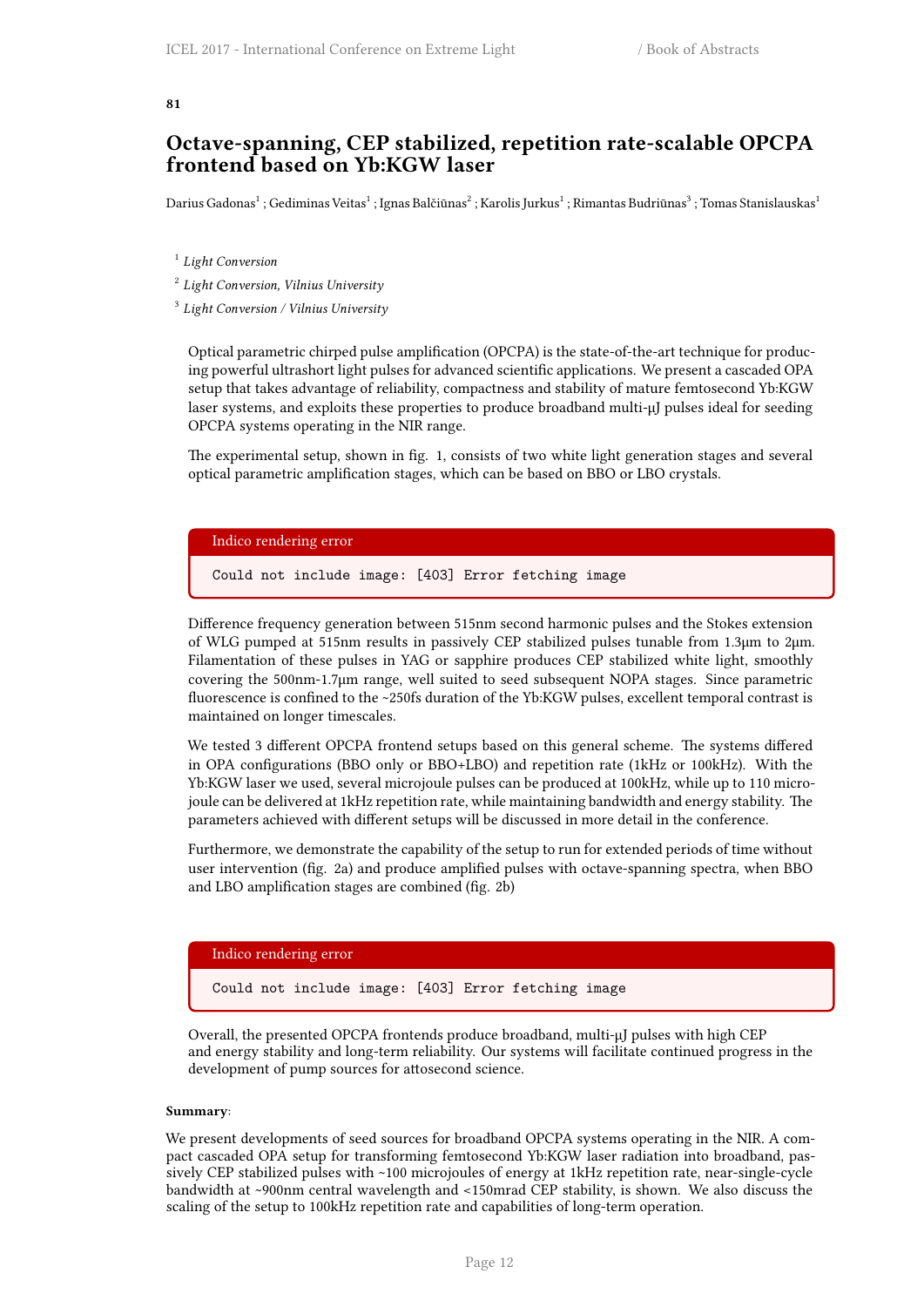#### <span id="page-19-0"></span>**81**

## **Octave-spanning, CEP stabilized, repetition rate-scalable OPCPA frontend based on Yb:KGW laser**

Darius Gadonas<sup>1</sup> ; Gediminas Veitas<sup>1</sup> ; Ignas Balčiūnas<sup>2</sup> ; Karolis Jurkus<sup>1</sup> ; Rimantas Budriūnas<sup>3</sup> ; Tomas Stanislauskas<sup>1</sup>

1 *Light Conversion*

2 *Light Conversion, Vilnius University*

3 *Light Conversion / Vilnius University*

Optical parametric chirped pulse amplification (OPCPA) is the state-of-the-art technique for producing powerful ultrashort light pulses for advanced scientific applications. We present a cascaded OPA setup that takes advantage of reliability, compactness and stability of mature femtosecond Yb:KGW laser systems, and exploits these properties to produce broadband multi-μJ pulses ideal for seeding OPCPA systems operating in the NIR range.

The experimental setup, shown in fig. 1, consists of two white light generation stages and several optical parametric amplification stages, which can be based on BBO or LBO crystals.

## Indico rendering error

Could not include image: [403] Error fetching image

Difference frequency generation between 515nm second harmonic pulses and the Stokes extension of WLG pumped at 515nm results in passively CEP stabilized pulses tunable from 1.3μm to 2μm. Filamentation of these pulses in YAG or sapphire produces CEP stabilized white light, smoothly covering the 500nm-1.7μm range, well suited to seed subsequent NOPA stages. Since parametric fluorescence is confined to the ~250fs duration of the Yb:KGW pulses, excellent temporal contrast is maintained on longer timescales.

We tested 3 different OPCPA frontend setups based on this general scheme. The systems differed in OPA configurations (BBO only or BBO+LBO) and repetition rate (1kHz or 100kHz). With the Yb:KGW laser we used, several microjoule pulses can be produced at 100kHz, while up to 110 microjoule can be delivered at 1kHz repetition rate, while maintaining bandwidth and energy stability. The parameters achieved with different setups will be discussed in more detail in the conference.

Furthermore, we demonstrate the capability of the setup to run for extended periods of time without user intervention (fig. 2a) and produce amplified pulses with octave-spanning spectra, when BBO and LBO amplification stages are combined (fig. 2b)

#### Indico rendering error

Could not include image: [403] Error fetching image

Overall, the presented OPCPA frontends produce broadband, multi-μJ pulses with high CEP and energy stability and long-term reliability. Our systems will facilitate continued progress in the development of pump sources for attosecond science.

#### **Summary**:

We present developments of seed sources for broadband OPCPA systems operating in the NIR. A compact cascaded OPA setup for transforming femtosecond Yb:KGW laser radiation into broadband, passively CEP stabilized pulses with ~100 microjoules of energy at 1kHz repetition rate, near-single-cycle bandwidth at ~900nm central wavelength and <150mrad CEP stability, is shown. We also discuss the scaling of the setup to 100kHz repetition rate and capabilities of long-term operation.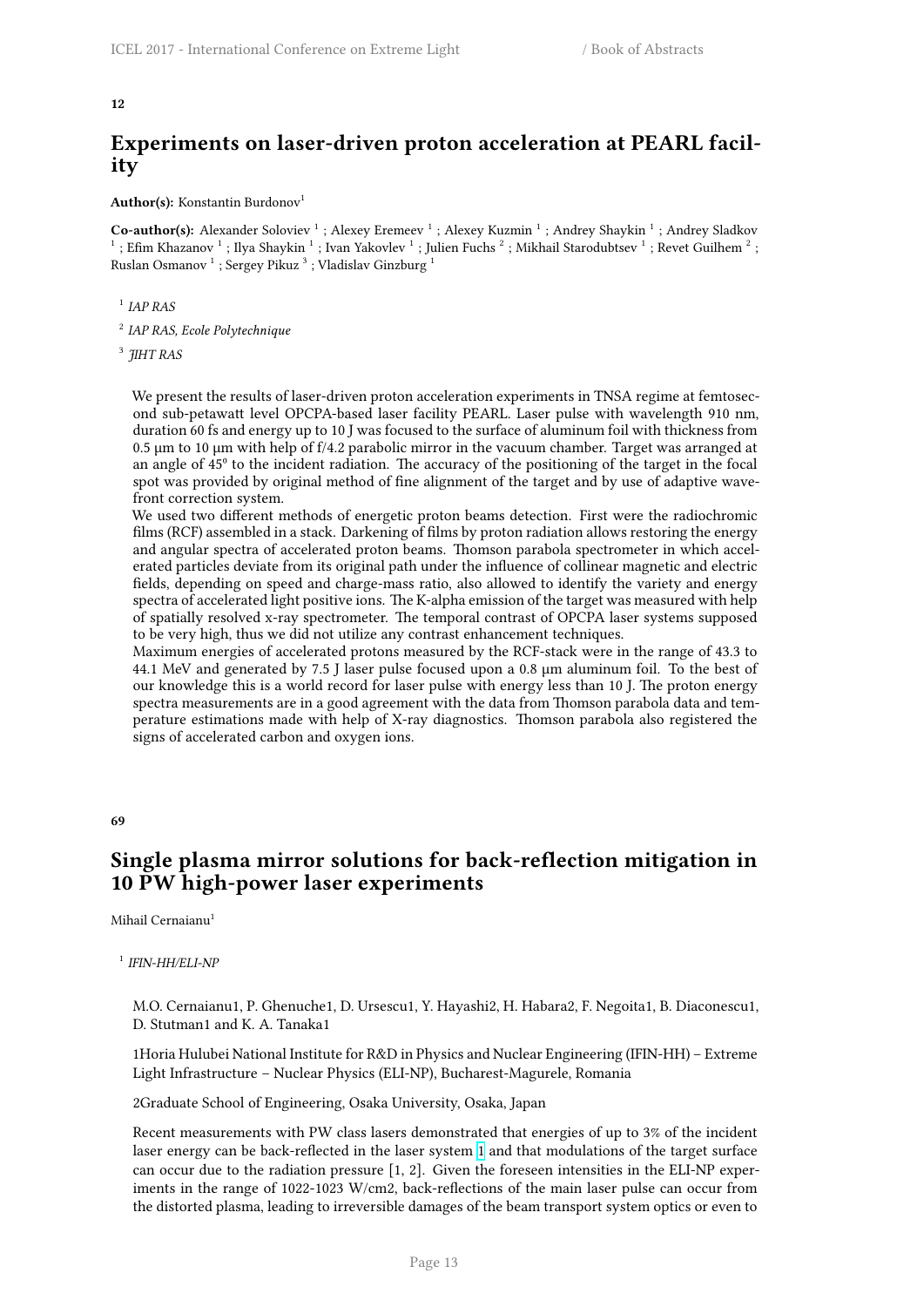## **Experiments on laser-driven proton acceleration at PEARL facility**

<span id="page-20-0"></span>Author(s): Konstantin Burdonov<sup>1</sup>

Co-author(s): Alexander Soloviev<sup>1</sup>; Alexey Eremeev<sup>1</sup>; Alexey Kuzmin<sup>1</sup>; Andrey Shaykin<sup>1</sup>; Andrey Sladkov  $^1$  ; Efim Khazanov  $^1$  ; Ilya Shaykin  $^1$  ; Ivan Yakovlev  $^1$  ; Julien Fuchs  $^2$  ; Mikhail Starodubtsev  $^1$  ; Revet Guilhem  $^2$  ; Ruslan Osmanov  $^1$  ; Sergey Pikuz  $^3$  ; Vladislav Ginzburg  $^1$ 

1 *IAP RAS*

2 *IAP RAS, Ecole Polytechnique*

3 *JIHT RAS*

We present the results of laser-driven proton acceleration experiments in TNSA regime at femtosecond sub-petawatt level OPCPA-based laser facility PEARL. Laser pulse with wavelength 910 nm, duration 60 fs and energy up to 10 J was focused to the surface of aluminum foil with thickness from 0.5 µm to 10 µm with help of f/4.2 parabolic mirror in the vacuum chamber. Target was arranged at an angle of 45<sup>°</sup> to the incident radiation. The accuracy of the positioning of the target in the focal spot was provided by original method of fine alignment of the target and by use of adaptive wavefront correction system.

We used two different methods of energetic proton beams detection. First were the radiochromic films (RCF) assembled in a stack. Darkening of films by proton radiation allows restoring the energy and angular spectra of accelerated proton beams. Thomson parabola spectrometer in which accelerated particles deviate from its original path under the influence of collinear magnetic and electric fields, depending on speed and charge-mass ratio, also allowed to identify the variety and energy spectra of accelerated light positive ions. The K-alpha emission of the target was measured with help of spatially resolved x-ray spectrometer. The temporal contrast of OPCPA laser systems supposed to be very high, thus we did not utilize any contrast enhancement techniques.

Maximum energies of accelerated protons measured by the RCF-stack were in the range of 43.3 to 44.1 MeV and generated by 7.5 J laser pulse focused upon a 0.8 µm aluminum foil. To the best of our knowledge this is a world record for laser pulse with energy less than 10 J. The proton energy spectra measurements are in a good agreement with the data from Thomson parabola data and temperature estimations made with help of X-ray diagnostics. Thomson parabola also registered the signs of accelerated carbon and oxygen ions.

**69**

## <span id="page-20-1"></span>**Single plasma mirror solutions for back-reflection mitigation in 10 PW high-power laser experiments**

Mihail Cernaianu<sup>1</sup>

1 *IFIN-HH/ELI-NP*

M.O. Cernaianu1, P. Ghenuche1, D. Ursescu1, Y. Hayashi2, H. Habara2, F. Negoita1, B. Diaconescu1, D. Stutman1 and K. A. Tanaka1

1Horia Hulubei National Institute for R&D in Physics and Nuclear Engineering (IFIN-HH) – Extreme Light Infrastructure – Nuclear Physics (ELI-NP), Bucharest-Magurele, Romania

2Graduate School of Engineering, Osaka University, Osaka, Japan

Recent measurements with PW class lasers demonstrated that energies of up to 3% of the incident laser energy can be back-reflected in the laser system 1 and that modulations of the target surface can occur due to the radiation pressure [1, 2]. Given the foreseen intensities in the ELI-NP experiments in the range of 1022-1023 W/cm2, back-reflections of the main laser pulse can occur from the distorted plasma, leading to irreversible damages of the beam transport system optics or even to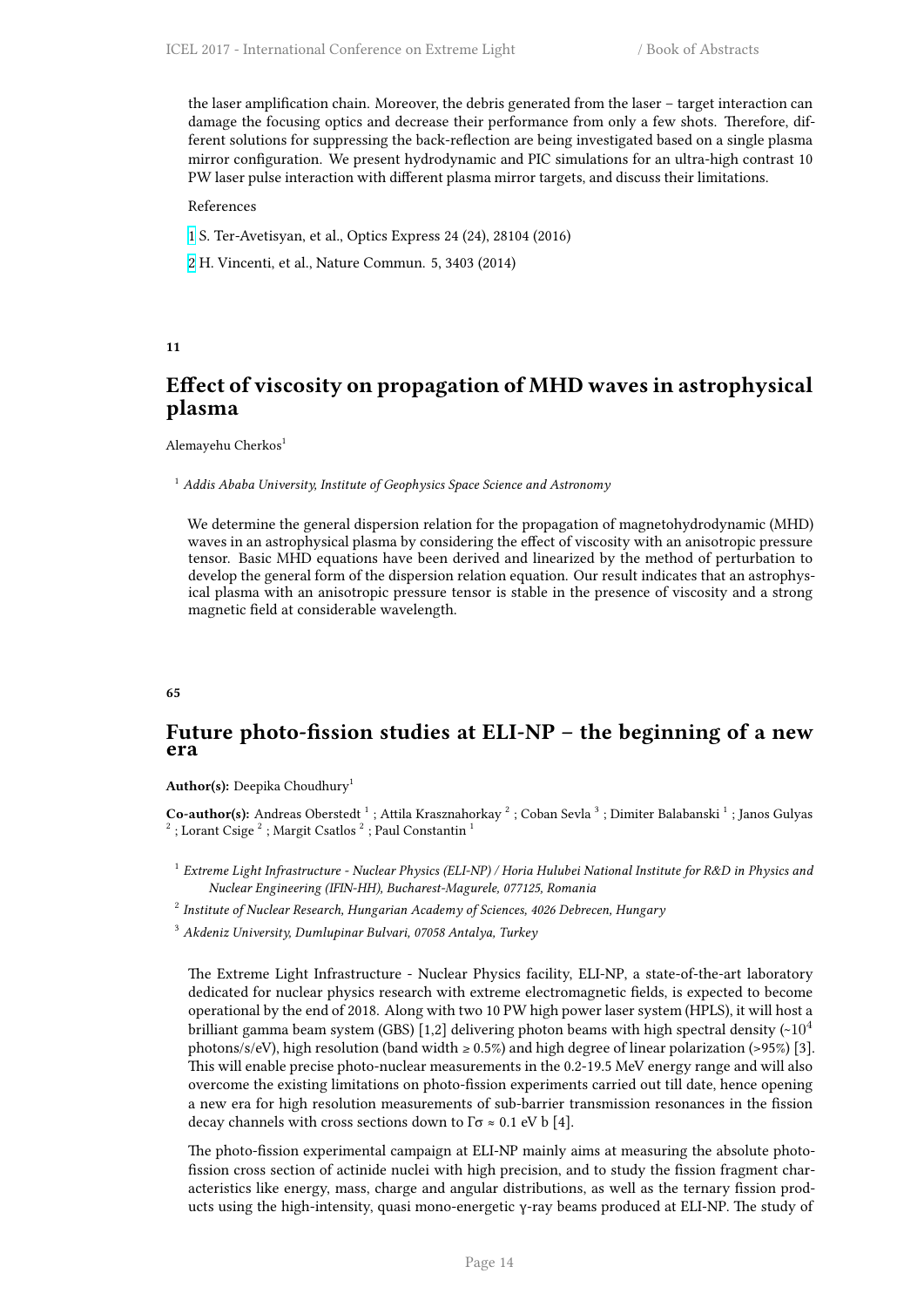the laser amplification chain. Moreover, the debris generated from the laser – target interaction can damage the focusing optics and decrease their performance from only a few shots. Therefore, different solutions for suppressing the back-reflection are being investigated based on a single plasma mirror configuration. We present hydrodynamic and PIC simulations for an ultra-high contrast 10 PW laser pulse interaction with different plasma mirror targets, and discuss their limitations.

#### References

- 1 S. Ter-Avetisyan, et al., Optics Express 24 (24), 28104 (2016)
- 2 H. Vincenti, et al., Nature Commun. 5, 3403 (2014)

#### **11**

## <span id="page-21-0"></span>**Effect of viscosity on propagation of MHD waves in astrophysical plasma**

Alemayehu Cherkos<sup>1</sup>

<sup>1</sup> *Addis Ababa University, Institute of Geophysics Space Science and Astronomy*

We determine the general dispersion relation for the propagation of magnetohydrodynamic (MHD) waves in an astrophysical plasma by considering the effect of viscosity with an anisotropic pressure tensor. Basic MHD equations have been derived and linearized by the method of perturbation to develop the general form of the dispersion relation equation. Our result indicates that an astrophysical plasma with an anisotropic pressure tensor is stable in the presence of viscosity and a strong magnetic field at considerable wavelength.

#### **65**

## **Future photo-fission studies at ELI-NP – the beginning of a new era**

Author(s): Deepika Choudhury<sup>1</sup>

Co-author(s): Andreas Oberstedt <sup>1</sup>; Attila Krasznahorkay <sup>2</sup>; Coban Sevla <sup>3</sup>; Dimiter Balabanski <sup>1</sup>; Janos Gulyas  $2^2$ ; Lorant Csige  $2^2$ ; Margit Csatlos  $2^2$ ; Paul Constantin  $1$ 

- 1 *Extreme Light Infrastructure Nuclear Physics (ELI-NP) / Horia Hulubei National Institute for R&D in Physics and Nuclear Engineering (IFIN-HH), Bucharest-Magurele, 077125, Romania*
- 2 *Institute of Nuclear Research, Hungarian Academy of Sciences, 4026 Debrecen, Hungary*

<sup>3</sup> *Akdeniz University, Dumlupinar Bulvari, 07058 Antalya, Turkey*

The Extreme Light Infrastructure - Nuclear Physics facility, ELI-NP, a state-of-the-art laboratory dedicated for nuclear physics research with extreme electromagnetic fields, is expected to become operational by the end of 2018. Along with two 10 PW high power laser system (HPLS), it will host a brilliant gamma beam system (GBS) [1,2] delivering photon beams with high spectral density  $\sim 10^4$ photons/s/eV), high resolution (band width  $\geq 0.5\%$ ) and high degree of linear polarization (>95%) [3]. This will enable precise photo-nuclear measurements in the 0.2-19.5 MeV energy range and will also overcome the existing limitations on photo-fission experiments carried out till date, hence opening a new era for high resolution measurements of sub-barrier transmission resonances in the fission decay channels with cross sections down to  $\Gamma \sigma \approx 0.1$  eV b [4].

The photo-fission experimental campaign at ELI-NP mainly aims at measuring the absolute photofission cross section of actinide nuclei with high precision, and to study the fission fragment characteristics like energy, mass, charge and angular distributions, as well as the ternary fission products using the high-intensity, quasi mono-energetic γ-ray beams produced at ELI-NP. The study of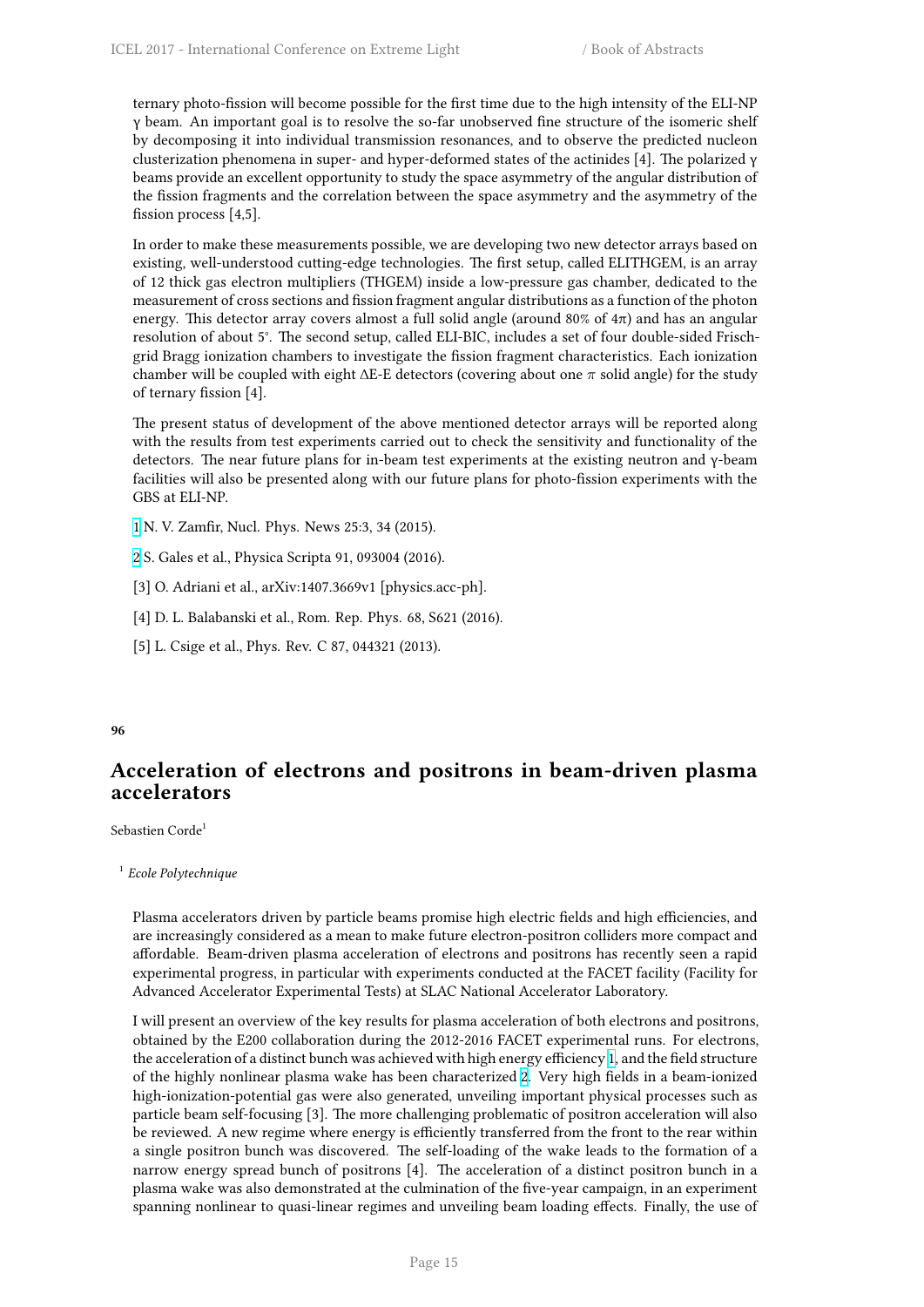ternary photo-fission will become possible for the first time due to the high intensity of the ELI-NP γ beam. An important goal is to resolve the so-far unobserved fine structure of the isomeric shelf by decomposing it into individual transmission resonances, and to observe the predicted nucleon clusterization phenomena in super- and hyper-deformed states of the actinides [4]. The polarized γ beams provide an excellent opportunity to study the space asymmetry of the angular distribution of the fission fragments and the correlation between the space asymmetry and the asymmetry of the fission process [4,5].

In order to make these measurements possible, we are developing two new detector arrays based on existing, well-understood cutting-edge technologies. The first setup, called ELITHGEM, is an array of 12 thick gas electron multipliers (THGEM) inside a low-pressure gas chamber, dedicated to the measurement of cross sections and fission fragment angular distributions as a function of the photon energy. This detector array covers almost a full solid angle (around 80% of  $4\pi$ ) and has an angular resolution of about 5°. The second setup, called ELI-BIC, includes a set of four double-sided Frischgrid Bragg ionization chambers to investigate the fission fragment characteristics. Each ionization chamber will be coupled with eight ∆E-E detectors (covering about one *π* solid angle) for the study of ternary fission [4].

The present status of development of the above mentioned detector arrays will be reported along with the results from test experiments carried out to check the sensitivity and functionality of the detectors. The near future plans for in-beam test experiments at the existing neutron and γ-beam facilities will also be presented along with our future plans for photo-fission experiments with the GBS at ELI-NP.

- 1 N. V. Zamfir, Nucl. Phys. News 25:3, 34 (2015).
- 2 S. Gales et al., Physica Scripta 91, 093004 (2016).
- [3] O. Adriani et al., arXiv:1407.3669v1 [physics.acc-ph].
- [\[4](http://i66.tinypic.com/wa63cz.png)] D. L. Balabanski et al., Rom. Rep. Phys. 68, S621 (2016).
- [\[5](http://i67.tinypic.com/bej0gk.png)] L. Csige et al., Phys. Rev. C 87, 044321 (2013).

## **96**

## <span id="page-22-0"></span>**Acceleration of electrons and positrons in beam-driven plasma accelerators**

Sebastien Corde<sup>1</sup>

1 *Ecole Polytechnique*

Plasma accelerators driven by particle beams promise high electric fields and high efficiencies, and are increasingly considered as a mean to make future electron-positron colliders more compact and affordable. Beam-driven plasma acceleration of electrons and positrons has recently seen a rapid experimental progress, in particular with experiments conducted at the FACET facility (Facility for Advanced Accelerator Experimental Tests) at SLAC National Accelerator Laboratory.

I will present an overview of the key results for plasma acceleration of both electrons and positrons, obtained by the E200 collaboration during the 2012-2016 FACET experimental runs. For electrons, the acceleration of a distinct bunch was achieved with high energy efficiency 1, and the field structure of the highly nonlinear plasma wake has been characterized 2. Very high fields in a beam-ionized high-ionization-potential gas were also generated, unveiling important physical processes such as particle beam self-focusing [3]. The more challenging problematic of positron acceleration will also be reviewed. A new regime where energy is efficiently transferred from the [f](http://i66.tinypic.com/wa63cz.png)ront to the rear within a single positron bunch was discovered. The self-loading of [th](http://i67.tinypic.com/bej0gk.png)e wake leads to the formation of a narrow energy spread bunch of positrons [4]. The acceleration of a distinct positron bunch in a plasma wake was also demonstrated at the culmination of the five-year campaign, in an experiment spanning nonlinear to quasi-linear regimes and unveiling beam loading effects. Finally, the use of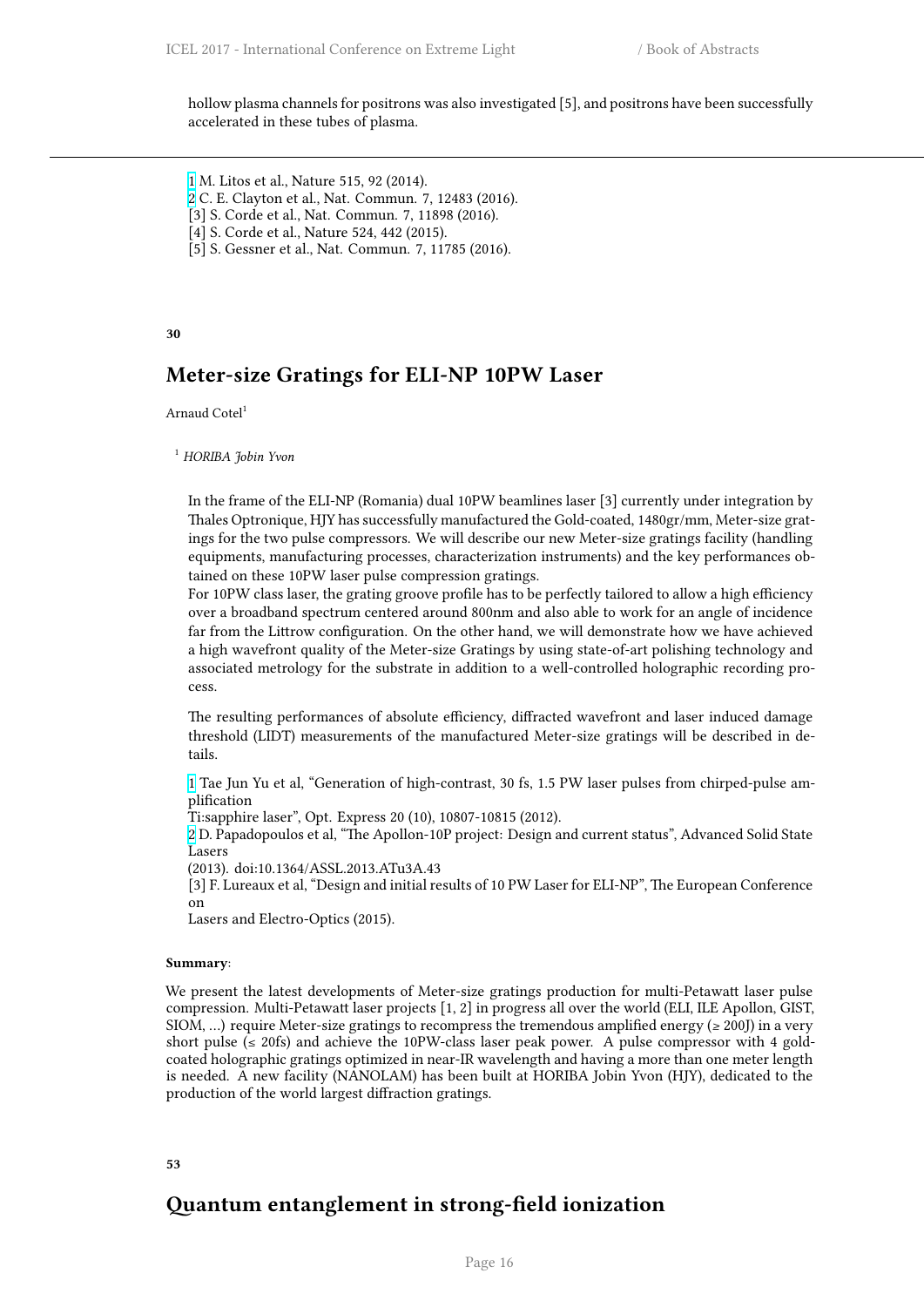hollow plasma channels for positrons was also investigated [5], and positrons have been successfully accelerated in these tubes of plasma.

1 M. Litos et al., Nature 515, 92 (2014).

- 2 C. E. Clayton et al., Nat. Commun. 7, 12483 (2016).
- [3] S. Corde et al., Nat. Commun. 7, 11898 (2016).
- [4] S. Corde et al., Nature 524, 442 (2015).
- [\[5](http://i66.tinypic.com/wa63cz.png)] S. Gessner et al., Nat. Commun. 7, 11785 (2016).

## **30**

## **Meter-size Gratings for ELI-NP 10PW Laser**

<span id="page-23-0"></span>Arnaud Cotel<sup>1</sup>

<sup>1</sup> *HORIBA Jobin Yvon*

In the frame of the ELI-NP (Romania) dual 10PW beamlines laser [3] currently under integration by Thales Optronique, HJY has successfully manufactured the Gold-coated, 1480gr/mm, Meter-size gratings for the two pulse compressors. We will describe our new Meter-size gratings facility (handling equipments, manufacturing processes, characterization instruments) and the key performances obtained on these 10PW laser pulse compression gratings.

For 10PW class laser, the grating groove profile has to be perfectly tailored to allow a high efficiency over a broadband spectrum centered around 800nm and also able to work for an angle of incidence far from the Littrow configuration. On the other hand, we will demonstrate how we have achieved a high wavefront quality of the Meter-size Gratings by using state-of-art polishing technology and associated metrology for the substrate in addition to a well-controlled holographic recording process.

The resulting performances of absolute efficiency, diffracted wavefront and laser induced damage threshold (LIDT) measurements of the manufactured Meter-size gratings will be described in details.

1 Tae Jun Yu et al, "Generation of high-contrast, 30 fs, 1.5 PW laser pulses from chirped-pulse amplification

Ti:sapphire laser", Opt. Express 20 (10), 10807-10815 (2012).

2 D. Papadopoulos et al, "The Apollon-10P project: Design and current status", Advanced Solid State Lasers

[\(2](http://i66.tinypic.com/wa63cz.png)013). doi:10.1364/ASSL.2013.ATu3A.43

[3] F. Lureaux et al, "Design and initial results of 10 PW Laser for ELI-NP", The European Conference on

[L](http://i67.tinypic.com/bej0gk.png)asers and Electro-Optics (2015).

#### **Summary**:

We present the latest developments of Meter-size gratings production for multi-Petawatt laser pulse compression. Multi-Petawatt laser projects [1, 2] in progress all over the world (ELI, ILE Apollon, GIST, SIOM, ...) require Meter-size gratings to recompress the tremendous amplified energy ( $\geq$  200J) in a very short pulse ( $\leq$  20fs) and achieve the 10PW-class laser peak power. A pulse compressor with 4 goldcoated holographic gratings optimized in near-IR wavelength and having a more than one meter length is needed. A new facility (NANOLAM) has been built at HORIBA Jobin Yvon (HJY), dedicated to the production of the world largest diffraction gratings.

**53**

## <span id="page-23-1"></span>**Quantum entanglement in strong-field ionization**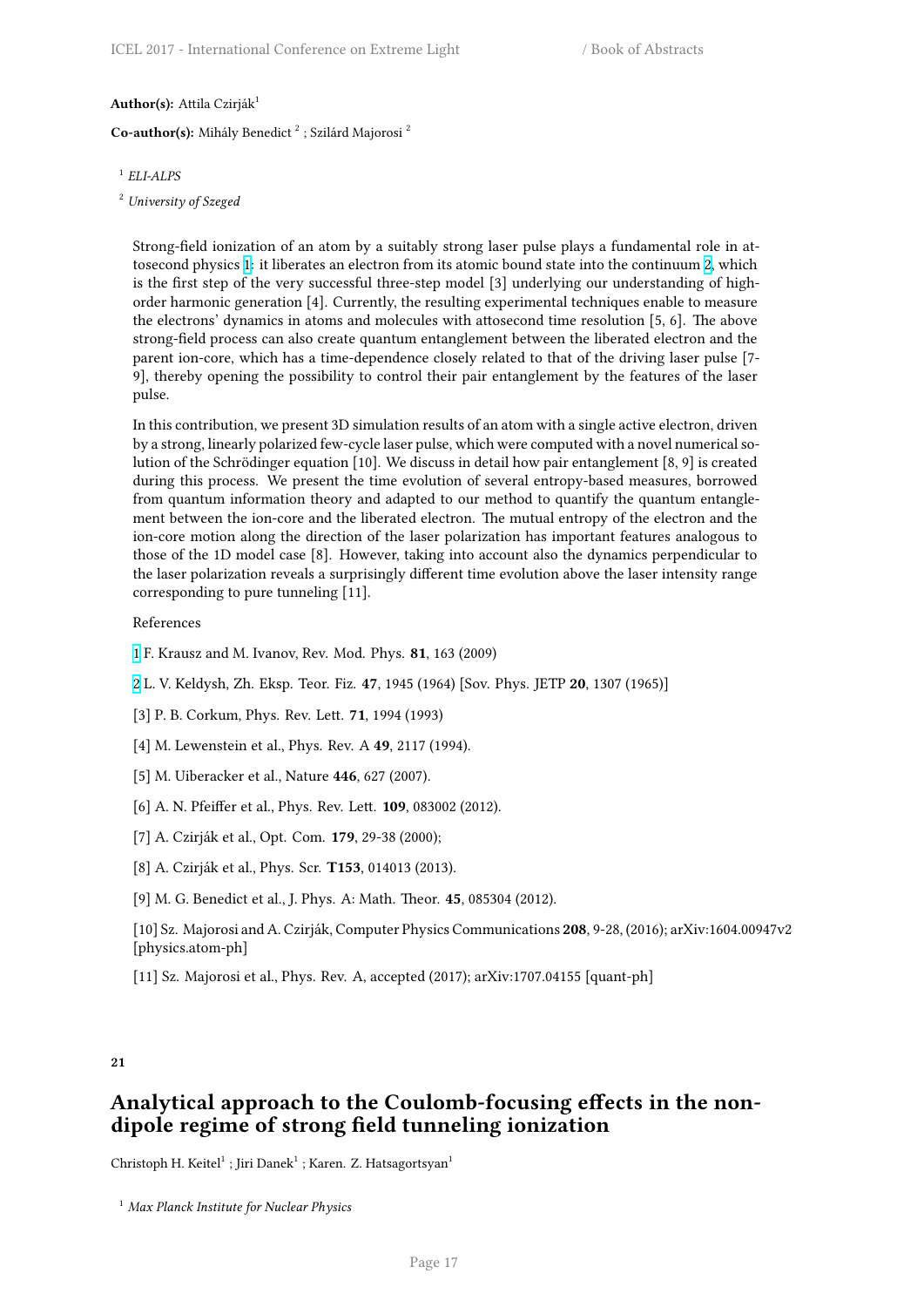**Author(s):** Attila Czirják<sup>1</sup>

Co-author(s): Mihály Benedict<sup>2</sup>; Szilárd Majorosi<sup>2</sup>

- 1 *ELI-ALPS*
- <sup>2</sup> *University of Szeged*

Strong-field ionization of an atom by a suitably strong laser pulse plays a fundamental role in attosecond physics 1: it liberates an electron from its atomic bound state into the continuum 2, which is the first step of the very successful three-step model [3] underlying our understanding of highorder harmonic generation [4]. Currently, the resulting experimental techniques enable to measure the electrons' dynamics in atoms and molecules with attosecond time resolution [5, 6]. The above strong-field proc[es](http://i66.tinypic.com/wa63cz.png)s can also create quantum entanglement between the liberated electro[n a](http://i67.tinypic.com/bej0gk.png)nd the parent ion-core, which has a time-dependence closely related to that of the driving laser pulse [7- 9], thereby opening the possibility to control their pair entanglement by the features of the laser pulse.

In this contribution, we present 3D simulation results of an atom with a single active electron, driven by a strong, linearly polarized few-cycle laser pulse, which were computed with a novel numerical solution of the Schrödinger equation [10]. We discuss in detail how pair entanglement [8, 9] is created during this process. We present the time evolution of several entropy-based measures, borrowed from quantum information theory and adapted to our method to quantify the quantum entanglement between the ion-core and the liberated electron. The mutual entropy of the electron and the ion-core motion along the direction of the laser polarization has important features analogous to those of the 1D model case [8]. However, taking into account also the dynamics perpendicular to the laser polarization reveals a surprisingly different time evolution above the laser intensity range corresponding to pure tunneling [11].

#### References

1 F. Krausz and M. Ivanov, Rev. Mod. Phys. **81**, 163 (2009)

2 L. V. Keldysh, Zh. Eksp. Teor. Fiz. **47**, 1945 (1964) [Sov. Phys. JETP **20**, 1307 (1965)]

- [3] P. B. Corkum, Phys. Rev. Lett. **71**, 1994 (1993)
- [\[4](http://i66.tinypic.com/wa63cz.png)] M. Lewenstein et al., Phys. Rev. A **49**, 2117 (1994).
- [5] M. Uiberacker et al., Nature **446**, 627 (2007).
- [6] A. N. Pfeiffer et al., Phys. Rev. Lett. **109**, 083002 (2012).
- [7] A. Czirják et al., Opt. Com. **179**, 29-38 (2000);
- [8] A. Czirják et al., Phys. Scr. **T153**, 014013 (2013).

[9] M. G. Benedict et al., J. Phys. A: Math. Theor. **45**, 085304 (2012).

- [10] Sz. Majorosi and A. Czirják, Computer Physics Communications **208**, 9-28, (2016); arXiv:1604.00947v2 [physics.atom-ph]
- [11] Sz. Majorosi et al., Phys. Rev. A, accepted (2017); arXiv:1707.04155 [quant-ph]

## **21**

## <span id="page-24-0"></span>**Analytical approach to the Coulomb-focusing effects in the nondipole regime of strong field tunneling ionization**

Christoph H. Keitel $^1$  ; Jiri Danek $^1$  ; Karen. Z. Hatsagortsyan $^1$ 

<sup>1</sup> *Max Planck Institute for Nuclear Physics*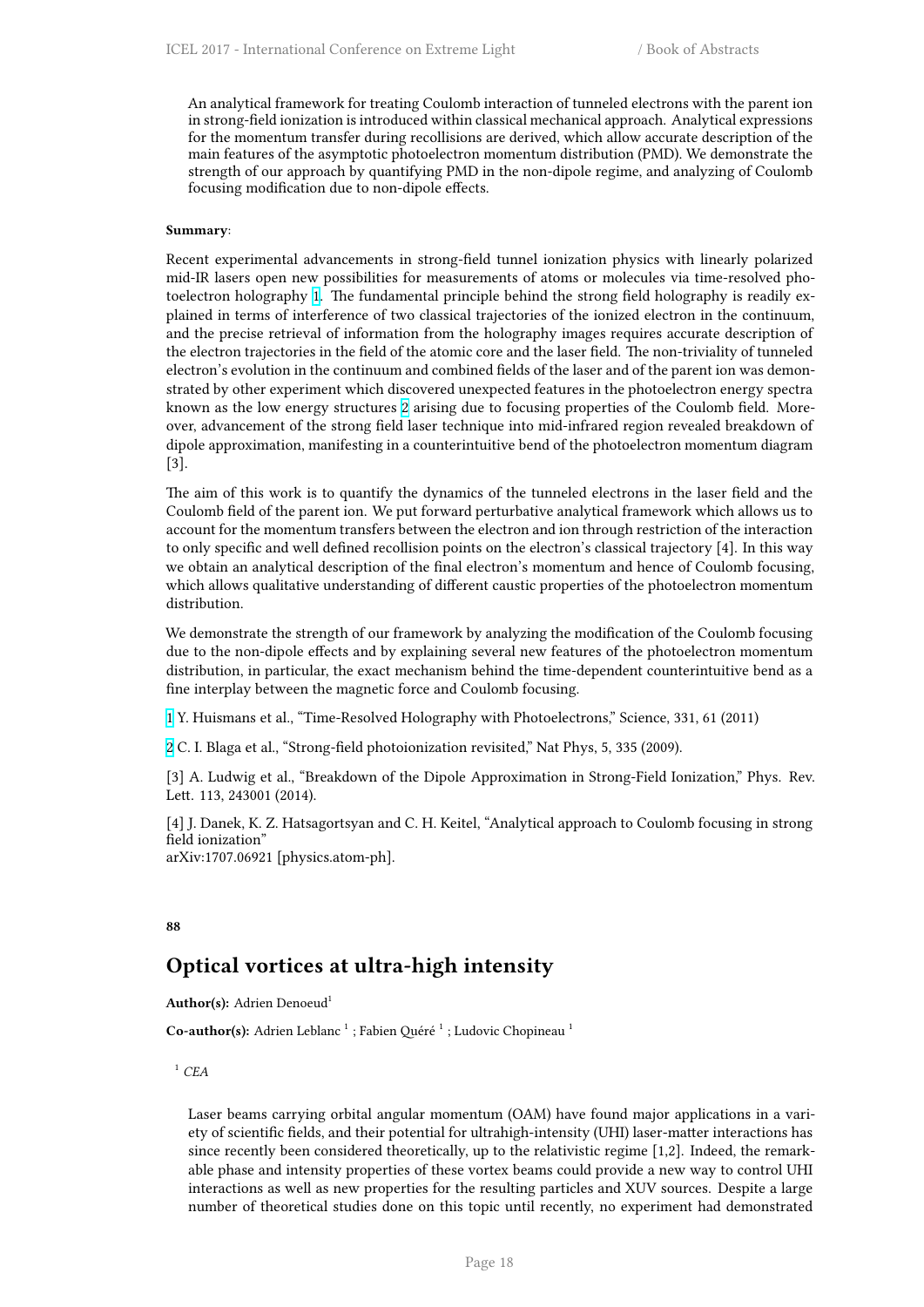An analytical framework for treating Coulomb interaction of tunneled electrons with the parent ion in strong-field ionization is introduced within classical mechanical approach. Analytical expressions for the momentum transfer during recollisions are derived, which allow accurate description of the main features of the asymptotic photoelectron momentum distribution (PMD). We demonstrate the strength of our approach by quantifying PMD in the non-dipole regime, and analyzing of Coulomb focusing modification due to non-dipole effects.

#### **Summary**:

Recent experimental advancements in strong-field tunnel ionization physics with linearly polarized mid-IR lasers open new possibilities for measurements of atoms or molecules via time-resolved photoelectron holography 1. The fundamental principle behind the strong field holography is readily explained in terms of interference of two classical trajectories of the ionized electron in the continuum, and the precise retrieval of information from the holography images requires accurate description of the electron trajectories in the field of the atomic core and the laser field. The non-triviality of tunneled electron's evolution in [th](http://i66.tinypic.com/wa63cz.png)e continuum and combined fields of the laser and of the parent ion was demonstrated by other experiment which discovered unexpected features in the photoelectron energy spectra known as the low energy structures 2 arising due to focusing properties of the Coulomb field. Moreover, advancement of the strong field laser technique into mid-infrared region revealed breakdown of dipole approximation, manifesting in a counterintuitive bend of the photoelectron momentum diagram [3].

The aim of this work is to quantify [th](http://i67.tinypic.com/bej0gk.png)e dynamics of the tunneled electrons in the laser field and the Coulomb field of the parent ion. We put forward perturbative analytical framework which allows us to account for the momentum transfers between the electron and ion through restriction of the interaction to only specific and well defined recollision points on the electron's classical trajectory [4]. In this way we obtain an analytical description of the final electron's momentum and hence of Coulomb focusing, which allows qualitative understanding of different caustic properties of the photoelectron momentum distribution.

We demonstrate the strength of our framework by analyzing the modification of the Coulomb focusing due to the non-dipole effects and by explaining several new features of the photoelectron momentum distribution, in particular, the exact mechanism behind the time-dependent counterintuitive bend as a fine interplay between the magnetic force and Coulomb focusing.

1 Y. Huismans et al., "Time-Resolved Holography with Photoelectrons," Science, 331, 61 (2011)

2 C. I. Blaga et al., "Strong-field photoionization revisited," Nat Phys, 5, 335 (2009).

[3] A. Ludwig et al., "Breakdown of the Dipole Approximation in Strong-Field Ionization," Phys. Rev. [L](http://i66.tinypic.com/wa63cz.png)ett. 113, 243001 (2014).

[\[4](http://i67.tinypic.com/bej0gk.png)] J. Danek, K. Z. Hatsagortsyan and C. H. Keitel, "Analytical approach to Coulomb focusing in strong field ionization" arXiv:1707.06921 [physics.atom-ph].

#### **88**

## **Optical vortices at ultra-high intensity**

<span id="page-25-0"></span>**Author(s):** Adrien Denoeud<sup>1</sup>

Co-author(s): Adrien Leblanc<sup>1</sup>; Fabien Quéré<sup>1</sup>; Ludovic Chopineau<sup>1</sup>

 $^1$  *CEA* 

Laser beams carrying orbital angular momentum (OAM) have found major applications in a variety of scientific fields, and their potential for ultrahigh-intensity (UHI) laser-matter interactions has since recently been considered theoretically, up to the relativistic regime [1,2]. Indeed, the remarkable phase and intensity properties of these vortex beams could provide a new way to control UHI interactions as well as new properties for the resulting particles and XUV sources. Despite a large number of theoretical studies done on this topic until recently, no experiment had demonstrated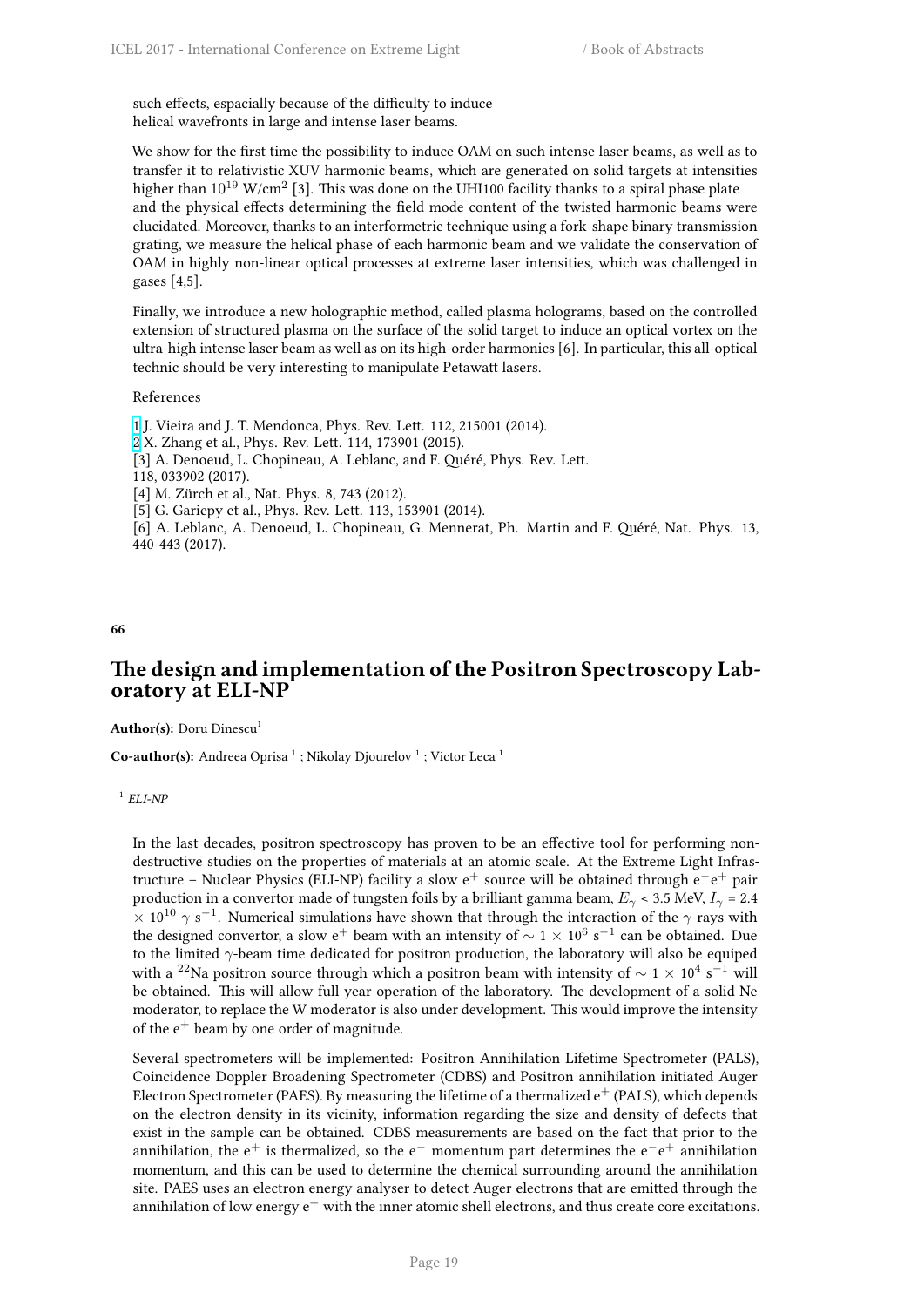such effects, espacially because of the difficulty to induce helical wavefronts in large and intense laser beams.

We show for the first time the possibility to induce OAM on such intense laser beams, as well as to transfer it to relativistic XUV harmonic beams, which are generated on solid targets at intensities higher than  $10^{19}$  W/cm $^2$  [3]. This was done on the UHI100 facility thanks to a spiral phase plate and the physical effects determining the field mode content of the twisted harmonic beams were elucidated. Moreover, thanks to an interformetric technique using a fork-shape binary transmission grating, we measure the helical phase of each harmonic beam and we validate the conservation of OAM in highly non-linear optical processes at extreme laser intensities, which was challenged in gases [4,5].

Finally, we introduce a new holographic method, called plasma holograms, based on the controlled extension of structured plasma on the surface of the solid target to induce an optical vortex on the ultra-high intense laser beam as well as on its high-order harmonics [6]. In particular, this all-optical technic should be very interesting to manipulate Petawatt lasers.

#### References

1 J. Vieira and J. T. Mendonca, Phys. Rev. Lett. 112, 215001 (2014). 2 X. Zhang et al., Phys. Rev. Lett. 114, 173901 (2015). [3] A. Denoeud, L. Chopineau, A. Leblanc, and F. Quéré, Phys. Rev. Lett. 118, 033902 (2017). [4] M. Zürch et al., Nat. Phys. 8, 743 (2012). [\[5](http://i66.tinypic.com/wa63cz.png)] G. Gariepy et al., Phys. Rev. Lett. 113, 153901 (2014). [\[6](http://i67.tinypic.com/bej0gk.png)] A. Leblanc, A. Denoeud, L. Chopineau, G. Mennerat, Ph. Martin and F. Quéré, Nat. Phys. 13, 440-443 (2017).

**66**

## <span id="page-26-0"></span>**The design and implementation of the Positron Spectroscopy Laboratory at ELI-NP**

Author(s): Doru Dinescu<sup>1</sup>

**Co-author(s):** Andreea Oprisa<sup>1</sup>; Nikolay Djourelov<sup>1</sup>; Victor Leca<sup>1</sup>

1 *ELI-NP*

In the last decades, positron spectroscopy has proven to be an effective tool for performing nondestructive studies on the properties of materials at an atomic scale. At the Extreme Light Infrastructure – Nuclear Physics (ELI-NP) facility a slow e<sup>+</sup> source will be obtained through e*−*e <sup>+</sup> pair production in a convertor made of tungsten foils by a brilliant gamma beam,  $E_\gamma$  < 3.5 MeV,  $I_\gamma$  = 2.4  $\times$  10<sup>10</sup>  $\gamma$  s<sup>−1</sup>. Numerical simulations have shown that through the interaction of the *γ*-rays with the designed convertor, a slow e<sup>+</sup> beam with an intensity of  $\sim$  1  $\times$  10<sup>6</sup> s<sup>−1</sup> can be obtained. Due to the limited *γ*-beam time dedicated for positron production, the laboratory will also be equiped with a <sup>22</sup>Na positron source through which a positron beam with intensity of *<sup>∼</sup>* <sup>1</sup> *<sup>×</sup>* <sup>10</sup><sup>4</sup> s *<sup>−</sup>*<sup>1</sup> will be obtained. This will allow full year operation of the laboratory. The development of a solid Ne moderator, to replace the W moderator is also under development. This would improve the intensity of the  $e^+$  beam by one order of magnitude.

Several spectrometers will be implemented: Positron Annihilation Lifetime Spectrometer (PALS), Coincidence Doppler Broadening Spectrometer (CDBS) and Positron annihilation initiated Auger Electron Spectrometer (PAES). By measuring the lifetime of a thermalized  $e^+$  (PALS), which depends on the electron density in its vicinity, information regarding the size and density of defects that exist in the sample can be obtained. CDBS measurements are based on the fact that prior to the annihilation, the e<sup>+</sup> is thermalized, so the e*<sup>−</sup>* momentum part determines the e*−*e <sup>+</sup> annihilation momentum, and this can be used to determine the chemical surrounding around the annihilation site. PAES uses an electron energy analyser to detect Auger electrons that are emitted through the annihilation of low energy  $e^+$  with the inner atomic shell electrons, and thus create core excitations.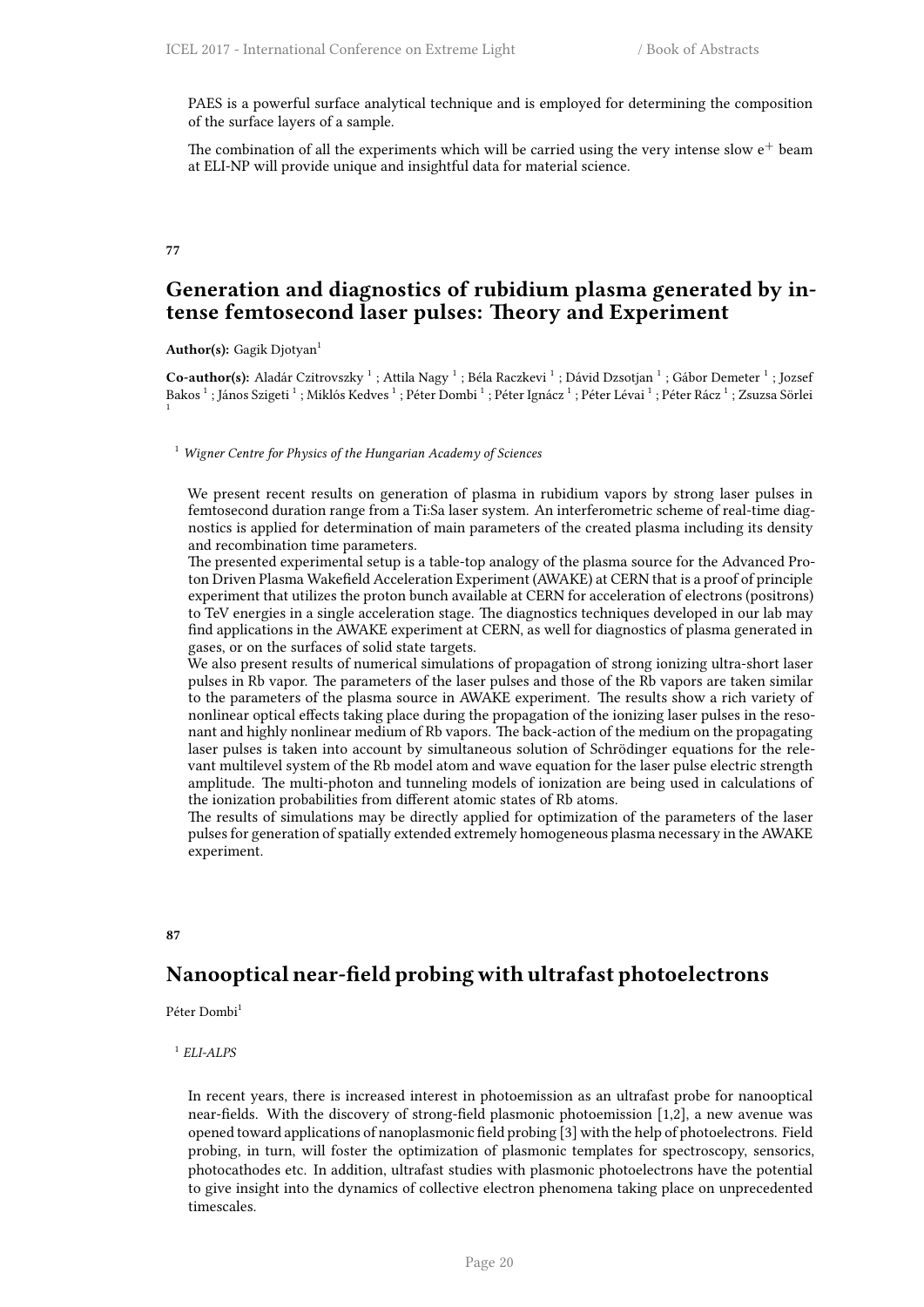PAES is a powerful surface analytical technique and is employed for determining the composition of the surface layers of a sample.

The combination of all the experiments which will be carried using the very intense slow  $e^+$  beam at ELI-NP will provide unique and insightful data for material science.

## <span id="page-27-0"></span>**77**

## **Generation and diagnostics of rubidium plasma generated by intense femtosecond laser pulses: Theory and Experiment**

Author(s): Gagik Djotyan<sup>1</sup>

Co-author(s): Aladár Czitrovszky<sup>1</sup>; Attila Nagy<sup>1</sup>; Béla Raczkevi<sup>1</sup>; Dávid Dzsotjan<sup>1</sup>; Gábor Demeter<sup>1</sup>; Jozsef Bakos  $^1$  ; János Szigeti  $^1$  ; Miklós Kedves  $^1$  ; Péter Dombi  $^1$  ; Péter Ignácz  $^1$  ; Péter Lévai  $^1$  ; Péter Rácz  $^1$  ; Zsuzsa Sörlei 1

<sup>1</sup> *Wigner Centre for Physics of the Hungarian Academy of Sciences*

We present recent results on generation of plasma in rubidium vapors by strong laser pulses in femtosecond duration range from a Ti:Sa laser system. An interferometric scheme of real-time diagnostics is applied for determination of main parameters of the created plasma including its density and recombination time parameters.

The presented experimental setup is a table-top analogy of the plasma source for the Advanced Proton Driven Plasma Wakefield Acceleration Experiment (AWAKE) at CERN that is a proof of principle experiment that utilizes the proton bunch available at CERN for acceleration of electrons (positrons) to TeV energies in a single acceleration stage. The diagnostics techniques developed in our lab may find applications in the AWAKE experiment at CERN, as well for diagnostics of plasma generated in gases, or on the surfaces of solid state targets.

We also present results of numerical simulations of propagation of strong ionizing ultra-short laser pulses in Rb vapor. The parameters of the laser pulses and those of the Rb vapors are taken similar to the parameters of the plasma source in AWAKE experiment. The results show a rich variety of nonlinear optical effects taking place during the propagation of the ionizing laser pulses in the resonant and highly nonlinear medium of Rb vapors. The back-action of the medium on the propagating laser pulses is taken into account by simultaneous solution of Schrödinger equations for the relevant multilevel system of the Rb model atom and wave equation for the laser pulse electric strength amplitude. The multi-photon and tunneling models of ionization are being used in calculations of the ionization probabilities from different atomic states of Rb atoms.

The results of simulations may be directly applied for optimization of the parameters of the laser pulses for generation of spatially extended extremely homogeneous plasma necessary in the AWAKE experiment.

## <span id="page-27-1"></span>**87**

## **Nanooptical near-field probing with ultrafast photoelectrons**

Péter Dombi<sup>1</sup>

## 1 *ELI-ALPS*

In recent years, there is increased interest in photoemission as an ultrafast probe for nanooptical near-fields. With the discovery of strong-field plasmonic photoemission [1,2], a new avenue was opened toward applications of nanoplasmonic field probing [3] with the help of photoelectrons. Field probing, in turn, will foster the optimization of plasmonic templates for spectroscopy, sensorics, photocathodes etc. In addition, ultrafast studies with plasmonic photoelectrons have the potential to give insight into the dynamics of collective electron phenomena taking place on unprecedented timescales.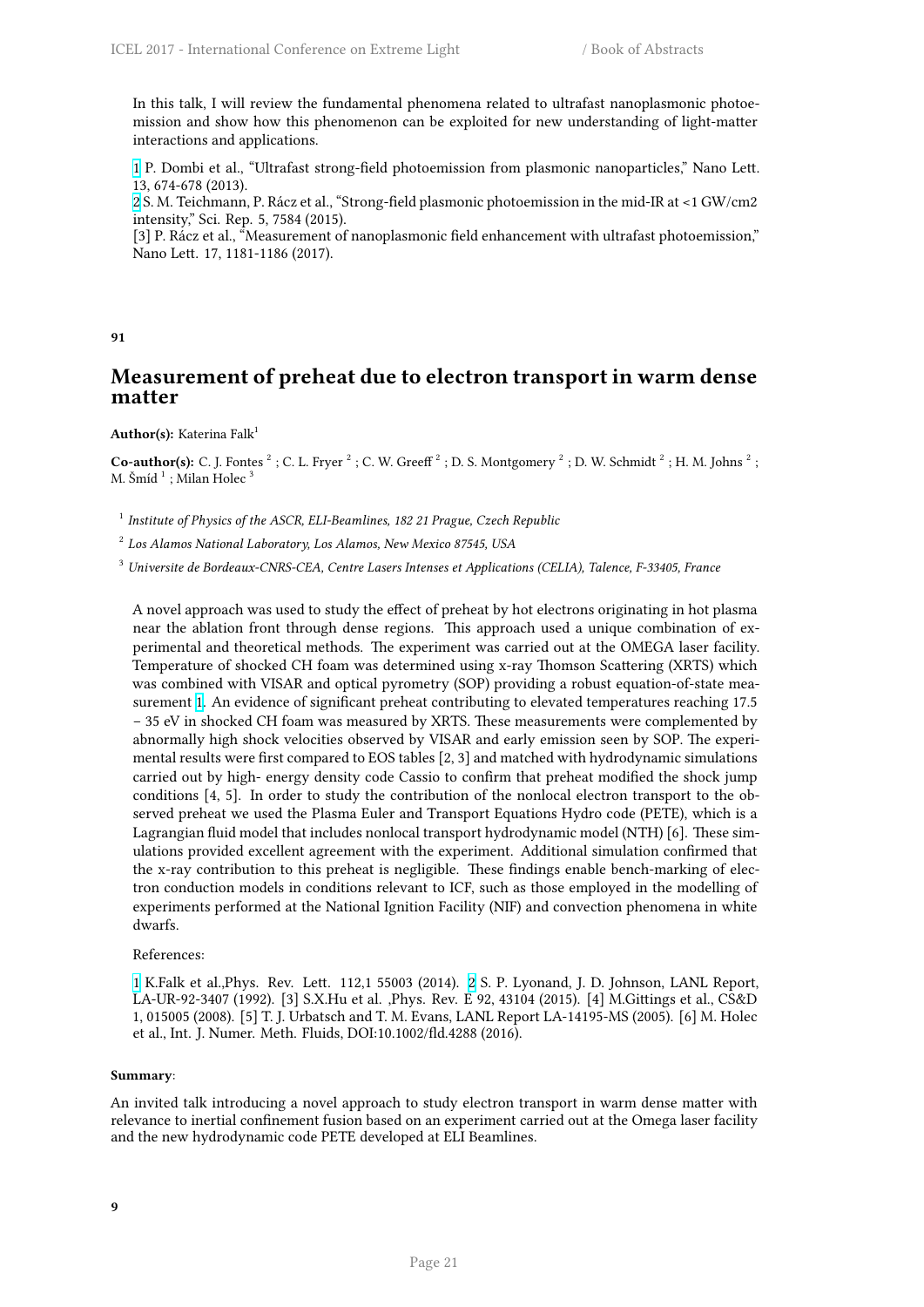In this talk, I will review the fundamental phenomena related to ultrafast nanoplasmonic photoemission and show how this phenomenon can be exploited for new understanding of light-matter interactions and applications.

1 P. Dombi et al., "Ultrafast strong-field photoemission from plasmonic nanoparticles," Nano Lett. 13, 674-678 (2013).

2 S. M. Teichmann, P. Rácz et al., "Strong-field plasmonic photoemission in the mid-IR at <1 GW/cm2 intensity," Sci. Rep. 5, 7584 (2015).

[3] P. Rácz et al., "Measurement of nanoplasmonic field enhancement with ultrafast photoemission," [N](http://i66.tinypic.com/wa63cz.png)ano Lett. 17, 1181-1186 (2017).

#### **91**

## <span id="page-28-0"></span>**Measurement of preheat due to electron transport in warm dense matter**

Author(s): Katerina Falk<sup>1</sup>

**Co-author(s):** C. J. Fontes  $^2$ ; C. L. Fryer  $^2$ ; C. W. Greeff  $^2$ ; D. S. Montgomery  $^2$ ; D. W. Schmidt  $^2$ ; H. M. Johns  $^2$ ; M. Šmí $\mathrm{d}\ ^1$  ; Milan Holec  $^3$ 

<sup>1</sup> Institute of Physics of the ASCR, ELI-Beamlines, 182 21 Prague, Czech Republic

2 *Los Alamos National Laboratory, Los Alamos, New Mexico 87545, USA*

<sup>3</sup> *Universite de Bordeaux-CNRS-CEA, Centre Lasers Intenses et Applications (CELIA), Talence, F-33405, France*

A novel approach was used to study the effect of preheat by hot electrons originating in hot plasma near the ablation front through dense regions. This approach used a unique combination of experimental and theoretical methods. The experiment was carried out at the OMEGA laser facility. Temperature of shocked CH foam was determined using x-ray Thomson Scattering (XRTS) which was combined with VISAR and optical pyrometry (SOP) providing a robust equation-of-state measurement 1. An evidence of significant preheat contributing to elevated temperatures reaching 17.5 − 35 eV in shocked CH foam was measured by XRTS. These measurements were complemented by abnormally high shock velocities observed by VISAR and early emission seen by SOP. The experimental results were first compared to EOS tables [2, 3] and matched with hydrodynamic simulations carried o[ut](http://i66.tinypic.com/wa63cz.png) by high- energy density code Cassio to confirm that preheat modified the shock jump conditions [4, 5]. In order to study the contribution of the nonlocal electron transport to the observed preheat we used the Plasma Euler and Transport Equations Hydro code (PETE), which is a Lagrangian fluid model that includes nonlocal transport hydrodynamic model (NTH) [6]. These simulations provided excellent agreement with the experiment. Additional simulation confirmed that the x-ray contribution to this preheat is negligible. These findings enable bench-marking of electron conduction models in conditions relevant to ICF, such as those employed in the modelling of experiments performed at the National Ignition Facility (NIF) and convection phenomena in white dwarfs.

#### References:

1 K.Falk et al.,Phys. Rev. Lett. 112,1 55003 (2014). 2 S. P. Lyonand, J. D. Johnson, LANL Report, LA-UR-92-3407 (1992). [3] S.X.Hu et al. ,Phys. Rev. E 92, 43104 (2015). [4] M.Gittings et al., CS&D 1, 015005 (2008). [5] T. J. Urbatsch and T. M. Evans, LANL Report LA-14195-MS (2005). [6] M. Holec et al., Int. J. Numer. Meth. Fluids, DOI:10.1002/fld.4288 (2016).

#### **Su[mm](http://i66.tinypic.com/wa63cz.png)ary**:

<span id="page-28-1"></span>An invited talk introducing a novel approach to study electron transport in warm dense matter with relevance to inertial confinement fusion based on an experiment carried out at the Omega laser facility and the new hydrodynamic code PETE developed at ELI Beamlines.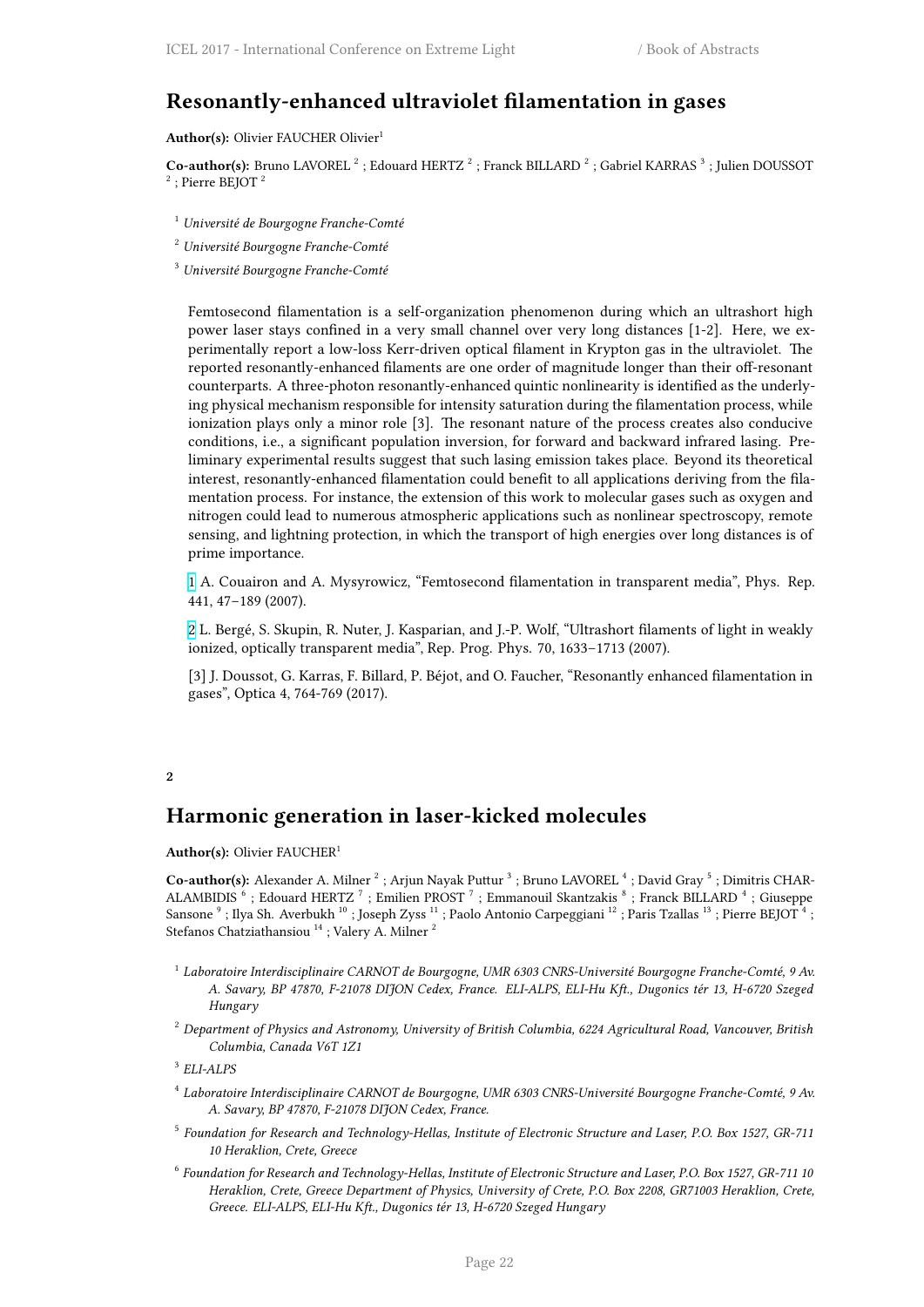## **Resonantly-enhanced ultraviolet filamentation in gases**

Author(s): Olivier FAUCHER Olivier<sup>1</sup>

Co-author(s): Bruno LAVOREL<sup>2</sup>; Edouard HERTZ<sup>2</sup>; Franck BILLARD<sup>2</sup>; Gabriel KARRAS<sup>3</sup>; Julien DOUSSOT  $2$ ; Pierre BEJOT<sup>2</sup>

- <sup>1</sup> *Université de Bourgogne Franche-Comté*
- <sup>2</sup> *Université Bourgogne Franche-Comté*

<sup>3</sup> *Université Bourgogne Franche-Comté*

Femtosecond filamentation is a self-organization phenomenon during which an ultrashort high power laser stays confined in a very small channel over very long distances [1-2]. Here, we experimentally report a low-loss Kerr-driven optical filament in Krypton gas in the ultraviolet. The reported resonantly-enhanced filaments are one order of magnitude longer than their off-resonant counterparts. A three-photon resonantly-enhanced quintic nonlinearity is identified as the underlying physical mechanism responsible for intensity saturation during the filamentation process, while ionization plays only a minor role [3]. The resonant nature of the process creates also conducive conditions, i.e., a significant population inversion, for forward and backward infrared lasing. Preliminary experimental results suggest that such lasing emission takes place. Beyond its theoretical interest, resonantly-enhanced filamentation could benefit to all applications deriving from the filamentation process. For instance, the extension of this work to molecular gases such as oxygen and nitrogen could lead to numerous atmospheric applications such as nonlinear spectroscopy, remote sensing, and lightning protection, in which the transport of high energies over long distances is of prime importance.

1 A. Couairon and A. Mysyrowicz, "Femtosecond filamentation in transparent media", Phys. Rep. 441, 47–189 (2007).

2 L. Bergé, S. Skupin, R. Nuter, J. Kasparian, and J.-P. Wolf, "Ultrashort filaments of light in weakly [io](http://i66.tinypic.com/wa63cz.png)nized, optically transparent media", Rep. Prog. Phys. 70, 1633–1713 (2007).

[3] J. Doussot, G. Karras, F. Billard, P. Béjot, and O. Faucher, "Resonantly enhanced filamentation in [g](http://i67.tinypic.com/bej0gk.png)ases", Optica 4, 764-769 (2017).

## **2**

## **Harmonic generation in laser-kicked molecules**

<span id="page-29-0"></span>**Author(s):** Olivier FAUCHER<sup>1</sup>

Co-author(s): Alexander A. Milner<sup>2</sup>; Arjun Nayak Puttur<sup>3</sup>; Bruno LAVOREL<sup>4</sup>; David Gray<sup>5</sup>; Dimitris CHAR-ALAMBIDIS<sup>6</sup>; Edouard HERTZ<sup>7</sup>; Emilien PROST<sup>7</sup>; Emmanouil Skantzakis<sup>8</sup>; Franck BILLARD<sup>4</sup>; Giuseppe Sansone  $^9$  ; Ilya Sh. Averbukh  $^{10}$  ; Joseph Zyss  $^{11}$  ; Paolo Antonio Carpeggiani  $^{12}$  ; Paris Tzallas  $^{13}$  ; Pierre BEJOT  $^4$  ; Stefanos Chatziathansiou<sup>14</sup> ; Valery A. Milner <sup>2</sup>

- 1 *Laboratoire Interdisciplinaire CARNOT de Bourgogne, UMR 6303 CNRS-Université Bourgogne Franche-Comté, 9 Av. A. Savary, BP 47870, F-21078 DIJON Cedex, France. ELI-ALPS, ELI-Hu Kft., Dugonics tér 13, H-6720 Szeged Hungary*
- <sup>2</sup> *Department of Physics and Astronomy, University of British Columbia, 6224 Agricultural Road, Vancouver, British Columbia, Canada V6T 1Z1*

- 4 *Laboratoire Interdisciplinaire CARNOT de Bourgogne, UMR 6303 CNRS-Université Bourgogne Franche-Comté, 9 Av. A. Savary, BP 47870, F-21078 DIJON Cedex, France.*
- 5 *Foundation for Research and Technology-Hellas, Institute of Electronic Structure and Laser, P.O. Box 1527, GR-711 10 Heraklion, Crete, Greece*
- 6 *Foundation for Research and Technology-Hellas, Institute of Electronic Structure and Laser, P.O. Box 1527, GR-711 10 Heraklion, Crete, Greece Department of Physics, University of Crete, P.O. Box 2208, GR71003 Heraklion, Crete, Greece. ELI-ALPS, ELI-Hu Kft., Dugonics tér 13, H-6720 Szeged Hungary*

<sup>3</sup> *ELI-ALPS*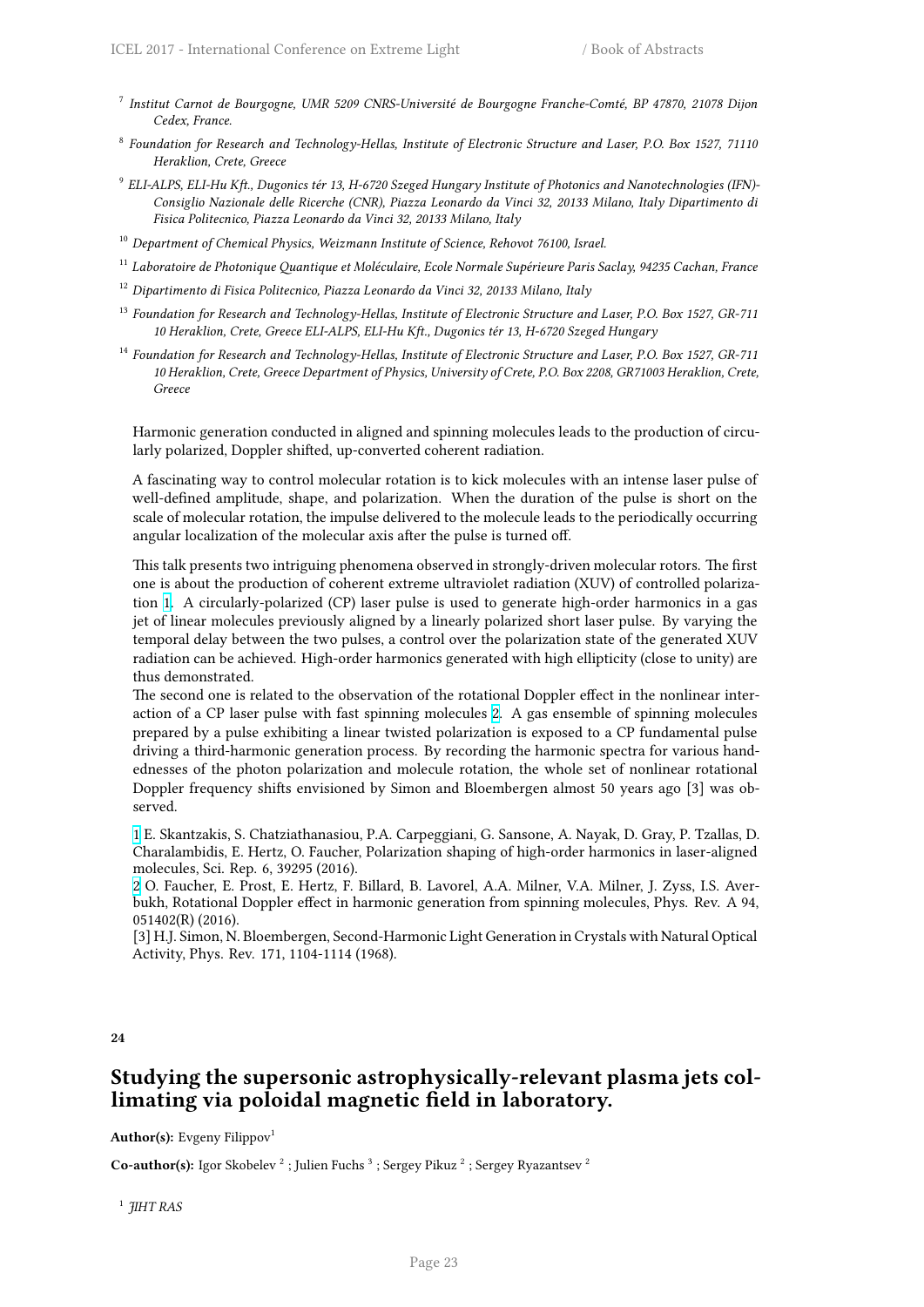- 7 *Institut Carnot de Bourgogne, UMR 5209 CNRS-Université de Bourgogne Franche-Comté, BP 47870, 21078 Dijon Cedex, France.*
- 8 *Foundation for Research and Technology-Hellas, Institute of Electronic Structure and Laser, P.O. Box 1527, 71110 Heraklion, Crete, Greece*
- 9 *ELI-ALPS, ELI-Hu Kft., Dugonics tér 13, H-6720 Szeged Hungary Institute of Photonics and Nanotechnologies (IFN)- Consiglio Nazionale delle Ricerche (CNR), Piazza Leonardo da Vinci 32, 20133 Milano, Italy Dipartimento di Fisica Politecnico, Piazza Leonardo da Vinci 32, 20133 Milano, Italy*
- <sup>10</sup> *Department of Chemical Physics, Weizmann Institute of Science, Rehovot 76100, Israel.*
- <sup>11</sup> *Laboratoire de Photonique Quantique et Moléculaire, Ecole Normale Supérieure Paris Saclay, 94235 Cachan, France*
- <sup>12</sup> *Dipartimento di Fisica Politecnico, Piazza Leonardo da Vinci 32, 20133 Milano, Italy*
- <sup>13</sup> *Foundation for Research and Technology-Hellas, Institute of Electronic Structure and Laser, P.O. Box 1527, GR-711 10 Heraklion, Crete, Greece ELI-ALPS, ELI-Hu Kft., Dugonics tér 13, H-6720 Szeged Hungary*
- <sup>14</sup> *Foundation for Research and Technology-Hellas, Institute of Electronic Structure and Laser, P.O. Box 1527, GR-711 10 Heraklion, Crete, Greece Department of Physics, University of Crete, P.O. Box 2208, GR71003 Heraklion, Crete, Greece*

Harmonic generation conducted in aligned and spinning molecules leads to the production of circularly polarized, Doppler shifted, up-converted coherent radiation.

A fascinating way to control molecular rotation is to kick molecules with an intense laser pulse of well-defined amplitude, shape, and polarization. When the duration of the pulse is short on the scale of molecular rotation, the impulse delivered to the molecule leads to the periodically occurring angular localization of the molecular axis after the pulse is turned off.

This talk presents two intriguing phenomena observed in strongly-driven molecular rotors. The first one is about the production of coherent extreme ultraviolet radiation (XUV) of controlled polarization 1. A circularly-polarized (CP) laser pulse is used to generate high-order harmonics in a gas jet of linear molecules previously aligned by a linearly polarized short laser pulse. By varying the temporal delay between the two pulses, a control over the polarization state of the generated XUV radiation can be achieved. High-order harmonics generated with high ellipticity (close to unity) are thus [d](http://i66.tinypic.com/wa63cz.png)emonstrated.

The second one is related to the observation of the rotational Doppler effect in the nonlinear interaction of a CP laser pulse with fast spinning molecules 2. A gas ensemble of spinning molecules prepared by a pulse exhibiting a linear twisted polarization is exposed to a CP fundamental pulse driving a third-harmonic generation process. By recording the harmonic spectra for various handednesses of the photon polarization and molecule rotation, the whole set of nonlinear rotational Doppler frequency shifts envisioned by Simon and Blo[em](http://i67.tinypic.com/bej0gk.png)bergen almost 50 years ago [3] was observed.

1 E. Skantzakis, S. Chatziathanasiou, P.A. Carpeggiani, G. Sansone, A. Nayak, D. Gray, P. Tzallas, D. Charalambidis, E. Hertz, O. Faucher, Polarization shaping of high-order harmonics in laser-aligned molecules, Sci. Rep. 6, 39295 (2016).

2 O. Faucher, E. Prost, E. Hertz, F. Billard, B. Lavorel, A.A. Milner, V.A. Milner, J. Zyss, I.S. Averbukh, Rotational Doppler effect in harmonic generation from spinning molecules, Phys. Rev. A 94, [0](http://i66.tinypic.com/wa63cz.png)51402(R) (2016).

[3] H.J. Simon, N. Bloembergen, Second-Harmonic Light Generation in Crystals with Natural Optical [A](http://i67.tinypic.com/bej0gk.png)ctivity, Phys. Rev. 171, 1104-1114 (1968).

## <span id="page-30-0"></span>**Studying the supersonic astrophysically-relevant plasma jets collimating via poloidal magnetic field in laboratory.**

**Author(s):** Evgeny Filippov<sup>1</sup>

**Co-author(s):** Igor Skobelev  $^2$  ; Julien Fuchs  $^3$  ; Sergey Pikuz  $^2$  ; Sergey Ryazantsev  $^2$ 

1 *JIHT RAS*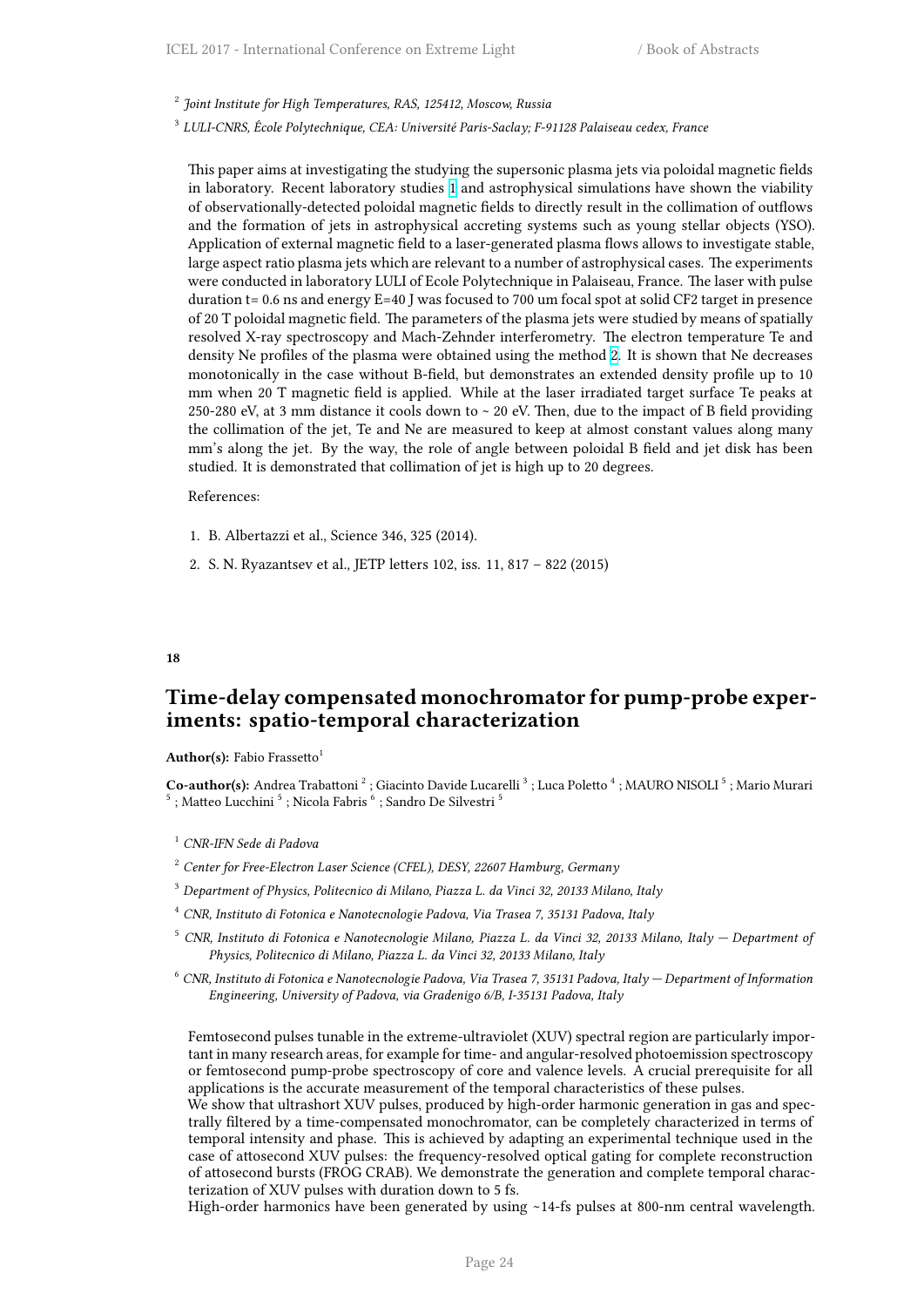2 *Joint Institute for High Temperatures, RAS, 125412, Moscow, Russia*

3 *LULI-CNRS, École Polytechnique, CEA: Université Paris-Saclay; F-91128 Palaiseau cedex, France*

This paper aims at investigating the studying the supersonic plasma jets via poloidal magnetic fields in laboratory. Recent laboratory studies 1 and astrophysical simulations have shown the viability of observationally-detected poloidal magnetic fields to directly result in the collimation of outflows and the formation of jets in astrophysical accreting systems such as young stellar objects (YSO). Application of external magnetic field to a laser-generated plasma flows allows to investigate stable, large aspect ratio plasma jets which are re[le](http://i66.tinypic.com/wa63cz.png)vant to a number of astrophysical cases. The experiments were conducted in laboratory LULI of Ecole Polytechnique in Palaiseau, France. The laser with pulse duration t= 0.6 ns and energy E=40 J was focused to 700 um focal spot at solid CF2 target in presence of 20 T poloidal magnetic field. The parameters of the plasma jets were studied by means of spatially resolved X-ray spectroscopy and Mach-Zehnder interferometry. The electron temperature Te and density Ne profiles of the plasma were obtained using the method 2. It is shown that Ne decreases monotonically in the case without B-field, but demonstrates an extended density profile up to 10 mm when 20 T magnetic field is applied. While at the laser irradiated target surface Te peaks at 250-280 eV, at 3 mm distance it cools down to ~ 20 eV. Then, due to the impact of B field providing the collimation of the jet, Te and Ne are measured to keep at alm[o](http://i67.tinypic.com/bej0gk.png)st constant values along many mm's along the jet. By the way, the role of angle between poloidal B field and jet disk has been studied. It is demonstrated that collimation of jet is high up to 20 degrees.

#### References:

- 1. B. Albertazzi et al., Science 346, 325 (2014).
- 2. S. N. Ryazantsev et al., JETP letters 102, iss. 11, 817 822 (2015)

#### **18**

## <span id="page-31-0"></span>**Time-delay compensated monochromator for pump-probe experiments: spatio-temporal characterization**

#### **Author(s):** Fabio Frassetto<sup>1</sup>

Co-author(s): Andrea Trabattoni<sup>2</sup>; Giacinto Davide Lucarelli<sup>3</sup>; Luca Poletto<sup>4</sup>; MAURO NISOLI<sup>5</sup>; Mario Murari  $^5$ ; Matteo Lucchini $^5$ ; Nicola Fabris $^6$ ; Sandro De Silvestri $^5$ 

- <sup>1</sup> *CNR-IFN Sede di Padova*
- <sup>2</sup> *Center for Free-Electron Laser Science (CFEL), DESY, 22607 Hamburg, Germany*
- <sup>3</sup> *Department of Physics, Politecnico di Milano, Piazza L. da Vinci 32, 20133 Milano, Italy*
- <sup>4</sup> *CNR, Instituto di Fotonica e Nanotecnologie Padova, Via Trasea 7, 35131 Padova, Italy*
- <sup>5</sup> *CNR, Instituto di Fotonica e Nanotecnologie Milano, Piazza L. da Vinci 32, 20133 Milano, Italy Department of Physics, Politecnico di Milano, Piazza L. da Vinci 32, 20133 Milano, Italy*
- <sup>6</sup> *CNR, Instituto di Fotonica e Nanotecnologie Padova, Via Trasea 7, 35131 Padova, Italy Department of Information Engineering, University of Padova, via Gradenigo 6/B, I-35131 Padova, Italy*

Femtosecond pulses tunable in the extreme-ultraviolet (XUV) spectral region are particularly important in many research areas, for example for time- and angular-resolved photoemission spectroscopy or femtosecond pump-probe spectroscopy of core and valence levels. A crucial prerequisite for all applications is the accurate measurement of the temporal characteristics of these pulses.

We show that ultrashort XUV pulses, produced by high-order harmonic generation in gas and spectrally filtered by a time-compensated monochromator, can be completely characterized in terms of temporal intensity and phase. This is achieved by adapting an experimental technique used in the case of attosecond XUV pulses: the frequency-resolved optical gating for complete reconstruction of attosecond bursts (FROG CRAB). We demonstrate the generation and complete temporal characterization of XUV pulses with duration down to 5 fs.

High-order harmonics have been generated by using ∼14-fs pulses at 800-nm central wavelength.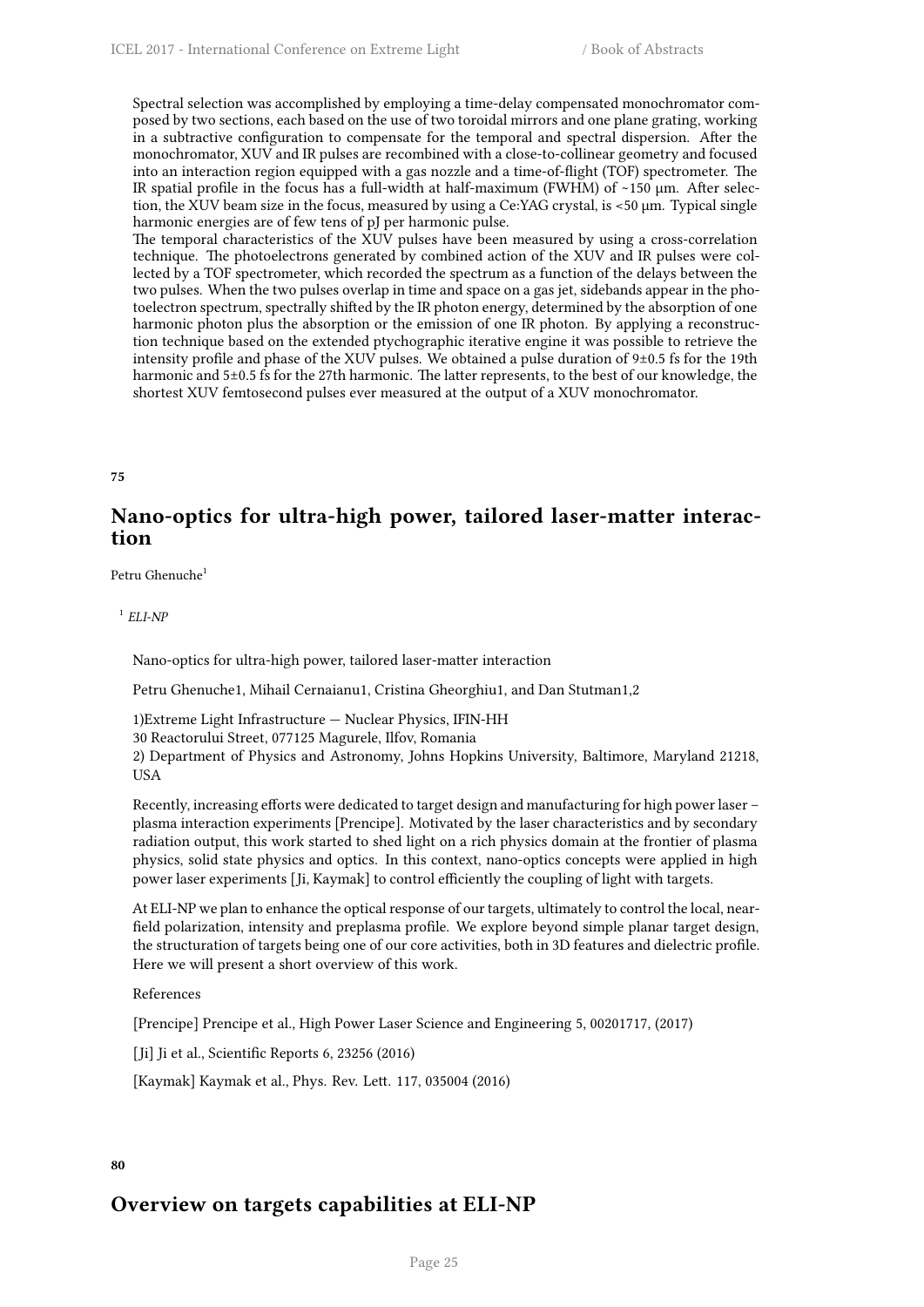Spectral selection was accomplished by employing a time-delay compensated monochromator composed by two sections, each based on the use of two toroidal mirrors and one plane grating, working in a subtractive configuration to compensate for the temporal and spectral dispersion. After the monochromator, XUV and IR pulses are recombined with a close-to-collinear geometry and focused into an interaction region equipped with a gas nozzle and a time-of-flight (TOF) spectrometer. The IR spatial profile in the focus has a full-width at half-maximum (FWHM) of ∼150 µm. After selection, the XUV beam size in the focus, measured by using a Ce:YAG crystal, is <50 µm. Typical single harmonic energies are of few tens of pJ per harmonic pulse.

The temporal characteristics of the XUV pulses have been measured by using a cross-correlation technique. The photoelectrons generated by combined action of the XUV and IR pulses were collected by a TOF spectrometer, which recorded the spectrum as a function of the delays between the two pulses. When the two pulses overlap in time and space on a gas jet, sidebands appear in the photoelectron spectrum, spectrally shifted by the IR photon energy, determined by the absorption of one harmonic photon plus the absorption or the emission of one IR photon. By applying a reconstruction technique based on the extended ptychographic iterative engine it was possible to retrieve the intensity profile and phase of the XUV pulses. We obtained a pulse duration of 9±0.5 fs for the 19th harmonic and 5±0.5 fs for the 27th harmonic. The latter represents, to the best of our knowledge, the shortest XUV femtosecond pulses ever measured at the output of a XUV monochromator.

## <span id="page-32-0"></span>**75**

## **Nano-optics for ultra-high power, tailored laser-matter interaction**

Petru Ghenuche<sup>1</sup>

1 *ELI-NP*

Nano-optics for ultra-high power, tailored laser-matter interaction

Petru Ghenuche1, Mihail Cernaianu1, Cristina Gheorghiu1, and Dan Stutman1,2

1)Extreme Light Infrastructure — Nuclear Physics, IFIN-HH

30 Reactorului Street, 077125 Magurele, Ilfov, Romania

2) Department of Physics and Astronomy, Johns Hopkins University, Baltimore, Maryland 21218, USA

Recently, increasing efforts were dedicated to target design and manufacturing for high power laser – plasma interaction experiments [Prencipe]. Motivated by the laser characteristics and by secondary radiation output, this work started to shed light on a rich physics domain at the frontier of plasma physics, solid state physics and optics. In this context, nano-optics concepts were applied in high power laser experiments [Ji, Kaymak] to control efficiently the coupling of light with targets.

At ELI-NP we plan to enhance the optical response of our targets, ultimately to control the local, nearfield polarization, intensity and preplasma profile. We explore beyond simple planar target design, the structuration of targets being one of our core activities, both in 3D features and dielectric profile. Here we will present a short overview of this work.

References

[Prencipe] Prencipe et al., High Power Laser Science and Engineering 5, 00201717, (2017)

[Ji] Ji et al., Scientific Reports 6, 23256 (2016)

[Kaymak] Kaymak et al., Phys. Rev. Lett. 117, 035004 (2016)

## <span id="page-32-1"></span>**80**

## **Overview on targets capabilities at ELI-NP**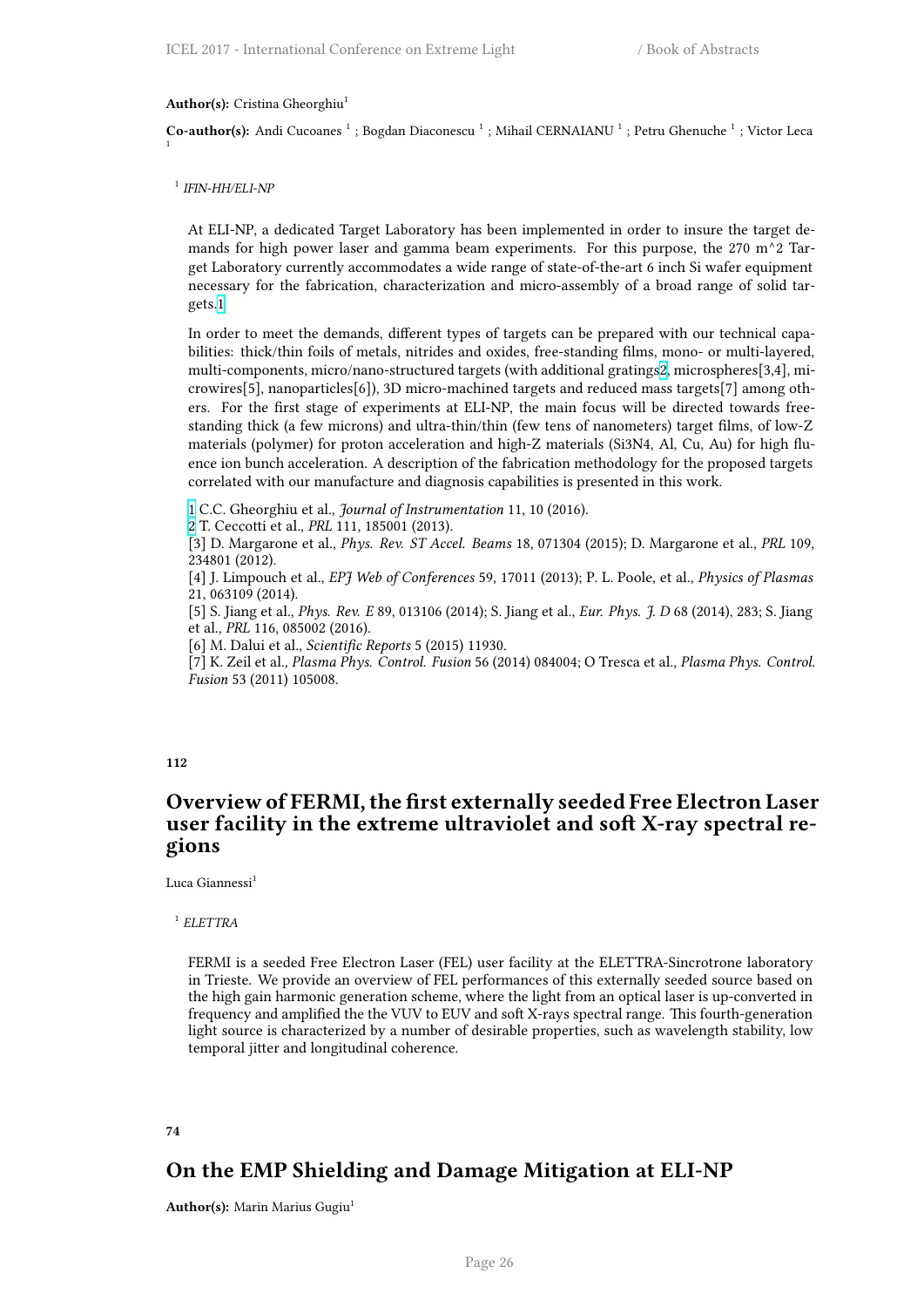Author(s): Cristina Gheorghiu<sup>1</sup>

Co-author(s): Andi Cucoanes<sup>1</sup>; Bogdan Diaconescu<sup>1</sup>; Mihail CERNAIANU<sup>1</sup>; Petru Ghenuche<sup>1</sup>; Victor Leca 1

1 *IFIN-HH/ELI-NP*

At ELI-NP, a dedicated Target Laboratory has been implemented in order to insure the target demands for high power laser and gamma beam experiments. For this purpose, the 270 m^2 Target Laboratory currently accommodates a wide range of state-of-the-art 6 inch Si wafer equipment necessary for the fabrication, characterization and micro-assembly of a broad range of solid targets.1

In order to meet the demands, different types of targets can be prepared with our technical capabilities: thick/thin foils of metals, nitrides and oxides, free-standing films, mono- or multi-layered, multi-components, micro/nano-structured targets (with additional gratings2, microspheres[3,4], micro[wir](http://i66.tinypic.com/wa63cz.png)es[5], nanoparticles[6]), 3D micro-machined targets and reduced mass targets[7] among others. For the first stage of experiments at ELI-NP, the main focus will be directed towards freestanding thick (a few microns) and ultra-thin/thin (few tens of nanometers) target films, of low-Z materials (polymer) for proton acceleration and high-Z materials (Si3N4, [A](http://i67.tinypic.com/bej0gk.png)l, Cu, Au) for high fluence ion bunch acceleration. A description of the fabrication methodology for the proposed targets correlated with our manufacture and diagnosis capabilities is presented in this work.

1 C.C. Gheorghiu et al., *Journal of Instrumentation* 11, 10 (2016).

2 T. Ceccotti et al., *PRL* 111, 185001 (2013).

[3] D. Margarone et al., *Phys. Rev. ST Accel. Beams* 18, 071304 (2015); D. Margarone et al., *PRL* 109, 234801 (2012).

[4] J. Limpouch et al., *EPJ Web of Conferences* 59, 17011 (2013); P. L. Poole, et al., *Physics of Plasmas* [21](http://i66.tinypic.com/wa63cz.png), 063109 (2014).

[\[5](http://i67.tinypic.com/bej0gk.png)] S. Jiang et al., *Phys. Rev. E* 89, 013106 (2014); S. Jiang et al., *Eur. Phys. J. D* 68 (2014), 283; S. Jiang et al., *PRL* 116, 085002 (2016).

[6] M. Dalui et al., *Scientific Reports* 5 (2015) 11930.

[7] K. Zeil et al., *Plasma Phys. Control. Fusion* 56 (2014) 084004; O Tresca et al., *Plasma Phys. Control. Fusion* 53 (2011) 105008.

**112**

## <span id="page-33-0"></span>**Overview of FERMI, the first externally seeded Free Electron Laser user facility in the extreme ultraviolet and soft X-ray spectral regions**

Luca Giannessi<sup>1</sup>

1 *ELETTRA*

FERMI is a seeded Free Electron Laser (FEL) user facility at the ELETTRA-Sincrotrone laboratory in Trieste. We provide an overview of FEL performances of this externally seeded source based on the high gain harmonic generation scheme, where the light from an optical laser is up-converted in frequency and amplified the the VUV to EUV and soft X-rays spectral range. This fourth-generation light source is characterized by a number of desirable properties, such as wavelength stability, low temporal jitter and longitudinal coherence.

#### **74**

## **On the EMP Shielding and Damage Mitigation at ELI-NP**

<span id="page-33-1"></span>**Author(s):** Marin Marius Gugiu<sup>1</sup>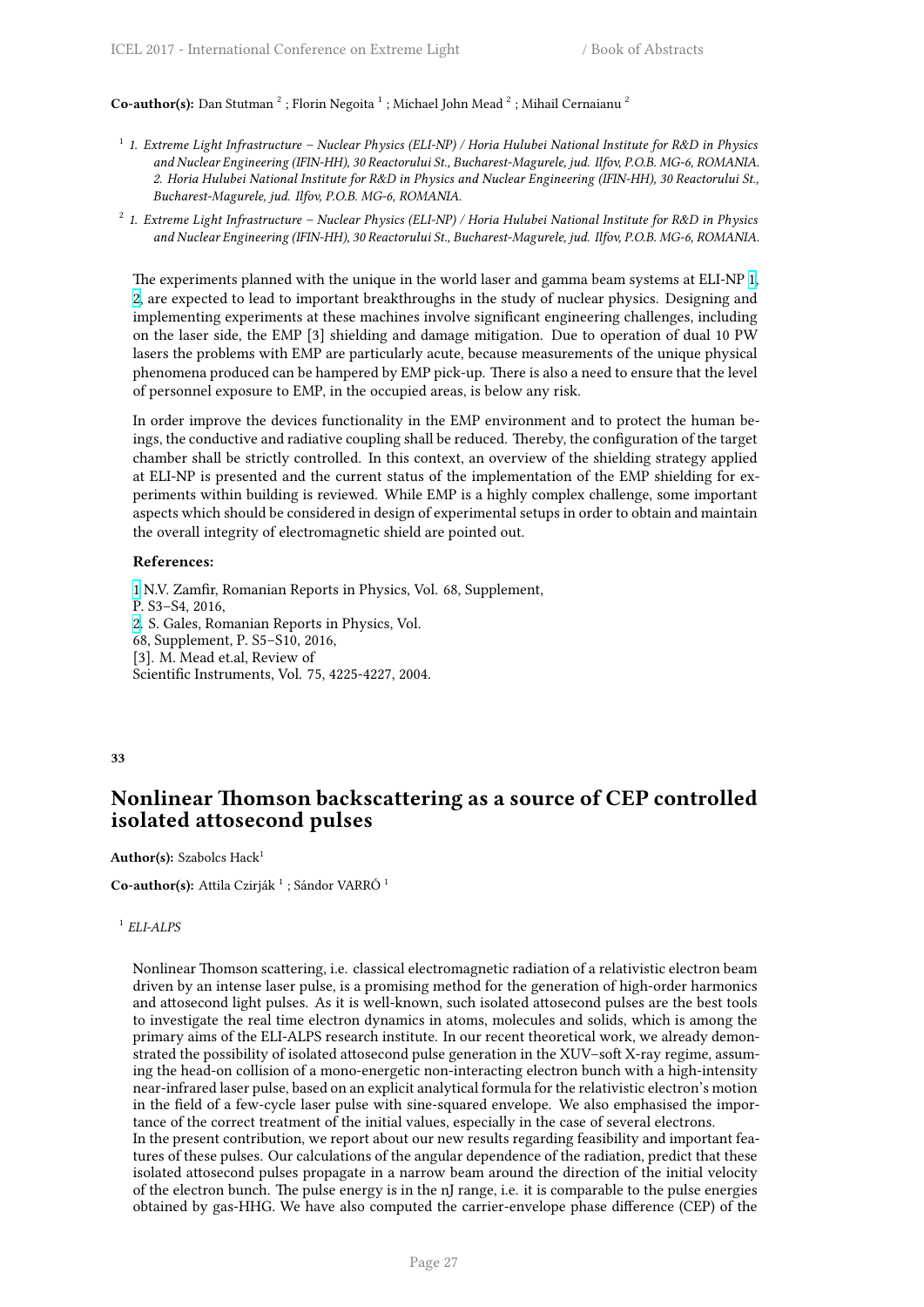Co-author(s): Dan Stutman<sup>2</sup>; Florin Negoita<sup>1</sup>; Michael John Mead<sup>2</sup>; Mihail Cernaianu<sup>2</sup>

- 1 *1. Extreme Light Infrastructure Nuclear Physics (ELI-NP) / Horia Hulubei National Institute for R&D in Physics and Nuclear Engineering (IFIN-HH), 30 Reactorului St., Bucharest-Magurele, jud. Ilfov, P.O.B. MG-6, ROMANIA. 2. Horia Hulubei National Institute for R&D in Physics and Nuclear Engineering (IFIN-HH), 30 Reactorului St., Bucharest-Magurele, jud. Ilfov, P.O.B. MG-6, ROMANIA.*
- 2 *1. Extreme Light Infrastructure Nuclear Physics (ELI-NP) / Horia Hulubei National Institute for R&D in Physics and Nuclear Engineering (IFIN-HH), 30 Reactorului St., Bucharest-Magurele, jud. Ilfov, P.O.B. MG-6, ROMANIA.*

The experiments planned with the unique in the world laser and gamma beam systems at ELI-NP 1, 2, are expected to lead to important breakthroughs in the study of nuclear physics. Designing and implementing experiments at these machines involve significant engineering challenges, including on the laser side, the EMP [3] shielding and damage mitigation. Due to operation of dual 10 PW lasers the problems with EMP are particularly acute, because measurements of the unique physic[al](http://i66.tinypic.com/wa63cz.png) [p](http://i67.tinypic.com/bej0gk.png)henomena produced can be hampered by EMP pick-up. There is also a need to ensure that the level of personnel exposure to EMP, in the occupied areas, is below any risk.

In order improve the devices functionality in the EMP environment and to protect the human beings, the conductive and radiative coupling shall be reduced. Thereby, the configuration of the target chamber shall be strictly controlled. In this context, an overview of the shielding strategy applied at ELI-NP is presented and the current status of the implementation of the EMP shielding for experiments within building is reviewed. While EMP is a highly complex challenge, some important aspects which should be considered in design of experimental setups in order to obtain and maintain the overall integrity of electromagnetic shield are pointed out.

#### **References:**

1 N.V. Zamfir, Romanian Reports in Physics, Vol. 68, Supplement, P. S3–S4, 2016, 2. S. Gales, Romanian Reports in Physics, Vol. 68, Supplement, P. S5–S10, 2016, [\[3](http://i66.tinypic.com/wa63cz.png)]. M. Mead et.al, Review of Scientific Instruments, Vol. 75, 4225-4227, 2004.

#### **33**

## <span id="page-34-0"></span>**Nonlinear Thomson backscattering as a source of CEP controlled isolated attosecond pulses**

Author(s): Szabolcs Hack<sup>1</sup>

**Co-author(s):** Attila Czirják<sup>1</sup>; Sándor VARRÓ<sup>1</sup>

## 1 *ELI-ALPS*

Nonlinear Thomson scattering, i.e. classical electromagnetic radiation of a relativistic electron beam driven by an intense laser pulse, is a promising method for the generation of high-order harmonics and attosecond light pulses. As it is well-known, such isolated attosecond pulses are the best tools to investigate the real time electron dynamics in atoms, molecules and solids, which is among the primary aims of the ELI-ALPS research institute. In our recent theoretical work, we already demonstrated the possibility of isolated attosecond pulse generation in the XUV–soft X-ray regime, assuming the head-on collision of a mono-energetic non-interacting electron bunch with a high-intensity near-infrared laser pulse, based on an explicit analytical formula for the relativistic electron's motion in the field of a few-cycle laser pulse with sine-squared envelope. We also emphasised the importance of the correct treatment of the initial values, especially in the case of several electrons.

In the present contribution, we report about our new results regarding feasibility and important features of these pulses. Our calculations of the angular dependence of the radiation, predict that these isolated attosecond pulses propagate in a narrow beam around the direction of the initial velocity of the electron bunch. The pulse energy is in the nJ range, i.e. it is comparable to the pulse energies obtained by gas-HHG. We have also computed the carrier-envelope phase difference (CEP) of the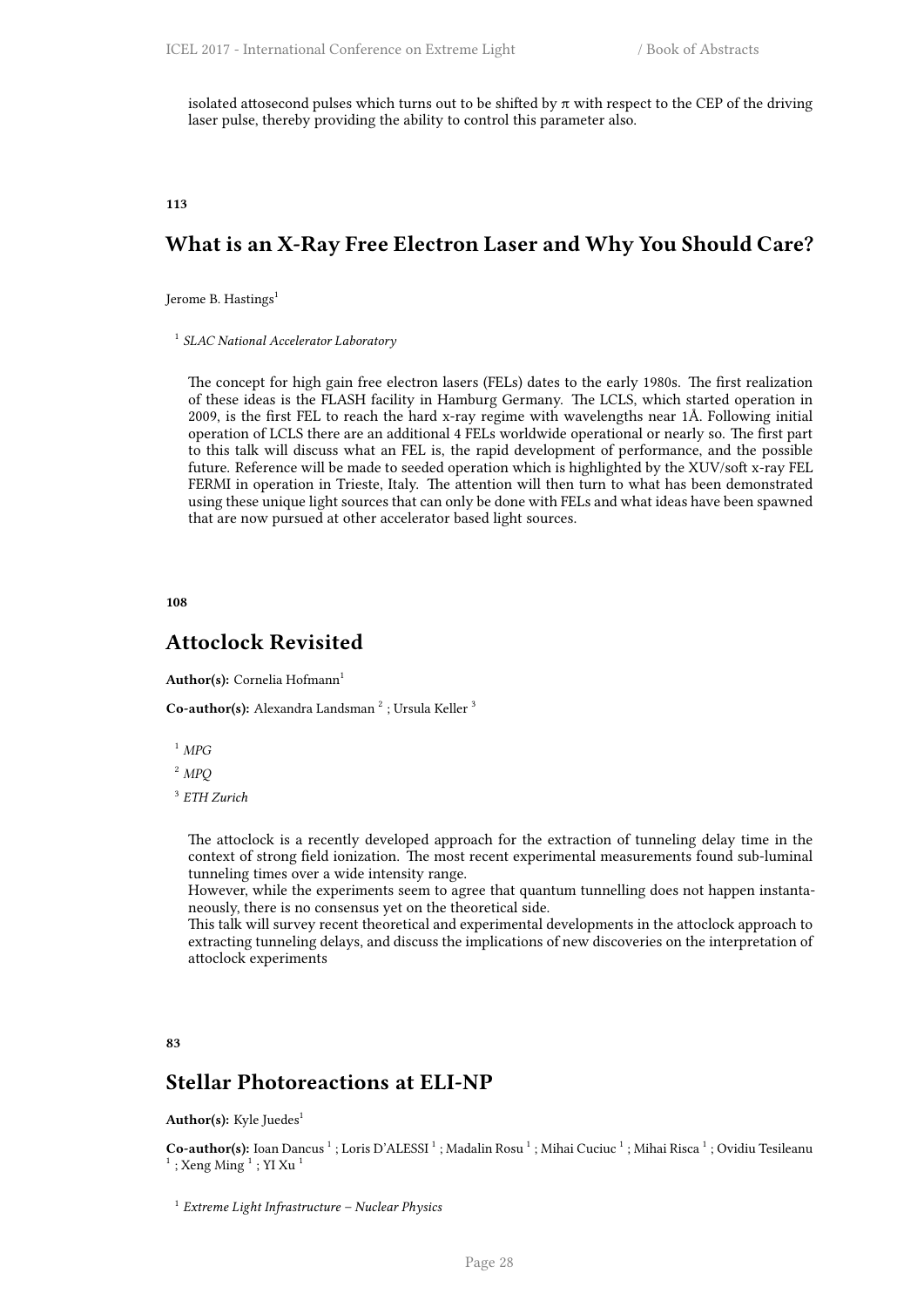isolated attosecond pulses which turns out to be shifted by  $\pi$  with respect to the CEP of the driving laser pulse, thereby providing the ability to control this parameter also.

<span id="page-35-0"></span>**113**

## **What is an X-Ray Free Electron Laser and Why You Should Care?**

Jerome B. Hastings<sup>1</sup>

1 *SLAC National Accelerator Laboratory*

The concept for high gain free electron lasers (FELs) dates to the early 1980s. The first realization of these ideas is the FLASH facility in Hamburg Germany. The LCLS, which started operation in 2009, is the first FEL to reach the hard x-ray regime with wavelengths near 1Å. Following initial operation of LCLS there are an additional 4 FELs worldwide operational or nearly so. The first part to this talk will discuss what an FEL is, the rapid development of performance, and the possible future. Reference will be made to seeded operation which is highlighted by the XUV/soft x-ray FEL FERMI in operation in Trieste, Italy. The attention will then turn to what has been demonstrated using these unique light sources that can only be done with FELs and what ideas have been spawned that are now pursued at other accelerator based light sources.

<span id="page-35-1"></span>**108**

## **Attoclock Revisited**

**Author(s):** Cornelia Hofmann<sup>1</sup>

Co-author(s): Alexandra Landsman<sup>2</sup>; Ursula Keller<sup>3</sup>

- <sup>1</sup> *MPG*
- <sup>2</sup> *MPQ*
- 3 *ETH Zurich*

The attoclock is a recently developed approach for the extraction of tunneling delay time in the context of strong field ionization. The most recent experimental measurements found sub-luminal tunneling times over a wide intensity range.

However, while the experiments seem to agree that quantum tunnelling does not happen instantaneously, there is no consensus yet on the theoretical side.

This talk will survey recent theoretical and experimental developments in the attoclock approach to extracting tunneling delays, and discuss the implications of new discoveries on the interpretation of attoclock experiments

<span id="page-35-2"></span>**83**

## **Stellar Photoreactions at ELI-NP**

Author(s): Kyle Juedes<sup>1</sup>

Co-author(s): Ioan Dancus<sup>1</sup>; Loris D'ALESSI<sup>1</sup>; Madalin Rosu<sup>1</sup>; Mihai Cuciuc<sup>1</sup>; Mihai Risca<sup>1</sup>; Ovidiu Tesileanu  $^{1}$  ; Xeng Ming  $^{1}$  ; YI Xu  $^{1}$ 

<sup>1</sup> *Extreme Light Infrastructure – Nuclear Physics*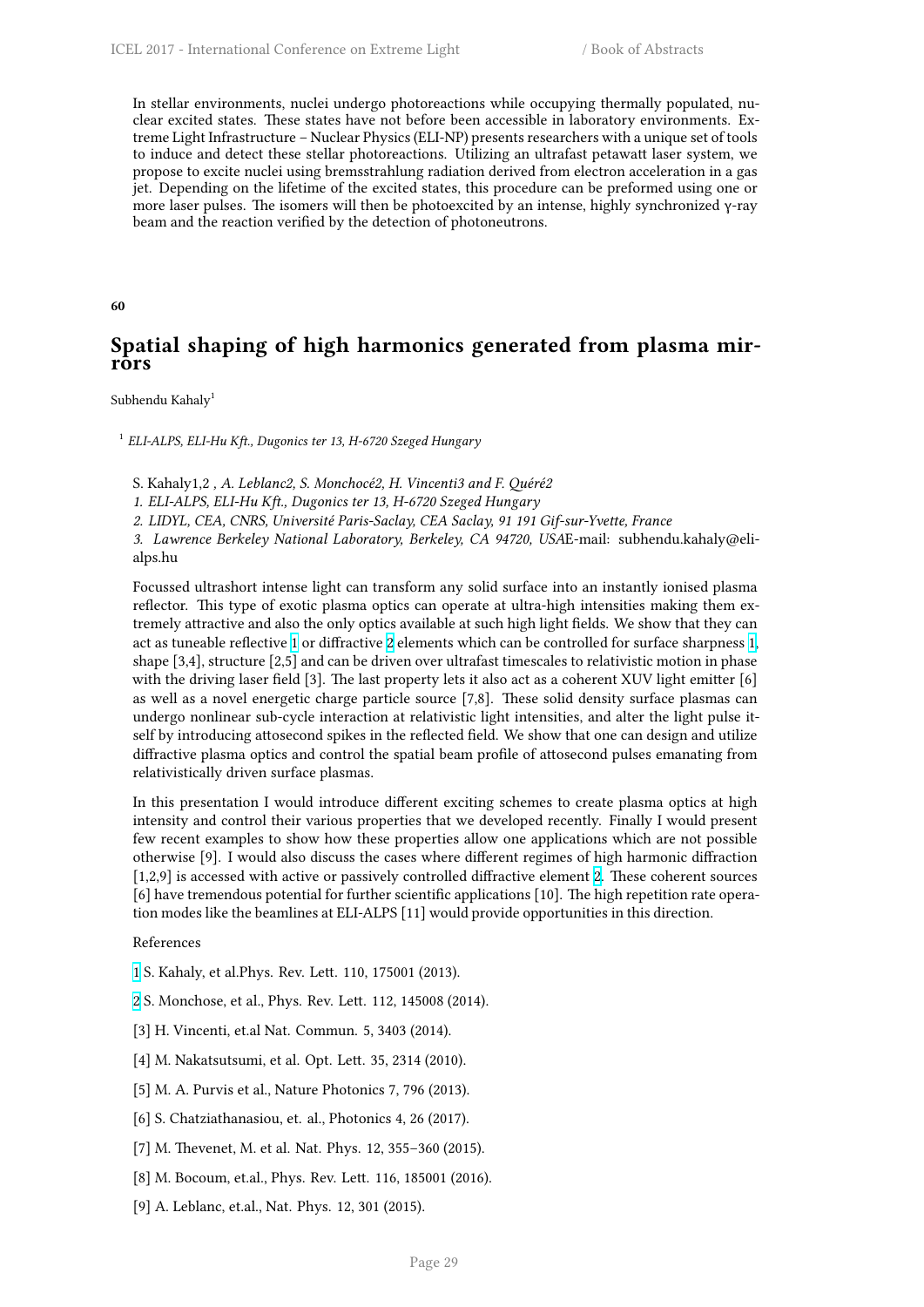In stellar environments, nuclei undergo photoreactions while occupying thermally populated, nuclear excited states. These states have not before been accessible in laboratory environments. Extreme Light Infrastructure – Nuclear Physics (ELI-NP) presents researchers with a unique set of tools to induce and detect these stellar photoreactions. Utilizing an ultrafast petawatt laser system, we propose to excite nuclei using bremsstrahlung radiation derived from electron acceleration in a gas jet. Depending on the lifetime of the excited states, this procedure can be preformed using one or more laser pulses. The isomers will then be photoexcited by an intense, highly synchronized γ-ray beam and the reaction verified by the detection of photoneutrons.

**60**

# **Spatial shaping of high harmonics generated from plasma mirrors**

Subhendu Kahaly<sup>1</sup>

1 *ELI-ALPS, ELI-Hu Kft., Dugonics ter 13, H-6720 Szeged Hungary*

S. Kahaly1,2 *, A. Leblanc2, S. Monchocé2, H. Vincenti3 and F. Quéré2*

*1. ELI-ALPS, ELI-Hu Kft., Dugonics ter 13, H-6720 Szeged Hungary*

*2. LIDYL, CEA, CNRS, Université Paris-Saclay, CEA Saclay, 91 191 Gif-sur-Yvette, France*

*3. Lawrence Berkeley National Laboratory, Berkeley, CA 94720, USA*E-mail: subhendu.kahaly@elialps.hu

Focussed ultrashort intense light can transform any solid surface into an instantly ionised plasma reflector. This type of exotic plasma optics can operate at ultra-high intensities making them extremely attractive and also the only optics available at such high light fields. We show that they can act as tuneable reflective 1 or diffractive 2 elements which can be controlled for surface sharpness 1, shape [3,4], structure [2,5] and can be driven over ultrafast timescales to relativistic motion in phase with the driving laser field [3]. The last property lets it also act as a coherent XUV light emitter [6] as well as a novel energetic charge particle source [7,8]. These solid density surface plasmas can undergo nonlinear sub-c[yc](http://i66.tinypic.com/wa63cz.png)le interactio[n a](http://i67.tinypic.com/bej0gk.png)t relativistic light intensities, and alter the light pulse [it](http://i66.tinypic.com/wa63cz.png)self by introducing attosecond spikes in the reflected field. We show that one can design and utilize diffractive plasma optics and control the spatial beam profile of attosecond pulses emanating from relativistically driven surface plasmas.

In this presentation I would introduce different exciting schemes to create plasma optics at high intensity and control their various properties that we developed recently. Finally I would present few recent examples to show how these properties allow one applications which are not possible otherwise [9]. I would also discuss the cases where different regimes of high harmonic diffraction [1,2,9] is accessed with active or passively controlled diffractive element 2. These coherent sources [6] have tremendous potential for further scientific applications [10]. The high repetition rate operation modes like the beamlines at ELI-ALPS [11] would provide opportunities in this direction.

### References

- 1 S. Kahaly, et al.Phys. Rev. Lett. 110, 175001 (2013).
- 2 S. Monchose, et al., Phys. Rev. Lett. 112, 145008 (2014).
- [3] H. Vincenti, et.al Nat. Commun. 5, 3403 (2014).
- [\[4](http://i66.tinypic.com/wa63cz.png)] M. Nakatsutsumi, et al. Opt. Lett. 35, 2314 (2010).
- [\[5](http://i67.tinypic.com/bej0gk.png)] M. A. Purvis et al., Nature Photonics 7, 796 (2013).
- [6] S. Chatziathanasiou, et. al., Photonics 4, 26 (2017).
- [7] M. Thevenet, M. et al. Nat. Phys. 12, 355–360 (2015).
- [8] M. Bocoum, et.al., Phys. Rev. Lett. 116, 185001 (2016).
- [9] A. Leblanc, et.al., Nat. Phys. 12, 301 (2015).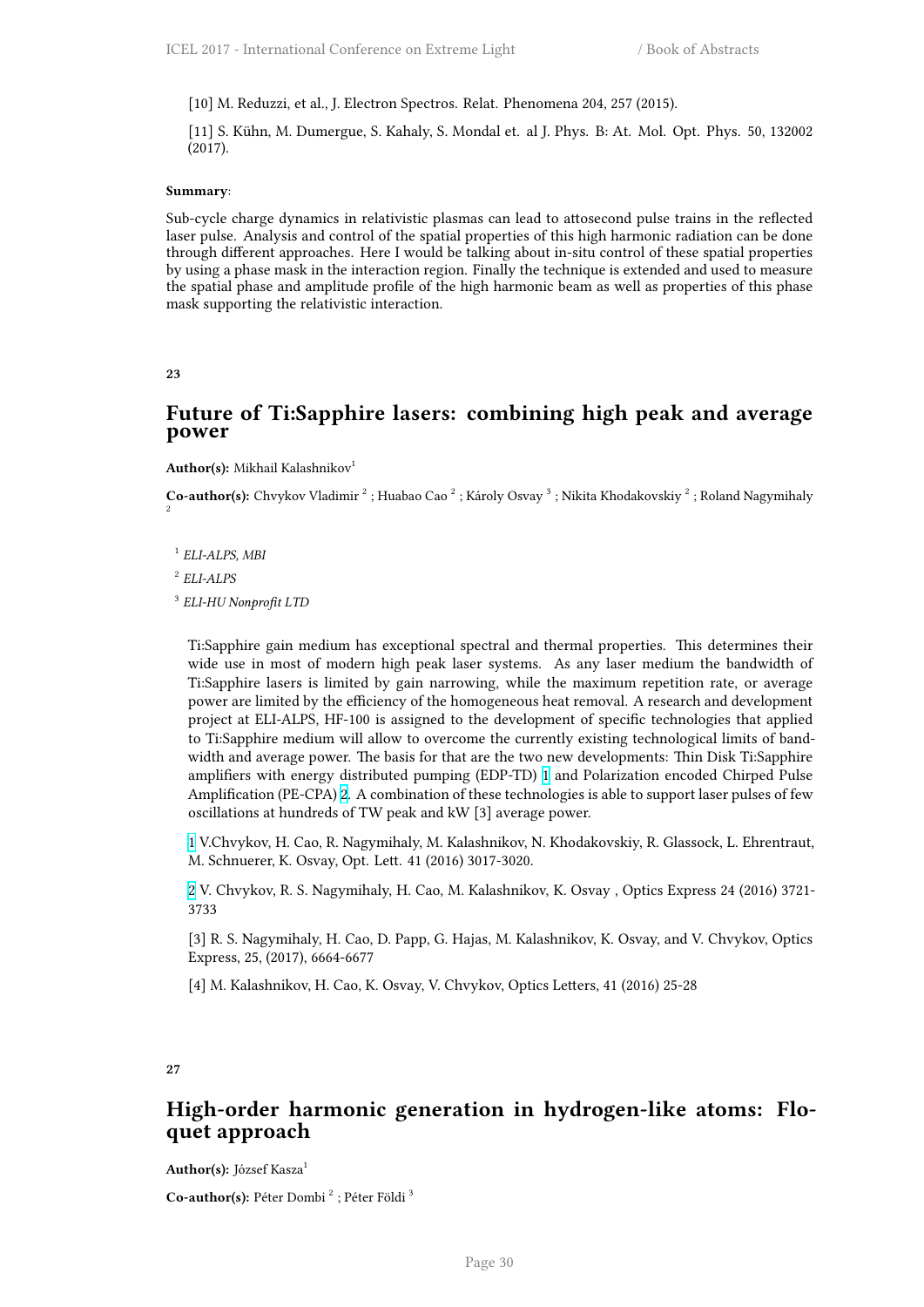[10] M. Reduzzi, et al., J. Electron Spectros. Relat. Phenomena 204, 257 (2015).

[11] S. Kühn, M. Dumergue, S. Kahaly, S. Mondal et. al J. Phys. B: At. Mol. Opt. Phys. 50, 132002 (2017).

#### **Summary**:

Sub-cycle charge dynamics in relativistic plasmas can lead to attosecond pulse trains in the reflected laser pulse. Analysis and control of the spatial properties of this high harmonic radiation can be done through different approaches. Here I would be talking about in-situ control of these spatial properties by using a phase mask in the interaction region. Finally the technique is extended and used to measure the spatial phase and amplitude profile of the high harmonic beam as well as properties of this phase mask supporting the relativistic interaction.

## **23**

## **Future of Ti:Sapphire lasers: combining high peak and average power**

**Author(s):** Mikhail Kalashnikov<sup>1</sup>

Co-author(s): Chvykov Vladimir<sup>2</sup>; Huabao Cao<sup>2</sup>; Károly Osvay<sup>3</sup>; Nikita Khodakovskiy<sup>2</sup>; Roland Nagymihaly 2

1 *ELI-ALPS, MBI*

2 *ELI-ALPS*

3 *ELI-HU Nonprofit LTD*

Ti:Sapphire gain medium has exceptional spectral and thermal properties. This determines their wide use in most of modern high peak laser systems. As any laser medium the bandwidth of Ti:Sapphire lasers is limited by gain narrowing, while the maximum repetition rate, or average power are limited by the efficiency of the homogeneous heat removal. A research and development project at ELI-ALPS, HF-100 is assigned to the development of specific technologies that applied to Ti:Sapphire medium will allow to overcome the currently existing technological limits of bandwidth and average power. The basis for that are the two new developments: Thin Disk Ti:Sapphire amplifiers with energy distributed pumping (EDP-TD) 1 and Polarization encoded Chirped Pulse Amplification (PE-CPA) 2. A combination of these technologies is able to support laser pulses of few oscillations at hundreds of TW peak and kW [3] average power.

1 V.Chvykov, H. Cao, R. Nagymihaly, M. Kalashnikov, N[.](http://i66.tinypic.com/wa63cz.png) Khodakovskiy, R. Glassock, L. Ehrentraut, M. Schnuerer, K. Osvay, [O](http://i67.tinypic.com/bej0gk.png)pt. Lett. 41 (2016) 3017-3020.

2 V. Chvykov, R. S. Nagymihaly, H. Cao, M. Kalashnikov, K. Osvay , Optics Express 24 (2016) 3721- [37](http://i66.tinypic.com/wa63cz.png)33

[3] R. S. Nagymihaly, H. Cao, D. Papp, G. Hajas, M. Kalashnikov, K. Osvay, and V. Chvykov, Optics [E](http://i67.tinypic.com/bej0gk.png)xpress, 25, (2017), 6664-6677

[4] M. Kalashnikov, H. Cao, K. Osvay, V. Chvykov, Optics Letters, 41 (2016) 25-28

## **27**

# **High-order harmonic generation in hydrogen-like atoms: Floquet approach**

**Author(s):** József Kasza<sup>1</sup>

Co-author(s): Péter Dombi<sup>2</sup> ; Péter Földi<sup>3</sup>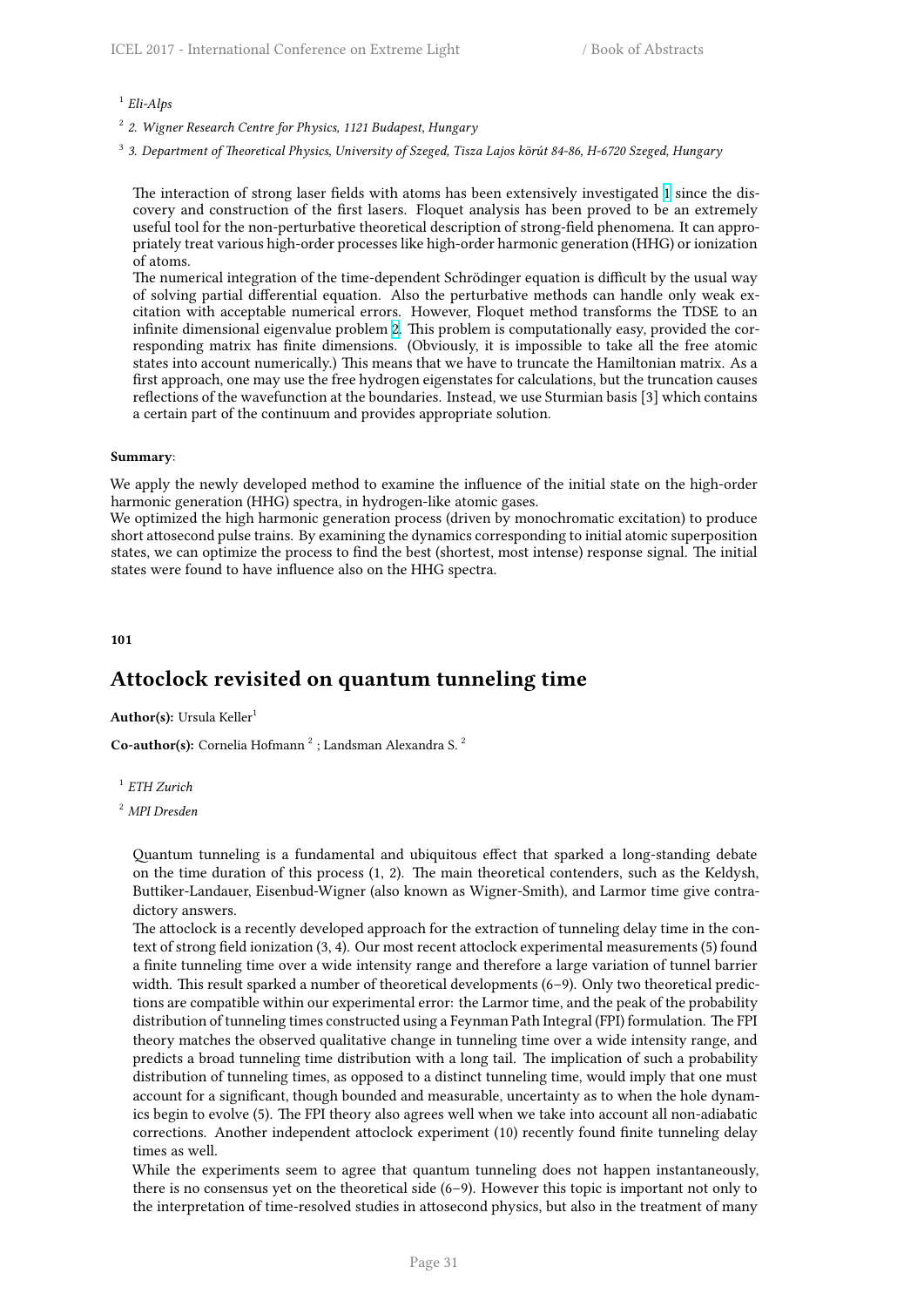1 *Eli-Alps*

2 *2. Wigner Research Centre for Physics, 1121 Budapest, Hungary*

3 *3. Department of Theoretical Physics, University of Szeged, Tisza Lajos körút 84-86, H-6720 Szeged, Hungary*

The interaction of strong laser fields with atoms has been extensively investigated 1 since the discovery and construction of the first lasers. Floquet analysis has been proved to be an extremely useful tool for the non-perturbative theoretical description of strong-field phenomena. It can appropriately treat various high-order processes like high-order harmonic generation (HHG) or ionization of atoms.

The numerical integration of the time-dependent Schrödinger equation is difficult b[y t](http://i66.tinypic.com/wa63cz.png)he usual way of solving partial differential equation. Also the perturbative methods can handle only weak excitation with acceptable numerical errors. However, Floquet method transforms the TDSE to an infinite dimensional eigenvalue problem 2. This problem is computationally easy, provided the corresponding matrix has finite dimensions. (Obviously, it is impossible to take all the free atomic states into account numerically.) This means that we have to truncate the Hamiltonian matrix. As a first approach, one may use the free hydrogen eigenstates for calculations, but the truncation causes reflections of the wavefunction at the boundaries. Instead, we use Sturmian basis [3] which contains a certain part of the continuum and prov[id](http://i67.tinypic.com/bej0gk.png)es appropriate solution.

### **Summary**:

We apply the newly developed method to examine the influence of the initial state on the high-order harmonic generation (HHG) spectra, in hydrogen-like atomic gases.

We optimized the high harmonic generation process (driven by monochromatic excitation) to produce short attosecond pulse trains. By examining the dynamics corresponding to initial atomic superposition states, we can optimize the process to find the best (shortest, most intense) response signal. The initial states were found to have influence also on the HHG spectra.

### **101**

# **Attoclock revisited on quantum tunneling time**

**Author(s):** Ursula Keller<sup>1</sup>

Co-author(s): Cornelia Hofmann<sup>2</sup>; Landsman Alexandra S.<sup>2</sup>

1 *ETH Zurich*

Quantum tunneling is a fundamental and ubiquitous effect that sparked a long-standing debate on the time duration of this process (1, 2). The main theoretical contenders, such as the Keldysh, Buttiker-Landauer, Eisenbud-Wigner (also known as Wigner-Smith), and Larmor time give contradictory answers.

The attoclock is a recently developed approach for the extraction of tunneling delay time in the context of strong field ionization (3, 4). Our most recent attoclock experimental measurements (5) found a finite tunneling time over a wide intensity range and therefore a large variation of tunnel barrier width. This result sparked a number of theoretical developments (6–9). Only two theoretical predictions are compatible within our experimental error: the Larmor time, and the peak of the probability distribution of tunneling times constructed using a Feynman Path Integral (FPI) formulation. The FPI theory matches the observed qualitative change in tunneling time over a wide intensity range, and predicts a broad tunneling time distribution with a long tail. The implication of such a probability distribution of tunneling times, as opposed to a distinct tunneling time, would imply that one must account for a significant, though bounded and measurable, uncertainty as to when the hole dynamics begin to evolve (5). The FPI theory also agrees well when we take into account all non-adiabatic corrections. Another independent attoclock experiment (10) recently found finite tunneling delay times as well.

While the experiments seem to agree that quantum tunneling does not happen instantaneously, there is no consensus yet on the theoretical side (6–9). However this topic is important not only to the interpretation of time-resolved studies in attosecond physics, but also in the treatment of many

<sup>2</sup> *MPI Dresden*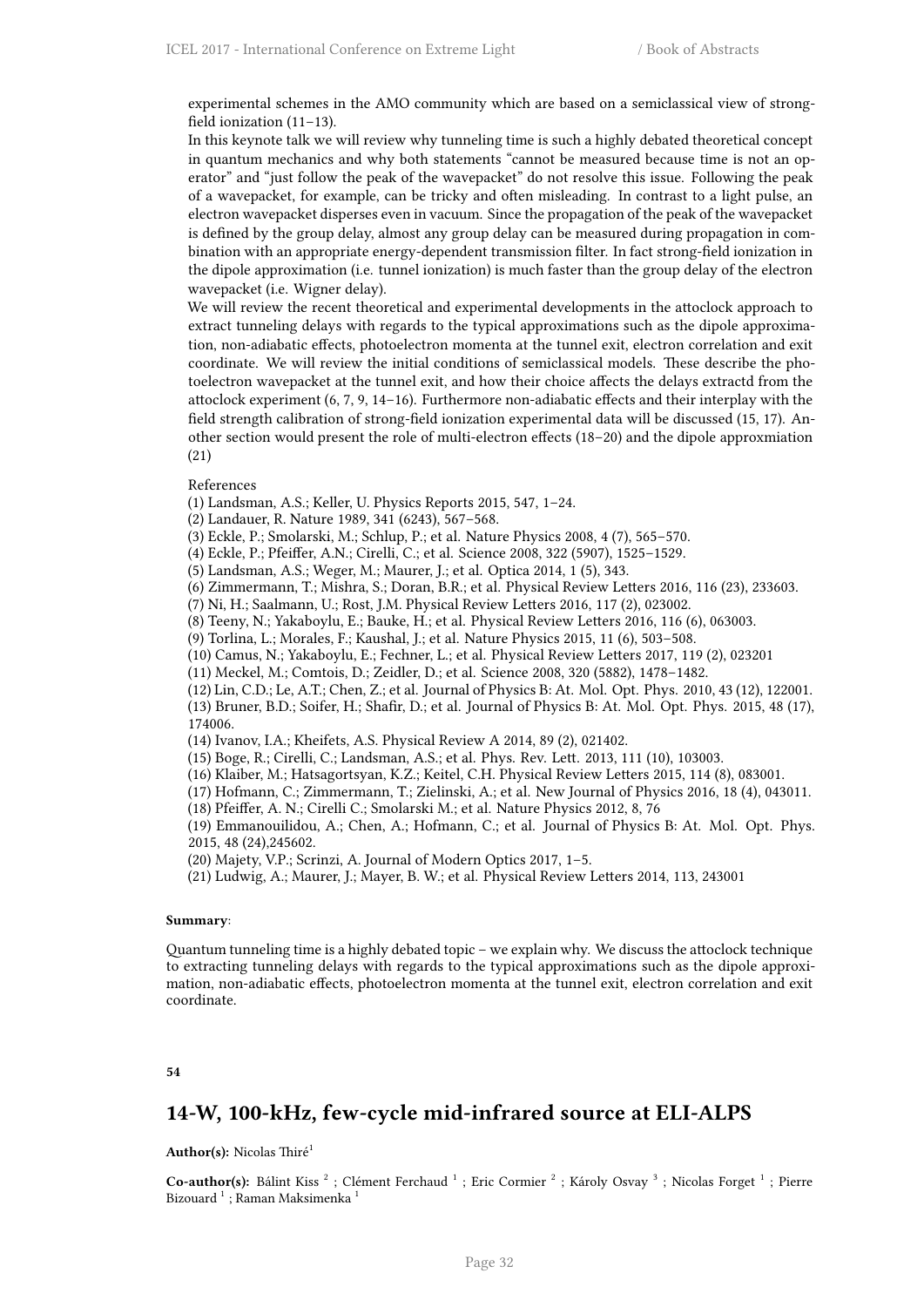experimental schemes in the AMO community which are based on a semiclassical view of strongfield ionization (11–13).

In this keynote talk we will review why tunneling time is such a highly debated theoretical concept in quantum mechanics and why both statements "cannot be measured because time is not an operator" and "just follow the peak of the wavepacket" do not resolve this issue. Following the peak of a wavepacket, for example, can be tricky and often misleading. In contrast to a light pulse, an electron wavepacket disperses even in vacuum. Since the propagation of the peak of the wavepacket is defined by the group delay, almost any group delay can be measured during propagation in combination with an appropriate energy-dependent transmission filter. In fact strong-field ionization in the dipole approximation (i.e. tunnel ionization) is much faster than the group delay of the electron wavepacket (i.e. Wigner delay).

We will review the recent theoretical and experimental developments in the attoclock approach to extract tunneling delays with regards to the typical approximations such as the dipole approximation, non-adiabatic effects, photoelectron momenta at the tunnel exit, electron correlation and exit coordinate. We will review the initial conditions of semiclassical models. These describe the photoelectron wavepacket at the tunnel exit, and how their choice affects the delays extractd from the attoclock experiment (6, 7, 9, 14–16). Furthermore non-adiabatic effects and their interplay with the field strength calibration of strong-field ionization experimental data will be discussed (15, 17). Another section would present the role of multi-electron effects (18–20) and the dipole approxmiation (21)

#### References

(1) Landsman, A.S.; Keller, U. Physics Reports 2015, 547, 1–24.

- (2) Landauer, R. Nature 1989, 341 (6243), 567–568.
- (3) Eckle, P.; Smolarski, M.; Schlup, P.; et al. Nature Physics 2008, 4 (7), 565–570.
- (4) Eckle, P.; Pfeiffer, A.N.; Cirelli, C.; et al. Science 2008, 322 (5907), 1525–1529.
- (5) Landsman, A.S.; Weger, M.; Maurer, J.; et al. Optica 2014, 1 (5), 343.
- (6) Zimmermann, T.; Mishra, S.; Doran, B.R.; et al. Physical Review Letters 2016, 116 (23), 233603.
- (7) Ni, H.; Saalmann, U.; Rost, J.M. Physical Review Letters 2016, 117 (2), 023002.
- (8) Teeny, N.; Yakaboylu, E.; Bauke, H.; et al. Physical Review Letters 2016, 116 (6), 063003.
- (9) Torlina, L.; Morales, F.; Kaushal, J.; et al. Nature Physics 2015, 11 (6), 503–508.
- (10) Camus, N.; Yakaboylu, E.; Fechner, L.; et al. Physical Review Letters 2017, 119 (2), 023201
- (11) Meckel, M.; Comtois, D.; Zeidler, D.; et al. Science 2008, 320 (5882), 1478–1482.
- (12) Lin, C.D.; Le, A.T.; Chen, Z.; et al. Journal of Physics B: At. Mol. Opt. Phys. 2010, 43 (12), 122001.

(13) Bruner, B.D.; Soifer, H.; Shafir, D.; et al. Journal of Physics B: At. Mol. Opt. Phys. 2015, 48 (17), 174006.

- (14) Ivanov, I.A.; Kheifets, A.S. Physical Review A 2014, 89 (2), 021402.
- (15) Boge, R.; Cirelli, C.; Landsman, A.S.; et al. Phys. Rev. Lett. 2013, 111 (10), 103003.
- (16) Klaiber, M.; Hatsagortsyan, K.Z.; Keitel, C.H. Physical Review Letters 2015, 114 (8), 083001.
- (17) Hofmann, C.; Zimmermann, T.; Zielinski, A.; et al. New Journal of Physics 2016, 18 (4), 043011.
- (18) Pfeiffer, A. N.; Cirelli C.; Smolarski M.; et al. Nature Physics 2012, 8, 76

(19) Emmanouilidou, A.; Chen, A.; Hofmann, C.; et al. Journal of Physics B: At. Mol. Opt. Phys. 2015, 48 (24),245602.

(20) Majety, V.P.; Scrinzi, A. Journal of Modern Optics 2017, 1–5.

(21) Ludwig, A.; Maurer, J.; Mayer, B. W.; et al. Physical Review Letters 2014, 113, 243001

#### **Summary**:

Quantum tunneling time is a highly debated topic – we explain why. We discuss the attoclock technique to extracting tunneling delays with regards to the typical approximations such as the dipole approximation, non-adiabatic effects, photoelectron momenta at the tunnel exit, electron correlation and exit coordinate.

### **54**

## **14-W, 100-kHz, few-cycle mid-infrared source at ELI-ALPS**

#### **Author(s):** Nicolas Thiré<sup>1</sup>

Co-author(s): Bálint Kiss<sup>2</sup>; Clément Ferchaud<sup>1</sup>; Eric Cormier<sup>2</sup>; Károly Osvay<sup>3</sup>; Nicolas Forget<sup>1</sup>; Pierre Bizouard  $^{\rm 1}$  ; Raman Maksimenka  $^{\rm 1}$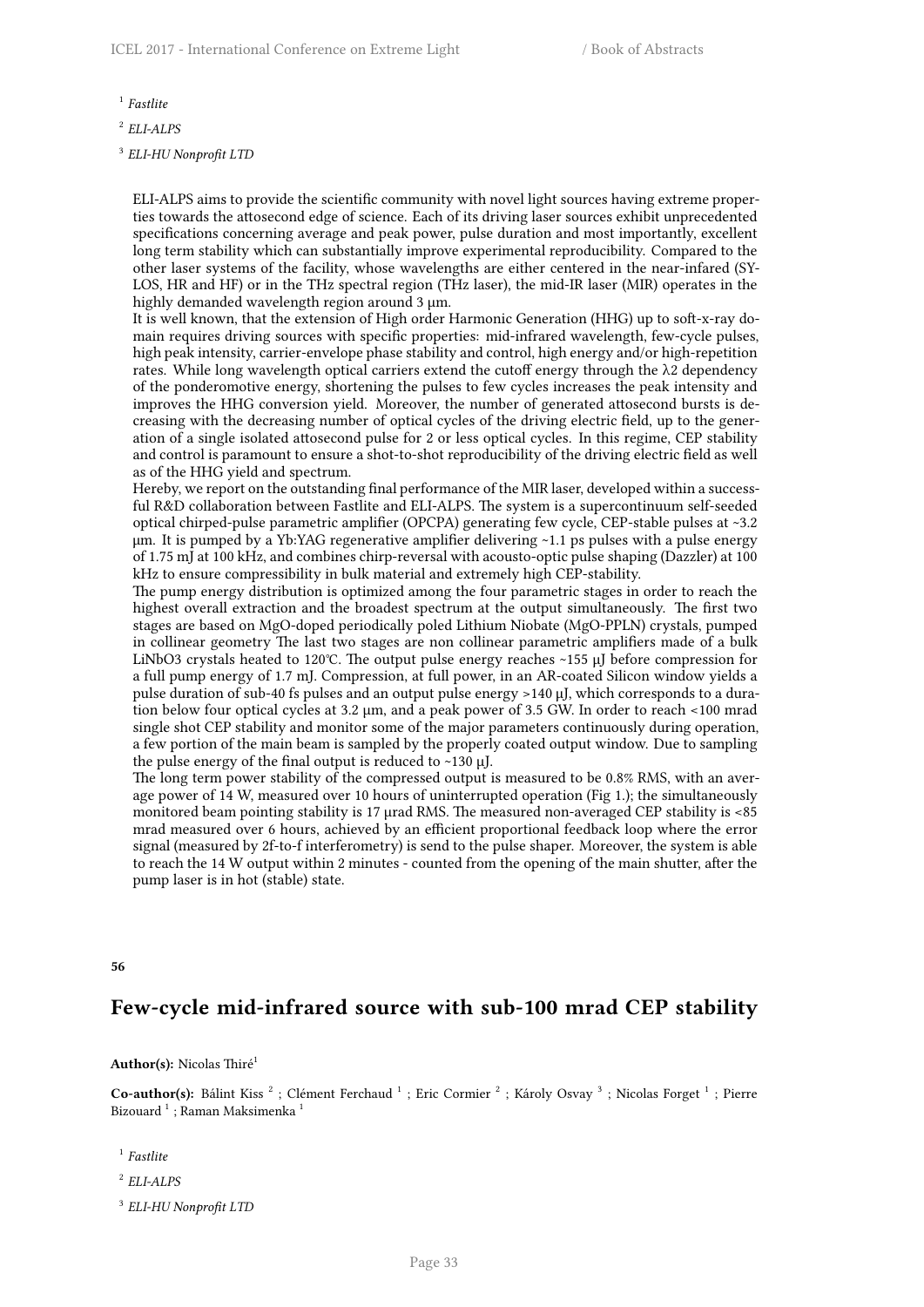1 *Fastlite*

2 *ELI-ALPS*

3 *ELI-HU Nonprofit LTD*

ELI-ALPS aims to provide the scientific community with novel light sources having extreme properties towards the attosecond edge of science. Each of its driving laser sources exhibit unprecedented specifications concerning average and peak power, pulse duration and most importantly, excellent long term stability which can substantially improve experimental reproducibility. Compared to the other laser systems of the facility, whose wavelengths are either centered in the near-infared (SY-LOS, HR and HF) or in the THz spectral region (THz laser), the mid-IR laser (MIR) operates in the highly demanded wavelength region around 3 µm.

It is well known, that the extension of High order Harmonic Generation (HHG) up to soft-x-ray domain requires driving sources with specific properties: mid-infrared wavelength, few-cycle pulses, high peak intensity, carrier-envelope phase stability and control, high energy and/or high-repetition rates. While long wavelength optical carriers extend the cutoff energy through the  $\lambda$ 2 dependency of the ponderomotive energy, shortening the pulses to few cycles increases the peak intensity and improves the HHG conversion yield. Moreover, the number of generated attosecond bursts is decreasing with the decreasing number of optical cycles of the driving electric field, up to the generation of a single isolated attosecond pulse for 2 or less optical cycles. In this regime, CEP stability and control is paramount to ensure a shot-to-shot reproducibility of the driving electric field as well as of the HHG yield and spectrum.

Hereby, we report on the outstanding final performance of the MIR laser, developed within a successful R&D collaboration between Fastlite and ELI-ALPS. The system is a supercontinuum self-seeded optical chirped-pulse parametric amplifier (OPCPA) generating few cycle, CEP-stable pulses at ~3.2 μm. It is pumped by a Yb:YAG regenerative amplifier delivering ~1.1 ps pulses with a pulse energy of 1.75 mJ at 100 kHz, and combines chirp-reversal with acousto-optic pulse shaping (Dazzler) at 100 kHz to ensure compressibility in bulk material and extremely high CEP-stability.

The pump energy distribution is optimized among the four parametric stages in order to reach the highest overall extraction and the broadest spectrum at the output simultaneously. The first two stages are based on MgO-doped periodically poled Lithium Niobate (MgO-PPLN) crystals, pumped in collinear geometry The last two stages are non collinear parametric amplifiers made of a bulk LiNbO3 crystals heated to 120℃. The output pulse energy reaches ~155 μJ before compression for a full pump energy of 1.7 mJ. Compression, at full power, in an AR-coated Silicon window yields a pulse duration of sub-40 fs pulses and an output pulse energy >140 μJ, which corresponds to a duration below four optical cycles at 3.2 µm, and a peak power of 3.5 GW. In order to reach <100 mrad single shot CEP stability and monitor some of the major parameters continuously during operation, a few portion of the main beam is sampled by the properly coated output window. Due to sampling the pulse energy of the final output is reduced to  $\sim$ 130  $\mu$ J.

The long term power stability of the compressed output is measured to be 0.8% RMS, with an average power of 14 W, measured over 10 hours of uninterrupted operation (Fig 1.); the simultaneously monitored beam pointing stability is 17 µrad RMS. The measured non-averaged CEP stability is <85 mrad measured over 6 hours, achieved by an efficient proportional feedback loop where the error signal (measured by 2f-to-f interferometry) is send to the pulse shaper. Moreover, the system is able to reach the 14 W output within 2 minutes - counted from the opening of the main shutter, after the pump laser is in hot (stable) state.

**56**

# **Few-cycle mid-infrared source with sub-100 mrad CEP stability**

**Author(s):** Nicolas Thiré<sup>1</sup>

Co-author(s): Bálint Kiss<sup>2</sup>; Clément Ferchaud<sup>1</sup>; Eric Cormier<sup>2</sup>; Károly Osvay<sup>3</sup>; Nicolas Forget<sup>1</sup>; Pierre Bizouard  $^{\rm 1}$  ; Raman Maksimenka  $^{\rm 1}$ 

- 1 *Fastlite*
- 2 *ELI-ALPS*
- 3 *ELI-HU Nonprofit LTD*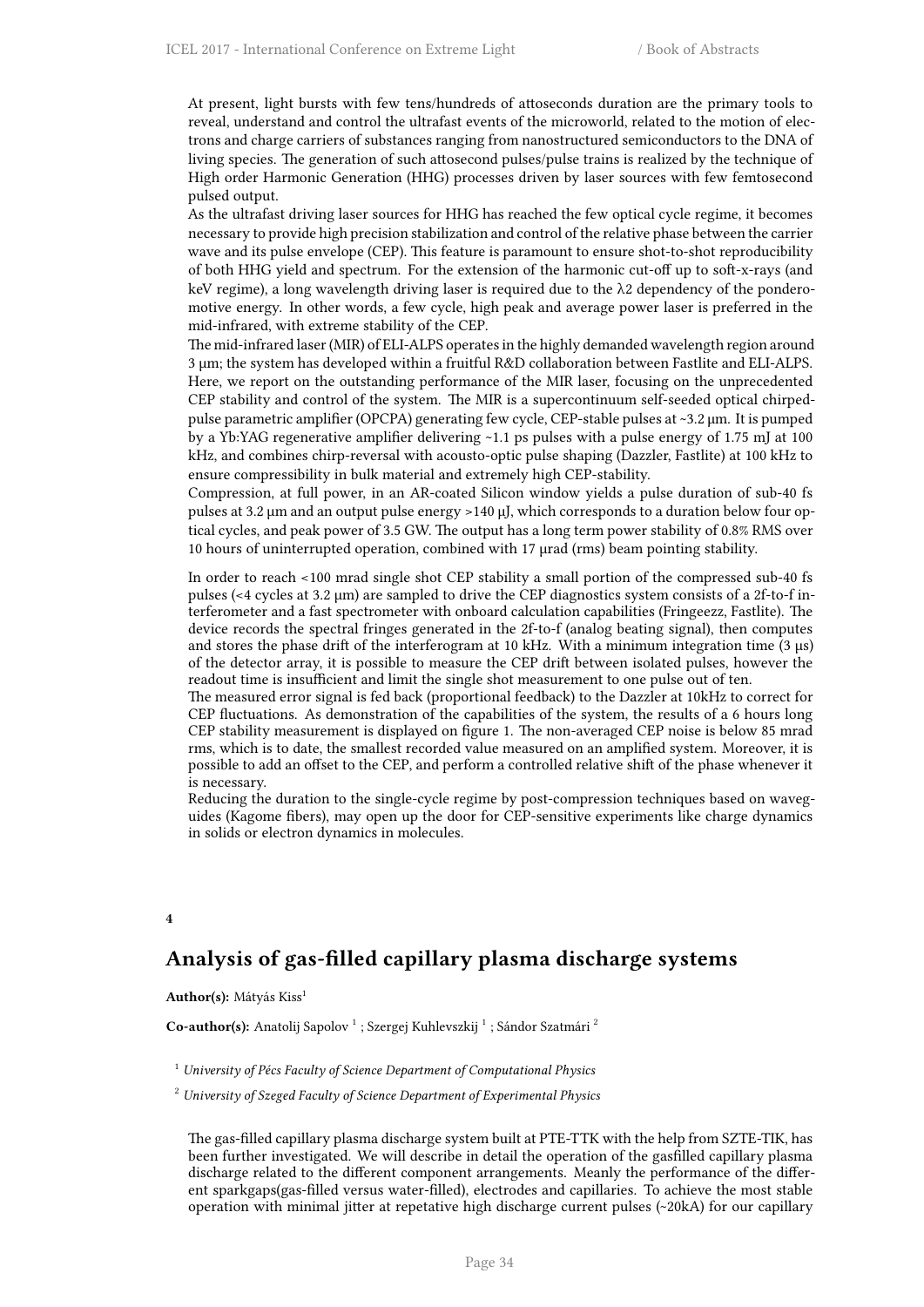At present, light bursts with few tens/hundreds of attoseconds duration are the primary tools to reveal, understand and control the ultrafast events of the microworld, related to the motion of electrons and charge carriers of substances ranging from nanostructured semiconductors to the DNA of living species. The generation of such attosecond pulses/pulse trains is realized by the technique of High order Harmonic Generation (HHG) processes driven by laser sources with few femtosecond pulsed output.

As the ultrafast driving laser sources for HHG has reached the few optical cycle regime, it becomes necessary to provide high precision stabilization and control of the relative phase between the carrier wave and its pulse envelope (CEP). This feature is paramount to ensure shot-to-shot reproducibility of both HHG yield and spectrum. For the extension of the harmonic cut-off up to soft-x-rays (and keV regime), a long wavelength driving laser is required due to the λ2 dependency of the ponderomotive energy. In other words, a few cycle, high peak and average power laser is preferred in the mid-infrared, with extreme stability of the CEP.

The mid-infrared laser (MIR) of ELI-ALPS operates in the highly demanded wavelength region around 3 µm; the system has developed within a fruitful R&D collaboration between Fastlite and ELI-ALPS. Here, we report on the outstanding performance of the MIR laser, focusing on the unprecedented CEP stability and control of the system. The MIR is a supercontinuum self-seeded optical chirpedpulse parametric amplifier (OPCPA) generating few cycle, CEP-stable pulses at ~3.2 μm. It is pumped by a Yb:YAG regenerative amplifier delivering ~1.1 ps pulses with a pulse energy of 1.75 mJ at 100 kHz, and combines chirp-reversal with acousto-optic pulse shaping (Dazzler, Fastlite) at 100 kHz to ensure compressibility in bulk material and extremely high CEP-stability.

Compression, at full power, in an AR-coated Silicon window yields a pulse duration of sub-40 fs pulses at 3.2 µm and an output pulse energy >140 μJ, which corresponds to a duration below four optical cycles, and peak power of 3.5 GW. The output has a long term power stability of 0.8% RMS over 10 hours of uninterrupted operation, combined with 17 µrad (rms) beam pointing stability.

In order to reach <100 mrad single shot CEP stability a small portion of the compressed sub-40 fs pulses (<4 cycles at 3.2 µm) are sampled to drive the CEP diagnostics system consists of a 2f-to-f interferometer and a fast spectrometer with onboard calculation capabilities (Fringeezz, Fastlite). The device records the spectral fringes generated in the 2f-to-f (analog beating signal), then computes and stores the phase drift of the interferogram at 10 kHz. With a minimum integration time (3 µs) of the detector array, it is possible to measure the CEP drift between isolated pulses, however the readout time is insufficient and limit the single shot measurement to one pulse out of ten.

The measured error signal is fed back (proportional feedback) to the Dazzler at 10kHz to correct for CEP fluctuations. As demonstration of the capabilities of the system, the results of a 6 hours long CEP stability measurement is displayed on figure 1. The non-averaged CEP noise is below 85 mrad rms, which is to date, the smallest recorded value measured on an amplified system. Moreover, it is possible to add an offset to the CEP, and perform a controlled relative shift of the phase whenever it is necessary.

Reducing the duration to the single-cycle regime by post-compression techniques based on waveguides (Kagome fibers), may open up the door for CEP-sensitive experiments like charge dynamics in solids or electron dynamics in molecules.

**4**

# **Analysis of gas-filled capillary plasma discharge systems**

**Author(s):** Mátyás Kiss<sup>1</sup>

Co-author(s): Anatolij Sapolov<sup>1</sup>; Szergej Kuhlevszkij<sup>1</sup>; Sándor Szatmári<sup>2</sup>

<sup>1</sup> *University of Pécs Faculty of Science Department of Computational Physics*

<sup>2</sup> *University of Szeged Faculty of Science Department of Experimental Physics*

The gas-filled capillary plasma discharge system built at PTE-TTK with the help from SZTE-TIK, has been further investigated. We will describe in detail the operation of the gasfilled capillary plasma discharge related to the different component arrangements. Meanly the performance of the different sparkgaps(gas-filled versus water-filled), electrodes and capillaries. To achieve the most stable operation with minimal jitter at repetative high discharge current pulses (~20kA) for our capillary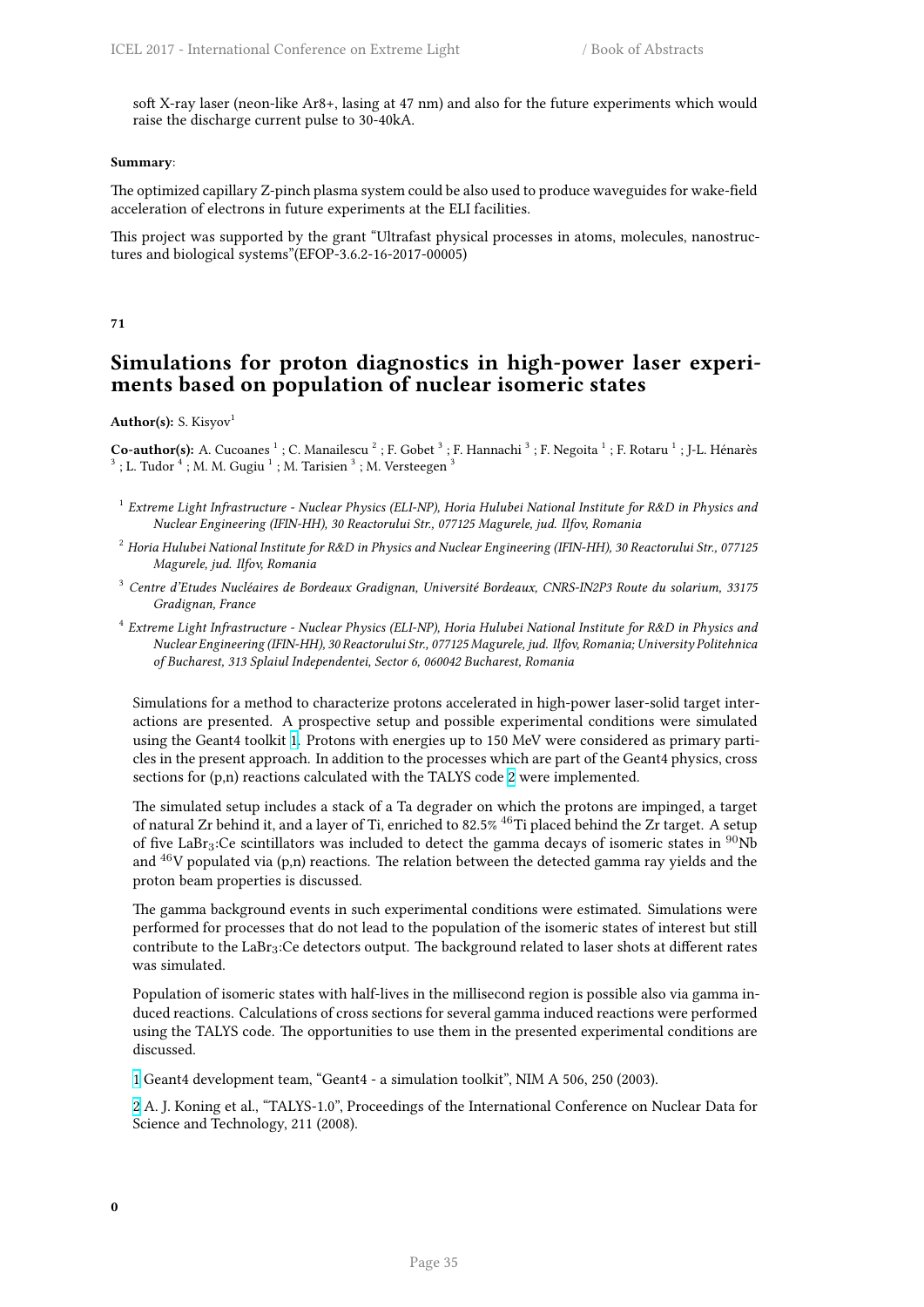soft X-ray laser (neon-like Ar8+, lasing at 47 nm) and also for the future experiments which would raise the discharge current pulse to 30-40kA.

### **Summary**:

The optimized capillary Z-pinch plasma system could be also used to produce waveguides for wake-field acceleration of electrons in future experiments at the ELI facilities.

This project was supported by the grant "Ultrafast physical processes in atoms, molecules, nanostructures and biological systems"(EFOP-3.6.2-16-2017-00005)

## **71**

# **Simulations for proton diagnostics in high-power laser experiments based on population of nuclear isomeric states**

**Author(s):** S. Kisyov<sup>1</sup>

 $\bf Co\text{-}author(s):$  A. Cucoanes  $^1$  ; C. Manailescu  $^2$  ; F. Gobet  $^3$  ; F. Hannachi  $^3$  ; F. Negoita  $^1$  ; F. Rotaru  $^1$  ; J-L. Hénarès  $^3$  ; L. Tudor  $^4$  ; M. M. Gugiu  $^1$  ; M. Tarisien  $^3$  ; M. Versteegen  $^3$ 

- 1 *Extreme Light Infrastructure Nuclear Physics (ELI-NP), Horia Hulubei National Institute for R&D in Physics and Nuclear Engineering (IFIN-HH), 30 Reactorului Str., 077125 Magurele, jud. Ilfov, Romania*
- <sup>2</sup> *Horia Hulubei National Institute for R&D in Physics and Nuclear Engineering (IFIN-HH), 30 Reactorului Str., 077125 Magurele, jud. Ilfov, Romania*
- <sup>3</sup> *Centre d'Etudes Nucléaires de Bordeaux Gradignan, Université Bordeaux, CNRS-IN2P3 Route du solarium, 33175 Gradignan, France*
- 4 *Extreme Light Infrastructure Nuclear Physics (ELI-NP), Horia Hulubei National Institute for R&D in Physics and Nuclear Engineering (IFIN-HH), 30 Reactorului Str., 077125 Magurele, jud. Ilfov, Romania; University Politehnica of Bucharest, 313 Splaiul Independentei, Sector 6, 060042 Bucharest, Romania*

Simulations for a method to characterize protons accelerated in high-power laser-solid target interactions are presented. A prospective setup and possible experimental conditions were simulated using the Geant4 toolkit 1. Protons with energies up to 150 MeV were considered as primary particles in the present approach. In addition to the processes which are part of the Geant4 physics, cross sections for (p,n) reactions calculated with the TALYS code 2 were implemented.

The simulated setup includes a stack of a Ta degrader on which the protons are impinged, a target of natural Zr behi[nd](http://i66.tinypic.com/wa63cz.png) it, and a layer of Ti, enriched to 82.5% <sup>46</sup>Ti placed behind the Zr target. A setup of five LaBr<sub>3</sub>:Ce scintillators was included to detect the gamma decays of isomeric states in <sup>90</sup>Nb and  $^{46}$ V populated via (p,n) reactions. The relation betwee[n t](http://i67.tinypic.com/bej0gk.png)he detected gamma ray yields and the proton beam properties is discussed.

The gamma background events in such experimental conditions were estimated. Simulations were performed for processes that do not lead to the population of the isomeric states of interest but still contribute to the  $LaBr_3:Ce$  detectors output. The background related to laser shots at different rates was simulated.

Population of isomeric states with half-lives in the millisecond region is possible also via gamma induced reactions. Calculations of cross sections for several gamma induced reactions were performed using the TALYS code. The opportunities to use them in the presented experimental conditions are discussed.

1 Geant4 development team, "Geant4 - a simulation toolkit", NIM A 506, 250 (2003).

2 A. J. Koning et al., "TALYS-1.0", Proceedings of the International Conference on Nuclear Data for Science and Technology, 211 (2008).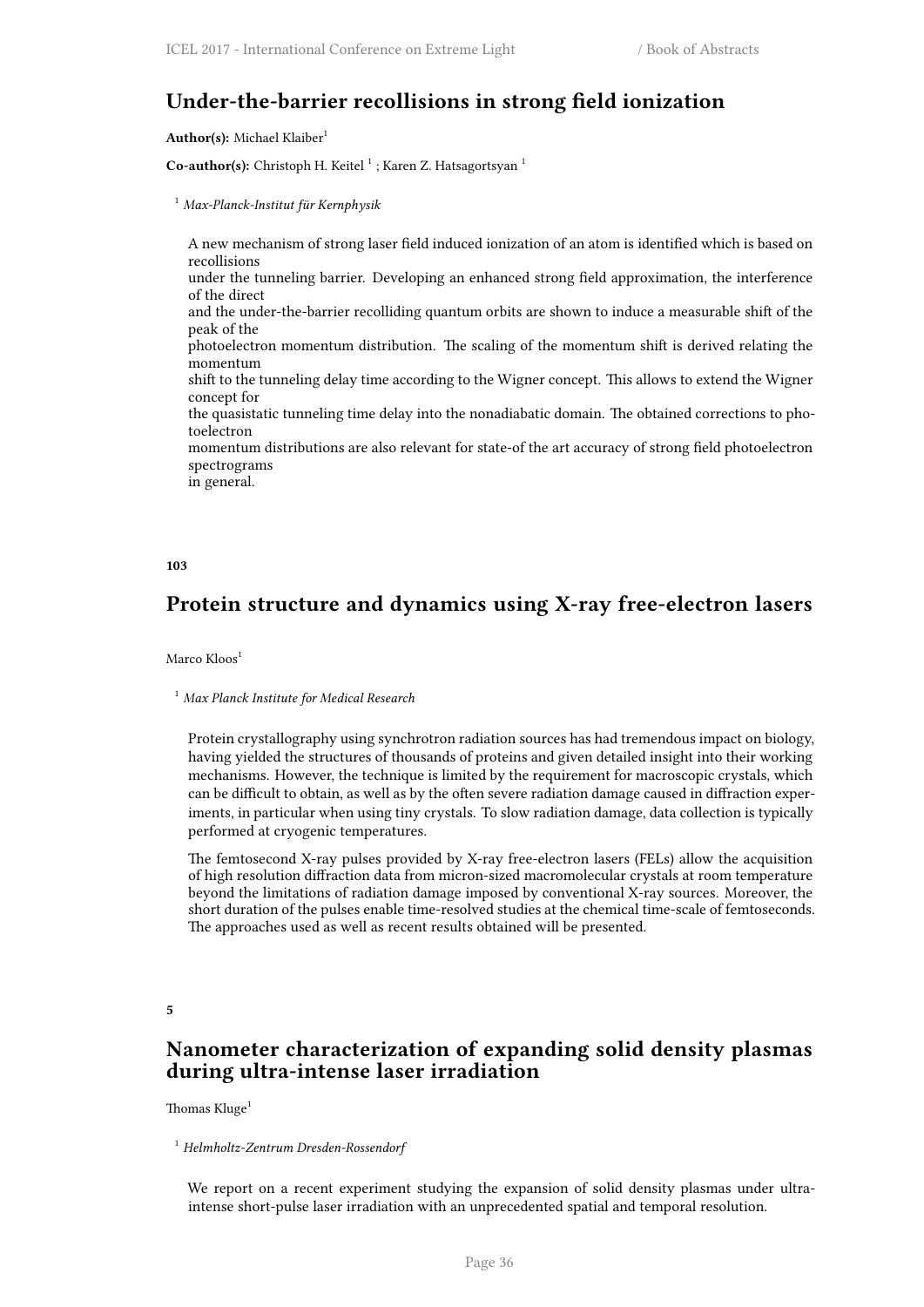# **Under-the-barrier recollisions in strong field ionization**

Author(s): Michael Klaiber<sup>1</sup>

Co-author(s): Christoph H. Keitel<sup>1</sup>; Karen Z. Hatsagortsyan<sup>1</sup>

<sup>1</sup> *Max-Planck-Institut für Kernphysik*

A new mechanism of strong laser field induced ionization of an atom is identified which is based on recollisions under the tunneling barrier. Developing an enhanced strong field approximation, the interference of the direct and the under-the-barrier recolliding quantum orbits are shown to induce a measurable shift of the peak of the photoelectron momentum distribution. The scaling of the momentum shift is derived relating the momentum shift to the tunneling delay time according to the Wigner concept. This allows to extend the Wigner concept for the quasistatic tunneling time delay into the nonadiabatic domain. The obtained corrections to photoelectron momentum distributions are also relevant for state-of the art accuracy of strong field photoelectron spectrograms in general.

### **103**

# **Protein structure and dynamics using X-ray free-electron lasers**

Marco Kloos<sup>1</sup>

### <sup>1</sup> *Max Planck Institute for Medical Research*

Protein crystallography using synchrotron radiation sources has had tremendous impact on biology, having yielded the structures of thousands of proteins and given detailed insight into their working mechanisms. However, the technique is limited by the requirement for macroscopic crystals, which can be difficult to obtain, as well as by the often severe radiation damage caused in diffraction experiments, in particular when using tiny crystals. To slow radiation damage, data collection is typically performed at cryogenic temperatures.

The femtosecond X-ray pulses provided by X-ray free-electron lasers (FELs) allow the acquisition of high resolution diffraction data from micron-sized macromolecular crystals at room temperature beyond the limitations of radiation damage imposed by conventional X-ray sources. Moreover, the short duration of the pulses enable time-resolved studies at the chemical time-scale of femtoseconds. The approaches used as well as recent results obtained will be presented.

**5**

# **Nanometer characterization of expanding solid density plasmas during ultra-intense laser irradiation**

Thomas Kluge<sup>1</sup>

### <sup>1</sup> *Helmholtz-Zentrum Dresden-Rossendorf*

We report on a recent experiment studying the expansion of solid density plasmas under ultraintense short-pulse laser irradiation with an unprecedented spatial and temporal resolution.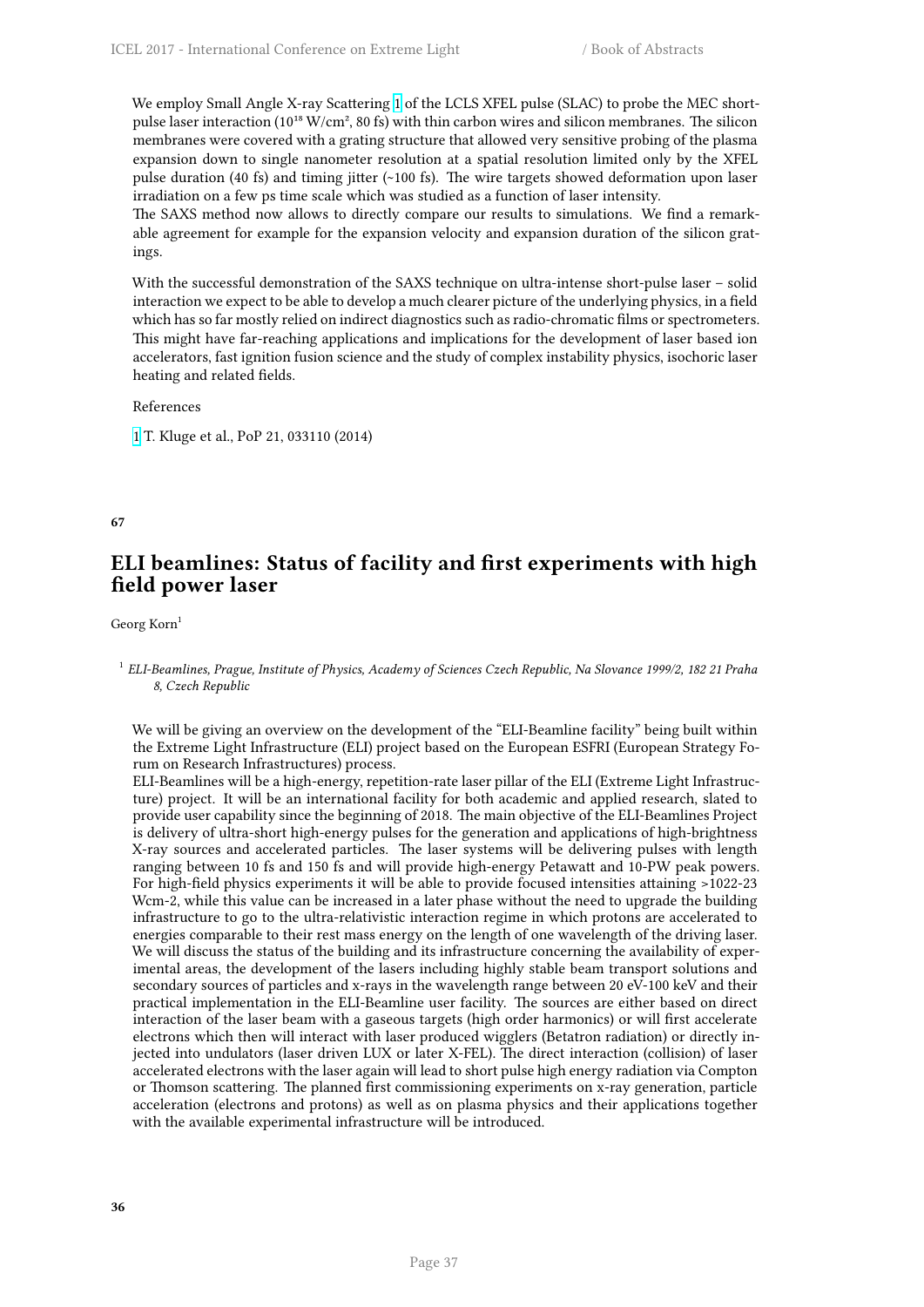We employ Small Angle X-ray Scattering 1 of the LCLS XFEL pulse (SLAC) to probe the MEC shortpulse laser interaction ( $10^{18}$  W/cm<sup>2</sup>, 80 fs) with thin carbon wires and silicon membranes. The silicon membranes were covered with a grating structure that allowed very sensitive probing of the plasma expansion down to single nanometer resolution at a spatial resolution limited only by the XFEL pulse duration (40 fs) and timing jitter (~[10](http://i66.tinypic.com/wa63cz.png)0 fs). The wire targets showed deformation upon laser irradiation on a few ps time scale which was studied as a function of laser intensity.

The SAXS method now allows to directly compare our results to simulations. We find a remarkable agreement for example for the expansion velocity and expansion duration of the silicon gratings.

With the successful demonstration of the SAXS technique on ultra-intense short-pulse laser – solid interaction we expect to be able to develop a much clearer picture of the underlying physics, in a field which has so far mostly relied on indirect diagnostics such as radio-chromatic films or spectrometers. This might have far-reaching applications and implications for the development of laser based ion accelerators, fast ignition fusion science and the study of complex instability physics, isochoric laser heating and related fields.

## References

1 T. Kluge et al., PoP 21, 033110 (2014)

**67**

# **ELI beamlines: Status of facility and first experiments with high field power laser**

Georg Korn<sup>1</sup>

We will be giving an overview on the development of the "ELI-Beamline facility" being built within the Extreme Light Infrastructure (ELI) project based on the European ESFRI (European Strategy Forum on Research Infrastructures) process.

ELI-Beamlines will be a high-energy, repetition-rate laser pillar of the ELI (Extreme Light Infrastructure) project. It will be an international facility for both academic and applied research, slated to provide user capability since the beginning of 2018. The main objective of the ELI-Beamlines Project is delivery of ultra-short high-energy pulses for the generation and applications of high-brightness X-ray sources and accelerated particles. The laser systems will be delivering pulses with length ranging between 10 fs and 150 fs and will provide high-energy Petawatt and 10-PW peak powers. For high-field physics experiments it will be able to provide focused intensities attaining >1022-23 Wcm-2, while this value can be increased in a later phase without the need to upgrade the building infrastructure to go to the ultra-relativistic interaction regime in which protons are accelerated to energies comparable to their rest mass energy on the length of one wavelength of the driving laser. We will discuss the status of the building and its infrastructure concerning the availability of experimental areas, the development of the lasers including highly stable beam transport solutions and secondary sources of particles and x-rays in the wavelength range between 20 eV-100 keV and their practical implementation in the ELI-Beamline user facility. The sources are either based on direct interaction of the laser beam with a gaseous targets (high order harmonics) or will first accelerate electrons which then will interact with laser produced wigglers (Betatron radiation) or directly injected into undulators (laser driven LUX or later X-FEL). The direct interaction (collision) of laser accelerated electrons with the laser again will lead to short pulse high energy radiation via Compton or Thomson scattering. The planned first commissioning experiments on x-ray generation, particle acceleration (electrons and protons) as well as on plasma physics and their applications together with the available experimental infrastructure will be introduced.

<sup>1</sup> *ELI-Beamlines, Prague, Institute of Physics, Academy of Sciences Czech Republic, Na Slovance 1999/2, 182 21 Praha 8, Czech Republic*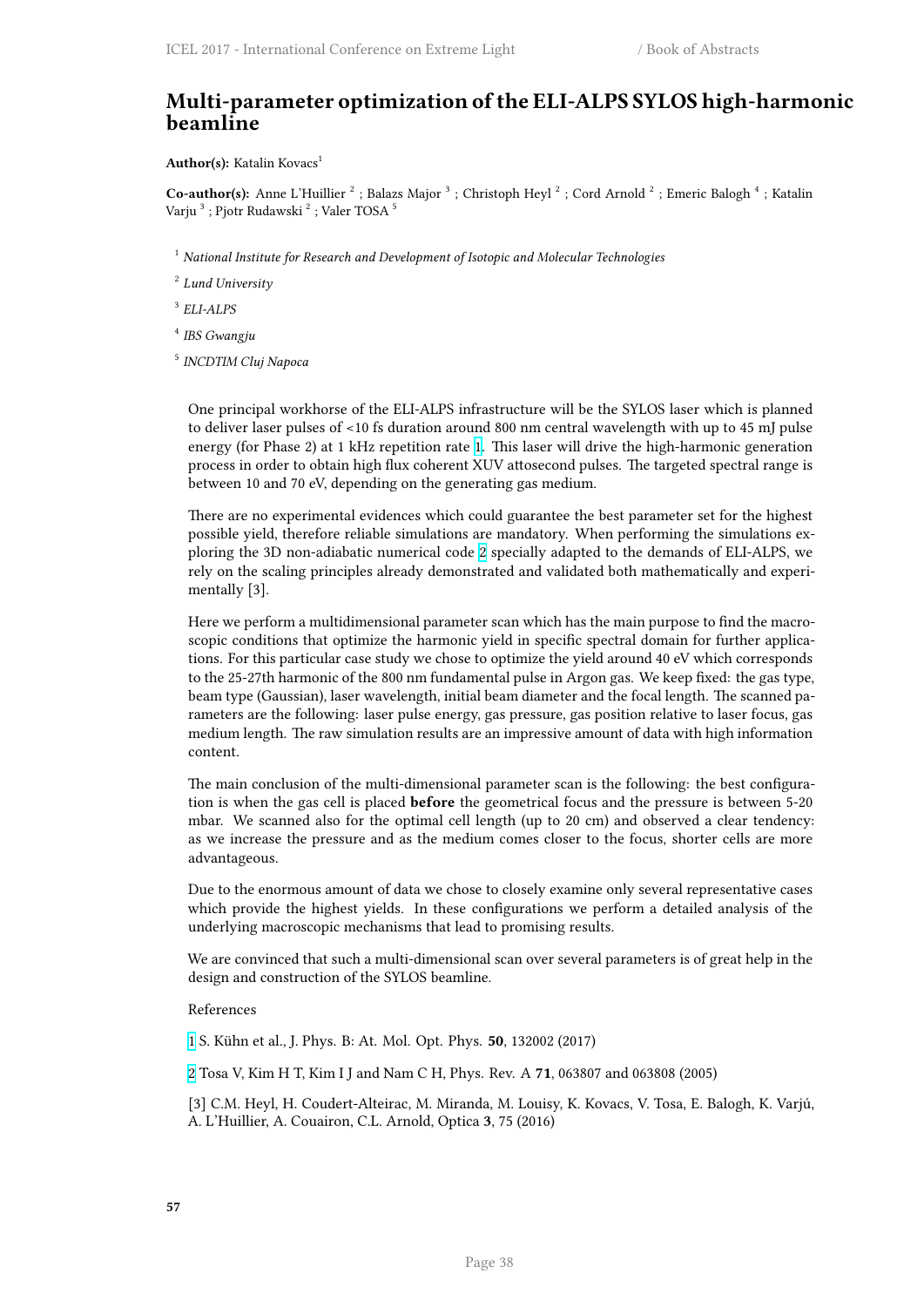# **Multi-parameter optimization of the ELI-ALPS SYLOS high-harmonic beamline**

### Author(s): Katalin Kovacs<sup>1</sup>

Co-author(s): Anne L'Huillier<sup>2</sup>; Balazs Major<sup>3</sup>; Christoph Heyl<sup>2</sup>; Cord Arnold<sup>2</sup>; Emeric Balogh<sup>4</sup>; Katalin Varju  $^3$  ; Pjotr Rudawski  $^2$  ; Valer TOSA  $^5$ 

<sup>1</sup> *National Institute for Research and Development of Isotopic and Molecular Technologies*

2 *Lund University*

3 *ELI-ALPS*

- 4 *IBS Gwangju*
- 5 *INCDTIM Cluj Napoca*

One principal workhorse of the ELI-ALPS infrastructure will be the SYLOS laser which is planned to deliver laser pulses of <10 fs duration around 800 nm central wavelength with up to 45 mJ pulse energy (for Phase 2) at 1 kHz repetition rate 1. This laser will drive the high-harmonic generation process in order to obtain high flux coherent XUV attosecond pulses. The targeted spectral range is between 10 and 70 eV, depending on the generating gas medium.

There are no experimental evidences which [co](http://i66.tinypic.com/wa63cz.png)uld guarantee the best parameter set for the highest possible yield, therefore reliable simulations are mandatory. When performing the simulations exploring the 3D non-adiabatic numerical code 2 specially adapted to the demands of ELI-ALPS, we rely on the scaling principles already demonstrated and validated both mathematically and experimentally [3].

Here we perform a multidimensional paramet[er](http://i67.tinypic.com/bej0gk.png) scan which has the main purpose to find the macroscopic conditions that optimize the harmonic yield in specific spectral domain for further applications. For this particular case study we chose to optimize the yield around 40 eV which corresponds to the 25-27th harmonic of the 800 nm fundamental pulse in Argon gas. We keep fixed: the gas type, beam type (Gaussian), laser wavelength, initial beam diameter and the focal length. The scanned parameters are the following: laser pulse energy, gas pressure, gas position relative to laser focus, gas medium length. The raw simulation results are an impressive amount of data with high information content.

The main conclusion of the multi-dimensional parameter scan is the following: the best configuration is when the gas cell is placed **before** the geometrical focus and the pressure is between 5-20 mbar. We scanned also for the optimal cell length (up to 20 cm) and observed a clear tendency: as we increase the pressure and as the medium comes closer to the focus, shorter cells are more advantageous.

Due to the enormous amount of data we chose to closely examine only several representative cases which provide the highest yields. In these configurations we perform a detailed analysis of the underlying macroscopic mechanisms that lead to promising results.

We are convinced that such a multi-dimensional scan over several parameters is of great help in the design and construction of the SYLOS beamline.

### References

1 S. Kühn et al., J. Phys. B: At. Mol. Opt. Phys. **50**, 132002 (2017)

2 Tosa V, Kim H T, Kim I J and Nam C H, Phys. Rev. A **71**, 063807 and 063808 (2005)

[3] C.M. Heyl, H. Coudert-Alteirac, M. Miranda, M. Louisy, K. Kovacs, V. Tosa, E. Balogh, K. Varjú, [A](http://i66.tinypic.com/wa63cz.png). L'Huillier, A. Couairon, C.L. Arnold, Optica **3**, 75 (2016)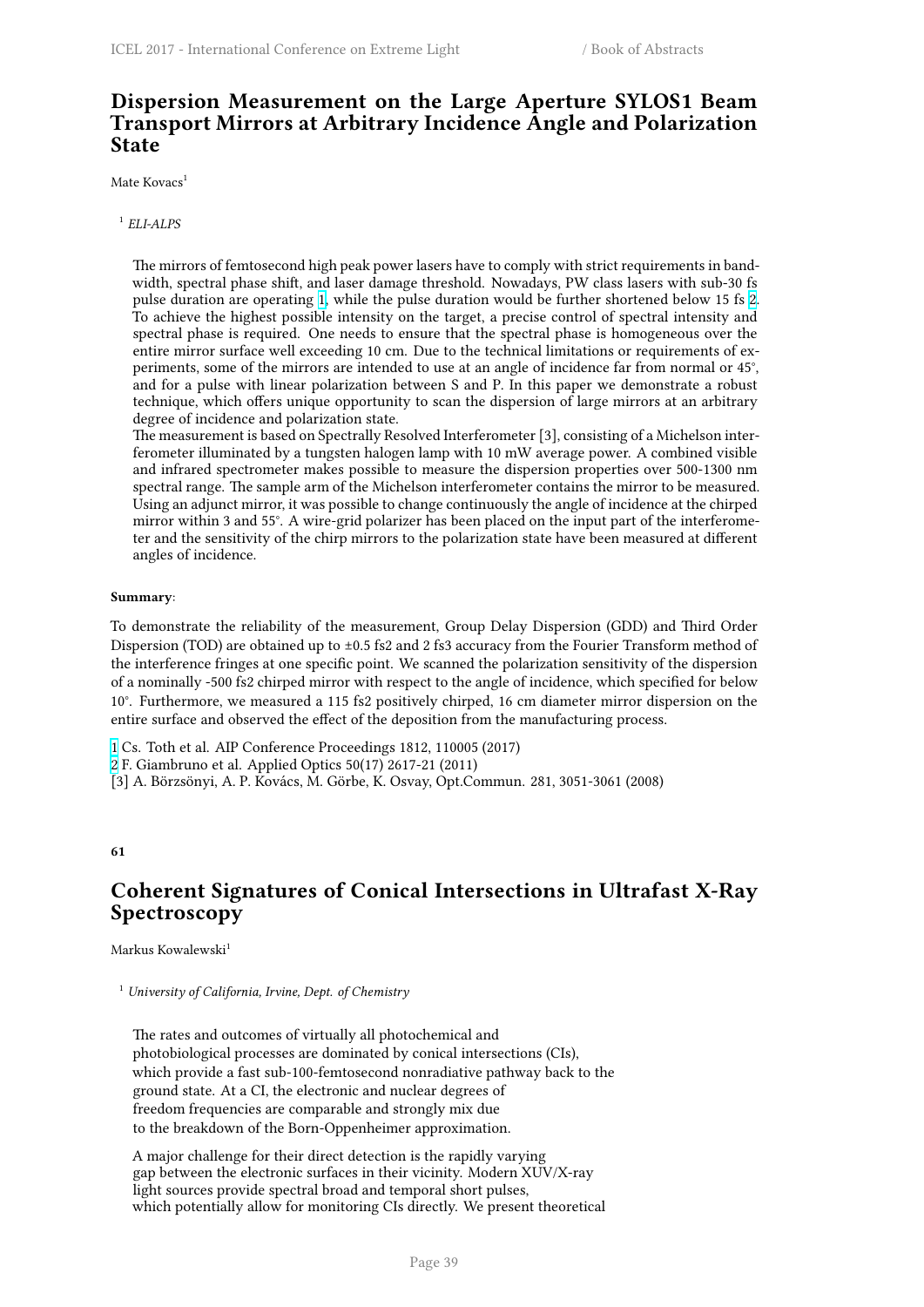# **Dispersion Measurement on the Large Aperture SYLOS1 Beam Transport Mirrors at Arbitrary Incidence Angle and Polarization State**

Mate Kovacs<sup>1</sup>

1 *ELI-ALPS*

The mirrors of femtosecond high peak power lasers have to comply with strict requirements in bandwidth, spectral phase shift, and laser damage threshold. Nowadays, PW class lasers with sub-30 fs pulse duration are operating 1, while the pulse duration would be further shortened below 15 fs 2. To achieve the highest possible intensity on the target, a precise control of spectral intensity and spectral phase is required. One needs to ensure that the spectral phase is homogeneous over the entire mirror surface well exceeding 10 cm. Due to the technical limitations or requirements of experiments, some of the mirrors are intended to use at an angle of incidence far from normal or 45°, and for a pulse with linear [po](http://i66.tinypic.com/wa63cz.png)larization between S and P. In this paper we demonstrate a robu[st](http://i67.tinypic.com/bej0gk.png) technique, which offers unique opportunity to scan the dispersion of large mirrors at an arbitrary degree of incidence and polarization state.

The measurement is based on Spectrally Resolved Interferometer [3], consisting of a Michelson interferometer illuminated by a tungsten halogen lamp with 10 mW average power. A combined visible and infrared spectrometer makes possible to measure the dispersion properties over 500-1300 nm spectral range. The sample arm of the Michelson interferometer contains the mirror to be measured. Using an adjunct mirror, it was possible to change continuously the angle of incidence at the chirped mirror within 3 and 55°. A wire-grid polarizer has been placed on the input part of the interferometer and the sensitivity of the chirp mirrors to the polarization state have been measured at different angles of incidence.

### **Summary**:

To demonstrate the reliability of the measurement, Group Delay Dispersion (GDD) and Third Order Dispersion (TOD) are obtained up to ±0.5 fs2 and 2 fs3 accuracy from the Fourier Transform method of the interference fringes at one specific point. We scanned the polarization sensitivity of the dispersion of a nominally -500 fs2 chirped mirror with respect to the angle of incidence, which specified for below 10°. Furthermore, we measured a 115 fs2 positively chirped, 16 cm diameter mirror dispersion on the entire surface and observed the effect of the deposition from the manufacturing process.

1 Cs. Toth et al. AIP Conference Proceedings 1812, 110005 (2017)

2 F. Giambruno et al. Applied Optics 50(17) 2617-21 (2011)

[3] A. Börzsönyi, A. P. Kovács, M. Görbe, K. Osvay, Opt.Commun. 281, 3051-3061 (2008)

**[6](http://i67.tinypic.com/bej0gk.png)1**

# **Coherent Signatures of Conical Intersections in Ultrafast X-Ray Spectroscopy**

Markus Kowalewski<sup>1</sup>

<sup>1</sup> *University of California, Irvine, Dept. of Chemistry*

The rates and outcomes of virtually all photochemical and photobiological processes are dominated by conical intersections (CIs), which provide a fast sub-100-femtosecond nonradiative pathway back to the ground state. At a CI, the electronic and nuclear degrees of freedom frequencies are comparable and strongly mix due to the breakdown of the Born-Oppenheimer approximation.

A major challenge for their direct detection is the rapidly varying gap between the electronic surfaces in their vicinity. Modern XUV/X-ray light sources provide spectral broad and temporal short pulses, which potentially allow for monitoring CIs directly. We present theoretical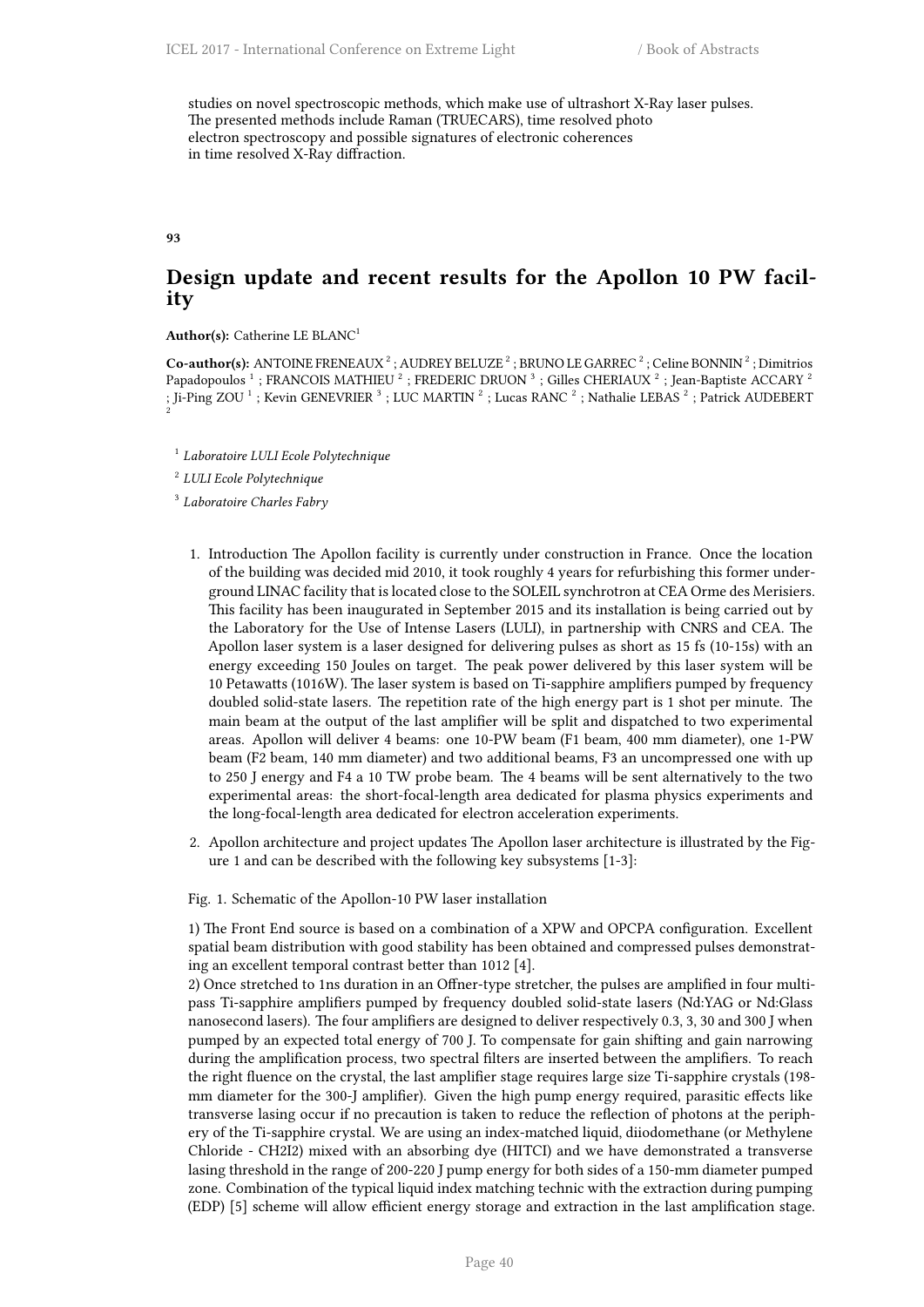studies on novel spectroscopic methods, which make use of ultrashort X-Ray laser pulses. The presented methods include Raman (TRUECARS), time resolved photo electron spectroscopy and possible signatures of electronic coherences in time resolved X-Ray diffraction.

**93**

# **Design update and recent results for the Apollon 10 PW facility**

**Author(s):** Catherine LE BLANC<sup>1</sup>

Co-author(s): ANTOINE FRENEAUX<sup>2</sup>; AUDREY BELUZE<sup>2</sup>; BRUNO LE GARREC<sup>2</sup>; Celine BONNIN<sup>2</sup>; Dimitrios Papadopoulos <sup>1</sup>; FRANCOIS MATHIEU<sup>2</sup>; FREDERIC DRUON<sup>3</sup>; Gilles CHERIAUX<sup>2</sup>; Jean-Baptiste ACCARY<sup>2</sup> ; Ji-Ping ZOU  $^1$  ; Kevin GENEVRIER  $^3$  ; LUC MARTIN  $^2$  ; Lucas RANC  $^2$  ; Nathalie LEBAS  $^2$  ; Patrick AUDEBERT  $^2$ 

1 *Laboratoire LULI Ecole Polytechnique*

2 *LULI Ecole Polytechnique*

3 *Laboratoire Charles Fabry*

- 1. Introduction The Apollon facility is currently under construction in France. Once the location of the building was decided mid 2010, it took roughly 4 years for refurbishing this former underground LINAC facility that is located close to the SOLEIL synchrotron at CEA Orme des Merisiers. This facility has been inaugurated in September 2015 and its installation is being carried out by the Laboratory for the Use of Intense Lasers (LULI), in partnership with CNRS and CEA. The Apollon laser system is a laser designed for delivering pulses as short as 15 fs (10-15s) with an energy exceeding 150 Joules on target. The peak power delivered by this laser system will be 10 Petawatts (1016W). The laser system is based on Ti-sapphire amplifiers pumped by frequency doubled solid-state lasers. The repetition rate of the high energy part is 1 shot per minute. The main beam at the output of the last amplifier will be split and dispatched to two experimental areas. Apollon will deliver 4 beams: one 10-PW beam (F1 beam, 400 mm diameter), one 1-PW beam (F2 beam, 140 mm diameter) and two additional beams, F3 an uncompressed one with up to 250 J energy and F4 a 10 TW probe beam. The 4 beams will be sent alternatively to the two experimental areas: the short-focal-length area dedicated for plasma physics experiments and the long-focal-length area dedicated for electron acceleration experiments.
- 2. Apollon architecture and project updates The Apollon laser architecture is illustrated by the Figure 1 and can be described with the following key subsystems [1-3]:

Fig. 1. Schematic of the Apollon-10 PW laser installation

1) The Front End source is based on a combination of a XPW and OPCPA configuration. Excellent spatial beam distribution with good stability has been obtained and compressed pulses demonstrating an excellent temporal contrast better than 1012 [4].

2) Once stretched to 1ns duration in an Offner-type stretcher, the pulses are amplified in four multipass Ti-sapphire amplifiers pumped by frequency doubled solid-state lasers (Nd:YAG or Nd:Glass nanosecond lasers). The four amplifiers are designed to deliver respectively 0.3, 3, 30 and 300 J when pumped by an expected total energy of 700 J. To compensate for gain shifting and gain narrowing during the amplification process, two spectral filters are inserted between the amplifiers. To reach the right fluence on the crystal, the last amplifier stage requires large size Ti-sapphire crystals (198 mm diameter for the 300-J amplifier). Given the high pump energy required, parasitic effects like transverse lasing occur if no precaution is taken to reduce the reflection of photons at the periphery of the Ti-sapphire crystal. We are using an index-matched liquid, diiodomethane (or Methylene Chloride - CH2I2) mixed with an absorbing dye (HITCI) and we have demonstrated a transverse lasing threshold in the range of 200-220 J pump energy for both sides of a 150-mm diameter pumped zone. Combination of the typical liquid index matching technic with the extraction during pumping (EDP) [5] scheme will allow efficient energy storage and extraction in the last amplification stage.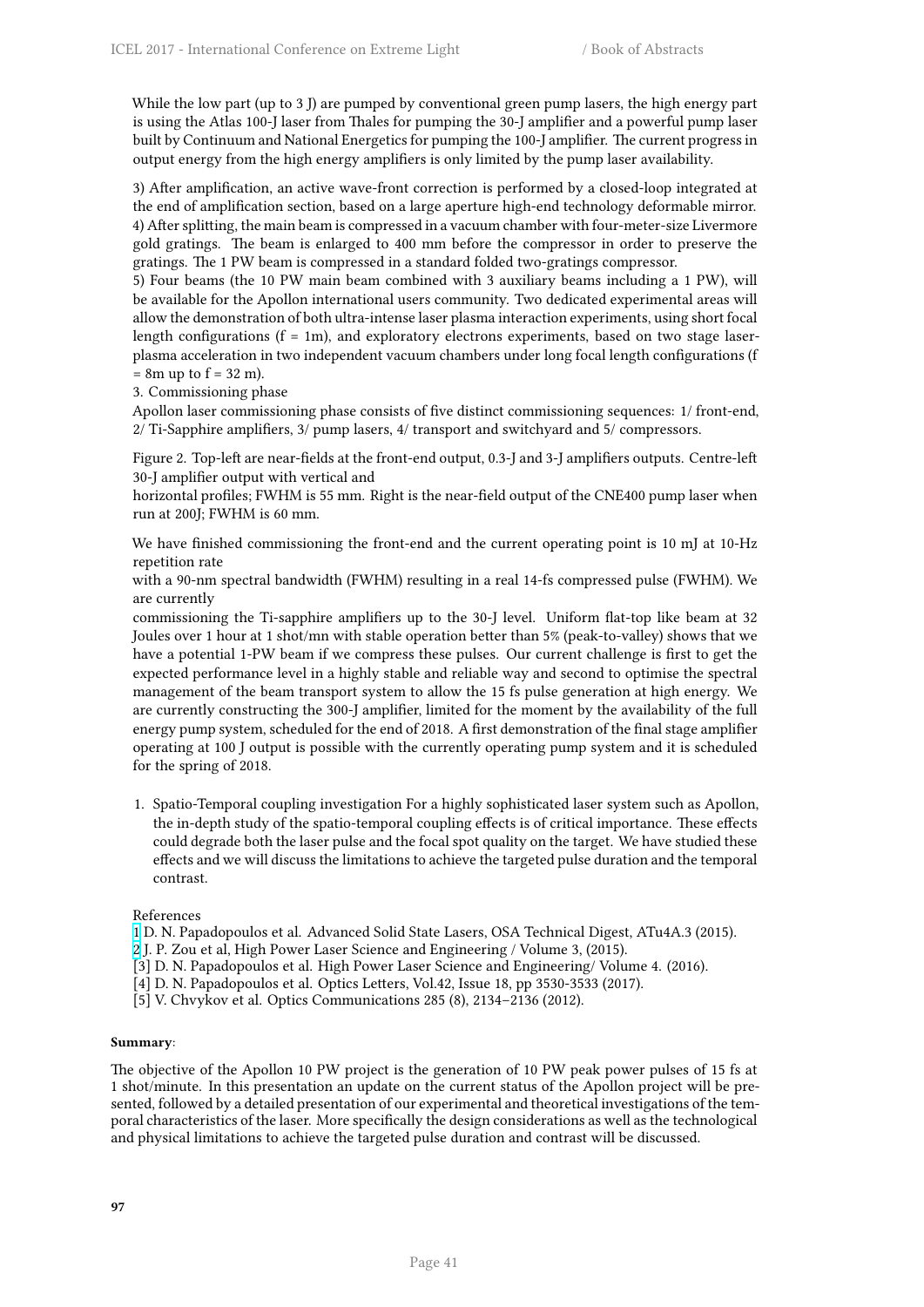While the low part (up to 3 J) are pumped by conventional green pump lasers, the high energy part is using the Atlas 100-J laser from Thales for pumping the 30-J amplifier and a powerful pump laser built by Continuum and National Energetics for pumping the 100-J amplifier. The current progress in output energy from the high energy amplifiers is only limited by the pump laser availability.

3) After amplification, an active wave-front correction is performed by a closed-loop integrated at the end of amplification section, based on a large aperture high-end technology deformable mirror. 4) After splitting, the main beam is compressed in a vacuum chamber with four-meter-size Livermore gold gratings. The beam is enlarged to 400 mm before the compressor in order to preserve the gratings. The 1 PW beam is compressed in a standard folded two-gratings compressor.

5) Four beams (the 10 PW main beam combined with 3 auxiliary beams including a 1 PW), will be available for the Apollon international users community. Two dedicated experimental areas will allow the demonstration of both ultra-intense laser plasma interaction experiments, using short focal length configurations  $(f = 1m)$ , and exploratory electrons experiments, based on two stage laserplasma acceleration in two independent vacuum chambers under long focal length configurations (f  $= 8m$  up to  $f = 32 m$ ).

3. Commissioning phase

Apollon laser commissioning phase consists of five distinct commissioning sequences: 1/ front-end, 2/ Ti-Sapphire amplifiers, 3/ pump lasers, 4/ transport and switchyard and 5/ compressors.

Figure 2. Top-left are near-fields at the front-end output, 0.3-J and 3-J amplifiers outputs. Centre-left 30-J amplifier output with vertical and

horizontal profiles; FWHM is 55 mm. Right is the near-field output of the CNE400 pump laser when run at 200J; FWHM is 60 mm.

We have finished commissioning the front-end and the current operating point is 10 mJ at 10-Hz repetition rate

with a 90-nm spectral bandwidth (FWHM) resulting in a real 14-fs compressed pulse (FWHM). We are currently

commissioning the Ti-sapphire amplifiers up to the 30-J level. Uniform flat-top like beam at 32 Joules over 1 hour at 1 shot/mn with stable operation better than 5% (peak-to-valley) shows that we have a potential 1-PW beam if we compress these pulses. Our current challenge is first to get the expected performance level in a highly stable and reliable way and second to optimise the spectral management of the beam transport system to allow the 15 fs pulse generation at high energy. We are currently constructing the 300-J amplifier, limited for the moment by the availability of the full energy pump system, scheduled for the end of 2018. A first demonstration of the final stage amplifier operating at 100 J output is possible with the currently operating pump system and it is scheduled for the spring of 2018.

1. Spatio-Temporal coupling investigation For a highly sophisticated laser system such as Apollon, the in-depth study of the spatio-temporal coupling effects is of critical importance. These effects could degrade both the laser pulse and the focal spot quality on the target. We have studied these effects and we will discuss the limitations to achieve the targeted pulse duration and the temporal contrast.

References

- 1 D. N. Papadopoulos et al. Advanced Solid State Lasers, OSA Technical Digest, ATu4A.3 (2015).
- 2 J. P. Zou et al, High Power Laser Science and Engineering / Volume 3, (2015).
- [3] D. N. Papadopoulos et al. High Power Laser Science and Engineering/ Volume 4. (2016).
- [4] D. N. Papadopoulos et al. Optics Letters, Vol.42, Issue 18, pp 3530-3533 (2017).
- [\[5](http://i66.tinypic.com/wa63cz.png)] V. Chvykov et al. Optics Communications 285 (8), 2134–2136 (2012).

## **Summary**:

The objective of the Apollon 10 PW project is the generation of 10 PW peak power pulses of 15 fs at 1 shot/minute. In this presentation an update on the current status of the Apollon project will be presented, followed by a detailed presentation of our experimental and theoretical investigations of the temporal characteristics of the laser. More specifically the design considerations as well as the technological and physical limitations to achieve the targeted pulse duration and contrast will be discussed.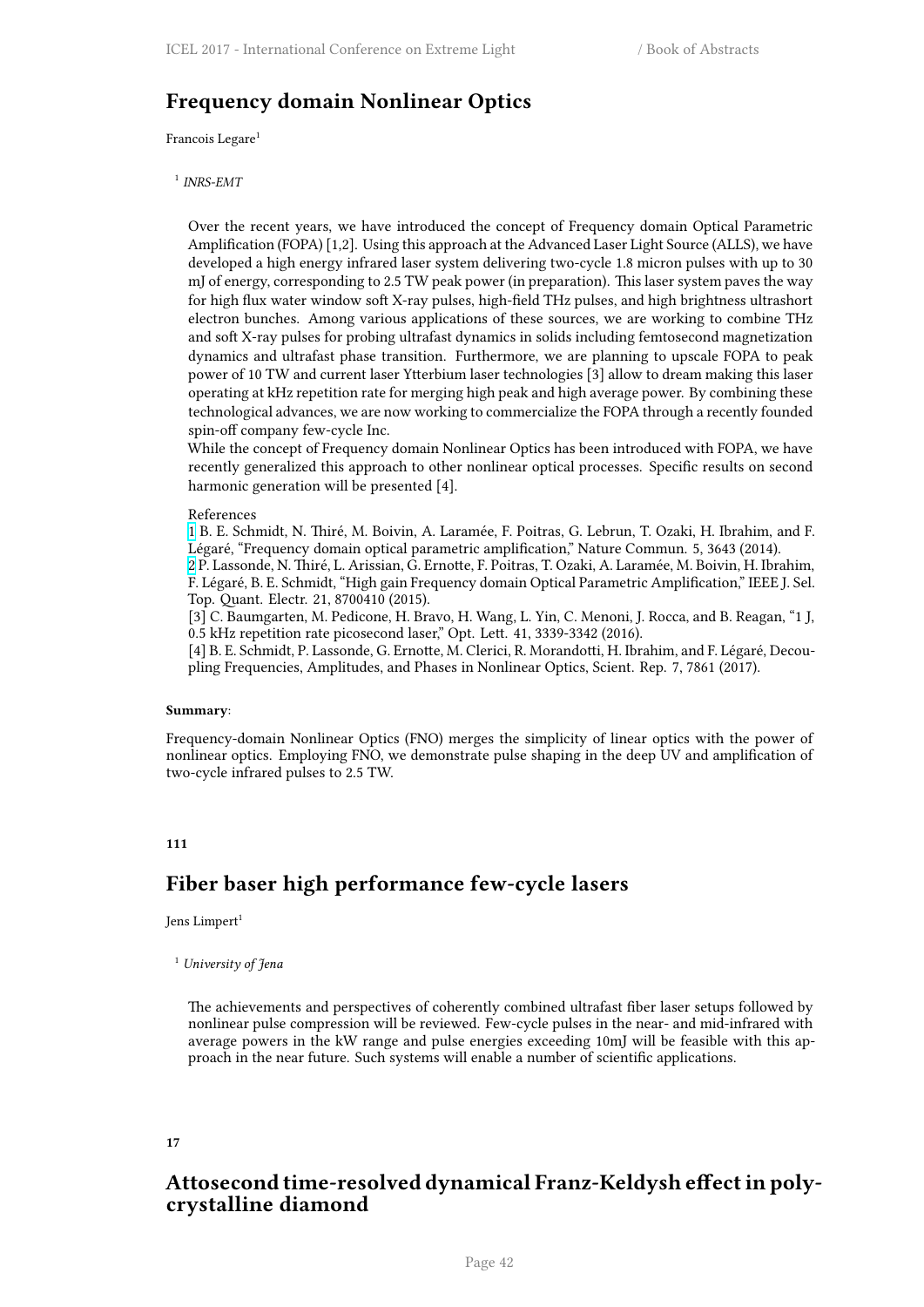# **Frequency domain Nonlinear Optics**

Francois Legare<sup>1</sup>

1 *INRS-EMT*

Over the recent years, we have introduced the concept of Frequency domain Optical Parametric Amplification (FOPA) [1,2]. Using this approach at the Advanced Laser Light Source (ALLS), we have developed a high energy infrared laser system delivering two-cycle 1.8 micron pulses with up to 30 mJ of energy, corresponding to 2.5 TW peak power (in preparation). This laser system paves the way for high flux water window soft X-ray pulses, high-field THz pulses, and high brightness ultrashort electron bunches. Among various applications of these sources, we are working to combine THz and soft X-ray pulses for probing ultrafast dynamics in solids including femtosecond magnetization dynamics and ultrafast phase transition. Furthermore, we are planning to upscale FOPA to peak power of 10 TW and current laser Ytterbium laser technologies [3] allow to dream making this laser operating at kHz repetition rate for merging high peak and high average power. By combining these technological advances, we are now working to commercialize the FOPA through a recently founded spin-off company few-cycle Inc.

While the concept of Frequency domain Nonlinear Optics has been introduced with FOPA, we have recently generalized this approach to other nonlinear optical processes. Specific results on second harmonic generation will be presented [4].

#### References

1 B. E. Schmidt, N. Thiré, M. Boivin, A. Laramée, F. Poitras, G. Lebrun, T. Ozaki, H. Ibrahim, and F. Légaré, "Frequency domain optical parametric amplification," Nature Commun. 5, 3643 (2014).

2 P. Lassonde, N. Thiré, L. Arissian, G. Ernotte, F. Poitras, T. Ozaki, A. Laramée, M. Boivin, H. Ibrahim, F. Légaré, B. E. Schmidt, "High gain Frequency domain Optical Parametric Amplification," IEEE J. Sel. Top. Quant. Electr. 21, 8700410 (2015).

[\[3](http://i66.tinypic.com/wa63cz.png)] C. Baumgarten, M. Pedicone, H. Bravo, H. Wang, L. Yin, C. Menoni, J. Rocca, and B. Reagan, "1  J, 0.5  kHz repetition rate picosecond laser," Opt. Lett. 41, 3339-3342 (2016).

[\[4](http://i67.tinypic.com/bej0gk.png)] B. E. Schmidt, P. Lassonde, G. Ernotte, M. Clerici, R. Morandotti, H. Ibrahim, and F. Légaré, Decoupling Frequencies, Amplitudes, and Phases in Nonlinear Optics, Scient. Rep. 7, 7861 (2017).

### **Summary**:

Frequency-domain Nonlinear Optics (FNO) merges the simplicity of linear optics with the power of nonlinear optics. Employing FNO, we demonstrate pulse shaping in the deep UV and amplification of two-cycle infrared pulses to 2.5 TW.

## **111**

# **Fiber baser high performance few-cycle lasers**

### Jens Limpert<sup>1</sup>

### <sup>1</sup> *University of Jena*

The achievements and perspectives of coherently combined ultrafast fiber laser setups followed by nonlinear pulse compression will be reviewed. Few-cycle pulses in the near- and mid-infrared with average powers in the kW range and pulse energies exceeding 10mJ will be feasible with this approach in the near future. Such systems will enable a number of scientific applications.

### **17**

# **Attosecond time-resolved dynamical Franz-Keldysh effect in polycrystalline diamond**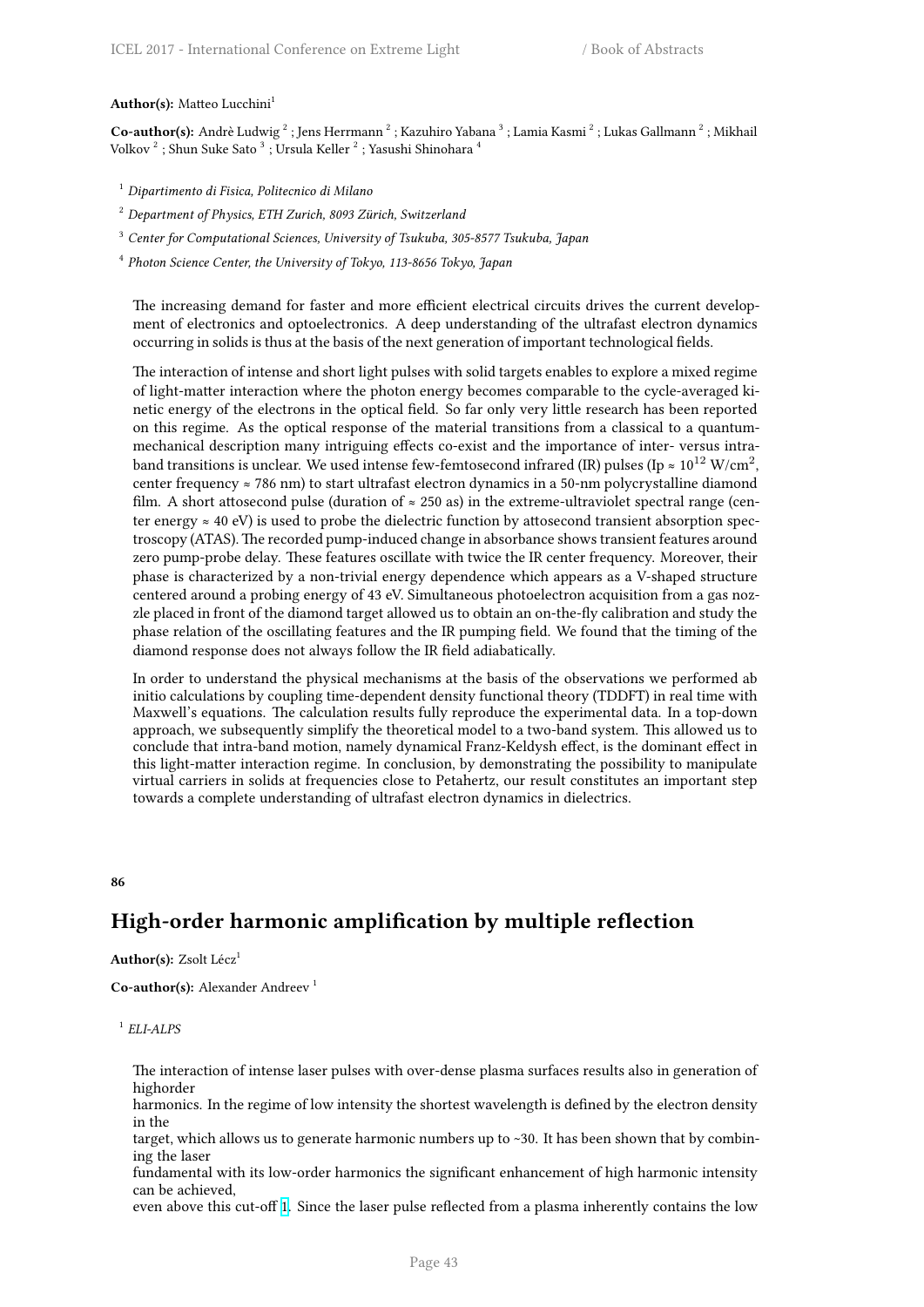#### Author(s): Matteo Lucchini<sup>1</sup>

 $\bf Co\text{-}author(s):$  Andrè Ludwig  $^2$  ; Jens Herrmann  $^2$  ; Kazuhiro Yabana  $^3$  ; Lamia Kasmi  $^2$  ; Lukas Gallmann  $^2$  ; Mikhail Volkov $^2$ ; Shun Suke Sato $^3$ ; Ursula Keller $^2$ ; Yasushi Shinohara $^4$ 

- <sup>1</sup> *Dipartimento di Fisica, Politecnico di Milano*
- <sup>2</sup> *Department of Physics, ETH Zurich, 8093 Zürich, Switzerland*
- <sup>3</sup> *Center for Computational Sciences, University of Tsukuba, 305-8577 Tsukuba, Japan*
- 4 *Photon Science Center, the University of Tokyo, 113-8656 Tokyo, Japan*

The increasing demand for faster and more efficient electrical circuits drives the current development of electronics and optoelectronics. A deep understanding of the ultrafast electron dynamics occurring in solids is thus at the basis of the next generation of important technological fields.

The interaction of intense and short light pulses with solid targets enables to explore a mixed regime of light-matter interaction where the photon energy becomes comparable to the cycle-averaged kinetic energy of the electrons in the optical field. So far only very little research has been reported on this regime. As the optical response of the material transitions from a classical to a quantummechanical description many intriguing effects co-exist and the importance of inter- versus intraband transitions is unclear. We used intense few-femtosecond infrared (IR) pulses (Ip  $\approx 10^{12}$  W/cm $^2$ , center frequency ≈ 786 nm) to start ultrafast electron dynamics in a 50-nm polycrystalline diamond film. A short attosecond pulse (duration of  $\approx 250$  as) in the extreme-ultraviolet spectral range (center energy  $\approx$  40 eV) is used to probe the dielectric function by attosecond transient absorption spectroscopy (ATAS). The recorded pump-induced change in absorbance shows transient features around zero pump-probe delay. These features oscillate with twice the IR center frequency. Moreover, their phase is characterized by a non-trivial energy dependence which appears as a V-shaped structure centered around a probing energy of 43 eV. Simultaneous photoelectron acquisition from a gas nozzle placed in front of the diamond target allowed us to obtain an on-the-fly calibration and study the phase relation of the oscillating features and the IR pumping field. We found that the timing of the diamond response does not always follow the IR field adiabatically.

In order to understand the physical mechanisms at the basis of the observations we performed ab initio calculations by coupling time-dependent density functional theory (TDDFT) in real time with Maxwell's equations. The calculation results fully reproduce the experimental data. In a top-down approach, we subsequently simplify the theoretical model to a two-band system. This allowed us to conclude that intra-band motion, namely dynamical Franz-Keldysh effect, is the dominant effect in this light-matter interaction regime. In conclusion, by demonstrating the possibility to manipulate virtual carriers in solids at frequencies close to Petahertz, our result constitutes an important step towards a complete understanding of ultrafast electron dynamics in dielectrics.

### **86**

# **High-order harmonic amplification by multiple reflection**

### **Author(s):** Zsolt Lécz<sup>1</sup>

**Co-author(s):** Alexander Andreev<sup>1</sup>

### 1 *ELI-ALPS*

The interaction of intense laser pulses with over-dense plasma surfaces results also in generation of highorder

harmonics. In the regime of low intensity the shortest wavelength is defined by the electron density in the

target, which allows us to generate harmonic numbers up to ~30. It has been shown that by combining the laser

fundamental with its low-order harmonics the significant enhancement of high harmonic intensity can be achieved,

even above this cut-off 1. Since the laser pulse reflected from a plasma inherently contains the low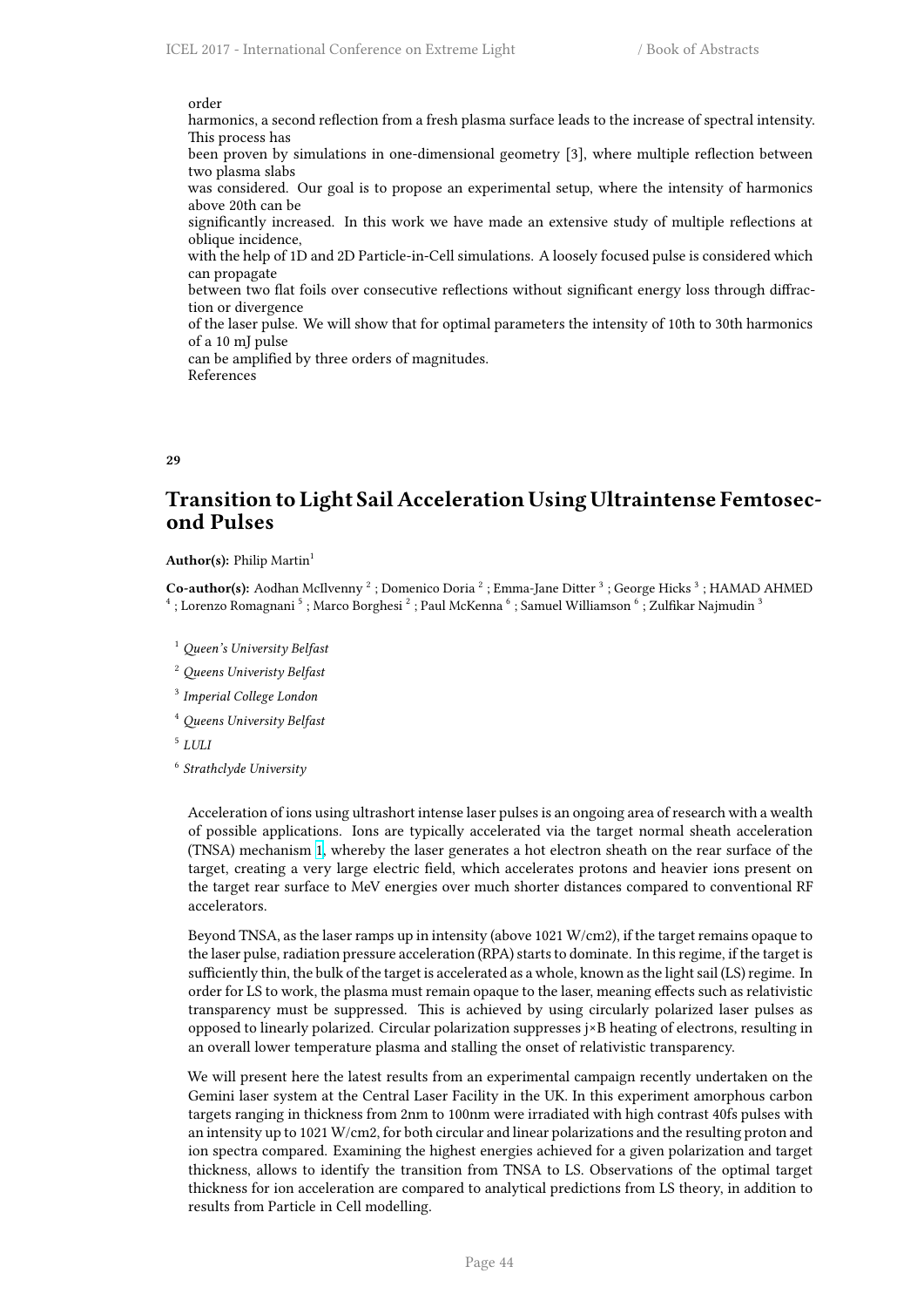order

harmonics, a second reflection from a fresh plasma surface leads to the increase of spectral intensity. This process has been proven by simulations in one-dimensional geometry [3], where multiple reflection between two plasma slabs was considered. Our goal is to propose an experimental setup, where the intensity of harmonics above 20th can be significantly increased. In this work we have made an extensive study of multiple reflections at oblique incidence, with the help of 1D and 2D Particle-in-Cell simulations. A loosely focused pulse is considered which can propagate between two flat foils over consecutive reflections without significant energy loss through diffraction or divergence of the laser pulse. We will show that for optimal parameters the intensity of 10th to 30th harmonics of a 10 mJ pulse can be amplified by three orders of magnitudes. References

**29**

# **Transition to Light Sail Acceleration Using Ultraintense Femtosecond Pulses**

## **Author(s):** Philip Martin<sup>1</sup>

Co-author(s): Aodhan McIlvenny<sup>2</sup>; Domenico Doria<sup>2</sup>; Emma-Jane Ditter<sup>3</sup>; George Hicks<sup>3</sup>; HAMAD AHMED  $^4$  ; Lorenzo Romagnani  $^5$  ; Marco Borghesi  $^2$  ; Paul McKenna  $^6$  ; Samuel Williamson  $^6$  ; Zulfikar Najmudin  $^3$ 

- <sup>1</sup> *Queen's University Belfast*
- <sup>2</sup> *Queens Univeristy Belfast*
- 3 *Imperial College London*
- <sup>4</sup> *Queens University Belfast*
- 5 *LULI*
- 6 *Strathclyde University*

Acceleration of ions using ultrashort intense laser pulses is an ongoing area of research with a wealth of possible applications. Ions are typically accelerated via the target normal sheath acceleration (TNSA) mechanism 1, whereby the laser generates a hot electron sheath on the rear surface of the target, creating a very large electric field, which accelerates protons and heavier ions present on the target rear surface to MeV energies over much shorter distances compared to conventional RF accelerators.

Beyond TNSA, as th[e l](http://i66.tinypic.com/wa63cz.png)aser ramps up in intensity (above 1021 W/cm2), if the target remains opaque to the laser pulse, radiation pressure acceleration (RPA) starts to dominate. In this regime, if the target is sufficiently thin, the bulk of the target is accelerated as a whole, known as the light sail (LS) regime. In order for LS to work, the plasma must remain opaque to the laser, meaning effects such as relativistic transparency must be suppressed. This is achieved by using circularly polarized laser pulses as opposed to linearly polarized. Circular polarization suppresses j×B heating of electrons, resulting in an overall lower temperature plasma and stalling the onset of relativistic transparency.

We will present here the latest results from an experimental campaign recently undertaken on the Gemini laser system at the Central Laser Facility in the UK. In this experiment amorphous carbon targets ranging in thickness from 2nm to 100nm were irradiated with high contrast 40fs pulses with an intensity up to 1021 W/cm2, for both circular and linear polarizations and the resulting proton and ion spectra compared. Examining the highest energies achieved for a given polarization and target thickness, allows to identify the transition from TNSA to LS. Observations of the optimal target thickness for ion acceleration are compared to analytical predictions from LS theory, in addition to results from Particle in Cell modelling.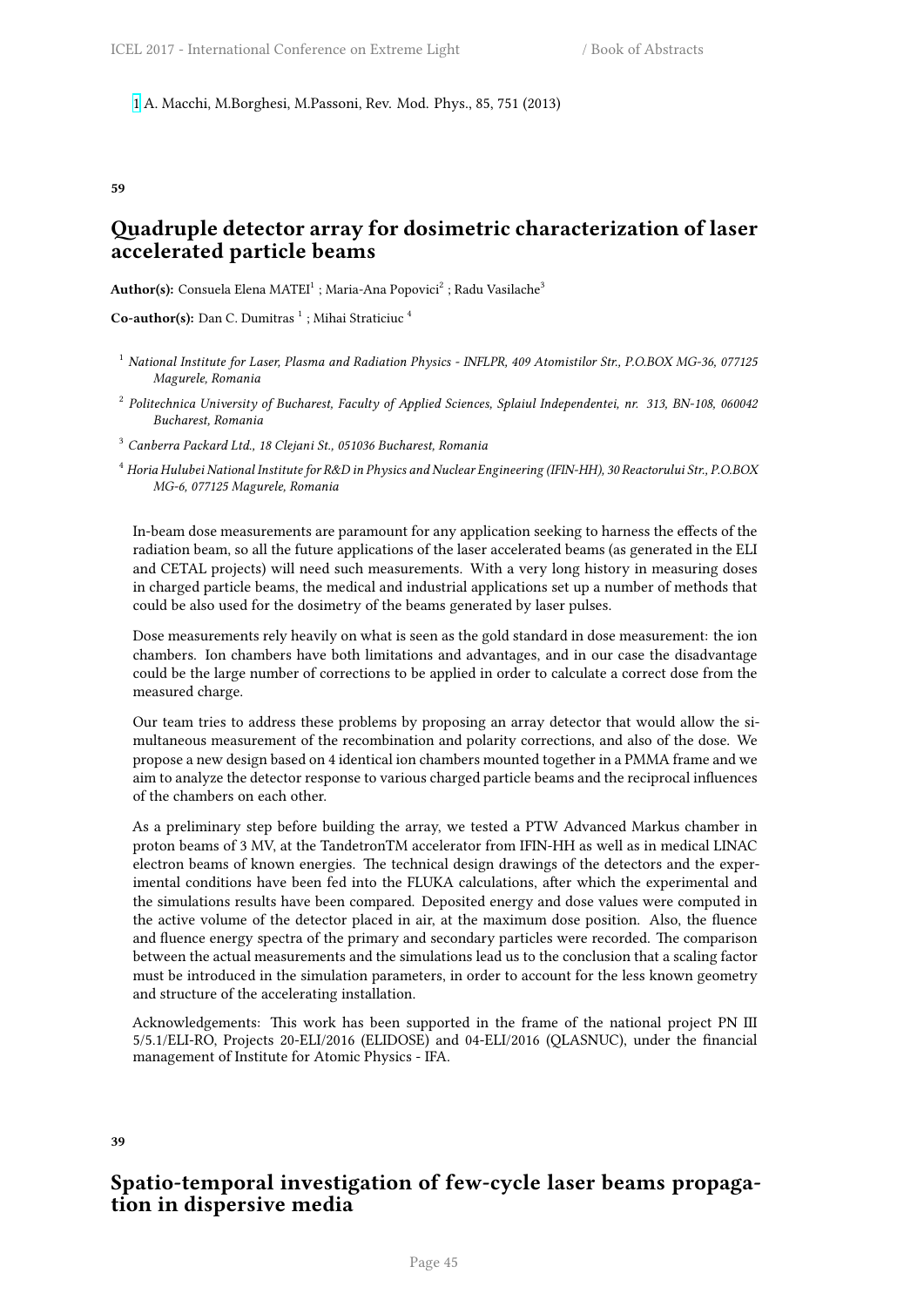**59**

# **Quadruple detector array for dosimetric characterization of laser accelerated particle beams**

 $\mathbf{Author(s)}:\ \mathbf{Consider}\ \mathbf{B} \mathbf{B} \mathbf{B} \mathbf{A}$  , Maria-Ana Popovici $^2:$  Radu Vasilache $^3$ 

**Co-author(s):** Dan C. Dumitras<sup>1</sup>; Mihai Straticiuc<sup>4</sup>

- <sup>1</sup> *National Institute for Laser, Plasma and Radiation Physics INFLPR, 409 Atomistilor Str., P.O.BOX MG-36, 077125 Magurele, Romania*
- 2 *Politechnica University of Bucharest, Faculty of Applied Sciences, Splaiul Independentei, nr. 313, BN-108, 060042 Bucharest, Romania*
- <sup>3</sup> *Canberra Packard Ltd., 18 Clejani St., 051036 Bucharest, Romania*
- <sup>4</sup> *Horia Hulubei National Institute for R&D in Physics and Nuclear Engineering (IFIN-HH), 30 Reactorului Str., P.O.BOX MG-6, 077125 Magurele, Romania*

In-beam dose measurements are paramount for any application seeking to harness the effects of the radiation beam, so all the future applications of the laser accelerated beams (as generated in the ELI and CETAL projects) will need such measurements. With a very long history in measuring doses in charged particle beams, the medical and industrial applications set up a number of methods that could be also used for the dosimetry of the beams generated by laser pulses.

Dose measurements rely heavily on what is seen as the gold standard in dose measurement: the ion chambers. Ion chambers have both limitations and advantages, and in our case the disadvantage could be the large number of corrections to be applied in order to calculate a correct dose from the measured charge.

Our team tries to address these problems by proposing an array detector that would allow the simultaneous measurement of the recombination and polarity corrections, and also of the dose. We propose a new design based on 4 identical ion chambers mounted together in a PMMA frame and we aim to analyze the detector response to various charged particle beams and the reciprocal influences of the chambers on each other.

As a preliminary step before building the array, we tested a PTW Advanced Markus chamber in proton beams of 3 MV, at the TandetronTM accelerator from IFIN-HH as well as in medical LINAC electron beams of known energies. The technical design drawings of the detectors and the experimental conditions have been fed into the FLUKA calculations, after which the experimental and the simulations results have been compared. Deposited energy and dose values were computed in the active volume of the detector placed in air, at the maximum dose position. Also, the fluence and fluence energy spectra of the primary and secondary particles were recorded. The comparison between the actual measurements and the simulations lead us to the conclusion that a scaling factor must be introduced in the simulation parameters, in order to account for the less known geometry and structure of the accelerating installation.

Acknowledgements: This work has been supported in the frame of the national project PN III 5/5.1/ELI-RO, Projects 20-ELI/2016 (ELIDOSE) and 04-ELI/2016 (QLASNUC), under the financial management of Institute for Atomic Physics - IFA.

#### **39**

# **Spatio-temporal investigation of few-cycle laser beams propagation in dispersive media**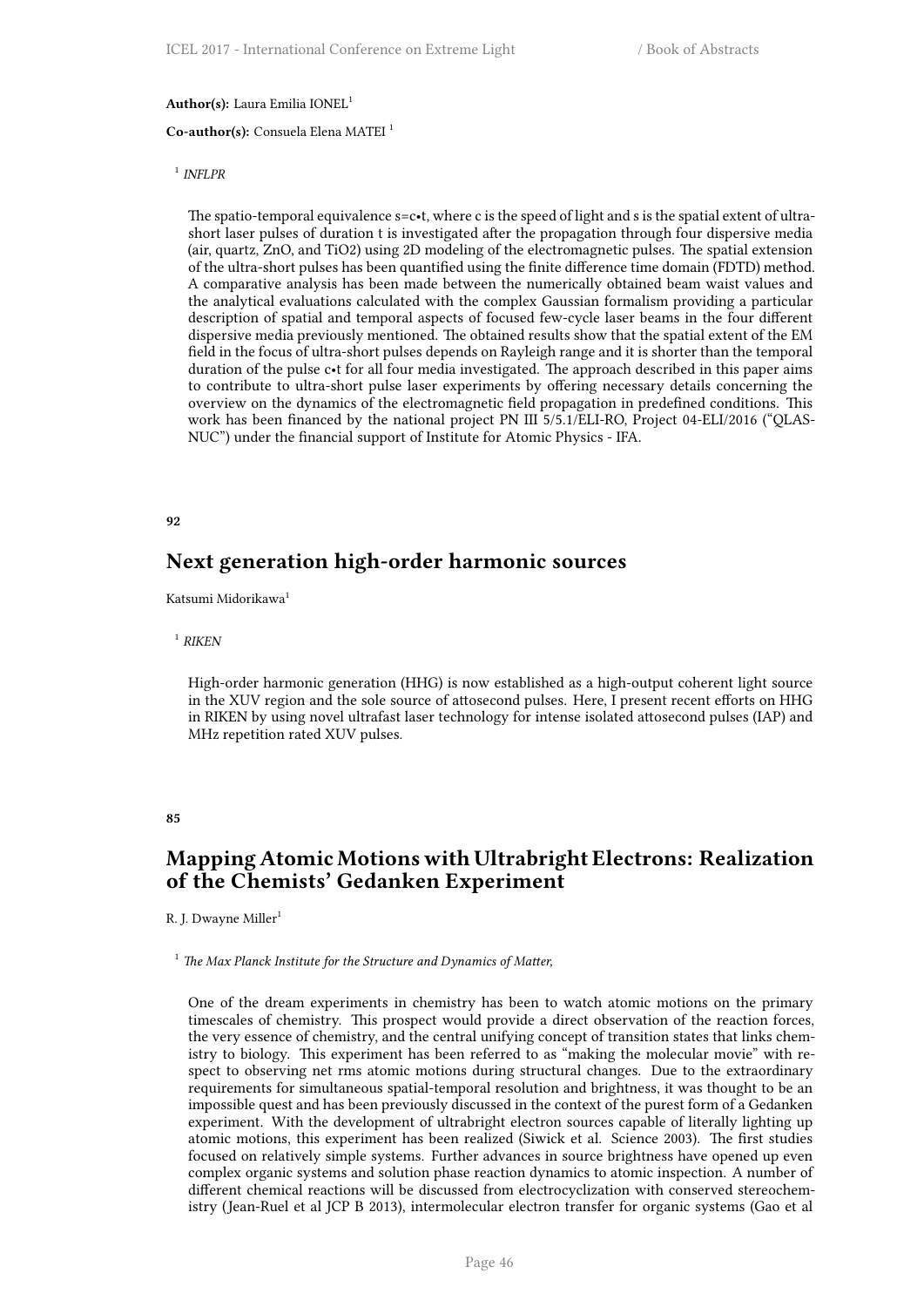## **Author(s):** Laura Emilia IONEL<sup>1</sup>

### **Co-author(s):** Consuela Elena MATEI <sup>1</sup>

## 1 *INFLPR*

The spatio-temporal equivalence  $s=c-t$ , where c is the speed of light and s is the spatial extent of ultrashort laser pulses of duration t is investigated after the propagation through four dispersive media (air, quartz, ZnO, and TiO2) using 2D modeling of the electromagnetic pulses. The spatial extension of the ultra-short pulses has been quantified using the finite difference time domain (FDTD) method. A comparative analysis has been made between the numerically obtained beam waist values and the analytical evaluations calculated with the complex Gaussian formalism providing a particular description of spatial and temporal aspects of focused few-cycle laser beams in the four different dispersive media previously mentioned. The obtained results show that the spatial extent of the EM field in the focus of ultra-short pulses depends on Rayleigh range and it is shorter than the temporal duration of the pulse c•t for all four media investigated. The approach described in this paper aims to contribute to ultra-short pulse laser experiments by offering necessary details concerning the overview on the dynamics of the electromagnetic field propagation in predefined conditions. This work has been financed by the national project PN III 5/5.1/ELI-RO, Project 04-ELI/2016 ("QLAS-NUC") under the financial support of Institute for Atomic Physics - IFA.

### **92**

## **Next generation high-order harmonic sources**

Katsumi Midorikawa<sup>1</sup>

## 1 *RIKEN*

High-order harmonic generation (HHG) is now established as a high-output coherent light source in the XUV region and the sole source of attosecond pulses. Here, I present recent efforts on HHG in RIKEN by using novel ultrafast laser technology for intense isolated attosecond pulses (IAP) and MHz repetition rated XUV pulses.

### **85**

# **Mapping Atomic Motions with Ultrabright Electrons: Realization of the Chemists' Gedanken Experiment**

R. J. Dwayne Miller<sup>1</sup>

## <sup>1</sup> *The Max Planck Institute for the Structure and Dynamics of Matter,*

One of the dream experiments in chemistry has been to watch atomic motions on the primary timescales of chemistry. This prospect would provide a direct observation of the reaction forces, the very essence of chemistry, and the central unifying concept of transition states that links chemistry to biology. This experiment has been referred to as "making the molecular movie" with respect to observing net rms atomic motions during structural changes. Due to the extraordinary requirements for simultaneous spatial-temporal resolution and brightness, it was thought to be an impossible quest and has been previously discussed in the context of the purest form of a Gedanken experiment. With the development of ultrabright electron sources capable of literally lighting up atomic motions, this experiment has been realized (Siwick et al. Science 2003). The first studies focused on relatively simple systems. Further advances in source brightness have opened up even complex organic systems and solution phase reaction dynamics to atomic inspection. A number of different chemical reactions will be discussed from electrocyclization with conserved stereochemistry (Jean-Ruel et al JCP B 2013), intermolecular electron transfer for organic systems (Gao et al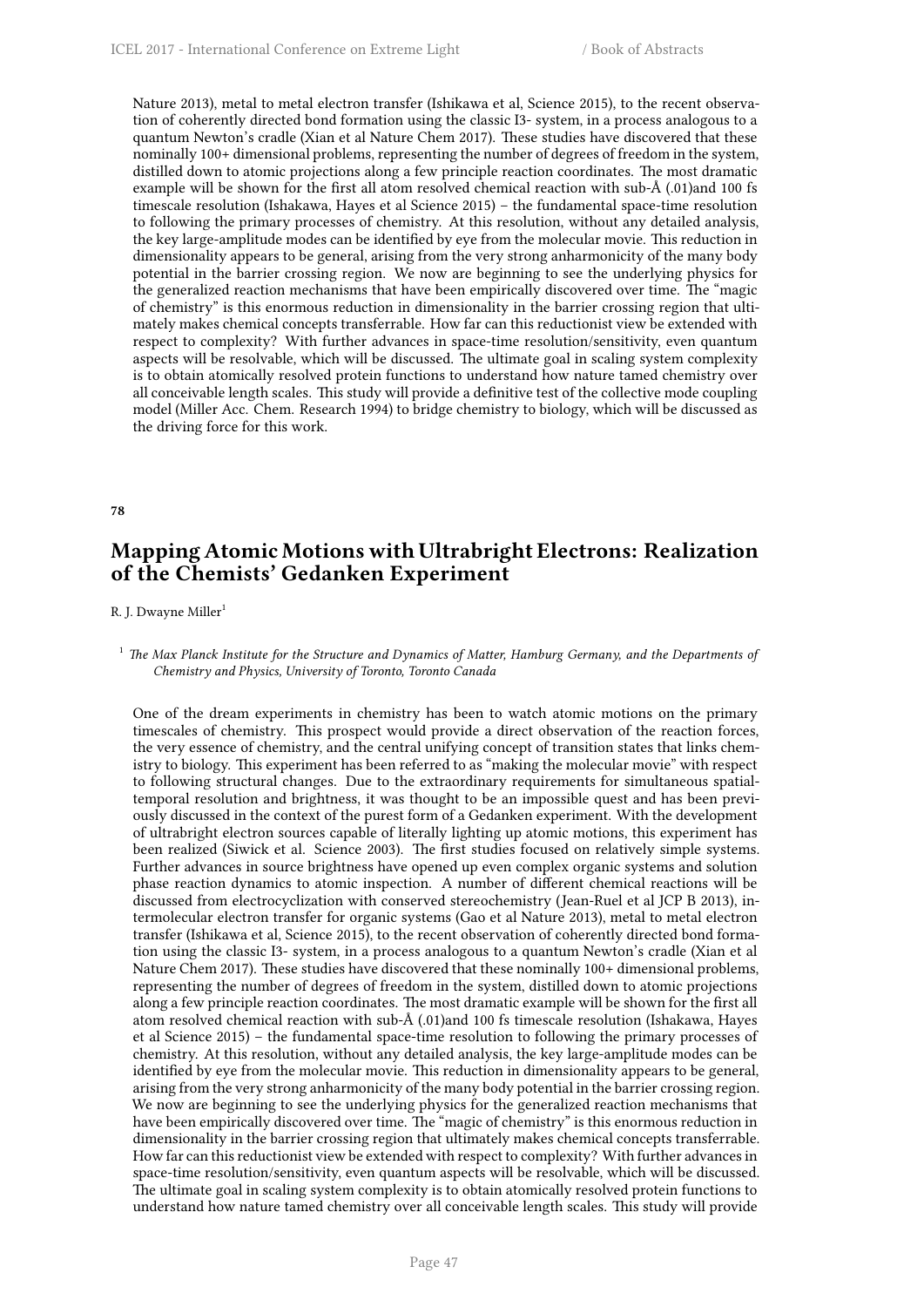Nature 2013), metal to metal electron transfer (Ishikawa et al, Science 2015), to the recent observation of coherently directed bond formation using the classic I3- system, in a process analogous to a quantum Newton's cradle (Xian et al Nature Chem 2017). These studies have discovered that these nominally 100+ dimensional problems, representing the number of degrees of freedom in the system, distilled down to atomic projections along a few principle reaction coordinates. The most dramatic example will be shown for the first all atom resolved chemical reaction with sub-Å (.01)and 100 fs timescale resolution (Ishakawa, Hayes et al Science 2015) – the fundamental space-time resolution to following the primary processes of chemistry. At this resolution, without any detailed analysis, the key large-amplitude modes can be identified by eye from the molecular movie. This reduction in dimensionality appears to be general, arising from the very strong anharmonicity of the many body potential in the barrier crossing region. We now are beginning to see the underlying physics for the generalized reaction mechanisms that have been empirically discovered over time. The "magic of chemistry" is this enormous reduction in dimensionality in the barrier crossing region that ultimately makes chemical concepts transferrable. How far can this reductionist view be extended with respect to complexity? With further advances in space-time resolution/sensitivity, even quantum aspects will be resolvable, which will be discussed. The ultimate goal in scaling system complexity is to obtain atomically resolved protein functions to understand how nature tamed chemistry over all conceivable length scales. This study will provide a definitive test of the collective mode coupling model (Miller Acc. Chem. Research 1994) to bridge chemistry to biology, which will be discussed as the driving force for this work.

### **78**

# **Mapping Atomic Motions with Ultrabright Electrons: Realization of the Chemists' Gedanken Experiment**

## R. J. Dwayne Miller<sup>1</sup>

## <sup>1</sup> *The Max Planck Institute for the Structure and Dynamics of Matter, Hamburg Germany, and the Departments of Chemistry and Physics, University of Toronto, Toronto Canada*

One of the dream experiments in chemistry has been to watch atomic motions on the primary timescales of chemistry. This prospect would provide a direct observation of the reaction forces, the very essence of chemistry, and the central unifying concept of transition states that links chemistry to biology. This experiment has been referred to as "making the molecular movie" with respect to following structural changes. Due to the extraordinary requirements for simultaneous spatialtemporal resolution and brightness, it was thought to be an impossible quest and has been previously discussed in the context of the purest form of a Gedanken experiment. With the development of ultrabright electron sources capable of literally lighting up atomic motions, this experiment has been realized (Siwick et al. Science 2003). The first studies focused on relatively simple systems. Further advances in source brightness have opened up even complex organic systems and solution phase reaction dynamics to atomic inspection. A number of different chemical reactions will be discussed from electrocyclization with conserved stereochemistry (Jean-Ruel et al JCP B 2013), intermolecular electron transfer for organic systems (Gao et al Nature 2013), metal to metal electron transfer (Ishikawa et al, Science 2015), to the recent observation of coherently directed bond formation using the classic I3- system, in a process analogous to a quantum Newton's cradle (Xian et al Nature Chem 2017). These studies have discovered that these nominally 100+ dimensional problems, representing the number of degrees of freedom in the system, distilled down to atomic projections along a few principle reaction coordinates. The most dramatic example will be shown for the first all atom resolved chemical reaction with sub-Å (.01)and 100 fs timescale resolution (Ishakawa, Hayes et al Science 2015) – the fundamental space-time resolution to following the primary processes of chemistry. At this resolution, without any detailed analysis, the key large-amplitude modes can be identified by eye from the molecular movie. This reduction in dimensionality appears to be general, arising from the very strong anharmonicity of the many body potential in the barrier crossing region. We now are beginning to see the underlying physics for the generalized reaction mechanisms that have been empirically discovered over time. The "magic of chemistry" is this enormous reduction in dimensionality in the barrier crossing region that ultimately makes chemical concepts transferrable. How far can this reductionist view be extended with respect to complexity? With further advances in space-time resolution/sensitivity, even quantum aspects will be resolvable, which will be discussed. The ultimate goal in scaling system complexity is to obtain atomically resolved protein functions to understand how nature tamed chemistry over all conceivable length scales. This study will provide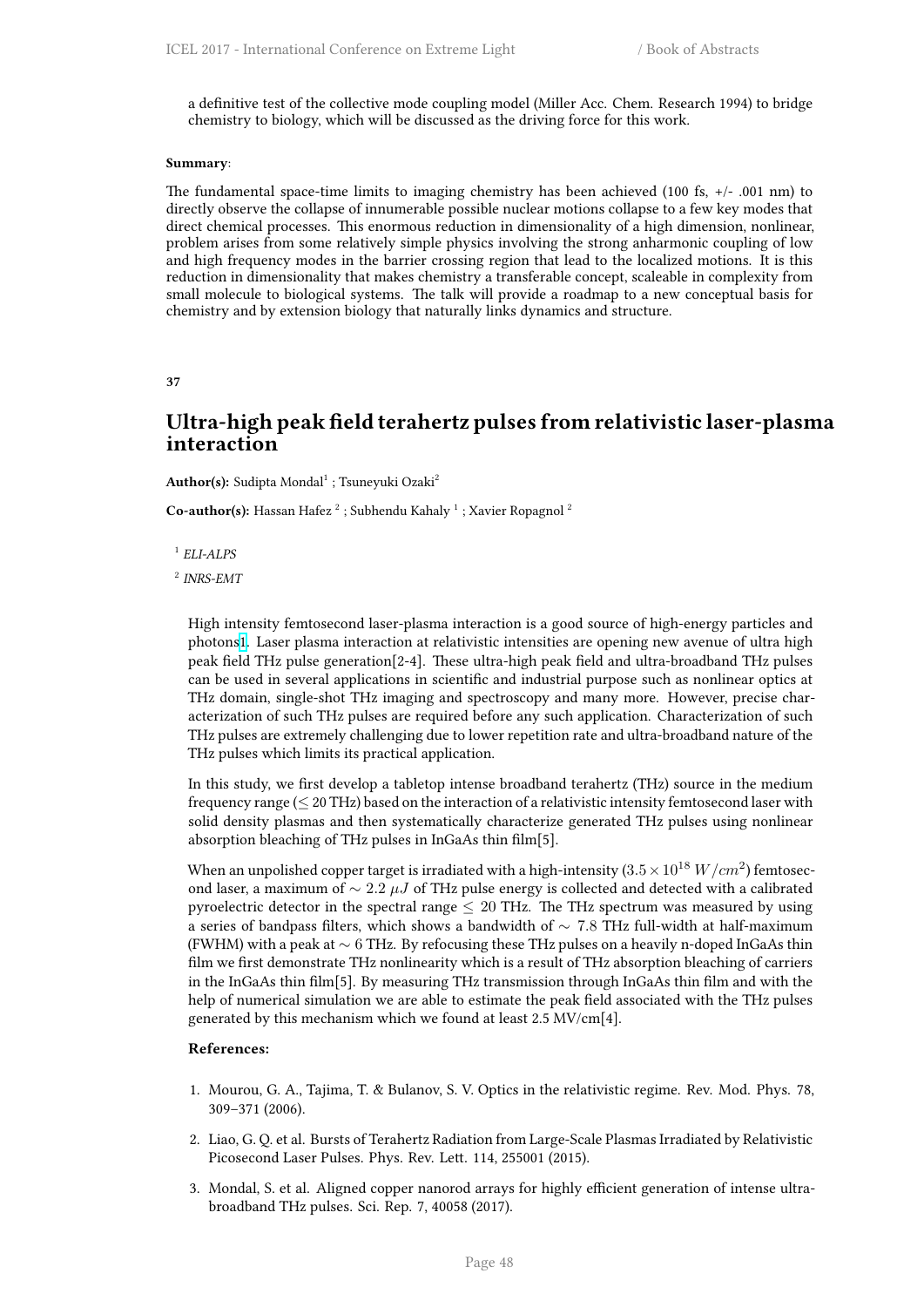a definitive test of the collective mode coupling model (Miller Acc. Chem. Research 1994) to bridge chemistry to biology, which will be discussed as the driving force for this work.

### **Summary**:

The fundamental space-time limits to imaging chemistry has been achieved (100 fs,  $+/-001$  nm) to directly observe the collapse of innumerable possible nuclear motions collapse to a few key modes that direct chemical processes. This enormous reduction in dimensionality of a high dimension, nonlinear, problem arises from some relatively simple physics involving the strong anharmonic coupling of low and high frequency modes in the barrier crossing region that lead to the localized motions. It is this reduction in dimensionality that makes chemistry a transferable concept, scaleable in complexity from small molecule to biological systems. The talk will provide a roadmap to a new conceptual basis for chemistry and by extension biology that naturally links dynamics and structure.

### **37**

# **Ultra-high peak field terahertz pulses from relativistic laser-plasma interaction**

 $\mathbf{Author(s)}$ : Sudipta Mondal<sup>1</sup> ; Tsuneyuki Ozaki<sup>2</sup>

**Co-author(s):** Hassan Hafez<sup>2</sup>; Subhendu Kahaly<sup>1</sup>; Xavier Ropagnol<sup>2</sup>

1 *ELI-ALPS*

2 *INRS-EMT*

High intensity femtosecond laser-plasma interaction is a good source of high-energy particles and photons1. Laser plasma interaction at relativistic intensities are opening new avenue of ultra high peak field THz pulse generation[2-4]. These ultra-high peak field and ultra-broadband THz pulses can be used in several applications in scientific and industrial purpose such as nonlinear optics at THz domain, single-shot THz imaging and spectroscopy and many more. However, precise characteriza[tio](http://i66.tinypic.com/wa63cz.png)n of such THz pulses are required before any such application. Characterization of such THz pulses are extremely challenging due to lower repetition rate and ultra-broadband nature of the THz pulses which limits its practical application.

In this study, we first develop a tabletop intense broadband terahertz (THz) source in the medium frequency range (*≤* 20 THz) based on the interaction of a relativistic intensity femtosecond laser with solid density plasmas and then systematically characterize generated THz pulses using nonlinear absorption bleaching of THz pulses in InGaAs thin film[5].

When an unpolished copper target is irradiated with a high-intensity  $(3.5\times 10^{18}~W/cm^{2})$  femtosecond laser, a maximum of *∼* 2*.*2 *µJ* of THz pulse energy is collected and detected with a calibrated pyroelectric detector in the spectral range *≤* 20 THz. The THz spectrum was measured by using a series of bandpass filters, which shows a bandwidth of *∼* 7*.*8 THz full-width at half-maximum (FWHM) with a peak at *∼* 6 THz. By refocusing these THz pulses on a heavily n-doped InGaAs thin film we first demonstrate THz nonlinearity which is a result of THz absorption bleaching of carriers in the InGaAs thin film[5]. By measuring THz transmission through InGaAs thin film and with the help of numerical simulation we are able to estimate the peak field associated with the THz pulses generated by this mechanism which we found at least 2.5 MV/cm[4].

## **References:**

- 1. Mourou, G. A., Tajima, T. & Bulanov, S. V. Optics in the relativistic regime. Rev. Mod. Phys. 78, 309–371 (2006).
- 2. Liao, G. Q. et al. Bursts of Terahertz Radiation from Large-Scale Plasmas Irradiated by Relativistic Picosecond Laser Pulses. Phys. Rev. Lett. 114, 255001 (2015).
- 3. Mondal, S. et al. Aligned copper nanorod arrays for highly efficient generation of intense ultrabroadband THz pulses. Sci. Rep. 7, 40058 (2017).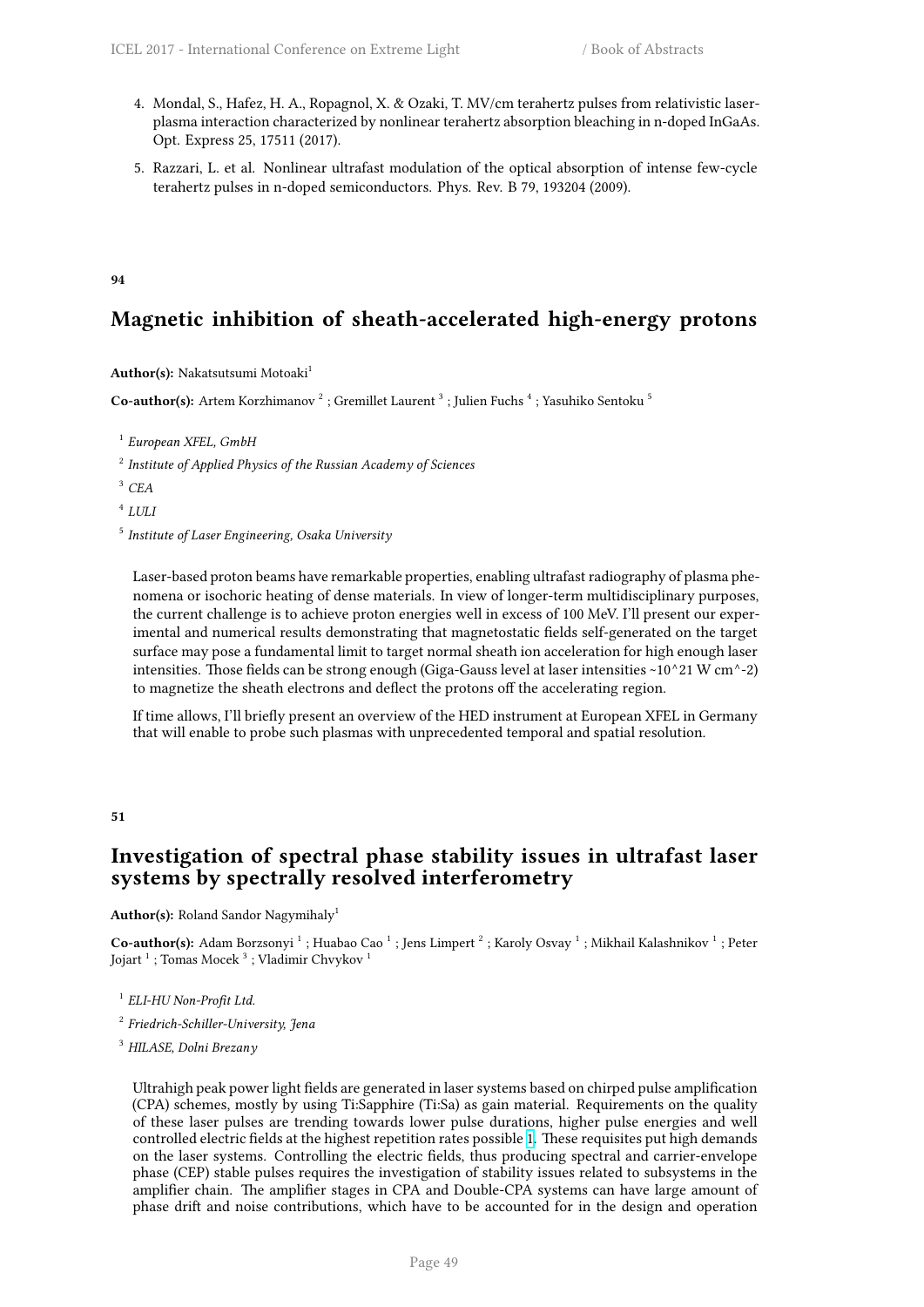- 4. Mondal, S., Hafez, H. A., Ropagnol, X. & Ozaki, T. MV/cm terahertz pulses from relativistic laserplasma interaction characterized by nonlinear terahertz absorption bleaching in n-doped InGaAs. Opt. Express 25, 17511 (2017).
- 5. Razzari, L. et al. Nonlinear ultrafast modulation of the optical absorption of intense few-cycle terahertz pulses in n-doped semiconductors. Phys. Rev. B 79, 193204 (2009).

## **94**

# **Magnetic inhibition of sheath-accelerated high-energy protons**

## **Author(s):** Nakatsutsumi Motoaki<sup>1</sup>

 $\mathbf C$ o-author(s): Artem Korzhimanov  $^2$  ; Gremillet Laurent  $^3$  ; Julien Fuchs  $^4$  ; Yasuhiko Sentoku  $^5$ 

1 *European XFEL, GmbH*

2 *Institute of Applied Physics of the Russian Academy of Sciences*

<sup>3</sup> *CEA*

4 *LULI*

5 *Institute of Laser Engineering, Osaka University*

Laser-based proton beams have remarkable properties, enabling ultrafast radiography of plasma phenomena or isochoric heating of dense materials. In view of longer-term multidisciplinary purposes, the current challenge is to achieve proton energies well in excess of 100 MeV. I'll present our experimental and numerical results demonstrating that magnetostatic fields self-generated on the target surface may pose a fundamental limit to target normal sheath ion acceleration for high enough laser intensities. Those fields can be strong enough (Giga-Gauss level at laser intensities ~10^21 W cm^-2) to magnetize the sheath electrons and deflect the protons off the accelerating region.

If time allows, I'll briefly present an overview of the HED instrument at European XFEL in Germany that will enable to probe such plasmas with unprecedented temporal and spatial resolution.

**51**

# **Investigation of spectral phase stability issues in ultrafast laser systems by spectrally resolved interferometry**

## Author(s): Roland Sandor Nagymihaly<sup>1</sup>

Co-author(s): Adam Borzsonyi <sup>1</sup> ; Huabao Cao <sup>1</sup> ; Jens Limpert <sup>2</sup> ; Karoly Osvay <sup>1</sup> ; Mikhail Kalashnikov <sup>1</sup> ; Peter Jojart  $^1$  ; Tomas Mocek  $^3$  ; Vladimir Chvykov  $^1$ 

1 *ELI-HU Non-Profit Ltd.*

2 *Friedrich-Schiller-University, Jena*

<sup>3</sup> *HILASE, Dolni Brezany*

Ultrahigh peak power light fields are generated in laser systems based on chirped pulse amplification (CPA) schemes, mostly by using Ti:Sapphire (Ti:Sa) as gain material. Requirements on the quality of these laser pulses are trending towards lower pulse durations, higher pulse energies and well controlled electric fields at the highest repetition rates possible 1. These requisites put high demands on the laser systems. Controlling the electric fields, thus producing spectral and carrier-envelope phase (CEP) stable pulses requires the investigation of stability issues related to subsystems in the amplifier chain. The amplifier stages in CPA and Double-CPA systems can have large amount of phase drift and noise contributions, which have to be accou[nt](http://i66.tinypic.com/wa63cz.png)ed for in the design and operation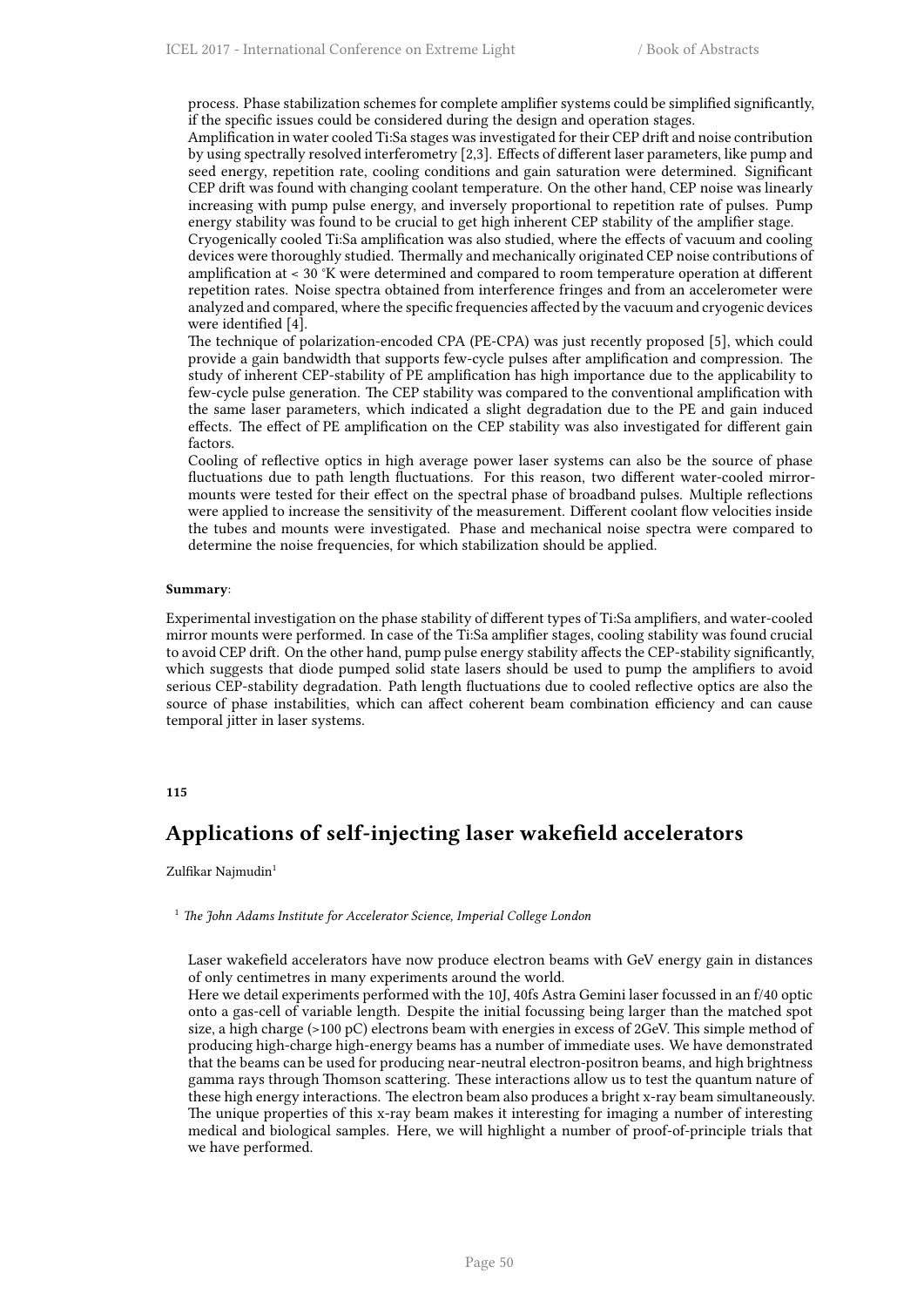process. Phase stabilization schemes for complete amplifier systems could be simplified significantly, if the specific issues could be considered during the design and operation stages.

Amplification in water cooled Ti:Sa stages was investigated for their CEP drift and noise contribution by using spectrally resolved interferometry [2,3]. Effects of different laser parameters, like pump and seed energy, repetition rate, cooling conditions and gain saturation were determined. Significant CEP drift was found with changing coolant temperature. On the other hand, CEP noise was linearly increasing with pump pulse energy, and inversely proportional to repetition rate of pulses. Pump energy stability was found to be crucial to get high inherent CEP stability of the amplifier stage.

Cryogenically cooled Ti:Sa amplification was also studied, where the effects of vacuum and cooling devices were thoroughly studied. Thermally and mechanically originated CEP noise contributions of amplification at < 30 °K were determined and compared to room temperature operation at different repetition rates. Noise spectra obtained from interference fringes and from an accelerometer were analyzed and compared, where the specific frequencies affected by the vacuum and cryogenic devices were identified [4].

The technique of polarization-encoded CPA (PE-CPA) was just recently proposed [5], which could provide a gain bandwidth that supports few-cycle pulses after amplification and compression. The study of inherent CEP-stability of PE amplification has high importance due to the applicability to few-cycle pulse generation. The CEP stability was compared to the conventional amplification with the same laser parameters, which indicated a slight degradation due to the PE and gain induced effects. The effect of PE amplification on the CEP stability was also investigated for different gain factors.

Cooling of reflective optics in high average power laser systems can also be the source of phase fluctuations due to path length fluctuations. For this reason, two different water-cooled mirrormounts were tested for their effect on the spectral phase of broadband pulses. Multiple reflections were applied to increase the sensitivity of the measurement. Different coolant flow velocities inside the tubes and mounts were investigated. Phase and mechanical noise spectra were compared to determine the noise frequencies, for which stabilization should be applied.

### **Summary**:

Experimental investigation on the phase stability of different types of Ti:Sa amplifiers, and water-cooled mirror mounts were performed. In case of the Ti:Sa amplifier stages, cooling stability was found crucial to avoid CEP drift. On the other hand, pump pulse energy stability affects the CEP-stability significantly, which suggests that diode pumped solid state lasers should be used to pump the amplifiers to avoid serious CEP-stability degradation. Path length fluctuations due to cooled reflective optics are also the source of phase instabilities, which can affect coherent beam combination efficiency and can cause temporal jitter in laser systems.

## **115**

# **Applications of self-injecting laser wakefield accelerators**

### Zulfikar Najmudin<sup>1</sup>

<sup>1</sup> *The John Adams Institute for Accelerator Science, Imperial College London*

Laser wakefield accelerators have now produce electron beams with GeV energy gain in distances of only centimetres in many experiments around the world.

Here we detail experiments performed with the 10J, 40fs Astra Gemini laser focussed in an f/40 optic onto a gas-cell of variable length. Despite the initial focussing being larger than the matched spot size, a high charge (>100 pC) electrons beam with energies in excess of 2GeV. This simple method of producing high-charge high-energy beams has a number of immediate uses. We have demonstrated that the beams can be used for producing near-neutral electron-positron beams, and high brightness gamma rays through Thomson scattering. These interactions allow us to test the quantum nature of these high energy interactions. The electron beam also produces a bright x-ray beam simultaneously. The unique properties of this x-ray beam makes it interesting for imaging a number of interesting medical and biological samples. Here, we will highlight a number of proof-of-principle trials that we have performed.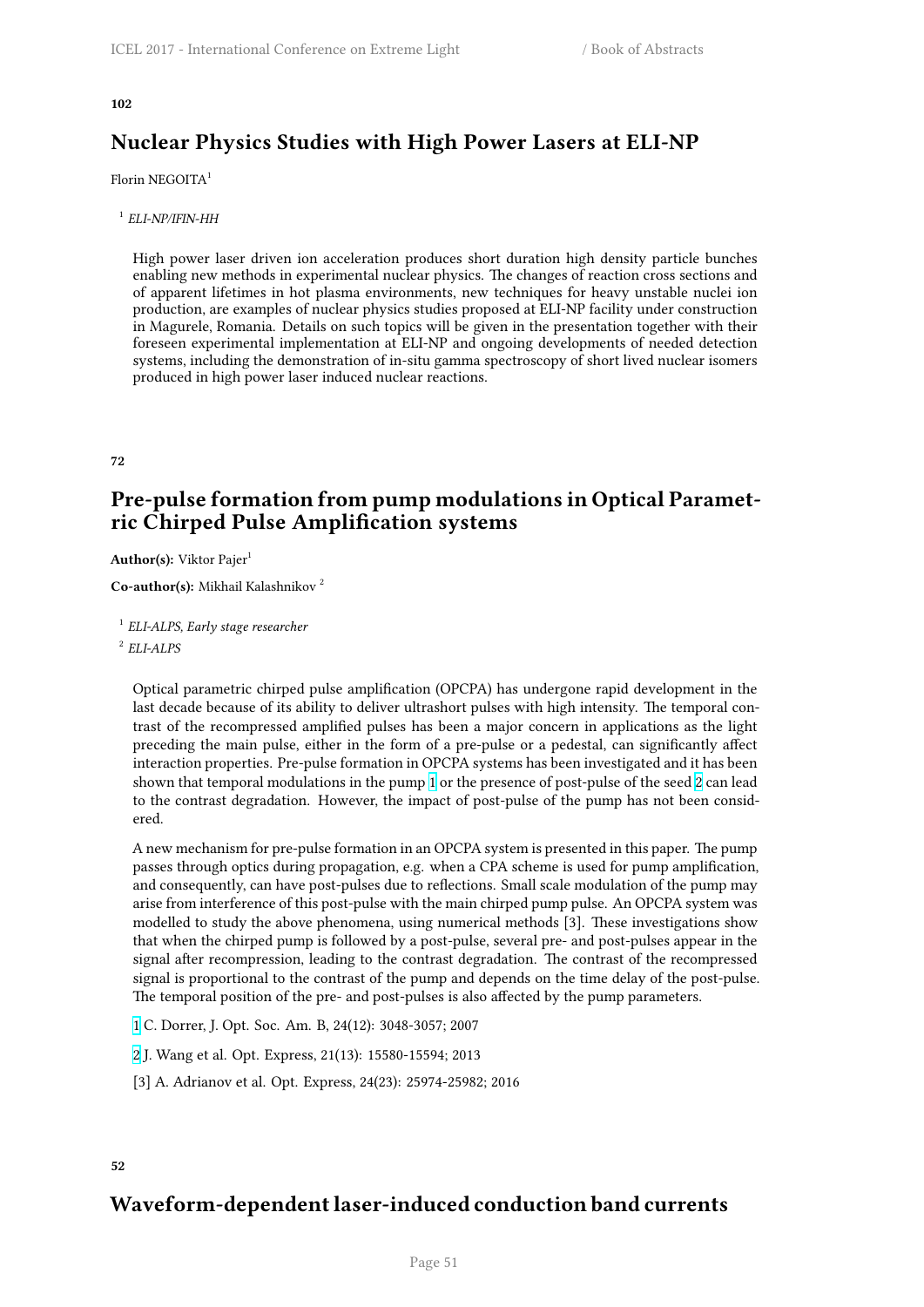### **102**

# **Nuclear Physics Studies with High Power Lasers at ELI-NP**

## Florin NEGOITA<sup>1</sup>

1 *ELI-NP/IFIN-HH*

High power laser driven ion acceleration produces short duration high density particle bunches enabling new methods in experimental nuclear physics. The changes of reaction cross sections and of apparent lifetimes in hot plasma environments, new techniques for heavy unstable nuclei ion production, are examples of nuclear physics studies proposed at ELI-NP facility under construction in Magurele, Romania. Details on such topics will be given in the presentation together with their foreseen experimental implementation at ELI-NP and ongoing developments of needed detection systems, including the demonstration of in-situ gamma spectroscopy of short lived nuclear isomers produced in high power laser induced nuclear reactions.

**72**

# **Pre-pulse formation from pump modulations in Optical Parametric Chirped Pulse Amplification systems**

**Author(s):** Viktor Pajer<sup>1</sup>

**Co-author(s):** Mikhail Kalashnikov <sup>2</sup>

1 *ELI-ALPS, Early stage researcher*

2 *ELI-ALPS*

Optical parametric chirped pulse amplification (OPCPA) has undergone rapid development in the last decade because of its ability to deliver ultrashort pulses with high intensity. The temporal contrast of the recompressed amplified pulses has been a major concern in applications as the light preceding the main pulse, either in the form of a pre-pulse or a pedestal, can significantly affect interaction properties. Pre-pulse formation in OPCPA systems has been investigated and it has been shown that temporal modulations in the pump 1 or the presence of post-pulse of the seed 2 can lead to the contrast degradation. However, the impact of post-pulse of the pump has not been considered.

A new mechanism for pre-pulse formation in an OPCPA system is presented in this paper. The pump passes through optics during propagation, e.g. [w](http://i66.tinypic.com/wa63cz.png)hen a CPA scheme is used for pump am[pl](http://i67.tinypic.com/bej0gk.png)ification, and consequently, can have post-pulses due to reflections. Small scale modulation of the pump may arise from interference of this post-pulse with the main chirped pump pulse. An OPCPA system was modelled to study the above phenomena, using numerical methods [3]. These investigations show that when the chirped pump is followed by a post-pulse, several pre- and post-pulses appear in the signal after recompression, leading to the contrast degradation. The contrast of the recompressed signal is proportional to the contrast of the pump and depends on the time delay of the post-pulse. The temporal position of the pre- and post-pulses is also affected by the pump parameters.

1 C. Dorrer, J. Opt. Soc. Am. B, 24(12): 3048-3057; 2007

2 J. Wang et al. Opt. Express, 21(13): 15580-15594; 2013

[3] A. Adrianov et al. Opt. Express, 24(23): 25974-25982; 2016

## **52**

# **Waveform-dependent laser-induced conduction band currents**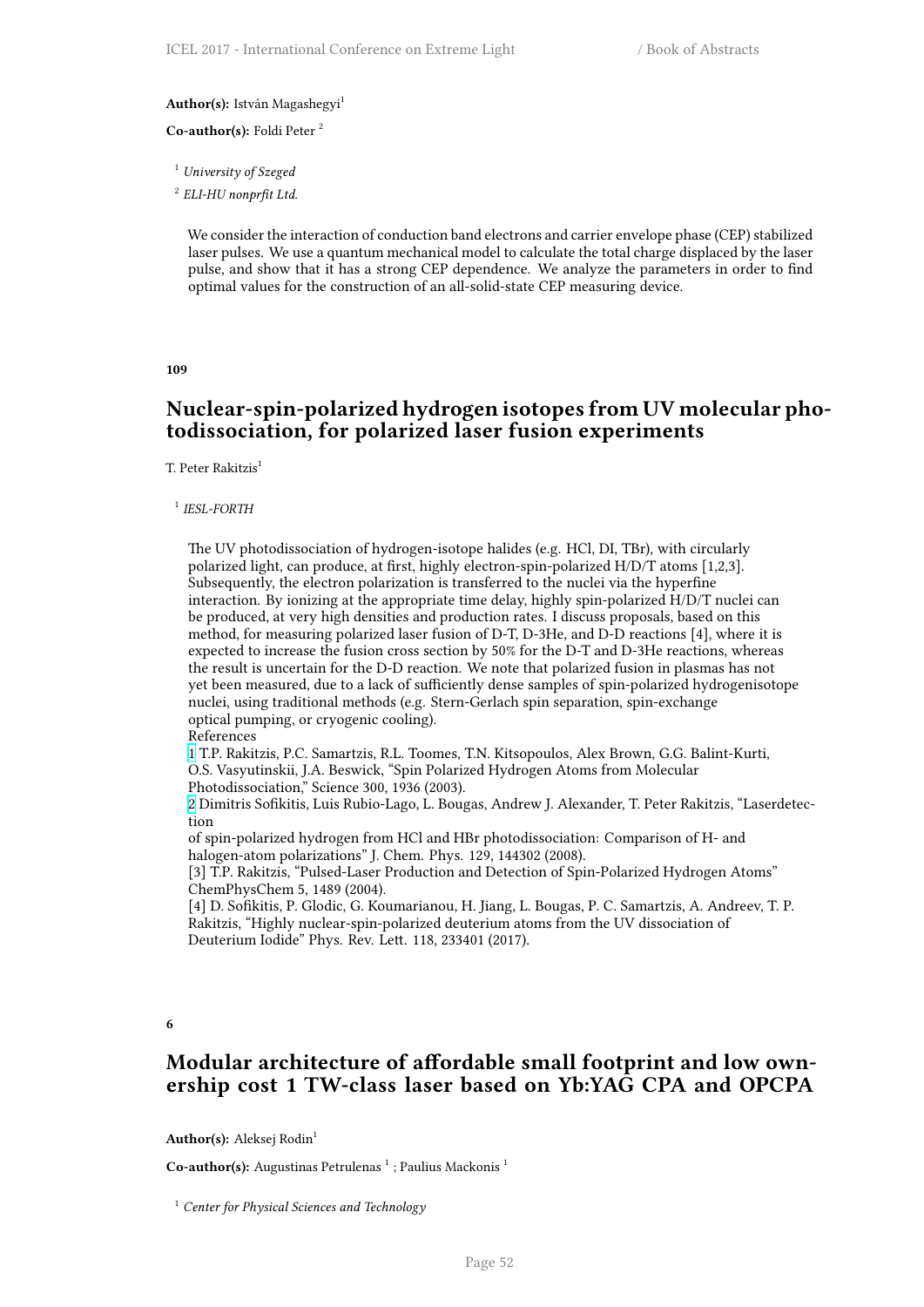### **Author(s):** István Magashegyi<sup>1</sup>

**Co-author(s):** Foldi Peter <sup>2</sup>

<sup>1</sup> *University of Szeged*

2 *ELI-HU nonprfit Ltd.*

We consider the interaction of conduction band electrons and carrier envelope phase (CEP) stabilized laser pulses. We use a quantum mechanical model to calculate the total charge displaced by the laser pulse, and show that it has a strong CEP dependence. We analyze the parameters in order to find optimal values for the construction of an all-solid-state CEP measuring device.

### **109**

# **Nuclear-spin-polarized hydrogen isotopes from UV molecular photodissociation, for polarized laser fusion experiments**

T. Peter Rakitzis<sup>1</sup>

### 1 *IESL-FORTH*

The UV photodissociation of hydrogen-isotope halides (e.g. HCl, DI, TBr), with circularly polarized light, can produce, at first, highly electron-spin-polarized H/D/T atoms [1,2,3]. Subsequently, the electron polarization is transferred to the nuclei via the hyperfine interaction. By ionizing at the appropriate time delay, highly spin-polarized H/D/T nuclei can be produced, at very high densities and production rates. I discuss proposals, based on this method, for measuring polarized laser fusion of D-T, D-3He, and D-D reactions [4], where it is expected to increase the fusion cross section by 50% for the D-T and D-3He reactions, whereas the result is uncertain for the D-D reaction. We note that polarized fusion in plasmas has not yet been measured, due to a lack of sufficiently dense samples of spin-polarized hydrogenisotope nuclei, using traditional methods (e.g. Stern-Gerlach spin separation, spin-exchange optical pumping, or cryogenic cooling).

References

1 T.P. Rakitzis, P.C. Samartzis, R.L. Toomes, T.N. Kitsopoulos, Alex Brown, G.G. Balint-Kurti, O.S. Vasyutinskii, J.A. Beswick, "Spin Polarized Hydrogen Atoms from Molecular Photodissociation," Science 300, 1936 (2003).

2 Dimitris Sofikitis, Luis Rubio-Lago, L. Bougas, Andrew J. Alexander, T. Peter Rakitzis, "Laserdetection

[o](http://i66.tinypic.com/wa63cz.png)f spin-polarized hydrogen from HCl and HBr photodissociation: Comparison of H- and halogen-atom polarizations" J. Chem. Phys. 129, 144302 (2008).

[3] T.P. Rakitzis, "Pulsed-Laser Production and Detection of Spin-Polarized Hydrogen Atoms" [C](http://i67.tinypic.com/bej0gk.png)hemPhysChem 5, 1489 (2004).

[4] D. Sofikitis, P. Glodic, G. Koumarianou, H. Jiang, L. Bougas, P. C. Samartzis, A. Andreev, T. P. Rakitzis, "Highly nuclear-spin-polarized deuterium atoms from the UV dissociation of Deuterium Iodide" Phys. Rev. Lett. 118, 233401 (2017).

**6**

# **Modular architecture of affordable small footprint and low ownership cost 1 TW-class laser based on Yb:YAG CPA and OPCPA**

**Author(s):** Aleksej Rodin<sup>1</sup>

Co-author(s): Augustinas Petrulenas<sup>1</sup>; Paulius Mackonis<sup>1</sup>

<sup>1</sup> *Center for Physical Sciences and Technology*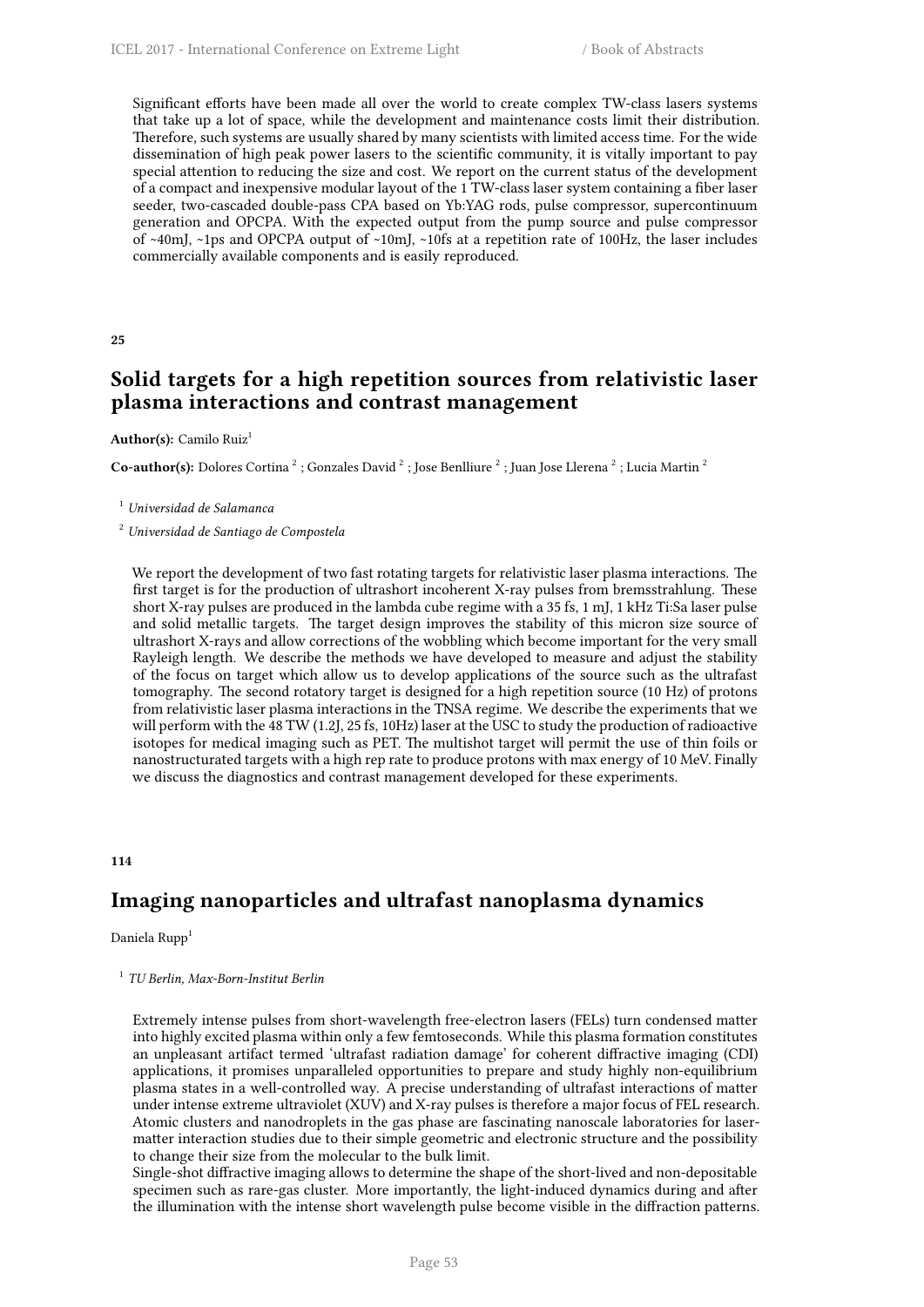Significant efforts have been made all over the world to create complex TW-class lasers systems that take up a lot of space, while the development and maintenance costs limit their distribution. Therefore, such systems are usually shared by many scientists with limited access time. For the wide dissemination of high peak power lasers to the scientific community, it is vitally important to pay special attention to reducing the size and cost. We report on the current status of the development of a compact and inexpensive modular layout of the 1 TW-class laser system containing a fiber laser seeder, two-cascaded double-pass CPA based on Yb:YAG rods, pulse compressor, supercontinuum generation and OPCPA. With the expected output from the pump source and pulse compressor of ~40mJ, ~1ps and OPCPA output of ~10mJ, ~10fs at a repetition rate of 100Hz, the laser includes commercially available components and is easily reproduced.

### **25**

# **Solid targets for a high repetition sources from relativistic laser plasma interactions and contrast management**

## Author(s): Camilo Ruiz<sup>1</sup>

 $\bf Co\text{-}author(s):$  Dolores Cortina  $^2$  ; Gonzales David  $^2$  ; Jose Benlliure  $^2$  ; Juan Jose Llerena  $^2$  ; Lucia Martin  $^2$ 

### <sup>1</sup> *Universidad de Salamanca*

<sup>2</sup> *Universidad de Santiago de Compostela*

We report the development of two fast rotating targets for relativistic laser plasma interactions. The first target is for the production of ultrashort incoherent X-ray pulses from bremsstrahlung. These short X-ray pulses are produced in the lambda cube regime with a 35 fs, 1 mJ, 1 kHz Ti:Sa laser pulse and solid metallic targets. The target design improves the stability of this micron size source of ultrashort X-rays and allow corrections of the wobbling which become important for the very small Rayleigh length. We describe the methods we have developed to measure and adjust the stability of the focus on target which allow us to develop applications of the source such as the ultrafast tomography. The second rotatory target is designed for a high repetition source (10 Hz) of protons from relativistic laser plasma interactions in the TNSA regime. We describe the experiments that we will perform with the 48 TW (1.2J, 25 fs, 10Hz) laser at the USC to study the production of radioactive isotopes for medical imaging such as PET. The multishot target will permit the use of thin foils or nanostructurated targets with a high rep rate to produce protons with max energy of 10 MeV. Finally we discuss the diagnostics and contrast management developed for these experiments.

### **114**

# **Imaging nanoparticles and ultrafast nanoplasma dynamics**

## Daniela Rupp<sup>1</sup>

## 1 *TU Berlin, Max-Born-Institut Berlin*

Extremely intense pulses from short-wavelength free-electron lasers (FELs) turn condensed matter into highly excited plasma within only a few femtoseconds. While this plasma formation constitutes an unpleasant artifact termed 'ultrafast radiation damage' for coherent diffractive imaging (CDI) applications, it promises unparalleled opportunities to prepare and study highly non-equilibrium plasma states in a well-controlled way. A precise understanding of ultrafast interactions of matter under intense extreme ultraviolet (XUV) and X-ray pulses is therefore a major focus of FEL research. Atomic clusters and nanodroplets in the gas phase are fascinating nanoscale laboratories for lasermatter interaction studies due to their simple geometric and electronic structure and the possibility to change their size from the molecular to the bulk limit.

Single-shot diffractive imaging allows to determine the shape of the short-lived and non-depositable specimen such as rare-gas cluster. More importantly, the light-induced dynamics during and after the illumination with the intense short wavelength pulse become visible in the diffraction patterns.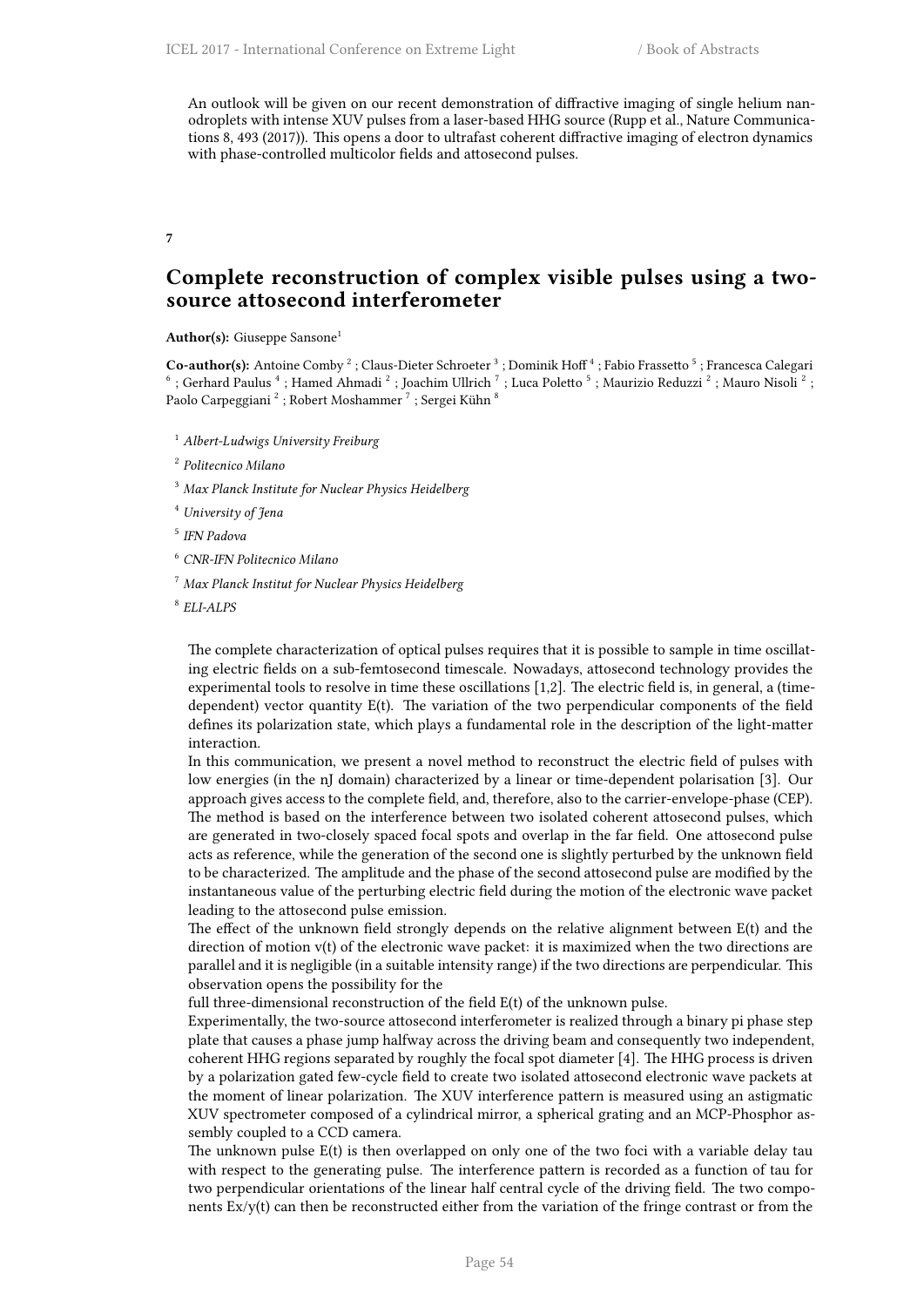An outlook will be given on our recent demonstration of diffractive imaging of single helium nanodroplets with intense XUV pulses from a laser-based HHG source (Rupp et al., Nature Communications 8, 493 (2017)). This opens a door to ultrafast coherent diffractive imaging of electron dynamics with phase-controlled multicolor fields and attosecond pulses.

**7**

## **Complete reconstruction of complex visible pulses using a twosource attosecond interferometer**

**Author(s):** Giuseppe Sansone<sup>1</sup>

**Co-author(s):** Antoine Comby  $^2$  ; Claus-Dieter Schroeter  $^3$  ; Dominik Hoff  $^4$  ; Fabio Frassetto  $^5$  ; Francesca Calegari<br> $^6$  ; Gerhard Paulus  $^4$  ; Hamed Ahmadi  $^2$  ; Joachim Ullrich  $^7$  ; Luca Poletto  $^5$  ; Paolo Carpeggiani  $^2$  ; Robert Moshammer  $^7$  ; Sergei Kühn  $^8$ 

<sup>1</sup> *Albert-Ludwigs University Freiburg*

2 *Politecnico Milano*

- <sup>3</sup> *Max Planck Institute for Nuclear Physics Heidelberg*
- <sup>4</sup> *University of Jena*

5 *IFN Padova*

- <sup>6</sup> *CNR-IFN Politecnico Milano*
- <sup>7</sup> *Max Planck Institut for Nuclear Physics Heidelberg*

8 *ELI-ALPS*

The complete characterization of optical pulses requires that it is possible to sample in time oscillating electric fields on a sub-femtosecond timescale. Nowadays, attosecond technology provides the experimental tools to resolve in time these oscillations [1,2]. The electric field is, in general, a (timedependent) vector quantity E(t). The variation of the two perpendicular components of the field defines its polarization state, which plays a fundamental role in the description of the light-matter interaction.

In this communication, we present a novel method to reconstruct the electric field of pulses with low energies (in the nJ domain) characterized by a linear or time-dependent polarisation [3]. Our approach gives access to the complete field, and, therefore, also to the carrier-envelope-phase (CEP). The method is based on the interference between two isolated coherent attosecond pulses, which are generated in two-closely spaced focal spots and overlap in the far field. One attosecond pulse acts as reference, while the generation of the second one is slightly perturbed by the unknown field to be characterized. The amplitude and the phase of the second attosecond pulse are modified by the instantaneous value of the perturbing electric field during the motion of the electronic wave packet leading to the attosecond pulse emission.

The effect of the unknown field strongly depends on the relative alignment between E(t) and the direction of motion v(t) of the electronic wave packet: it is maximized when the two directions are parallel and it is negligible (in a suitable intensity range) if the two directions are perpendicular. This observation opens the possibility for the

full three-dimensional reconstruction of the field E(t) of the unknown pulse.

Experimentally, the two-source attosecond interferometer is realized through a binary pi phase step plate that causes a phase jump halfway across the driving beam and consequently two independent, coherent HHG regions separated by roughly the focal spot diameter [4]. The HHG process is driven by a polarization gated few-cycle field to create two isolated attosecond electronic wave packets at the moment of linear polarization. The XUV interference pattern is measured using an astigmatic XUV spectrometer composed of a cylindrical mirror, a spherical grating and an MCP-Phosphor assembly coupled to a CCD camera.

The unknown pulse E(t) is then overlapped on only one of the two foci with a variable delay tau with respect to the generating pulse. The interference pattern is recorded as a function of tau for two perpendicular orientations of the linear half central cycle of the driving field. The two components  $Ex/y(t)$  can then be reconstructed either from the variation of the fringe contrast or from the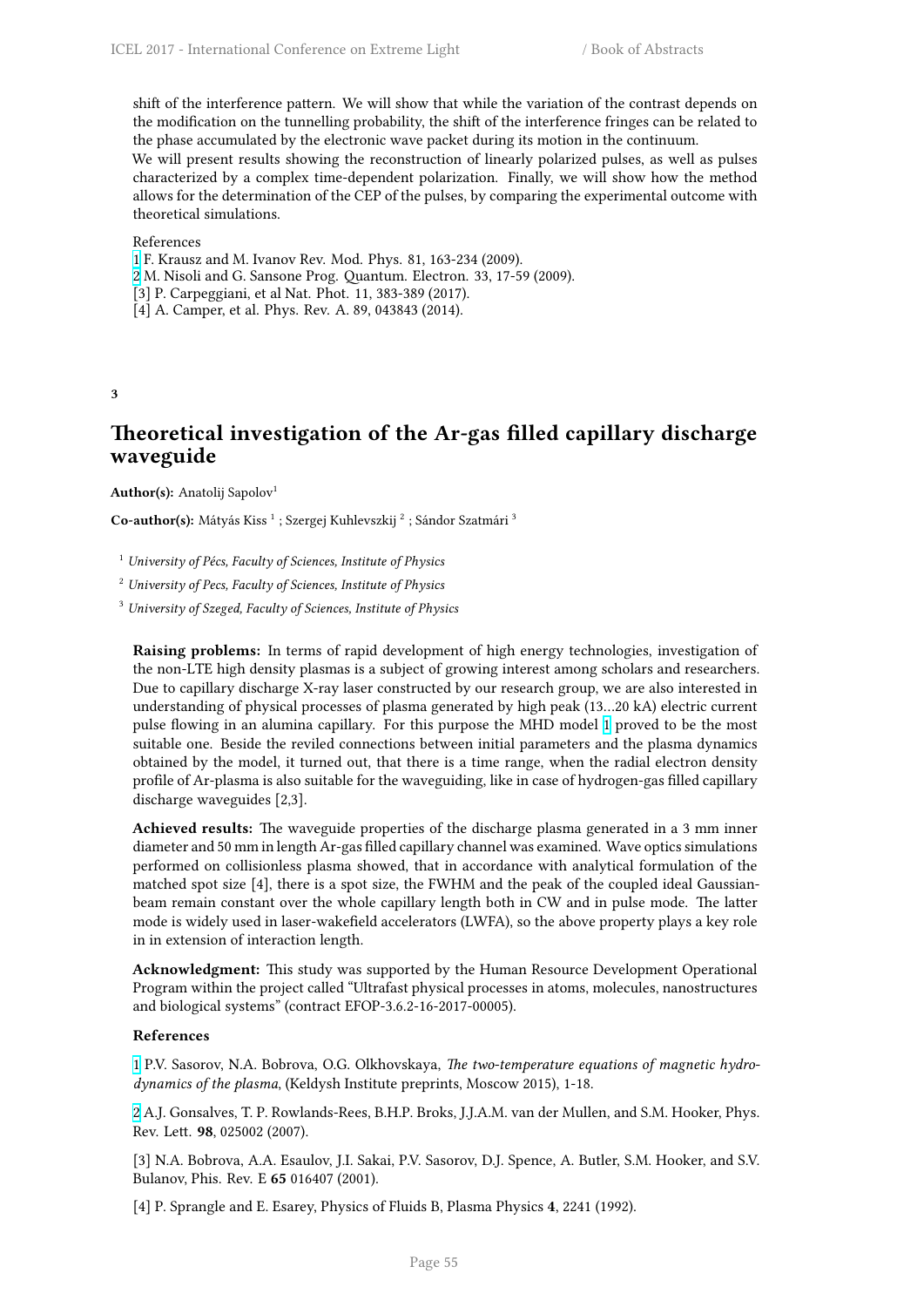shift of the interference pattern. We will show that while the variation of the contrast depends on the modification on the tunnelling probability, the shift of the interference fringes can be related to the phase accumulated by the electronic wave packet during its motion in the continuum.

We will present results showing the reconstruction of linearly polarized pulses, as well as pulses characterized by a complex time-dependent polarization. Finally, we will show how the method allows for the determination of the CEP of the pulses, by comparing the experimental outcome with theoretical simulations.

## References

- 1 F. Krausz and M. Ivanov Rev. Mod. Phys. 81, 163-234 (2009).
- 2 M. Nisoli and G. Sansone Prog. Quantum. Electron. 33, 17-59 (2009).
- [3] P. Carpeggiani, et al Nat. Phot. 11, 383-389 (2017).
- [4] A. Camper, et al. Phys. Rev. A. 89, 043843 (2014).

**3**

# **Theoretical investigation of the Ar-gas filled capillary discharge waveguide**

**Author(s):** Anatolij Sapolov<sup>1</sup>

Co-author(s): Mátyás Kiss <sup>1</sup> ; Szergej Kuhlevszkij <sup>2</sup> ; Sándor Szatmári <sup>3</sup>

<sup>1</sup> *University of Pécs, Faculty of Sciences, Institute of Physics*

<sup>2</sup> *University of Pecs, Faculty of Sciences, Institute of Physics*

<sup>3</sup> *University of Szeged, Faculty of Sciences, Institute of Physics*

**Raising problems:** In terms of rapid development of high energy technologies, investigation of the non-LTE high density plasmas is a subject of growing interest among scholars and researchers. Due to capillary discharge X-ray laser constructed by our research group, we are also interested in understanding of physical processes of plasma generated by high peak (13…20 kA) electric current pulse flowing in an alumina capillary. For this purpose the MHD model 1 proved to be the most suitable one. Beside the reviled connections between initial parameters and the plasma dynamics obtained by the model, it turned out, that there is a time range, when the radial electron density profile of Ar-plasma is also suitable for the waveguiding, like in case of hydrogen-gas filled capillary discharge waveguides [2,3].

**Achieved results:** The waveguide properties of the discharge plasma generated in a 3 mm inner diameter and 50 mm in length Ar-gas filled capillary channel was examined. Wave optics simulations performed on collisionless plasma showed, that in accordance with analytical formulation of the matched spot size [4], there is a spot size, the FWHM and the peak of the coupled ideal Gaussianbeam remain constant over the whole capillary length both in CW and in pulse mode. The latter mode is widely used in laser-wakefield accelerators (LWFA), so the above property plays a key role in in extension of interaction length.

**Acknowledgment:** This study was supported by the Human Resource Development Operational Program within the project called "Ultrafast physical processes in atoms, molecules, nanostructures and biological systems" (contract EFOP-3.6.2-16-2017-00005).

### **References**

1 P.V. Sasorov, N.A. Bobrova, O.G. Olkhovskaya, *The two-temperature equations of magnetic hydrodynamics of the plasma*, (Keldysh Institute preprints, Moscow 2015), 1-18.

2 A.J. Gonsalves, T. P. Rowlands-Rees, B.H.P. Broks, J.J.A.M. van der Mullen, and S.M. Hooker, Phys. [R](http://i66.tinypic.com/wa63cz.png)ev. Lett. **98**, 025002 (2007).

[3] N.A. Bobrova, A.A. Esaulov, J.I. Sakai, P.V. Sasorov, D.J. Spence, A. Butler, S.M. Hooker, and S.V. [B](http://i67.tinypic.com/bej0gk.png)ulanov, Phis. Rev. E **65** 016407 (2001).

[4] P. Sprangle and E. Esarey, Physics of Fluids B, Plasma Physics **4**, 2241 (1992).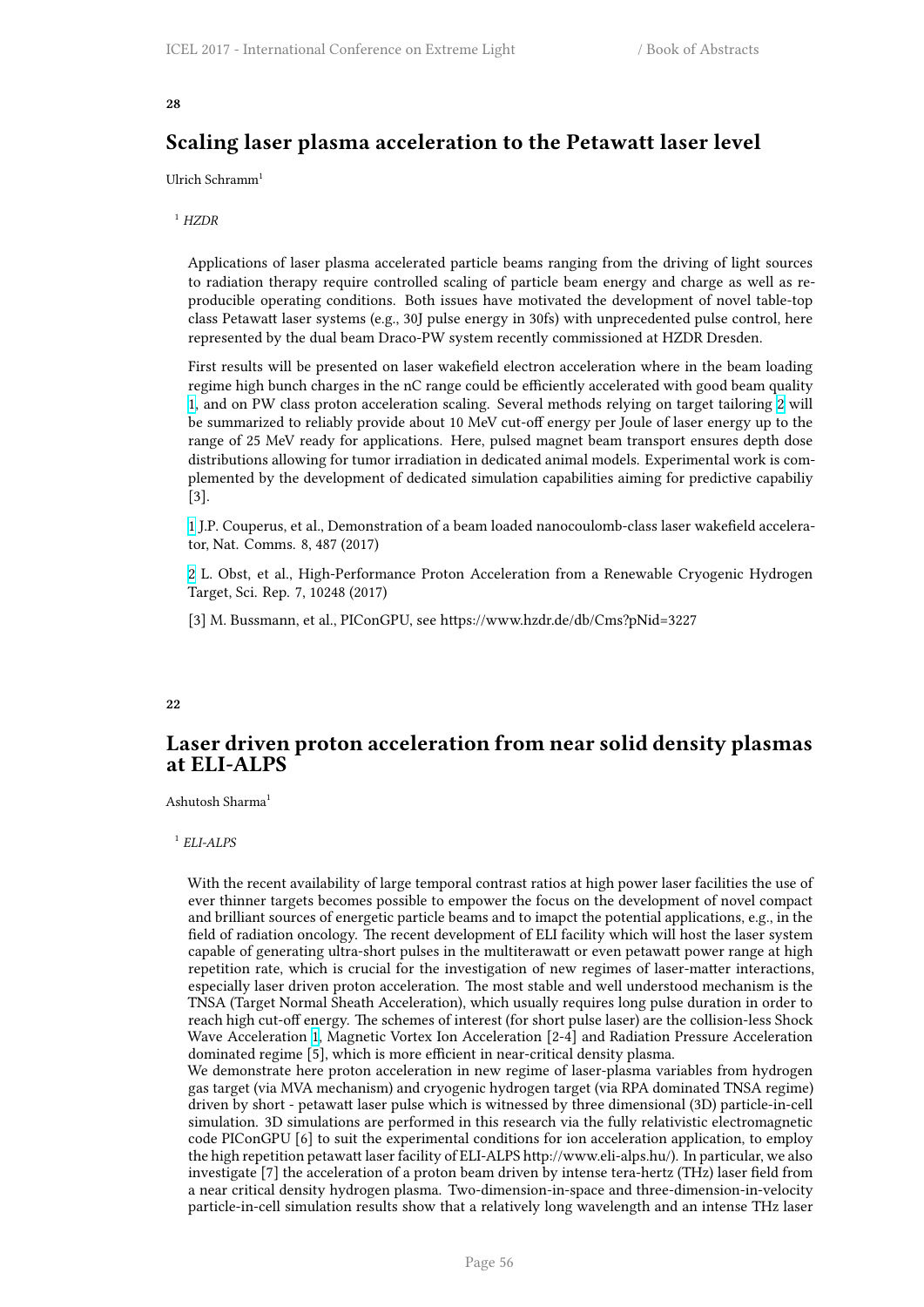## **28**

# **Scaling laser plasma acceleration to the Petawatt laser level**

Ulrich Schramm<sup>1</sup>

<sup>1</sup> *HZDR*

Applications of laser plasma accelerated particle beams ranging from the driving of light sources to radiation therapy require controlled scaling of particle beam energy and charge as well as reproducible operating conditions. Both issues have motivated the development of novel table-top class Petawatt laser systems (e.g., 30J pulse energy in 30fs) with unprecedented pulse control, here represented by the dual beam Draco-PW system recently commissioned at HZDR Dresden.

First results will be presented on laser wakefield electron acceleration where in the beam loading regime high bunch charges in the nC range could be efficiently accelerated with good beam quality 1, and on PW class proton acceleration scaling. Several methods relying on target tailoring 2 will be summarized to reliably provide about 10 MeV cut-off energy per Joule of laser energy up to the range of 25 MeV ready for applications. Here, pulsed magnet beam transport ensures depth dose distributions allowing for tumor irradiation in dedicated animal models. Experimental work is com[p](http://i66.tinypic.com/wa63cz.png)lemented by the development of dedicated simulation capabilities aiming for predictive ca[pa](http://i67.tinypic.com/bej0gk.png)biliy [3].

1 J.P. Couperus, et al., Demonstration of a beam loaded nanocoulomb-class laser wakefield accelerator, Nat. Comms. 8, 487 (2017)

2 L. Obst, et al., High-Performance Proton Acceleration from a Renewable Cryogenic Hydrogen [T](http://i66.tinypic.com/wa63cz.png)arget, Sci. Rep. 7, 10248 (2017)

[3] M. Bussmann, et al., PIConGPU, see https://www.hzdr.de/db/Cms?pNid=3227

#### **22**

# **Laser driven proton acceleration from near solid density plasmas at ELI-ALPS**

Ashutosh Sharma<sup>1</sup>

### 1 *ELI-ALPS*

With the recent availability of large temporal contrast ratios at high power laser facilities the use of ever thinner targets becomes possible to empower the focus on the development of novel compact and brilliant sources of energetic particle beams and to imapct the potential applications, e.g., in the field of radiation oncology. The recent development of ELI facility which will host the laser system capable of generating ultra-short pulses in the multiterawatt or even petawatt power range at high repetition rate, which is crucial for the investigation of new regimes of laser-matter interactions, especially laser driven proton acceleration. The most stable and well understood mechanism is the TNSA (Target Normal Sheath Acceleration), which usually requires long pulse duration in order to reach high cut-off energy. The schemes of interest (for short pulse laser) are the collision-less Shock Wave Acceleration 1, Magnetic Vortex Ion Acceleration [2-4] and Radiation Pressure Acceleration dominated regime [5], which is more efficient in near-critical density plasma.

We demonstrate here proton acceleration in new regime of laser-plasma variables from hydrogen gas target (via MVA mechanism) and cryogenic hydrogen target (via RPA dominated TNSA regime) driven by short - petawatt laser pulse which is witnessed by three dimensional (3D) particle-in-cell simulation. 3D sim[ul](http://i66.tinypic.com/wa63cz.png)ations are performed in this research via the fully relativistic electromagnetic code PIConGPU [6] to suit the experimental conditions for ion acceleration application, to employ the high repetition petawatt laser facility of ELI-ALPS http://www.eli-alps.hu/). In particular, we also investigate [7] the acceleration of a proton beam driven by intense tera-hertz (THz) laser field from a near critical density hydrogen plasma. Two-dimension-in-space and three-dimension-in-velocity particle-in-cell simulation results show that a relatively long wavelength and an intense THz laser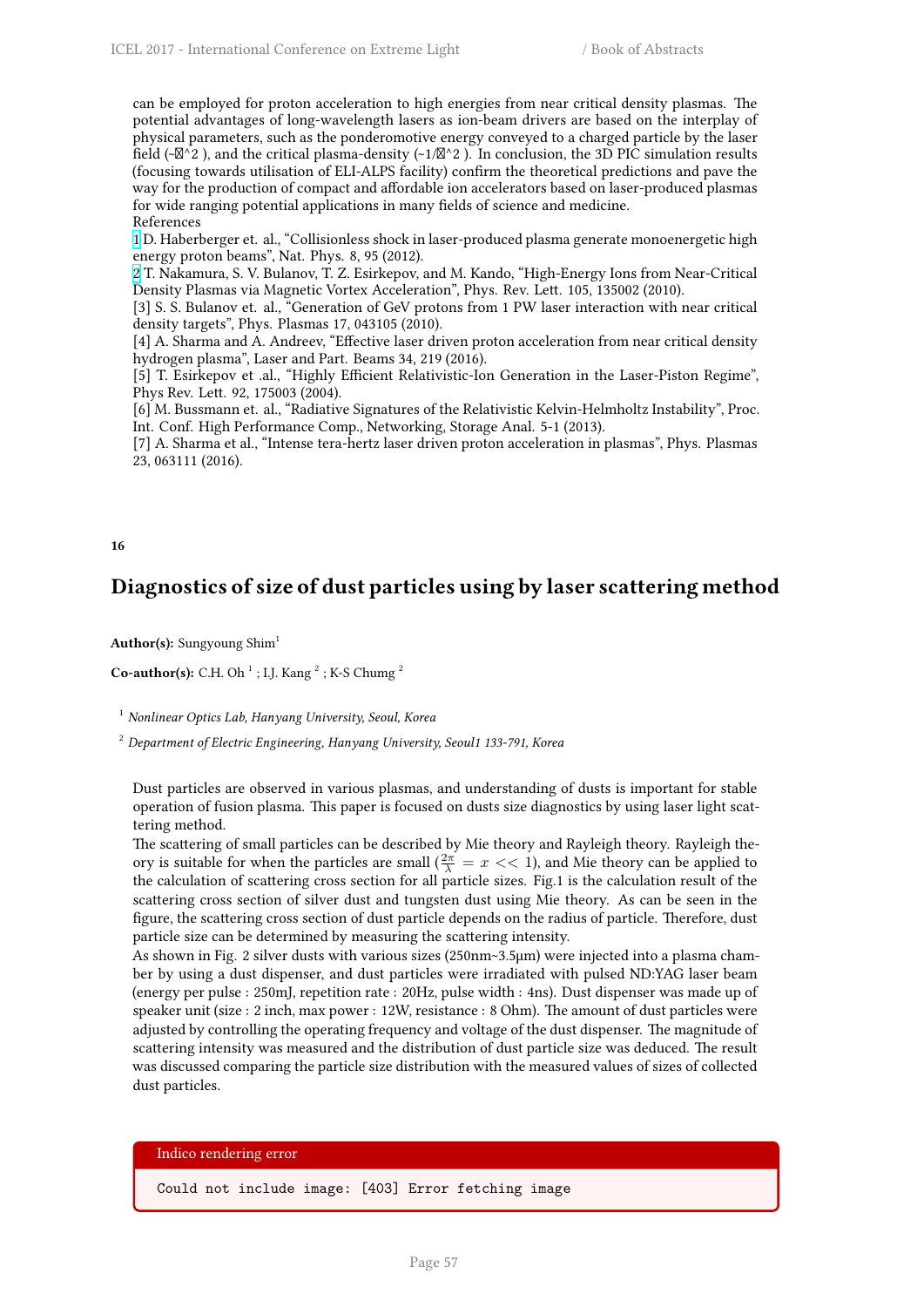can be employed for proton acceleration to high energies from near critical density plasmas. The potential advantages of long-wavelength lasers as ion-beam drivers are based on the interplay of physical parameters, such as the ponderomotive energy conveyed to a charged particle by the laser field (~ $\mathbb{Z}^{\wedge}$  2), and the critical plasma-density (~1/ $\mathbb{Z}^{\wedge}$  2). In conclusion, the 3D PIC simulation results (focusing towards utilisation of ELI-ALPS facility) confirm the theoretical predictions and pave the way for the production of compact and affordable ion accelerators based on laser-produced plasmas for wide ranging potential applications in many fields of science and medicine. References

1 D. Haberberger et. al., "Collisionless shock in laser-produced plasma generate monoenergetic high energy proton beams", Nat. Phys. 8, 95 (2012).

2 T. Nakamura, S. V. Bulanov, T. Z. Esirkepov, and M. Kando, "High-Energy Ions from Near-Critical Density Plasmas via Magnetic Vortex Acceleration", Phys. Rev. Lett. 105, 135002 (2010).

[3] S. S. Bulanov et. al., "Generation of GeV protons from 1 PW laser interaction with near critical [d](http://i66.tinypic.com/wa63cz.png)ensity targets", Phys. Plasmas 17, 043105 (2010).

[4] A. Sharma and A. Andreev, "Effective laser driven proton acceleration from near critical density [h](http://i67.tinypic.com/bej0gk.png)ydrogen plasma", Laser and Part. Beams 34, 219 (2016).

[5] T. Esirkepov et .al., "Highly Efficient Relativistic-Ion Generation in the Laser-Piston Regime", Phys Rev. Lett. 92, 175003 (2004).

[6] M. Bussmann et. al., "Radiative Signatures of the Relativistic Kelvin-Helmholtz Instability", Proc. Int. Conf. High Performance Comp., Networking, Storage Anal. 5-1 (2013).

[7] A. Sharma et al., "Intense tera-hertz laser driven proton acceleration in plasmas", Phys. Plasmas 23, 063111 (2016).

#### **16**

# **Diagnostics of size of dust particles using by laser scattering method**

Author(s): Sungyoung Shim<sup>1</sup>

**Co-author(s):** C.H. Oh<sup>1</sup>; I.J. Kang<sup>2</sup>; K-S Chumg<sup>2</sup>

<sup>1</sup> *Nonlinear Optics Lab, Hanyang University, Seoul, Korea*

<sup>2</sup> *Department of Electric Engineering, Hanyang University, Seoul1 133-791, Korea*

Dust particles are observed in various plasmas, and understanding of dusts is important for stable operation of fusion plasma. This paper is focused on dusts size diagnostics by using laser light scattering method.

The scattering of small particles can be described by Mie theory and Rayleigh theory. Rayleigh theory is suitable for when the particles are small ( $\frac{2\pi}{\lambda} = x \ll 1$ ), and Mie theory can be applied to the calculation of scattering cross section for all particle sizes. Fig.1 is the calculation result of the scattering cross section of silver dust and tungsten dust using Mie theory. As can be seen in the figure, the scattering cross section of dust particle depends on the radius of particle. Therefore, dust particle size can be determined by measuring the scattering intensity.

As shown in Fig. 2 silver dusts with various sizes (250nm~3.5μm) were injected into a plasma chamber by using a dust dispenser, and dust particles were irradiated with pulsed ND:YAG laser beam (energy per pulse : 250mJ, repetition rate : 20Hz, pulse width : 4ns). Dust dispenser was made up of speaker unit (size : 2 inch, max power : 12W, resistance : 8 Ohm). The amount of dust particles were adjusted by controlling the operating frequency and voltage of the dust dispenser. The magnitude of scattering intensity was measured and the distribution of dust particle size was deduced. The result was discussed comparing the particle size distribution with the measured values of sizes of collected dust particles.

## Indico rendering error

Could not include image: [403] Error fetching image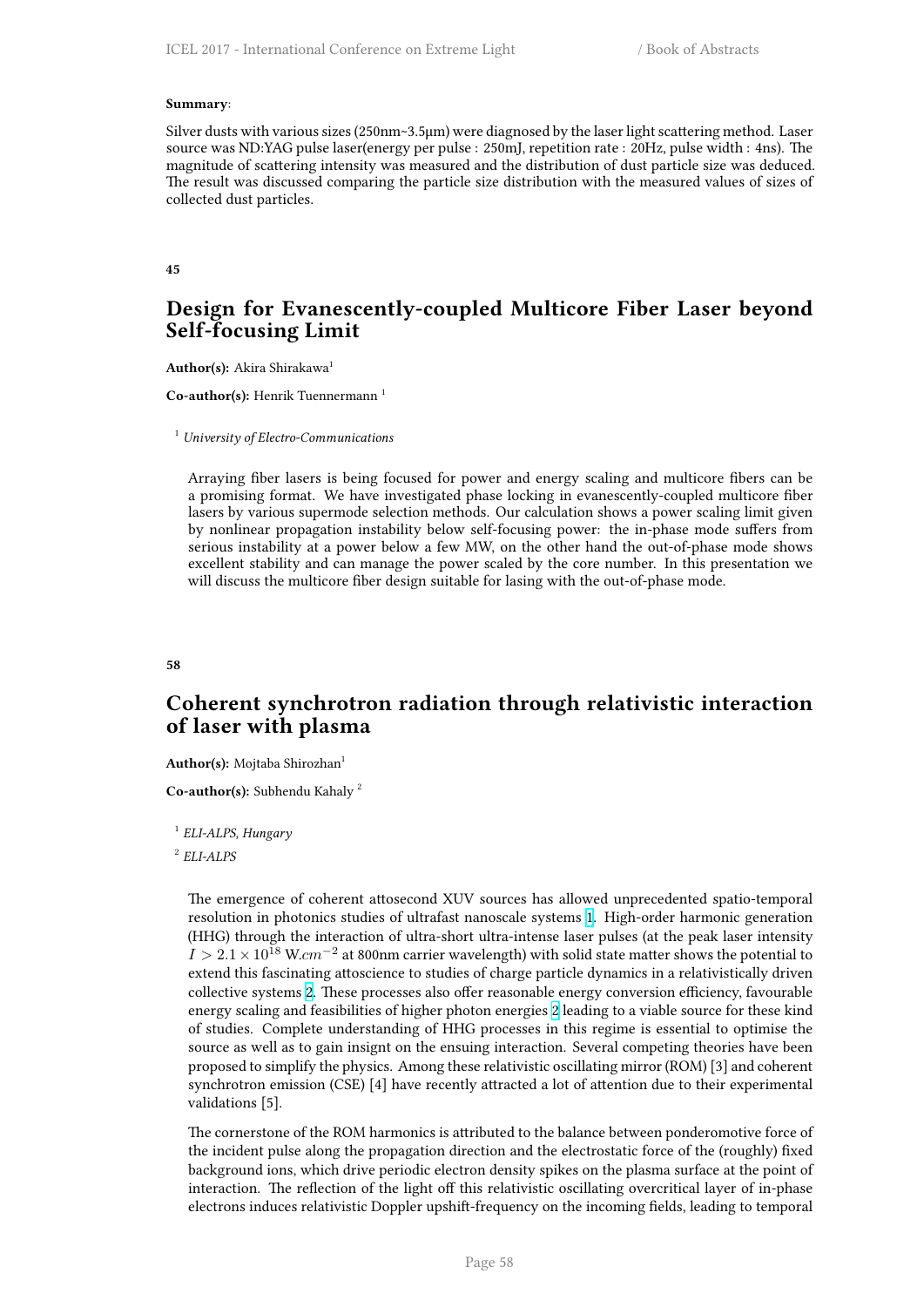#### **Summary**:

Silver dusts with various sizes (250nm~3.5μm) were diagnosed by the laser light scattering method. Laser source was ND:YAG pulse laser(energy per pulse : 250mJ, repetition rate : 20Hz, pulse width : 4ns). The magnitude of scattering intensity was measured and the distribution of dust particle size was deduced. The result was discussed comparing the particle size distribution with the measured values of sizes of collected dust particles.

#### **45**

# **Design for Evanescently-coupled Multicore Fiber Laser beyond Self-focusing Limit**

Author(s): Akira Shirakawa<sup>1</sup>

**Co-author(s):** Henrik Tuennermann<sup>1</sup>

<sup>1</sup> *University of Electro-Communications*

Arraying fiber lasers is being focused for power and energy scaling and multicore fibers can be a promising format. We have investigated phase locking in evanescently-coupled multicore fiber lasers by various supermode selection methods. Our calculation shows a power scaling limit given by nonlinear propagation instability below self-focusing power: the in-phase mode suffers from serious instability at a power below a few MW, on the other hand the out-of-phase mode shows excellent stability and can manage the power scaled by the core number. In this presentation we will discuss the multicore fiber design suitable for lasing with the out-of-phase mode.

**58**

# **Coherent synchrotron radiation through relativistic interaction of laser with plasma**

Author(s): Mojtaba Shirozhan<sup>1</sup>

**Co-author(s):** Subhendu Kahaly <sup>2</sup>

1 *ELI-ALPS, Hungary*

2 *ELI-ALPS*

The emergence of coherent attosecond XUV sources has allowed unprecedented spatio-temporal resolution in photonics studies of ultrafast nanoscale systems 1. High-order harmonic generation (HHG) through the interaction of ultra-short ultra-intense laser pulses (at the peak laser intensity *I >* <sup>2</sup>*.*1*×*10<sup>18</sup> W.*cm−*<sup>2</sup> at 800nm carrier wavelength) with solid state matter shows the potential to extend this fascinating attoscience to studies of charge particle dynamics in a relativistically driven collective systems 2. These processes also offer reasonable ener[g](http://cfile216.uf.daum.net/image/99D8A43359BB6FCF2E4D1F)y conversion efficiency, favourable energy scaling and feasibilities of higher photon energies 2 leading to a viable source for these kind of studies. Complete understanding of HHG processes in this regime is essential to optimise the source as well as to gain insignt on the ensuing interaction. Several competing theories have been proposed to simpli[fy](http://i67.tinypic.com/bej0gk.png) the physics. Among these relativistic oscillating mirror (ROM) [3] and coherent synchrotron emission (CSE) [4] have recently attracted a [lo](http://i67.tinypic.com/bej0gk.png)t of attention due to their experimental validations [5].

The cornerstone of the ROM harmonics is attributed to the balance between ponderomotive force of the incident pulse along the propagation direction and the electrostatic force of the (roughly) fixed background ions, which drive periodic electron density spikes on the plasma surface at the point of interaction. The reflection of the light off this relativistic oscillating overcritical layer of in-phase electrons induces relativistic Doppler upshift-frequency on the incoming fields, leading to temporal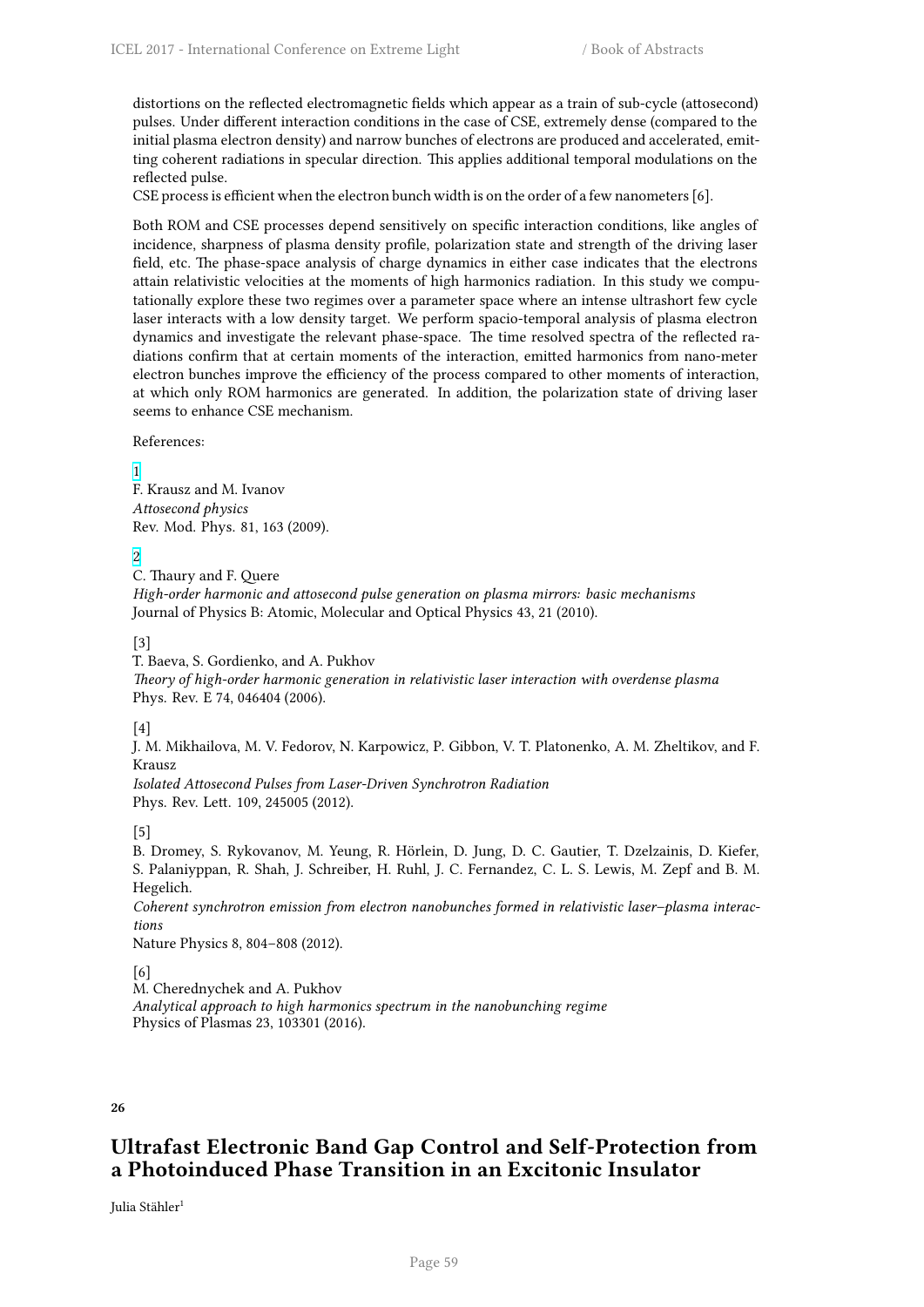distortions on the reflected electromagnetic fields which appear as a train of sub-cycle (attosecond) pulses. Under different interaction conditions in the case of CSE, extremely dense (compared to the initial plasma electron density) and narrow bunches of electrons are produced and accelerated, emitting coherent radiations in specular direction. This applies additional temporal modulations on the reflected pulse.

CSE process is efficient when the electron bunch width is on the order of a few nanometers [6].

Both ROM and CSE processes depend sensitively on specific interaction conditions, like angles of incidence, sharpness of plasma density profile, polarization state and strength of the driving laser field, etc. The phase-space analysis of charge dynamics in either case indicates that the electrons attain relativistic velocities at the moments of high harmonics radiation. In this study we computationally explore these two regimes over a parameter space where an intense ultrashort few cycle laser interacts with a low density target. We perform spacio-temporal analysis of plasma electron dynamics and investigate the relevant phase-space. The time resolved spectra of the reflected radiations confirm that at certain moments of the interaction, emitted harmonics from nano-meter electron bunches improve the efficiency of the process compared to other moments of interaction, at which only ROM harmonics are generated. In addition, the polarization state of driving laser seems to enhance CSE mechanism.

References:

1 F. Krausz and M. Ivanov *Attosecond physics* Rev. Mod. Phys. 81, 163 (2009).

[2](http://cfile216.uf.daum.net/image/99D8A43359BB6FCF2E4D1F)

C. Thaury and F. Quere *High-order harmonic and attosecond pulse generation on plasma mirrors: basic mechanisms* Journal of Physics B: Atomic, Molecular and Optical Physics 43, 21 (2010).

[\[3](http://i67.tinypic.com/bej0gk.png)]

T. Baeva, S. Gordienko, and A. Pukhov *Theory of high-order harmonic generation in relativistic laser interaction with overdense plasma* Phys. Rev. E 74, 046404 (2006).

[4]

J. M. Mikhailova, M. V. Fedorov, N. Karpowicz, P. Gibbon, V. T. Platonenko, A. M. Zheltikov, and F. Krausz

*Isolated Attosecond Pulses from Laser-Driven Synchrotron Radiation* Phys. Rev. Lett. 109, 245005 (2012).

[5]

B. Dromey, S. Rykovanov, M. Yeung, R. Hörlein, D. Jung, D. C. Gautier, T. Dzelzainis, D. Kiefer, S. Palaniyppan, R. Shah, J. Schreiber, H. Ruhl, J. C. Fernandez, C. L. S. Lewis, M. Zepf and B. M. Hegelich.

*Coherent synchrotron emission from electron nanobunches formed in relativistic laser–plasma interactions*

Nature Physics 8, 804–808 (2012).

[6]

M. Cherednychek and A. Pukhov

*Analytical approach to high harmonics spectrum in the nanobunching regime* Physics of Plasmas 23, 103301 (2016).

**26**

# **Ultrafast Electronic Band Gap Control and Self-Protection from a Photoinduced Phase Transition in an Excitonic Insulator**

Julia Stähler<sup>1</sup>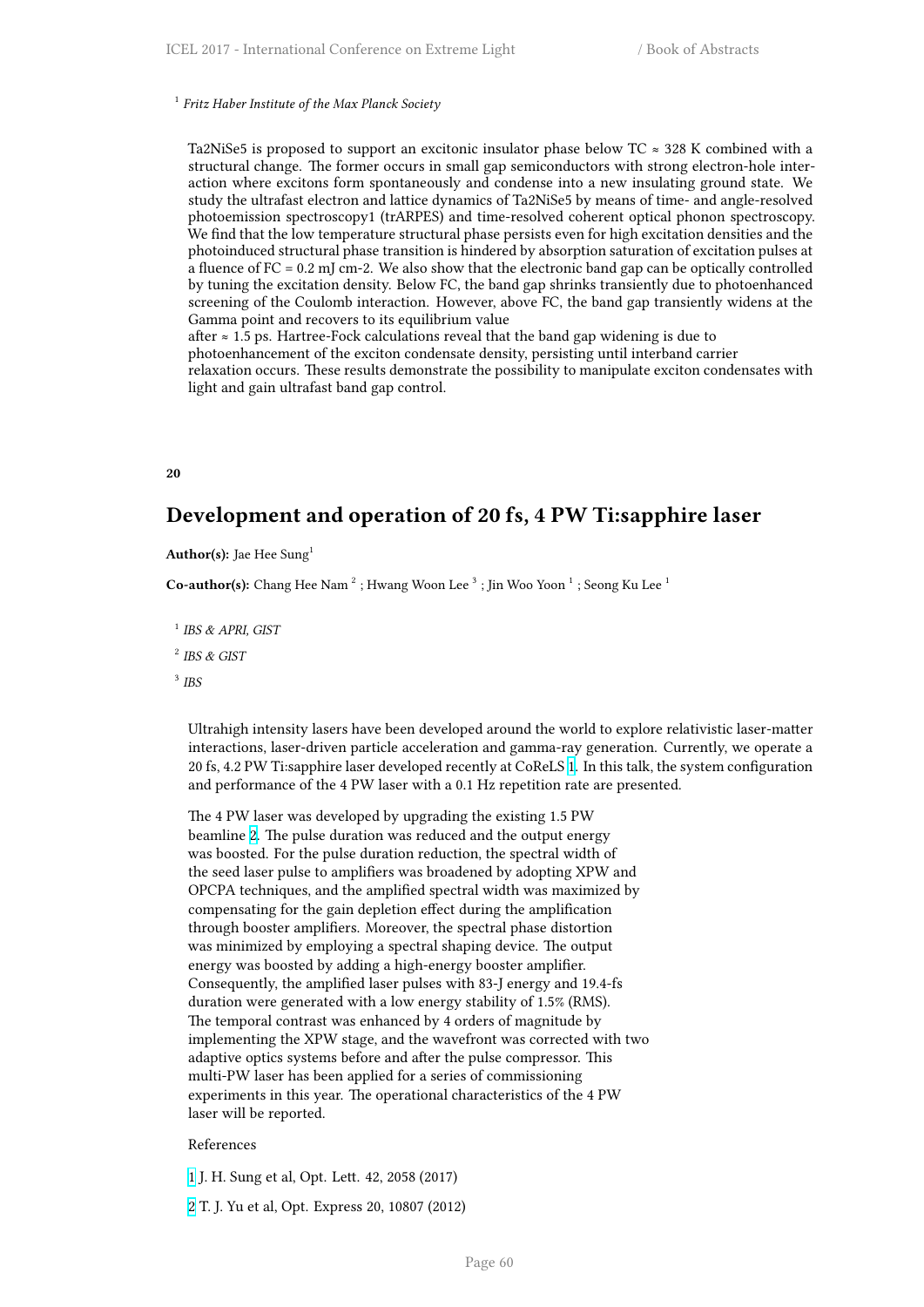Ta2NiSe5 is proposed to support an excitonic insulator phase below TC  $\approx$  328 K combined with a structural change. The former occurs in small gap semiconductors with strong electron-hole interaction where excitons form spontaneously and condense into a new insulating ground state. We study the ultrafast electron and lattice dynamics of Ta2NiSe5 by means of time- and angle-resolved photoemission spectroscopy1 (trARPES) and time-resolved coherent optical phonon spectroscopy. We find that the low temperature structural phase persists even for high excitation densities and the photoinduced structural phase transition is hindered by absorption saturation of excitation pulses at a fluence of FC = 0.2 mJ cm-2. We also show that the electronic band gap can be optically controlled by tuning the excitation density. Below FC, the band gap shrinks transiently due to photoenhanced screening of the Coulomb interaction. However, above FC, the band gap transiently widens at the Gamma point and recovers to its equilibrium value

after  $\approx$  1.5 ps. Hartree-Fock calculations reveal that the band gap widening is due to photoenhancement of the exciton condensate density, persisting until interband carrier relaxation occurs. These results demonstrate the possibility to manipulate exciton condensates with light and gain ultrafast band gap control.

**20**

# **Development and operation of 20 fs, 4 PW Ti:sapphire laser**

**Author(s):** Jae Hee Sung<sup>1</sup>

**Co-author(s):** Chang Hee Nam<sup>2</sup>; Hwang Woon Lee<sup>3</sup>; Jin Woo Yoon<sup>1</sup>; Seong Ku Lee<sup>1</sup>

1 *IBS & APRI, GIST*

2 *IBS & GIST*

3 *IBS*

Ultrahigh intensity lasers have been developed around the world to explore relativistic laser-matter interactions, laser-driven particle acceleration and gamma-ray generation. Currently, we operate a 20 fs, 4.2 PW Ti:sapphire laser developed recently at CoReLS 1. In this talk, the system configuration and performance of the 4 PW laser with a 0.1 Hz repetition rate are presented.

The 4 PW laser was developed by upgrading the existing 1.5 PW beamline 2. The pulse duration was reduced and the output [en](http://cfile216.uf.daum.net/image/99D8A43359BB6FCF2E4D1F)ergy was boosted. For the pulse duration reduction, the spectral width of the seed laser pulse to amplifiers was broadened by adopting XPW and OPCPA techniques, and the amplified spectral width was maximized by compens[ati](http://i67.tinypic.com/bej0gk.png)ng for the gain depletion effect during the amplification through booster amplifiers. Moreover, the spectral phase distortion was minimized by employing a spectral shaping device. The output energy was boosted by adding a high-energy booster amplifier. Consequently, the amplified laser pulses with 83-J energy and 19.4-fs duration were generated with a low energy stability of 1.5% (RMS). The temporal contrast was enhanced by 4 orders of magnitude by implementing the XPW stage, and the wavefront was corrected with two adaptive optics systems before and after the pulse compressor. This multi-PW laser has been applied for a series of commissioning experiments in this year. The operational characteristics of the 4 PW laser will be reported.

### References

1 J. H. Sung et al, Opt. Lett. 42, 2058 (2017)

2 T. J. Yu et al, Opt. Express 20, 10807 (2012)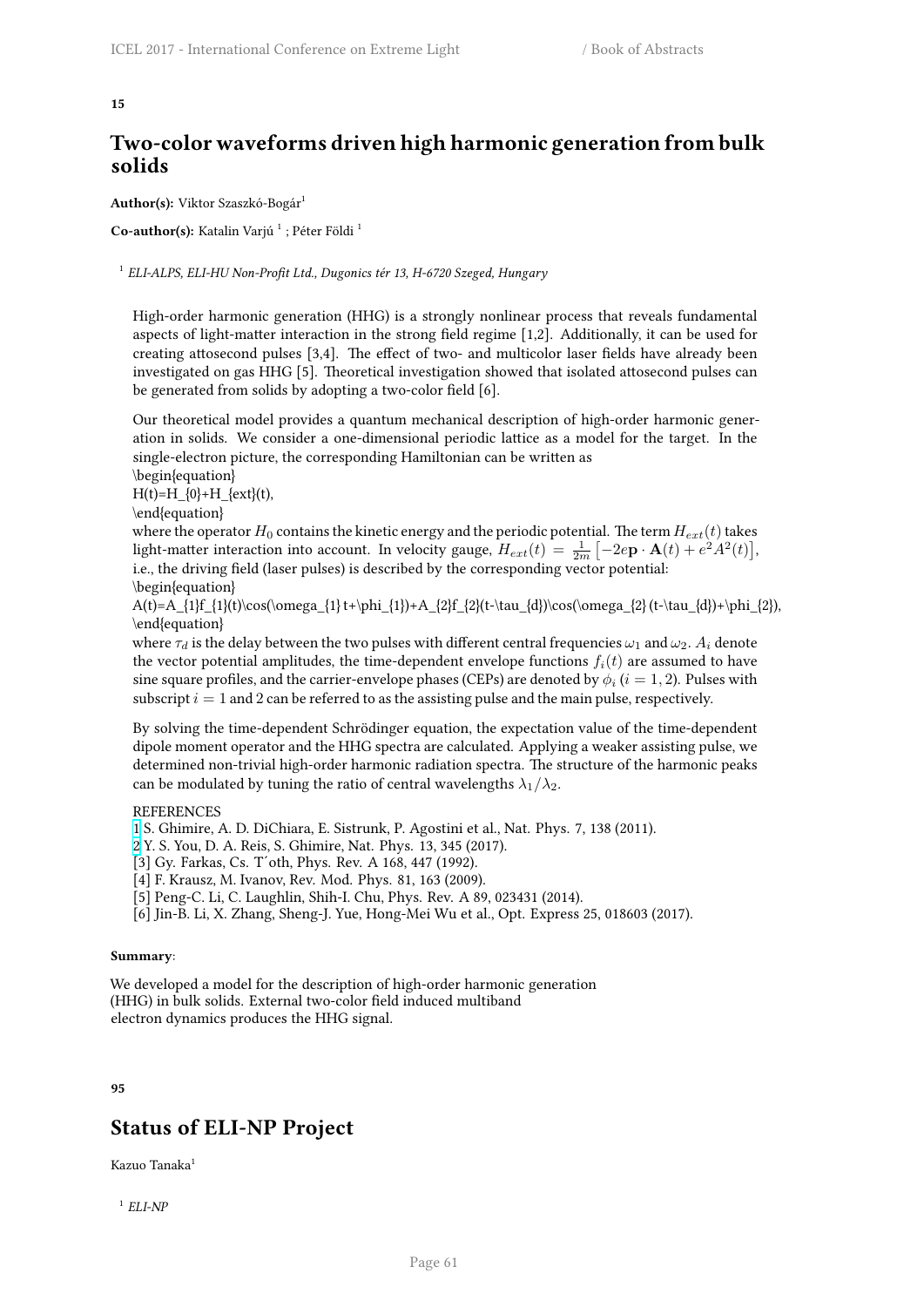# **Two-color waveforms driven high harmonic generation from bulk solids**

Author(s): Viktor Szaszkó-Bogár<sup>1</sup>

 $\mathbf C$ o-author(s): Katalin Varjú <sup>1</sup> ; Péter Földi <sup>1</sup>

1 *ELI-ALPS, ELI-HU Non-Profit Ltd., Dugonics tér 13, H-6720 Szeged, Hungary*

High-order harmonic generation (HHG) is a strongly nonlinear process that reveals fundamental aspects of light-matter interaction in the strong field regime [1,2]. Additionally, it can be used for creating attosecond pulses [3,4]. The effect of two- and multicolor laser fields have already been investigated on gas HHG [5]. Theoretical investigation showed that isolated attosecond pulses can be generated from solids by adopting a two-color field [6].

Our theoretical model provides a quantum mechanical description of high-order harmonic generation in solids. We consider a one-dimensional periodic lattice as a model for the target. In the single-electron picture, the corresponding Hamiltonian can be written as

\begin{equation}

 $H(t)=H_{0}+H_{ext}(t),$ 

\end{equation}

where the operator  $H_0$  contains the kinetic energy and the periodic potential. The term  $H_{ext}(t)$  takes light-matter interaction into account. In velocity gauge,  $H_{ext}(t) = \frac{1}{2m} \left[ -2e\mathbf{p} \cdot \mathbf{A}(t) + e^2 A^2(t) \right]$ , i.e., the driving field (laser pulses) is described by the corresponding vector potential:

$$
\verb|\begin{equation}| \\
$$

 $A(t)=A_{1}f_{1}(t)\cos(\omega_{1} t+\phi_{1})+A_{2}f_{2}(t-\tau_{d})\cos(\omega_{2} t-\tau_{d})+\phi_{2}),$ \end{equation}

where  $\tau_d$  is the delay between the two pulses with different central frequencies  $\omega_1$  and  $\omega_2$ .  $A_i$  denote the vector potential amplitudes, the time-dependent envelope functions  $f_i(t)$  are assumed to have sine square profiles, and the carrier-envelope phases (CEPs) are denoted by  $\phi_i$   $(i=1,2)$ . Pulses with subscript  $i = 1$  and 2 can be referred to as the assisting pulse and the main pulse, respectively.

By solving the time-dependent Schrödinger equation, the expectation value of the time-dependent dipole moment operator and the HHG spectra are calculated. Applying a weaker assisting pulse, we determined non-trivial high-order harmonic radiation spectra. The structure of the harmonic peaks can be modulated by tuning the ratio of central wavelengths  $\lambda_1/\lambda_2$ .

## **REFERENCES**

1 S. Ghimire, A. D. DiChiara, E. Sistrunk, P. Agostini et al., Nat. Phys. 7, 138 (2011).

2 Y. S. You, D. A. Reis, S. Ghimire, Nat. Phys. 13, 345 (2017).

[3] Gy. Farkas, Cs. T´oth, Phys. Rev. A 168, 447 (1992).

[4] F. Krausz, M. Ivanov, Rev. Mod. Phys. 81, 163 (2009).

[5] Peng-C. Li, C. Laughlin, Shih-I. Chu, Phys. Rev. A 89, 023431 (2014).

[\[6](http://cfile216.uf.daum.net/image/99D8A43359BB6FCF2E4D1F)] Jin-B. Li, X. Zhang, Sheng-J. Yue, Hong-Mei Wu et al., Opt. Express 25, 018603 (2017).

## **Summary**:

We developed a model for the description of high-order harmonic generation (HHG) in bulk solids. External two-color field induced multiband electron dynamics produces the HHG signal.

### **95**

# **Status of ELI-NP Project**

Kazuo Tanaka<sup>1</sup>

1 *ELI-NP*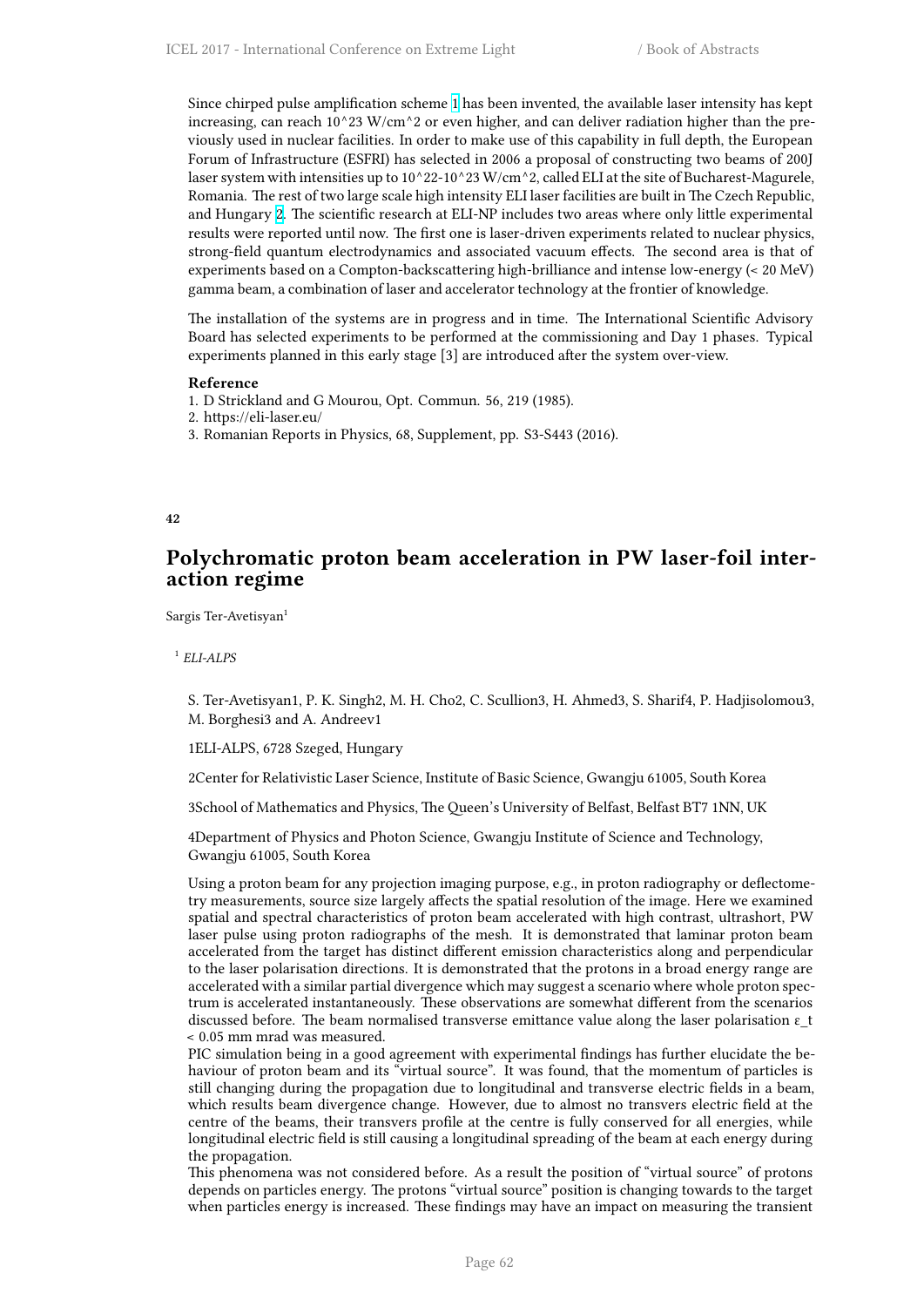Since chirped pulse amplification scheme 1 has been invented, the available laser intensity has kept increasing, can reach  $10^223$  W/cm<sup> $2$ </sup> or even higher, and can deliver radiation higher than the previously used in nuclear facilities. In order to make use of this capability in full depth, the European Forum of Infrastructure (ESFRI) has selected in 2006 a proposal of constructing two beams of 200J laser system with intensities up to  $10^{\circ}22$  $10^{\circ}22$  $10^{\circ}22$ -10^23 W/cm^2, called ELI at the site of Bucharest-Magurele, Romania. The rest of two large scale high intensity ELI laser facilities are built in The Czech Republic, and Hungary 2. The scientific research at ELI-NP includes two areas where only little experimental results were reported until now. The first one is laser-driven experiments related to nuclear physics, strong-field quantum electrodynamics and associated vacuum effects. The second area is that of experiments based on a Compton-backscattering high-brilliance and intense low-energy (< 20 MeV) gamma beam, [a](http://i67.tinypic.com/bej0gk.png) combination of laser and accelerator technology at the frontier of knowledge.

The installation of the systems are in progress and in time. The International Scientific Advisory Board has selected experiments to be performed at the commissioning and Day 1 phases. Typical experiments planned in this early stage [3] are introduced after the system over-view.

### **Reference**

1. D Strickland and G Mourou, Opt. Commun. 56, 219 (1985).

2. https://eli-laser.eu/

3. Romanian Reports in Physics, 68, Supplement, pp. S3-S443 (2016).

### **42**

# **Polychromatic proton beam acceleration in PW laser-foil interaction regime**

Sargis Ter-Avetisyan<sup>1</sup>

## 1 *ELI-ALPS*

S. Ter-Avetisyan1, P. K. Singh2, M. H. Cho2, C. Scullion3, H. Ahmed3, S. Sharif4, P. Hadjisolomou3, M. Borghesi3 and A. Andreev1

1ELI-ALPS, 6728 Szeged, Hungary

2Center for Relativistic Laser Science, Institute of Basic Science, Gwangju 61005, South Korea

3School of Mathematics and Physics, The Queen's University of Belfast, Belfast BT7 1NN, UK

4Department of Physics and Photon Science, Gwangju Institute of Science and Technology, Gwangju 61005, South Korea

Using a proton beam for any projection imaging purpose, e.g., in proton radiography or deflectometry measurements, source size largely affects the spatial resolution of the image. Here we examined spatial and spectral characteristics of proton beam accelerated with high contrast, ultrashort, PW laser pulse using proton radiographs of the mesh. It is demonstrated that laminar proton beam accelerated from the target has distinct different emission characteristics along and perpendicular to the laser polarisation directions. It is demonstrated that the protons in a broad energy range are accelerated with a similar partial divergence which may suggest a scenario where whole proton spectrum is accelerated instantaneously. These observations are somewhat different from the scenarios discussed before. The beam normalised transverse emittance value along the laser polarisation ε\_t < 0.05 mm mrad was measured.

PIC simulation being in a good agreement with experimental findings has further elucidate the behaviour of proton beam and its "virtual source". It was found, that the momentum of particles is still changing during the propagation due to longitudinal and transverse electric fields in a beam, which results beam divergence change. However, due to almost no transvers electric field at the centre of the beams, their transvers profile at the centre is fully conserved for all energies, while longitudinal electric field is still causing a longitudinal spreading of the beam at each energy during the propagation.

This phenomena was not considered before. As a result the position of "virtual source" of protons depends on particles energy. The protons "virtual source" position is changing towards to the target when particles energy is increased. These findings may have an impact on measuring the transient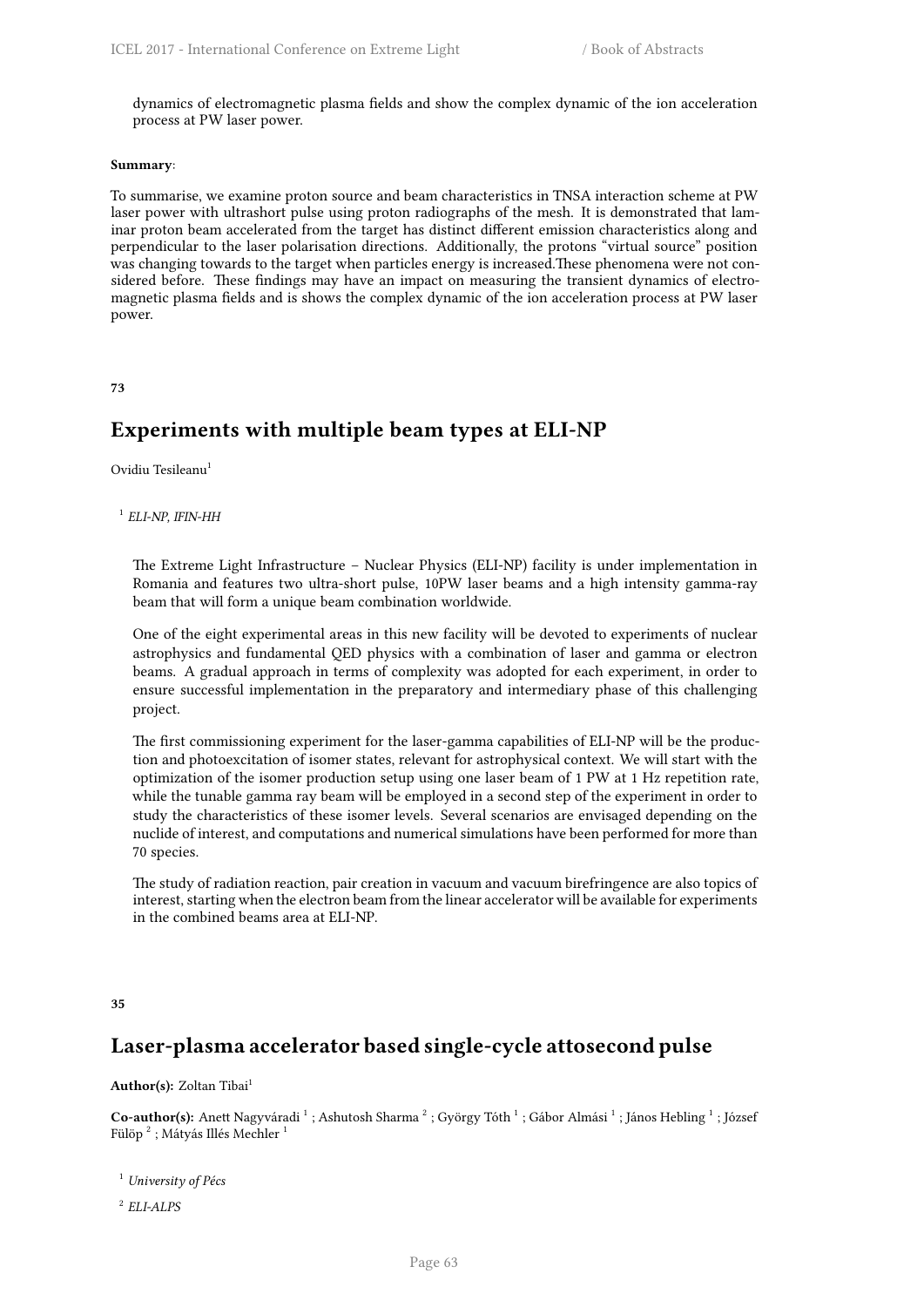dynamics of electromagnetic plasma fields and show the complex dynamic of the ion acceleration process at PW laser power.

### **Summary**:

To summarise, we examine proton source and beam characteristics in TNSA interaction scheme at PW laser power with ultrashort pulse using proton radiographs of the mesh. It is demonstrated that laminar proton beam accelerated from the target has distinct different emission characteristics along and perpendicular to the laser polarisation directions. Additionally, the protons "virtual source" position was changing towards to the target when particles energy is increased.These phenomena were not considered before. These findings may have an impact on measuring the transient dynamics of electromagnetic plasma fields and is shows the complex dynamic of the ion acceleration process at PW laser power.

**73**

# **Experiments with multiple beam types at ELI-NP**

Ovidiu Tesileanu<sup>1</sup>

1 *ELI-NP, IFIN-HH*

The Extreme Light Infrastructure – Nuclear Physics (ELI-NP) facility is under implementation in Romania and features two ultra-short pulse, 10PW laser beams and a high intensity gamma-ray beam that will form a unique beam combination worldwide.

One of the eight experimental areas in this new facility will be devoted to experiments of nuclear astrophysics and fundamental QED physics with a combination of laser and gamma or electron beams. A gradual approach in terms of complexity was adopted for each experiment, in order to ensure successful implementation in the preparatory and intermediary phase of this challenging project.

The first commissioning experiment for the laser-gamma capabilities of ELI-NP will be the production and photoexcitation of isomer states, relevant for astrophysical context. We will start with the optimization of the isomer production setup using one laser beam of 1 PW at 1 Hz repetition rate, while the tunable gamma ray beam will be employed in a second step of the experiment in order to study the characteristics of these isomer levels. Several scenarios are envisaged depending on the nuclide of interest, and computations and numerical simulations have been performed for more than 70 species.

The study of radiation reaction, pair creation in vacuum and vacuum birefringence are also topics of interest, starting when the electron beam from the linear accelerator will be available for experiments in the combined beams area at ELI-NP.

**35**

# **Laser-plasma accelerator based single-cycle attosecond pulse**

## Author(s): Zoltan Tibai<sup>1</sup>

Co-author(s): Anett Nagyváradi <sup>1</sup> ; Ashutosh Sharma <sup>2</sup> ; György Tóth <sup>1</sup> ; Gábor Almási <sup>1</sup> ; János Hebling <sup>1</sup> ; József Fülöp  $^2$  ; Mátyás Illés Mechler  $^1$ 

<sup>1</sup> *University of Pécs*

2 *ELI-ALPS*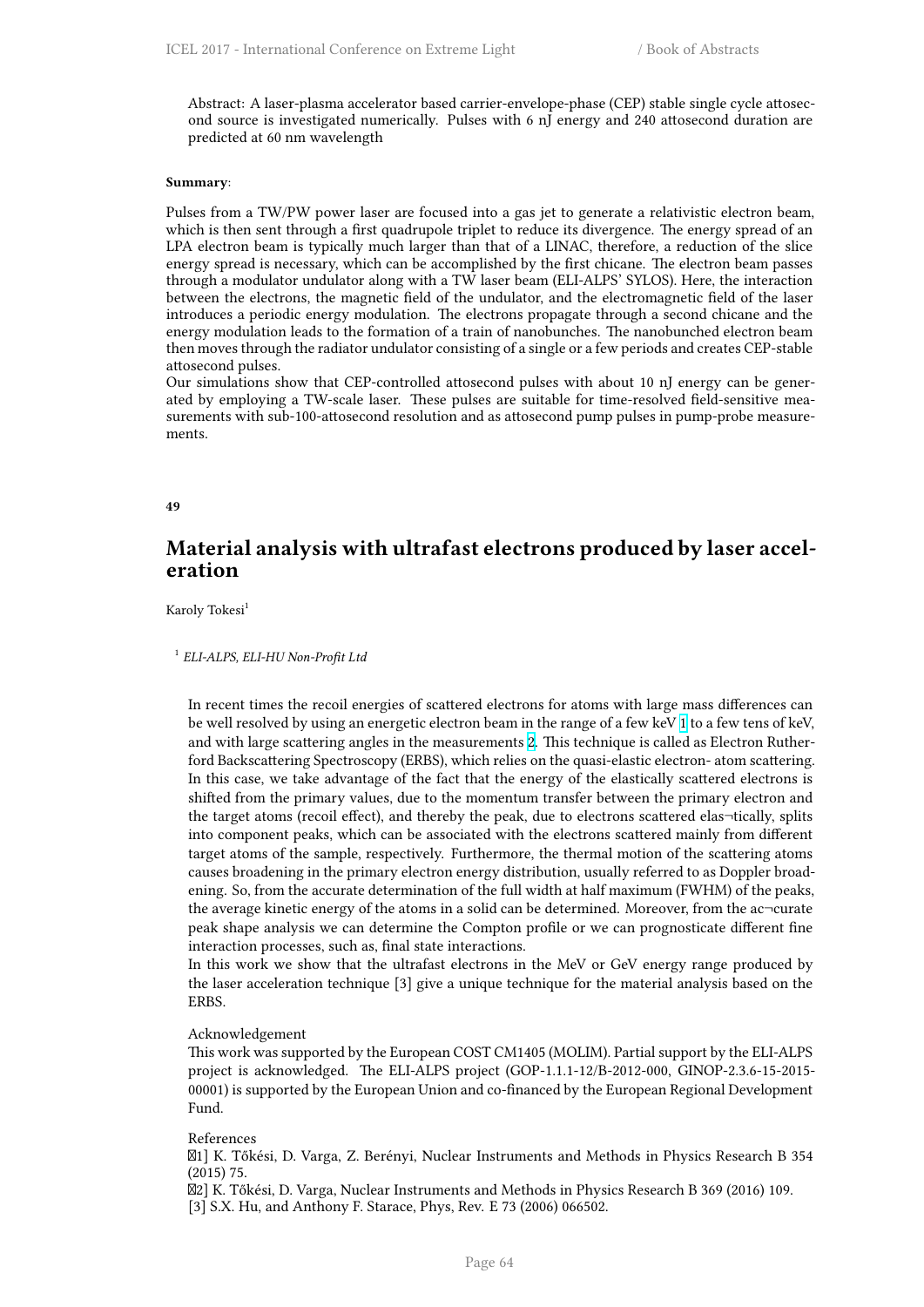Abstract: A laser-plasma accelerator based carrier-envelope-phase (CEP) stable single cycle attosecond source is investigated numerically. Pulses with 6 nJ energy and 240 attosecond duration are predicted at 60 nm wavelength

#### **Summary**:

Pulses from a TW/PW power laser are focused into a gas jet to generate a relativistic electron beam, which is then sent through a first quadrupole triplet to reduce its divergence. The energy spread of an LPA electron beam is typically much larger than that of a LINAC, therefore, a reduction of the slice energy spread is necessary, which can be accomplished by the first chicane. The electron beam passes through a modulator undulator along with a TW laser beam (ELI-ALPS' SYLOS). Here, the interaction between the electrons, the magnetic field of the undulator, and the electromagnetic field of the laser introduces a periodic energy modulation. The electrons propagate through a second chicane and the energy modulation leads to the formation of a train of nanobunches. The nanobunched electron beam then moves through the radiator undulator consisting of a single or a few periods and creates CEP-stable attosecond pulses.

Our simulations show that CEP-controlled attosecond pulses with about 10 nJ energy can be generated by employing a TW-scale laser. These pulses are suitable for time-resolved field-sensitive measurements with sub-100-attosecond resolution and as attosecond pump pulses in pump-probe measurements.

**49**

# **Material analysis with ultrafast electrons produced by laser acceleration**

Karoly Tokesi<sup>1</sup>

## 1 *ELI-ALPS, ELI-HU Non-Profit Ltd*

In recent times the recoil energies of scattered electrons for atoms with large mass differences can be well resolved by using an energetic electron beam in the range of a few keV 1 to a few tens of keV, and with large scattering angles in the measurements 2. This technique is called as Electron Rutherford Backscattering Spectroscopy (ERBS), which relies on the quasi-elastic electron- atom scattering. In this case, we take advantage of the fact that the energy of the elastically scattered electrons is shifted from the primary values, due to the momentum transfer between the [pr](http://cfile216.uf.daum.net/image/99D8A43359BB6FCF2E4D1F)imary electron and the target atoms (recoil effect), and thereby the peak[, d](http://i67.tinypic.com/bej0gk.png)ue to electrons scattered elas¬tically, splits into component peaks, which can be associated with the electrons scattered mainly from different target atoms of the sample, respectively. Furthermore, the thermal motion of the scattering atoms causes broadening in the primary electron energy distribution, usually referred to as Doppler broadening. So, from the accurate determination of the full width at half maximum (FWHM) of the peaks, the average kinetic energy of the atoms in a solid can be determined. Moreover, from the ac $\neg$ curate peak shape analysis we can determine the Compton profile or we can prognosticate different fine interaction processes, such as, final state interactions.

In this work we show that the ultrafast electrons in the MeV or GeV energy range produced by the laser acceleration technique [3] give a unique technique for the material analysis based on the ERBS.

### Acknowledgement

This work was supported by the European COST CM1405 (MOLIM). Partial support by the ELI-ALPS project is acknowledged. The ELI-ALPS project (GOP-1.1.1-12/B-2012-000, GINOP-2.3.6-15-2015- 00001) is supported by the European Union and co-financed by the European Regional Development Fund.

#### References

1] K. Tőkési, D. Varga, Z. Berényi, Nuclear Instruments and Methods in Physics Research B 354 (2015) 75.

2] K. Tőkési, D. Varga, Nuclear Instruments and Methods in Physics Research B 369 (2016) 109. [3] S.X. Hu, and Anthony F. Starace, Phys, Rev. E 73 (2006) 066502.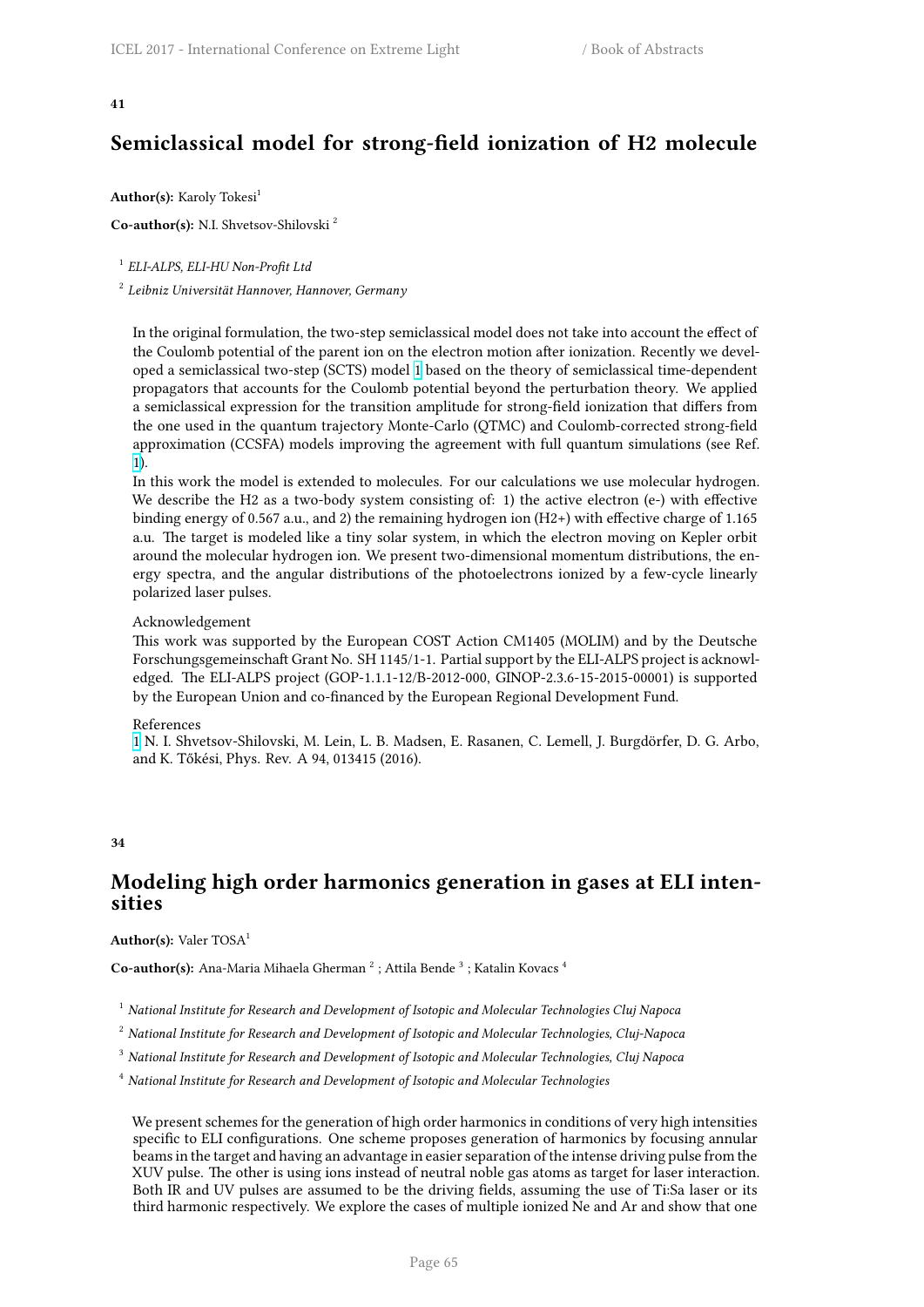# **Semiclassical model for strong-field ionization of H2 molecule**

Author(s): Karoly Tokesi<sup>1</sup>

**Co-author(s):** N.I. Shvetsov-Shilovski <sup>2</sup>

1 *ELI-ALPS, ELI-HU Non-Profit Ltd*

2 *Leibniz Universität Hannover, Hannover, Germany*

In the original formulation, the two-step semiclassical model does not take into account the effect of the Coulomb potential of the parent ion on the electron motion after ionization. Recently we developed a semiclassical two-step (SCTS) model 1 based on the theory of semiclassical time-dependent propagators that accounts for the Coulomb potential beyond the perturbation theory. We applied a semiclassical expression for the transition amplitude for strong-field ionization that differs from the one used in the quantum trajectory Monte-Carlo (QTMC) and Coulomb-corrected strong-field approximation (CCSFA) models improving [th](http://cfile216.uf.daum.net/image/99D8A43359BB6FCF2E4D1F)e agreement with full quantum simulations (see Ref. 1).

In this work the model is extended to molecules. For our calculations we use molecular hydrogen. We describe the H2 as a two-body system consisting of: 1) the active electron (e-) with effective binding energy of 0.567 a.u., and 2) the remaining hydrogen ion (H2+) with effective charge of 1.165 [a](http://cfile216.uf.daum.net/image/99D8A43359BB6FCF2E4D1F).u. The target is modeled like a tiny solar system, in which the electron moving on Kepler orbit around the molecular hydrogen ion. We present two-dimensional momentum distributions, the energy spectra, and the angular distributions of the photoelectrons ionized by a few-cycle linearly polarized laser pulses.

### Acknowledgement

This work was supported by the European COST Action CM1405 (MOLIM) and by the Deutsche Forschungsgemeinschaft Grant No. SH 1145/1-1. Partial support by the ELI-ALPS project is acknowledged. The ELI-ALPS project (GOP-1.1.1-12/B-2012-000, GINOP-2.3.6-15-2015-00001) is supported by the European Union and co-financed by the European Regional Development Fund.

### References

1 N. I. Shvetsov-Shilovski, M. Lein, L. B. Madsen, E. Rasanen, C. Lemell, J. Burgdörfer, D. G. Arbo, and K. Tőkési, Phys. Rev. A 94, 013415 (2016).

### **34**

### **Modeling high order harmonics generation in gases at ELI intensities**

### Author(s): Valer TOSA<sup>1</sup>

Co-author(s): Ana-Maria Mihaela Gherman<sup>2</sup>; Attila Bende<sup>3</sup>; Katalin Kovacs<sup>4</sup>

<sup>1</sup> *National Institute for Research and Development of Isotopic and Molecular Technologies Cluj Napoca*

<sup>2</sup> *National Institute for Research and Development of Isotopic and Molecular Technologies, Cluj-Napoca*

<sup>3</sup> *National Institute for Research and Development of Isotopic and Molecular Technologies, Cluj Napoca*

<sup>4</sup> *National Institute for Research and Development of Isotopic and Molecular Technologies*

We present schemes for the generation of high order harmonics in conditions of very high intensities specific to ELI configurations. One scheme proposes generation of harmonics by focusing annular beams in the target and having an advantage in easier separation of the intense driving pulse from the XUV pulse. The other is using ions instead of neutral noble gas atoms as target for laser interaction. Both IR and UV pulses are assumed to be the driving fields, assuming the use of Ti:Sa laser or its third harmonic respectively. We explore the cases of multiple ionized Ne and Ar and show that one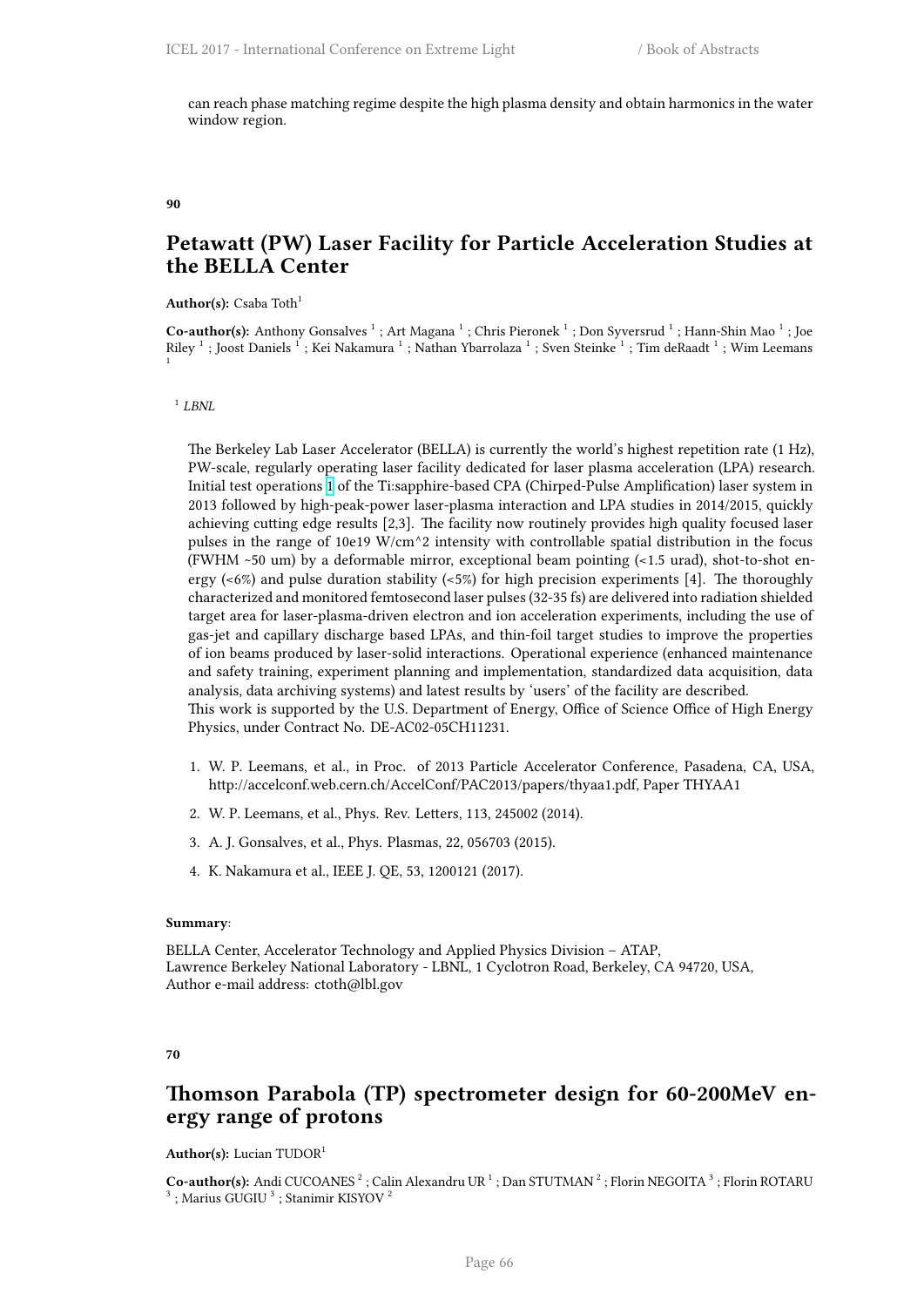can reach phase matching regime despite the high plasma density and obtain harmonics in the water window region.

**90**

# **Petawatt (PW) Laser Facility for Particle Acceleration Studies at the BELLA Center**

**Author(s):** Csaba Toth<sup>1</sup>

Co-author(s): Anthony Gonsalves<sup>1</sup>; Art Magana<sup>1</sup>; Chris Pieronek<sup>1</sup>; Don Syversrud<sup>1</sup>; Hann-Shin Mao<sup>1</sup>; Joe Riley  $^1$  ; Joost Daniels  $^1$  ; Kei Nakamura  $^1$  ; Nathan Ybarrolaza  $^1$  ; Sven Steinke  $^1$  ; Tim deRaadt  $^1$  ; Wim Leemans 1

1 *LBNL*

The Berkeley Lab Laser Accelerator (BELLA) is currently the world's highest repetition rate (1 Hz), PW-scale, regularly operating laser facility dedicated for laser plasma acceleration (LPA) research. Initial test operations 1 of the Ti:sapphire-based CPA (Chirped-Pulse Amplification) laser system in 2013 followed by high-peak-power laser-plasma interaction and LPA studies in 2014/2015, quickly achieving cutting edge results [2,3]. The facility now routinely provides high quality focused laser pulses in the range of 10e19 W/cm^2 intensity with controllable spatial distribution in the focus (FWHM ~50 um) by [a](http://cfile216.uf.daum.net/image/99D8A43359BB6FCF2E4D1F) deformable mirror, exceptional beam pointing (<1.5 urad), shot-to-shot energy  $\left($ <6%) and pulse duration stability  $\left($ <5%) for high precision experiments [4]. The thoroughly characterized and monitored femtosecond laser pulses (32-35 fs) are delivered into radiation shielded target area for laser-plasma-driven electron and ion acceleration experiments, including the use of gas-jet and capillary discharge based LPAs, and thin-foil target studies to improve the properties of ion beams produced by laser-solid interactions. Operational experience (enhanced maintenance and safety training, experiment planning and implementation, standardized data acquisition, data analysis, data archiving systems) and latest results by 'users' of the facility are described. This work is supported by the U.S. Department of Energy, Office of Science Office of High Energy Physics, under Contract No. DE-AC02-05CH11231.

- 1. W. P. Leemans, et al., in Proc. of 2013 Particle Accelerator Conference, Pasadena, CA, USA, http://accelconf.web.cern.ch/AccelConf/PAC2013/papers/thyaa1.pdf, Paper THYAA1
- 2. W. P. Leemans, et al., Phys. Rev. Letters, 113, 245002 (2014).
- 3. A. J. Gonsalves, et al., Phys. Plasmas, 22, 056703 (2015).
- 4. K. Nakamura et al., IEEE J. QE, 53, 1200121 (2017).

### **Summary**:

BELLA Center, Accelerator Technology and Applied Physics Division – ATAP, Lawrence Berkeley National Laboratory - LBNL, 1 Cyclotron Road, Berkeley, CA 94720, USA, Author e-mail address: ctoth@lbl.gov

### **70**

### **Thomson Parabola (TP) spectrometer design for 60-200MeV energy range of protons**

### Author(s): Lucian TUDOR<sup>1</sup>

Co-author(s): Andi CUCOANES<sup>2</sup>; Calin Alexandru UR<sup>1</sup>; Dan STUTMAN<sup>2</sup>; Florin NEGOITA<sup>3</sup>; Florin ROTARU  $^3$  ; Marius GUGIU  $^3$  ; Stanimir KISYOV  $^2$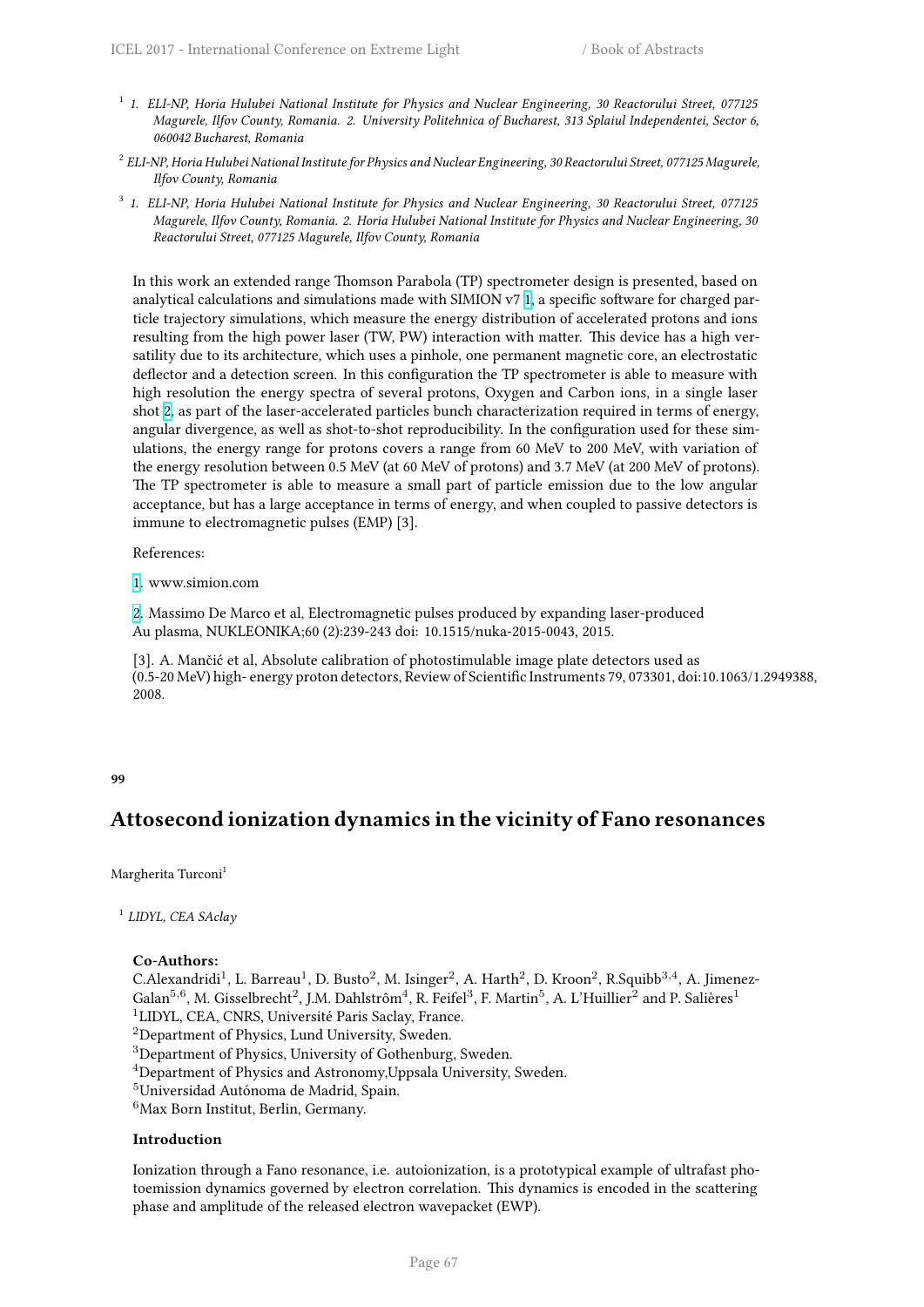- 1 *1. ELI-NP, Horia Hulubei National Institute for Physics and Nuclear Engineering, 30 Reactorului Street, 077125 Magurele, Ilfov County, Romania. 2. University Politehnica of Bucharest, 313 Splaiul Independentei, Sector 6, 060042 Bucharest, Romania*
- 2 *ELI-NP, Horia Hulubei National Institute for Physics and Nuclear Engineering, 30 Reactorului Street, 077125 Magurele, Ilfov County, Romania*
- 3 *1. ELI-NP, Horia Hulubei National Institute for Physics and Nuclear Engineering, 30 Reactorului Street, 077125 Magurele, Ilfov County, Romania. 2. Horia Hulubei National Institute for Physics and Nuclear Engineering, 30 Reactorului Street, 077125 Magurele, Ilfov County, Romania*

In this work an extended range Thomson Parabola (TP) spectrometer design is presented, based on analytical calculations and simulations made with SIMION v7 1, a specific software for charged particle trajectory simulations, which measure the energy distribution of accelerated protons and ions resulting from the high power laser (TW, PW) interaction with matter. This device has a high versatility due to its architecture, which uses a pinhole, one permanent magnetic core, an electrostatic deflector and a detection screen. In this configuration the TP [sp](http://cfile216.uf.daum.net/image/99D8A43359BB6FCF2E4D1F)ectrometer is able to measure with high resolution the energy spectra of several protons, Oxygen and Carbon ions, in a single laser shot 2, as part of the laser-accelerated particles bunch characterization required in terms of energy, angular divergence, as well as shot-to-shot reproducibility. In the configuration used for these simulations, the energy range for protons covers a range from 60 MeV to 200 MeV, with variation of the energy resolution between 0.5 MeV (at 60 MeV of protons) and 3.7 MeV (at 200 MeV of protons). The [TP](http://i67.tinypic.com/bej0gk.png) spectrometer is able to measure a small part of particle emission due to the low angular acceptance, but has a large acceptance in terms of energy, and when coupled to passive detectors is immune to electromagnetic pulses (EMP) [3].

References:

1. www.simion.com

2. Massimo De Marco et al, Electromagnetic pulses produced by expanding laser-produced Au plasma, NUKLEONIKA;60 (2):239-243 doi: 10.1515/nuka-2015-0043, 2015.

[\[3](http://cfile216.uf.daum.net/image/99D8A43359BB6FCF2E4D1F)]. A. Mančić et al, Absolute calibration of photostimulable image plate detectors used as (0.5-20 MeV) high- energy proton detectors, Review of Scientific Instruments 79, 073301, doi:10.1063/1.2949388, [2](http://i67.tinypic.com/bej0gk.png)008.

### **99**

# **Attosecond ionization dynamics in the vicinity of Fano resonances**

Margherita Turconi<sup>1</sup>

1 *LIDYL, CEA SAclay*

### **Co-Authors:**

C.Alexandridi<sup>1</sup>, L. Barreau<sup>1</sup>, D. Busto<sup>2</sup>, M. Isinger<sup>2</sup>, A. Harth<sup>2</sup>, D. Kroon<sup>2</sup>, R.Squibb<sup>3,4</sup>, A. Jimenez-Galan<sup>5,6</sup>, M. Gisselbrecht<sup>2</sup>, J.M. Dahlstrôm<sup>4</sup>, R. Feifel<sup>3</sup>, F. Martin<sup>5</sup>, A. L'Huillier<sup>2</sup> and P. Salières<sup>1</sup> <sup>1</sup>LIDYL, CEA, CNRS, Université Paris Saclay, France.

<sup>2</sup>Department of Physics, Lund University, Sweden.

<sup>3</sup>Department of Physics, University of Gothenburg, Sweden.

<sup>4</sup>Department of Physics and Astronomy,Uppsala University, Sweden.

<sup>5</sup>Universidad Autónoma de Madrid, Spain.

<sup>6</sup>Max Born Institut, Berlin, Germany.

### **Introduction**

Ionization through a Fano resonance, i.e. autoionization, is a prototypical example of ultrafast photoemission dynamics governed by electron correlation. This dynamics is encoded in the scattering phase and amplitude of the released electron wavepacket (EWP).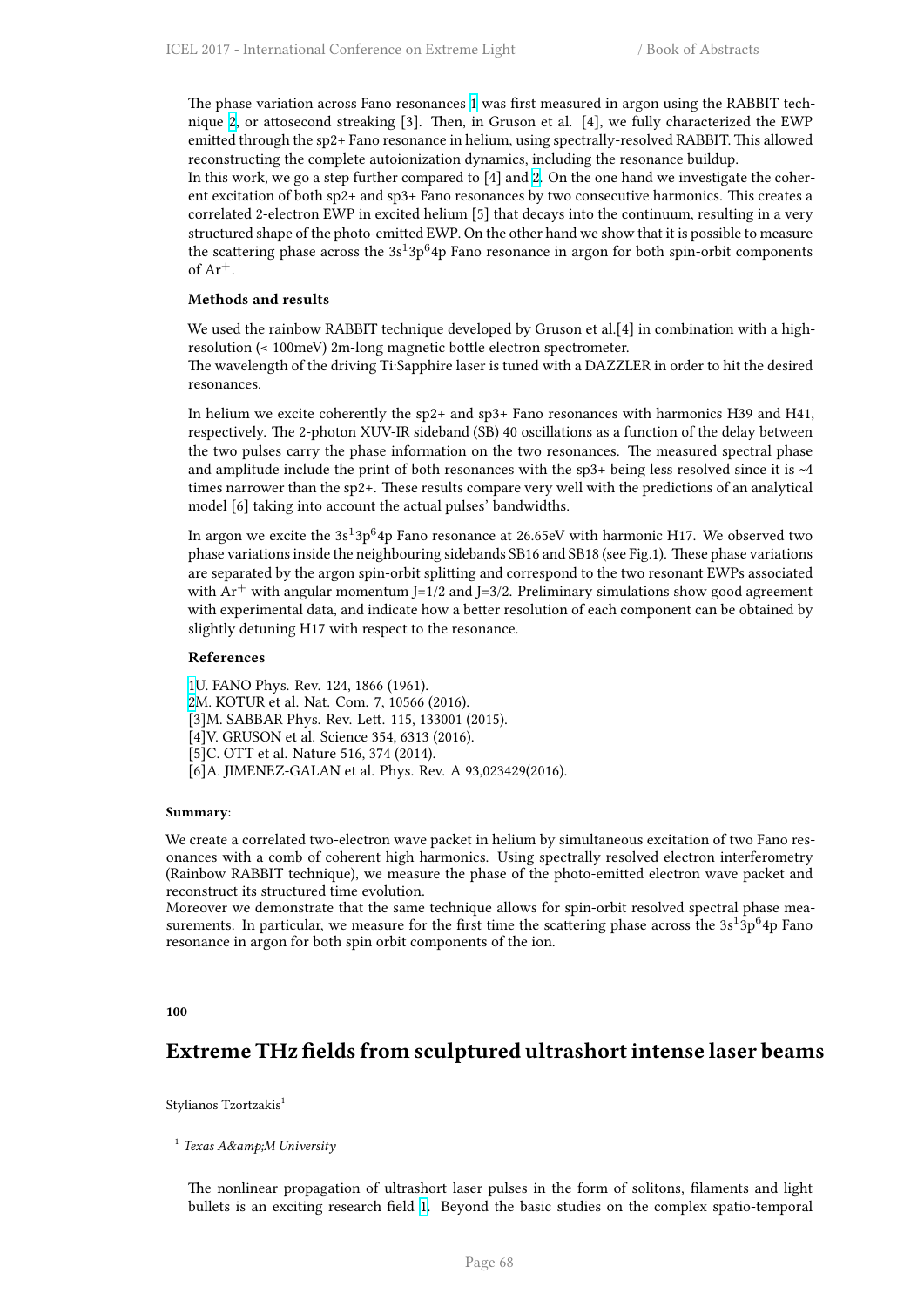The phase variation across Fano resonances 1 was first measured in argon using the RABBIT technique 2, or attosecond streaking [3]. Then, in Gruson et al. [4], we fully characterized the EWP emitted through the sp2+ Fano resonance in helium, using spectrally-resolved RABBIT. This allowed reconstructing the complete autoionization dynamics, including the resonance buildup.

In this work, we go a step further compared [to](http://cfile216.uf.daum.net/image/99D8A43359BB6FCF2E4D1F) [4] and 2. On the one hand we investigate the coherent ex[ci](http://i67.tinypic.com/bej0gk.png)tation of both sp2+ and sp3+ Fano resonances by two consecutive harmonics. This creates a correlated 2-electron EWP in excited helium [5] that decays into the continuum, resulting in a very structured shape of the photo-emitted EWP. On the other hand we show that it is possible to measure the scattering phase across the 3s<sup>1</sup>3p<sup>6</sup>4p Fano resona[nc](http://i67.tinypic.com/bej0gk.png)e in argon for both spin-orbit components of  $Ar^+$ .

### **Methods and results**

We used the rainbow RABBIT technique developed by Gruson et al.[4] in combination with a highresolution (< 100meV) 2m-long magnetic bottle electron spectrometer.

The wavelength of the driving Ti:Sapphire laser is tuned with a DAZZLER in order to hit the desired resonances.

In helium we excite coherently the sp2+ and sp3+ Fano resonances with harmonics H39 and H41, respectively. The 2-photon XUV-IR sideband (SB) 40 oscillations as a function of the delay between the two pulses carry the phase information on the two resonances. The measured spectral phase and amplitude include the print of both resonances with the  $sp3+$  being less resolved since it is  $~4$ times narrower than the sp2+. These results compare very well with the predictions of an analytical model [6] taking into account the actual pulses' bandwidths.

In argon we excite the 3s $\rm{^{1}3p^{6}4p}$  Fano resonance at 26.65eV with harmonic H17. We observed two phase variations inside the neighbouring sidebands SB16 and SB18 (see Fig.1). These phase variations are separated by the argon spin-orbit splitting and correspond to the two resonant EWPs associated with  $Ar^+$  with angular momentum J=1/2 and J=3/2. Preliminary simulations show good agreement with experimental data, and indicate how a better resolution of each component can be obtained by slightly detuning H17 with respect to the resonance.

### **References**

1U. FANO Phys. Rev. 124, 1866 (1961). 2M. KOTUR et al. Nat. Com. 7, 10566 (2016). [3]M. SABBAR Phys. Rev. Lett. 115, 133001 (2015). [4] V. GRUSON et al. Science 354, 6313 (2016). [5]C. OTT et al. Nature 516, 374 (2014). [\[6](http://cfile216.uf.daum.net/image/99D8A43359BB6FCF2E4D1F)]A. JIMENEZ-GALAN et al. Phys. Rev. A 93,023429(2016).

### **Summary**:

We create a correlated two-electron wave packet in helium by simultaneous excitation of two Fano resonances with a comb of coherent high harmonics. Using spectrally resolved electron interferometry (Rainbow RABBIT technique), we measure the phase of the photo-emitted electron wave packet and reconstruct its structured time evolution.

Moreover we demonstrate that the same technique allows for spin-orbit resolved spectral phase measurements. In particular, we measure for the first time the scattering phase across the  $3s<sup>1</sup>3p<sup>6</sup>4p$  Fano resonance in argon for both spin orbit components of the ion.

#### **100**

### **Extreme THz fields from sculptured ultrashort intense laser beams**

Stylianos Tzortzakis<sup>1</sup>

<sup>1</sup> Texas A&amp;M University

The nonlinear propagation of ultrashort laser pulses in the form of solitons, filaments and light bullets is an exciting research field 1. Beyond the basic studies on the complex spatio-temporal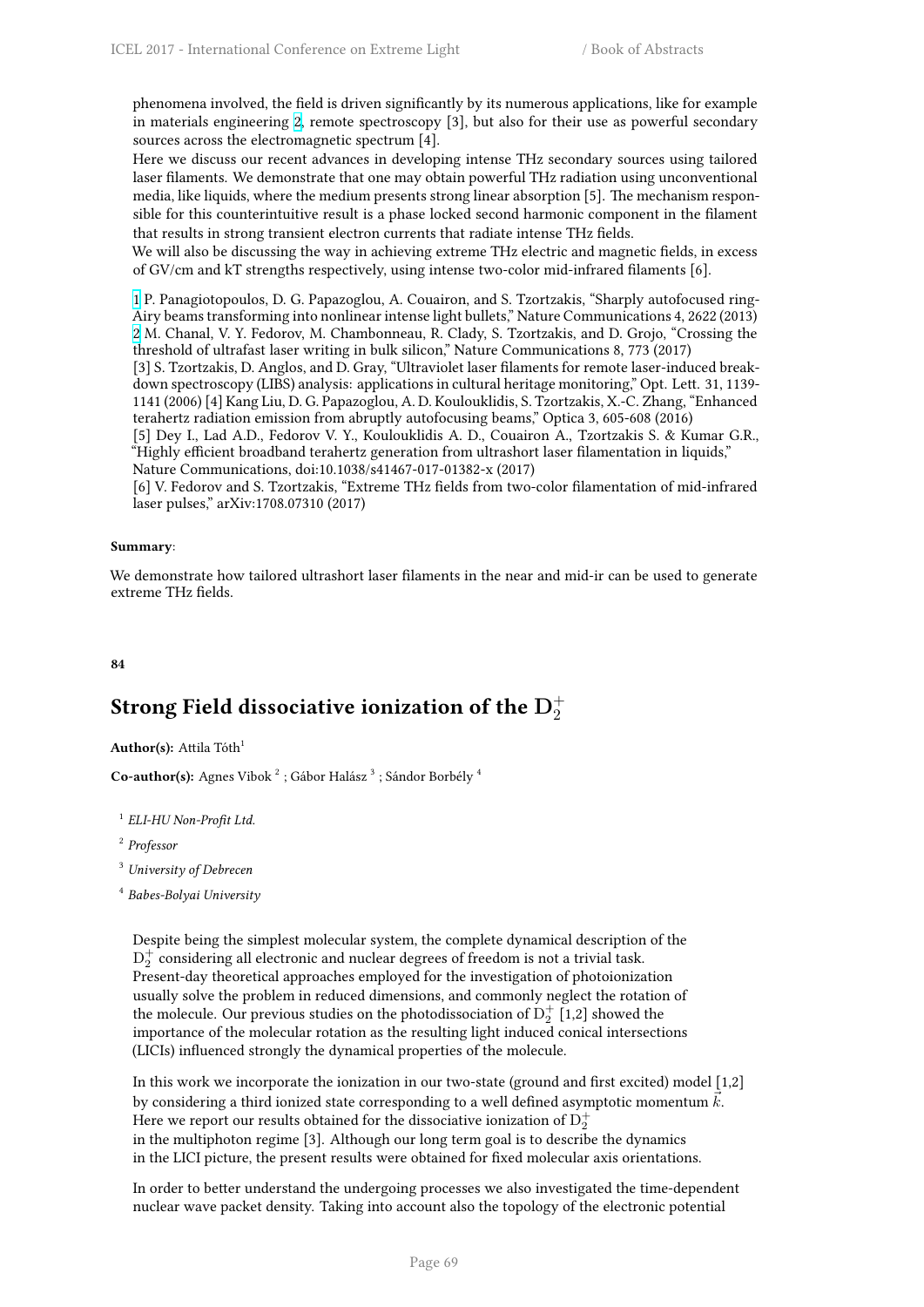phenomena involved, the field is driven significantly by its numerous applications, like for example in materials engineering 2, remote spectroscopy [3], but also for their use as powerful secondary sources across the electromagnetic spectrum [4].

Here we discuss our recent advances in developing intense THz secondary sources using tailored laser filaments. We demonstrate that one may obtain powerful THz radiation using unconventional media, like liquids, where [th](http://i67.tinypic.com/bej0gk.png)e medium presents strong linear absorption [5]. The mechanism responsible for this counterintuitive result is a phase locked second harmonic component in the filament that results in strong transient electron currents that radiate intense THz fields.

We will also be discussing the way in achieving extreme THz electric and magnetic fields, in excess of GV/cm and kT strengths respectively, using intense two-color mid-infrared filaments [6].

1 P. Panagiotopoulos, D. G. Papazoglou, A. Couairon, and S. Tzortzakis, "Sharply autofocused ring-Airy beams transforming into nonlinear intense light bullets," Nature Communications 4, 2622 (2013) 2 M. Chanal, V. Y. Fedorov, M. Chambonneau, R. Clady, S. Tzortzakis, and D. Grojo, "Crossing the threshold of ultrafast laser writing in bulk silicon," Nature Communications 8, 773 (2017)

[3] S. Tzortzakis, D. Anglos, and D. Gray, "Ultraviolet laser filaments for remote laser-induced break[d](http://cfile216.uf.daum.net/image/99D8A43359BB6FCF2E4D1F)own spectroscopy (LIBS) analysis: applications in cultural heritage monitoring," Opt. Lett. 31, 1139- 1141 (2006) [4] Kang Liu, D. G. Papazoglou, A. D. Koulouklidis, S. Tzortzakis, X.-C. Zhang, "Enhanced [te](http://i67.tinypic.com/bej0gk.png)rahertz radiation emission from abruptly autofocusing beams," Optica 3, 605-608 (2016)

[5] Dey I., Lad A.D., Fedorov V. Y., Koulouklidis A. D., Couairon A., Tzortzakis S. & Kumar G.R., "Highly efficient broadband terahertz generation from ultrashort laser filamentation in liquids," Nature Communications, doi:10.1038/s41467-017-01382-x (2017)

[6] V. Fedorov and S. Tzortzakis, "Extreme THz fields from two-color filamentation of mid-infrared laser pulses," arXiv:1708.07310 (2017)

### **Summary**:

We demonstrate how tailored ultrashort laser filaments in the near and mid-ir can be used to generate extreme THz fields.

### **84**

# Strong Field dissociative ionization of the  $\mathbf{D}_2^+$

**Author(s):** Attila Tóth<sup>1</sup>

**Co-author(s):** Agnes Vibok <sup>2</sup> ; Gábor Halász <sup>3</sup> ; Sándor Borbély <sup>4</sup>

1 *ELI-HU Non-Profit Ltd.*

2 *Professor*

<sup>3</sup> *University of Debrecen*

4 *Babes-Bolyai University*

Despite being the simplest molecular system, the complete dynamical description of the  $\mathrm{D}_2^+$  considering all electronic and nuclear degrees of freedom is not a trivial task. Present-day theoretical approaches employed for the investigation of photoionization usually solve the problem in reduced dimensions, and commonly neglect the rotation of the molecule. Our previous studies on the photodissociation of  $\mathrm{D}_2^+$  [1,2] showed the importance of the molecular rotation as the resulting light induced conical intersections (LICIs) influenced strongly the dynamical properties of the molecule.

In this work we incorporate the ionization in our two-state (ground and first excited) model [1,2] by considering a third ionized state corresponding to a well defined asymptotic momentum *⃗k*. Here we report our results obtained for the dissociative ionization of  $\mathrm{D}_2^+$ in the multiphoton regime [3]. Although our long term goal is to describe the dynamics in the LICI picture, the present results were obtained for fixed molecular axis orientations.

In order to better understand the undergoing processes we also investigated the time-dependent nuclear wave packet density. Taking into account also the topology of the electronic potential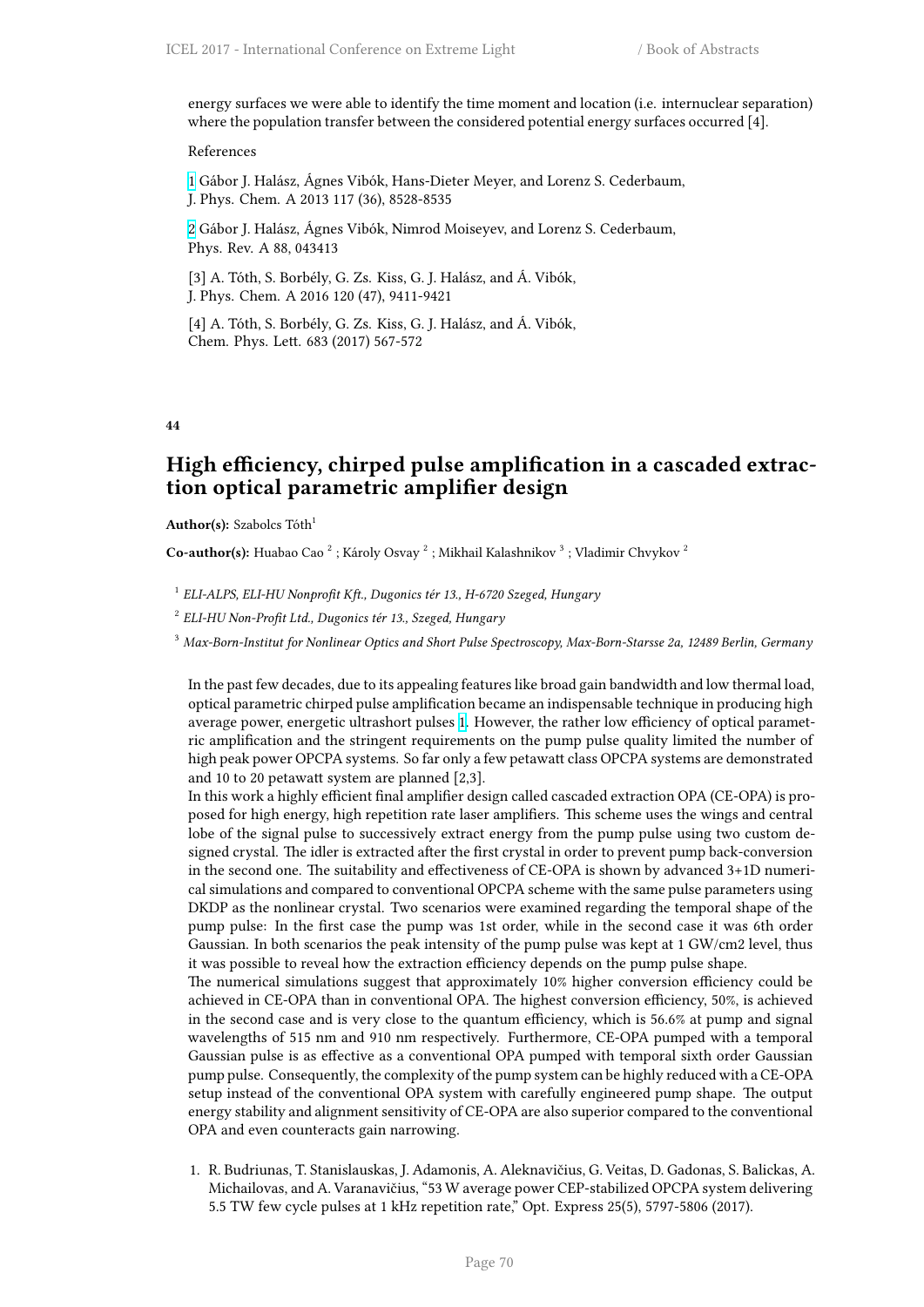energy surfaces we were able to identify the time moment and location (i.e. internuclear separation) where the population transfer between the considered potential energy surfaces occurred [4].

### References

1 Gábor J. Halász, Ágnes Vibók, Hans-Dieter Meyer, and Lorenz S. Cederbaum, J. Phys. Chem. A 2013 117 (36), 8528-8535

2 Gábor J. Halász, Ágnes Vibók, Nimrod Moiseyev, and Lorenz S. Cederbaum, [P](http://cfile216.uf.daum.net/image/99D8A43359BB6FCF2E4D1F)hys. Rev. A 88, 043413

[3] A. Tóth, S. Borbély, G. Zs. Kiss, G. J. Halász, and Á. Vibók, [J.](http://i67.tinypic.com/bej0gk.png) Phys. Chem. A 2016 120 (47), 9411-9421

[4] A. Tóth, S. Borbély, G. Zs. Kiss, G. J. Halász, and Á. Vibók, Chem. Phys. Lett. 683 (2017) 567-572

### **44**

### **High efficiency, chirped pulse amplification in a cascaded extraction optical parametric amplifier design**

**Author(s):** Szabolcs Tóth<sup>1</sup>

Co-author(s): Huabao Cao<sup>2</sup>; Károly Osvay<sup>2</sup>; Mikhail Kalashnikov<sup>3</sup>; Vladimir Chvykov<sup>2</sup>

1 *ELI-ALPS, ELI-HU Nonprofit Kft., Dugonics tér 13., H-6720 Szeged, Hungary*

2 *ELI-HU Non-Profit Ltd., Dugonics tér 13., Szeged, Hungary*

<sup>3</sup> *Max-Born-Institut for Nonlinear Optics and Short Pulse Spectroscopy, Max-Born-Starsse 2a, 12489 Berlin, Germany*

In the past few decades, due to its appealing features like broad gain bandwidth and low thermal load, optical parametric chirped pulse amplification became an indispensable technique in producing high average power, energetic ultrashort pulses 1. However, the rather low efficiency of optical parametric amplification and the stringent requirements on the pump pulse quality limited the number of high peak power OPCPA systems. So far only a few petawatt class OPCPA systems are demonstrated and 10 to 20 petawatt system are planned [2,3].

In this work a highly efficient final amplifie[r](http://cfile216.uf.daum.net/image/99D8A43359BB6FCF2E4D1F) design called cascaded extraction OPA (CE-OPA) is proposed for high energy, high repetition rate laser amplifiers. This scheme uses the wings and central lobe of the signal pulse to successively extract energy from the pump pulse using two custom designed crystal. The idler is extracted after the first crystal in order to prevent pump back-conversion in the second one. The suitability and effectiveness of CE-OPA is shown by advanced 3+1D numerical simulations and compared to conventional OPCPA scheme with the same pulse parameters using DKDP as the nonlinear crystal. Two scenarios were examined regarding the temporal shape of the pump pulse: In the first case the pump was 1st order, while in the second case it was 6th order Gaussian. In both scenarios the peak intensity of the pump pulse was kept at 1 GW/cm2 level, thus it was possible to reveal how the extraction efficiency depends on the pump pulse shape.

The numerical simulations suggest that approximately 10% higher conversion efficiency could be achieved in CE-OPA than in conventional OPA. The highest conversion efficiency, 50%, is achieved in the second case and is very close to the quantum efficiency, which is 56.6% at pump and signal wavelengths of 515 nm and 910 nm respectively. Furthermore, CE-OPA pumped with a temporal Gaussian pulse is as effective as a conventional OPA pumped with temporal sixth order Gaussian pump pulse. Consequently, the complexity of the pump system can be highly reduced with a CE-OPA setup instead of the conventional OPA system with carefully engineered pump shape. The output energy stability and alignment sensitivity of CE-OPA are also superior compared to the conventional OPA and even counteracts gain narrowing.

1. R. Budriunas, T. Stanislauskas, J. Adamonis, A. Aleknavičius, G. Veitas, D. Gadonas, S. Balickas, A. Michailovas, and A. Varanavičius, "53 W average power CEP-stabilized OPCPA system delivering 5.5 TW few cycle pulses at 1 kHz repetition rate," Opt. Express 25(5), 5797-5806 (2017).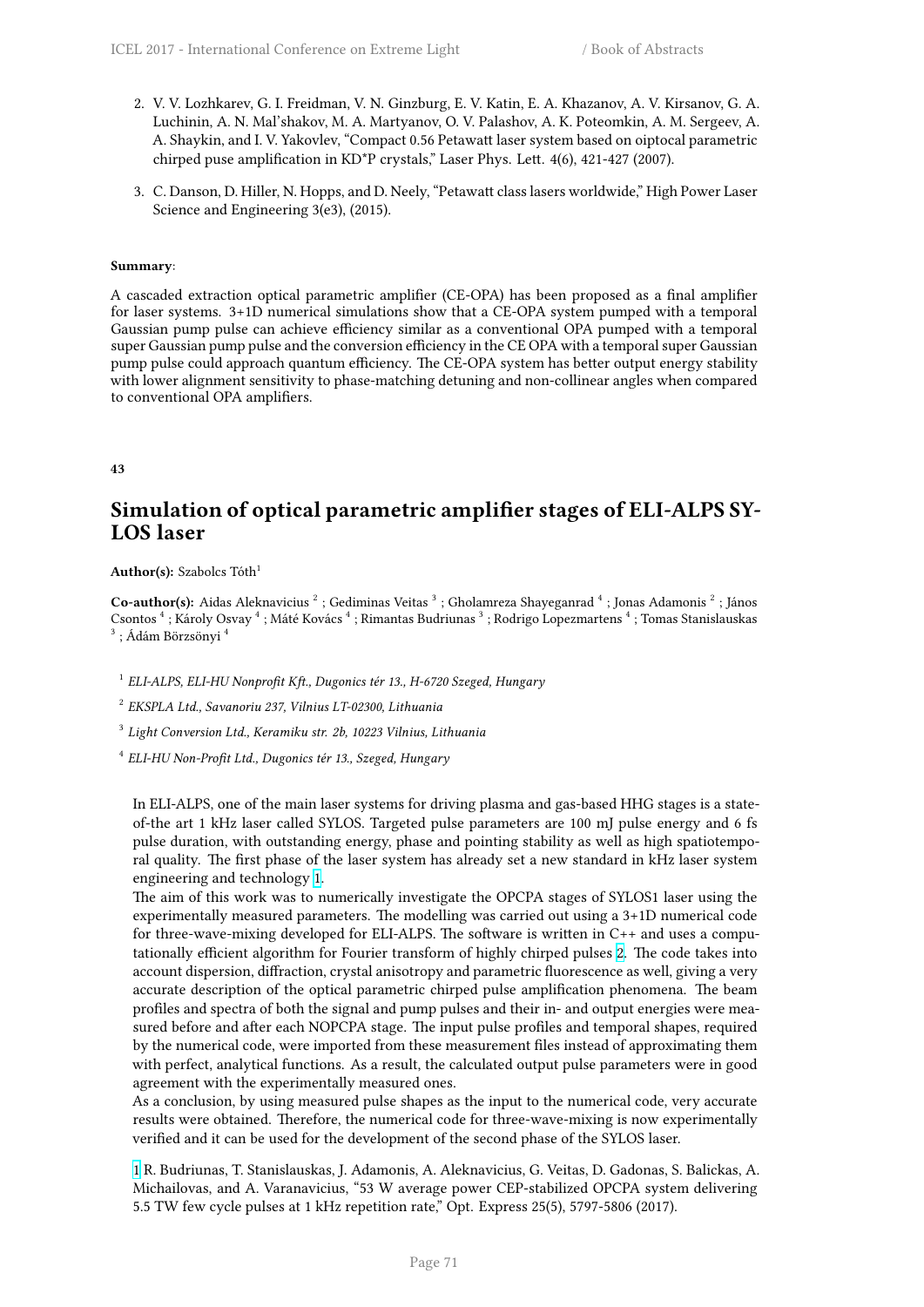- 2. V. V. Lozhkarev, G. I. Freidman, V. N. Ginzburg, E. V. Katin, E. A. Khazanov, A. V. Kirsanov, G. A. Luchinin, A. N. Mal'shakov, M. A. Martyanov, O. V. Palashov, A. K. Poteomkin, A. M. Sergeev, A. A. Shaykin, and I. V. Yakovlev, "Compact 0.56 Petawatt laser system based on oiptocal parametric chirped puse amplification in KD\*P crystals," Laser Phys. Lett. 4(6), 421-427 (2007).
- 3. C. Danson, D. Hiller, N. Hopps, and D. Neely, "Petawatt class lasers worldwide," High Power Laser Science and Engineering 3(e3), (2015).

### **Summary**:

A cascaded extraction optical parametric amplifier (CE-OPA) has been proposed as a final amplifier for laser systems. 3+1D numerical simulations show that a CE-OPA system pumped with a temporal Gaussian pump pulse can achieve efficiency similar as a conventional OPA pumped with a temporal super Gaussian pump pulse and the conversion efficiency in the CE OPA with a temporal super Gaussian pump pulse could approach quantum efficiency. The CE-OPA system has better output energy stability with lower alignment sensitivity to phase-matching detuning and non-collinear angles when compared to conventional OPA amplifiers.

**43**

# **Simulation of optical parametric amplifier stages of ELI-ALPS SY-LOS laser**

Author(s): Szabolcs Tóth<sup>1</sup>

Co-author(s): Aidas Aleknavicius<sup>2</sup>; Gediminas Veitas<sup>3</sup>; Gholamreza Shayeganrad<sup>4</sup>; Jonas Adamonis<sup>2</sup>; János Csontos <sup>4</sup> ; Károly Osvay <sup>4</sup> ; Máté Kovács <sup>4</sup> ; Rimantas Budriunas <sup>3</sup> ; Rodrigo Lopezmartens <sup>4</sup> ; Tomas Stanislauskas  $^3$  ; Ádám Börzsönyi  $^4$ 

1 *ELI-ALPS, ELI-HU Nonprofit Kft., Dugonics tér 13., H-6720 Szeged, Hungary*

2 *EKSPLA Ltd., Savanoriu 237, Vilnius LT-02300, Lithuania*

3 *Light Conversion Ltd., Keramiku str. 2b, 10223 Vilnius, Lithuania*

4 *ELI-HU Non-Profit Ltd., Dugonics tér 13., Szeged, Hungary*

In ELI-ALPS, one of the main laser systems for driving plasma and gas-based HHG stages is a stateof-the art 1 kHz laser called SYLOS. Targeted pulse parameters are 100 mJ pulse energy and 6 fs pulse duration, with outstanding energy, phase and pointing stability as well as high spatiotemporal quality. The first phase of the laser system has already set a new standard in kHz laser system engineering and technology 1.

The aim of this work was to numerically investigate the OPCPA stages of SYLOS1 laser using the experimentally measured parameters. The modelling was carried out using a 3+1D numerical code for three-wave-mixing developed for ELI-ALPS. The software is written in C++ and uses a computationally efficient algorith[m f](http://cfile216.uf.daum.net/image/99D8A43359BB6FCF2E4D1F)or Fourier transform of highly chirped pulses 2. The code takes into account dispersion, diffraction, crystal anisotropy and parametric fluorescence as well, giving a very accurate description of the optical parametric chirped pulse amplification phenomena. The beam profiles and spectra of both the signal and pump pulses and their in- and output energies were measured before and after each NOPCPA stage. The input pulse profiles and te[mp](http://i67.tinypic.com/bej0gk.png)oral shapes, required by the numerical code, were imported from these measurement files instead of approximating them with perfect, analytical functions. As a result, the calculated output pulse parameters were in good agreement with the experimentally measured ones.

As a conclusion, by using measured pulse shapes as the input to the numerical code, very accurate results were obtained. Therefore, the numerical code for three-wave-mixing is now experimentally verified and it can be used for the development of the second phase of the SYLOS laser.

1 R. Budriunas, T. Stanislauskas, J. Adamonis, A. Aleknavicius, G. Veitas, D. Gadonas, S. Balickas, A. Michailovas, and A. Varanavicius, "53 W average power CEP-stabilized OPCPA system delivering 5.5 TW few cycle pulses at 1 kHz repetition rate," Opt. Express 25(5), 5797-5806 (2017).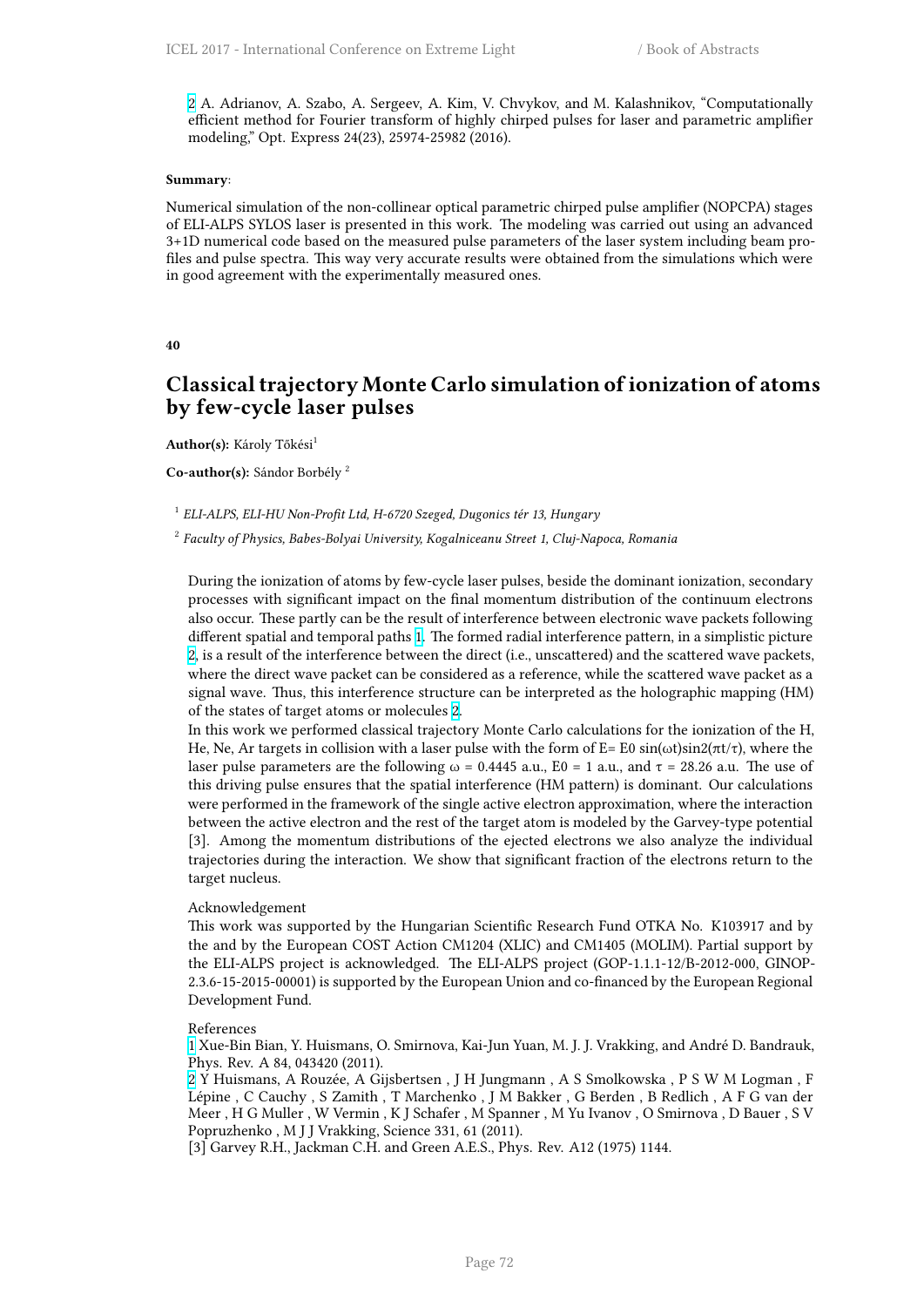2 A. Adrianov, A. Szabo, A. Sergeev, A. Kim, V. Chvykov, and M. Kalashnikov, "Computationally efficient method for Fourier transform of highly chirped pulses for laser and parametric amplifier modeling," Opt. Express 24(23), 25974-25982 (2016).

### **Su[mm](http://i67.tinypic.com/bej0gk.png)ary**:

Numerical simulation of the non-collinear optical parametric chirped pulse amplifier (NOPCPA) stages of ELI-ALPS SYLOS laser is presented in this work. The modeling was carried out using an advanced 3+1D numerical code based on the measured pulse parameters of the laser system including beam profiles and pulse spectra. This way very accurate results were obtained from the simulations which were in good agreement with the experimentally measured ones.

### **40**

### **Classical trajectory Monte Carlo simulation of ionization of atoms by few-cycle laser pulses**

**Author(s):** Károly Tőkési<sup>1</sup>

**Co-author(s):** Sándor Borbély <sup>2</sup>

### 1 *ELI-ALPS, ELI-HU Non-Profit Ltd, H-6720 Szeged, Dugonics tér 13, Hungary*

2 *Faculty of Physics, Babes-Bolyai University, Kogalniceanu Street 1, Cluj-Napoca, Romania*

During the ionization of atoms by few-cycle laser pulses, beside the dominant ionization, secondary processes with significant impact on the final momentum distribution of the continuum electrons also occur. These partly can be the result of interference between electronic wave packets following different spatial and temporal paths 1. The formed radial interference pattern, in a simplistic picture 2, is a result of the interference between the direct (i.e., unscattered) and the scattered wave packets, where the direct wave packet can be considered as a reference, while the scattered wave packet as a signal wave. Thus, this interference structure can be interpreted as the holographic mapping (HM) of the states of target atoms or mol[ec](http://cfile216.uf.daum.net/image/99D8A43359BB6FCF2E4D1F)ules 2.

[In](http://i67.tinypic.com/bej0gk.png) this work we performed classical trajectory Monte Carlo calculations for the ionization of the H, He, Ne, Ar targets in collision with a laser pulse with the form of E= E0 sin( $\omega t$ )sin2( $\pi t/\tau$ ), where the laser pulse parameters are the following  $\omega = 0.4445$  a.u.,  $E0 = 1$  a.u., and  $\tau = 28.26$  a.u. The use of this driving pulse ensures that the spatial [i](http://i67.tinypic.com/bej0gk.png)nterference (HM pattern) is dominant. Our calculations were performed in the framework of the single active electron approximation, where the interaction between the active electron and the rest of the target atom is modeled by the Garvey-type potential [3]. Among the momentum distributions of the ejected electrons we also analyze the individual trajectories during the interaction. We show that significant fraction of the electrons return to the target nucleus.

### Acknowledgement

This work was supported by the Hungarian Scientific Research Fund OTKA No. K103917 and by the and by the European COST Action CM1204 (XLIC) and CM1405 (MOLIM). Partial support by the ELI-ALPS project is acknowledged. The ELI-ALPS project (GOP-1.1.1-12/B-2012-000, GINOP-2.3.6-15-2015-00001) is supported by the European Union and co-financed by the European Regional Development Fund.

#### References

1 Xue-Bin Bian, Y. Huismans, O. Smirnova, Kai-Jun Yuan, M. J. J. Vrakking, and André D. Bandrauk, Phys. Rev. A 84, 043420 (2011).

2 Y Huismans, A Rouzée, A Gijsbertsen , J H Jungmann , A S Smolkowska , P S W M Logman , F Lépine , C Cauchy , S Zamith , T Marchenko , J M Bakker , G Berden , B Redlich , A F G van der Meer , H G Muller , W Vermin , K J Schafer , M Spanner , M Yu Ivanov , O Smirnova , D Bauer , S V [P](http://cfile216.uf.daum.net/image/99D8A43359BB6FCF2E4D1F)opruzhenko , M J J Vrakking, Science 331, 61 (2011).

[\[3](http://i67.tinypic.com/bej0gk.png)] Garvey R.H., Jackman C.H. and Green A.E.S., Phys. Rev. A12 (1975) 1144.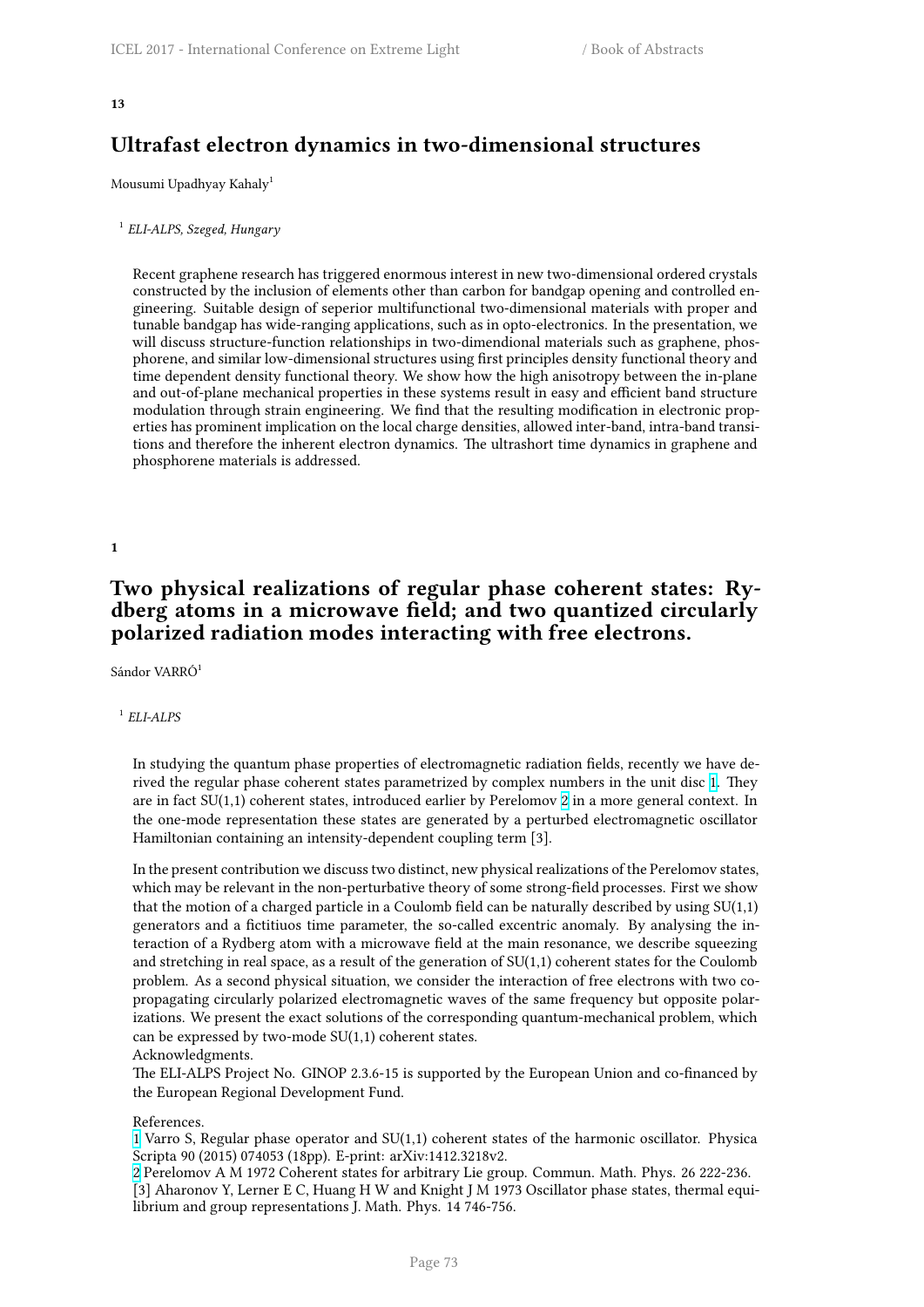# **Ultrafast electron dynamics in two-dimensional structures**

Mousumi Upadhyay Kahaly<sup>1</sup>

1 *ELI-ALPS, Szeged, Hungary*

Recent graphene research has triggered enormous interest in new two-dimensional ordered crystals constructed by the inclusion of elements other than carbon for bandgap opening and controlled engineering. Suitable design of seperior multifunctional two-dimensional materials with proper and tunable bandgap has wide-ranging applications, such as in opto-electronics. In the presentation, we will discuss structure-function relationships in two-dimendional materials such as graphene, phosphorene, and similar low-dimensional structures using first principles density functional theory and time dependent density functional theory. We show how the high anisotropy between the in-plane and out-of-plane mechanical properties in these systems result in easy and efficient band structure modulation through strain engineering. We find that the resulting modification in electronic properties has prominent implication on the local charge densities, allowed inter-band, intra-band transitions and therefore the inherent electron dynamics. The ultrashort time dynamics in graphene and phosphorene materials is addressed.

**1**

# **Two physical realizations of regular phase coherent states: Rydberg atoms in a microwave field; and two quantized circularly polarized radiation modes interacting with free electrons.**

Sándor VARRÓ<sup>1</sup>

### 1 *ELI-ALPS*

In studying the quantum phase properties of electromagnetic radiation fields, recently we have derived the regular phase coherent states parametrized by complex numbers in the unit disc 1. They are in fact SU(1,1) coherent states, introduced earlier by Perelomov 2 in a more general context. In the one-mode representation these states are generated by a perturbed electromagnetic oscillator Hamiltonian containing an intensity-dependent coupling term [3].

In the present contribution we discuss two distinct, new physical real[iz](http://i67.tinypic.com/bej0gk.png)ations of the Perelom[ov](http://cfile216.uf.daum.net/image/99D8A43359BB6FCF2E4D1F) states, which may be relevant in the non-perturbative theory of some strong-field processes. First we show that the motion of a charged particle in a Coulomb field can be naturally described by using  $SU(1,1)$ generators and a fictitiuos time parameter, the so-called excentric anomaly. By analysing the interaction of a Rydberg atom with a microwave field at the main resonance, we describe squeezing and stretching in real space, as a result of the generation of SU(1,1) coherent states for the Coulomb problem. As a second physical situation, we consider the interaction of free electrons with two copropagating circularly polarized electromagnetic waves of the same frequency but opposite polarizations. We present the exact solutions of the corresponding quantum-mechanical problem, which can be expressed by two-mode  $SU(1,1)$  coherent states.

### Acknowledgments.

The ELI-ALPS Project No. GINOP 2.3.6-15 is supported by the European Union and co-financed by the European Regional Development Fund.

### References.

1 Varro S, Regular phase operator and SU(1,1) coherent states of the harmonic oscillator. Physica Scripta 90 (2015) 074053 (18pp). E-print: arXiv:1412.3218v2.

2 Perelomov A M 1972 Coherent states for arbitrary Lie group. Commun. Math. Phys. 26 222-236. [3] Aharonov Y, Lerner E C, Huang H W and Knight J M 1973 Oscillator phase states, thermal equi[li](http://cfile216.uf.daum.net/image/99D8A43359BB6FCF2E4D1F)brium and group representations J. Math. Phys. 14 746-756.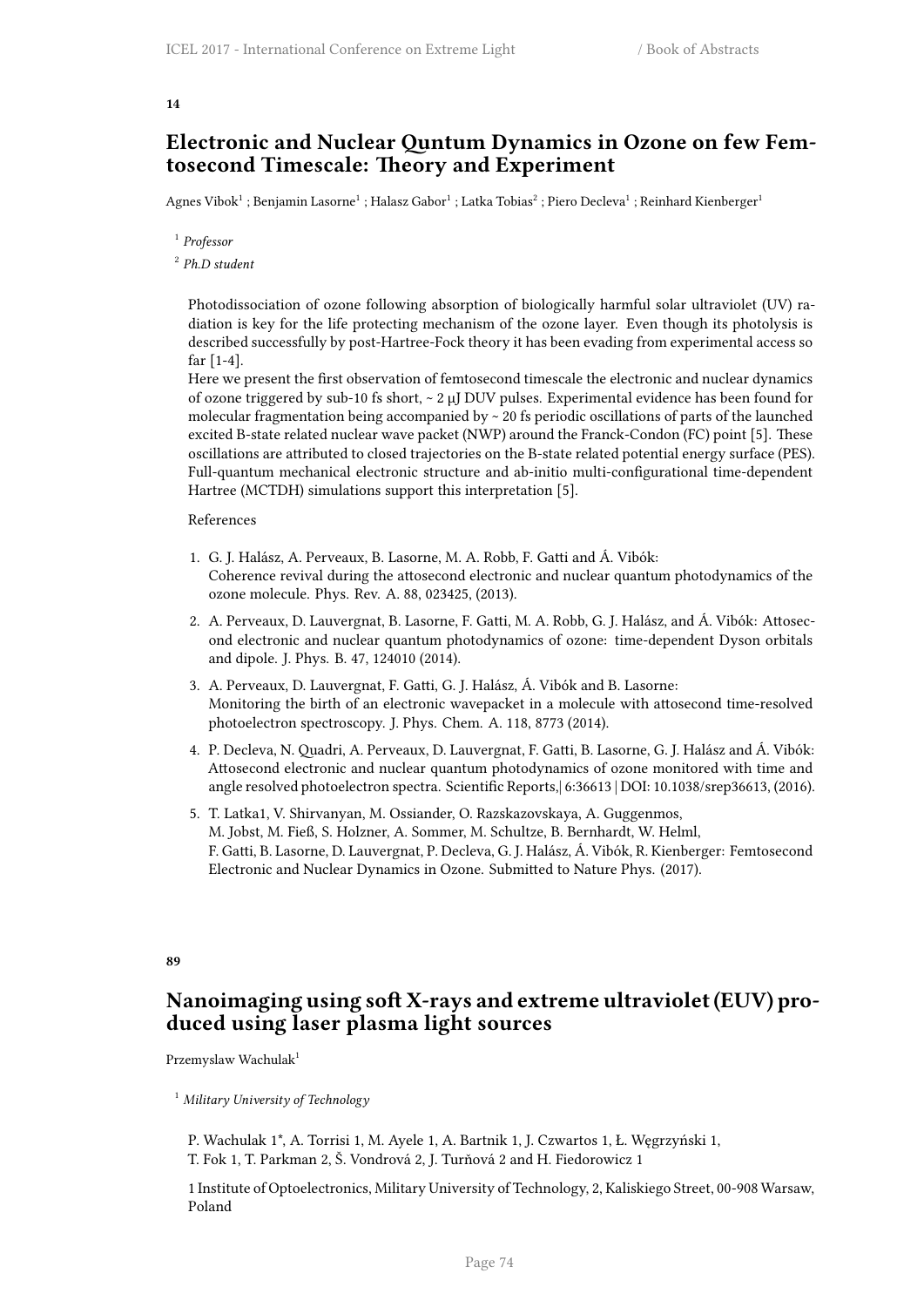### **14**

### **Electronic and Nuclear Quntum Dynamics in Ozone on few Femtosecond Timescale: Theory and Experiment**

Agnes Vibok $^1$  ; Benjamin Lasorne $^1$  ; Halasz Gabor $^1$  ; Latka Tobias $^2$  ; Piero Decleva $^1$  ; Reinhard Kienberger $^1$ 

1 *Professor*

2 *Ph.D student*

Photodissociation of ozone following absorption of biologically harmful solar ultraviolet (UV) radiation is key for the life protecting mechanism of the ozone layer. Even though its photolysis is described successfully by post-Hartree-Fock theory it has been evading from experimental access so far [1-4].

Here we present the first observation of femtosecond timescale the electronic and nuclear dynamics of ozone triggered by sub-10 fs short, ~ 2 µJ DUV pulses. Experimental evidence has been found for molecular fragmentation being accompanied by  $\sim$  20 fs periodic oscillations of parts of the launched excited B-state related nuclear wave packet (NWP) around the Franck-Condon (FC) point [5]. These oscillations are attributed to closed trajectories on the B-state related potential energy surface (PES). Full-quantum mechanical electronic structure and ab-initio multi-configurational time-dependent Hartree (MCTDH) simulations support this interpretation [5].

### References

- 1. G. J. Halász, A. Perveaux, B. Lasorne, M. A. Robb, F. Gatti and Á. Vibók: Coherence revival during the attosecond electronic and nuclear quantum photodynamics of the ozone molecule. Phys. Rev. A. 88, 023425, (2013).
- 2. A. Perveaux, D. Lauvergnat, B. Lasorne, F. Gatti, M. A. Robb, G. J. Halász, and Á. Vibók: Attosecond electronic and nuclear quantum photodynamics of ozone: time-dependent Dyson orbitals and dipole. J. Phys. B. 47, 124010 (2014).
- 3. A. Perveaux, D. Lauvergnat, F. Gatti, G. J. Halász, Á. Vibók and B. Lasorne: Monitoring the birth of an electronic wavepacket in a molecule with attosecond time-resolved photoelectron spectroscopy. J. Phys. Chem. A. 118, 8773 (2014).
- 4. P. Decleva, N. Quadri, A. Perveaux, D. Lauvergnat, F. Gatti, B. Lasorne, G. J. Halász and Á. Vibók: Attosecond electronic and nuclear quantum photodynamics of ozone monitored with time and angle resolved photoelectron spectra. Scientific Reports,| 6:36613 | DOI: 10.1038/srep36613, (2016).
- 5. T. Latka1, V. Shirvanyan, M. Ossiander, O. Razskazovskaya, A. Guggenmos, M. Jobst, M. Fieß, S. Holzner, A. Sommer, M. Schultze, B. Bernhardt, W. Helml, F. Gatti, B. Lasorne, D. Lauvergnat, P. Decleva, G. J. Halász, Á. Vibók, R. Kienberger: Femtosecond Electronic and Nuclear Dynamics in Ozone. Submitted to Nature Phys. (2017).

### **89**

### **Nanoimaging using soft X-rays and extreme ultraviolet (EUV) produced using laser plasma light sources**

Przemyslaw Wachulak<sup>1</sup>

<sup>1</sup> *Military University of Technology*

P. Wachulak 1\*, A. Torrisi 1, M. Ayele 1, A. Bartnik 1, J. Czwartos 1, Ł. Węgrzyński 1, T. Fok 1, T. Parkman 2, Š. Vondrová 2, J. Turňová 2 and H. Fiedorowicz 1

1 Institute of Optoelectronics, Military University of Technology, 2, Kaliskiego Street, 00-908 Warsaw, Poland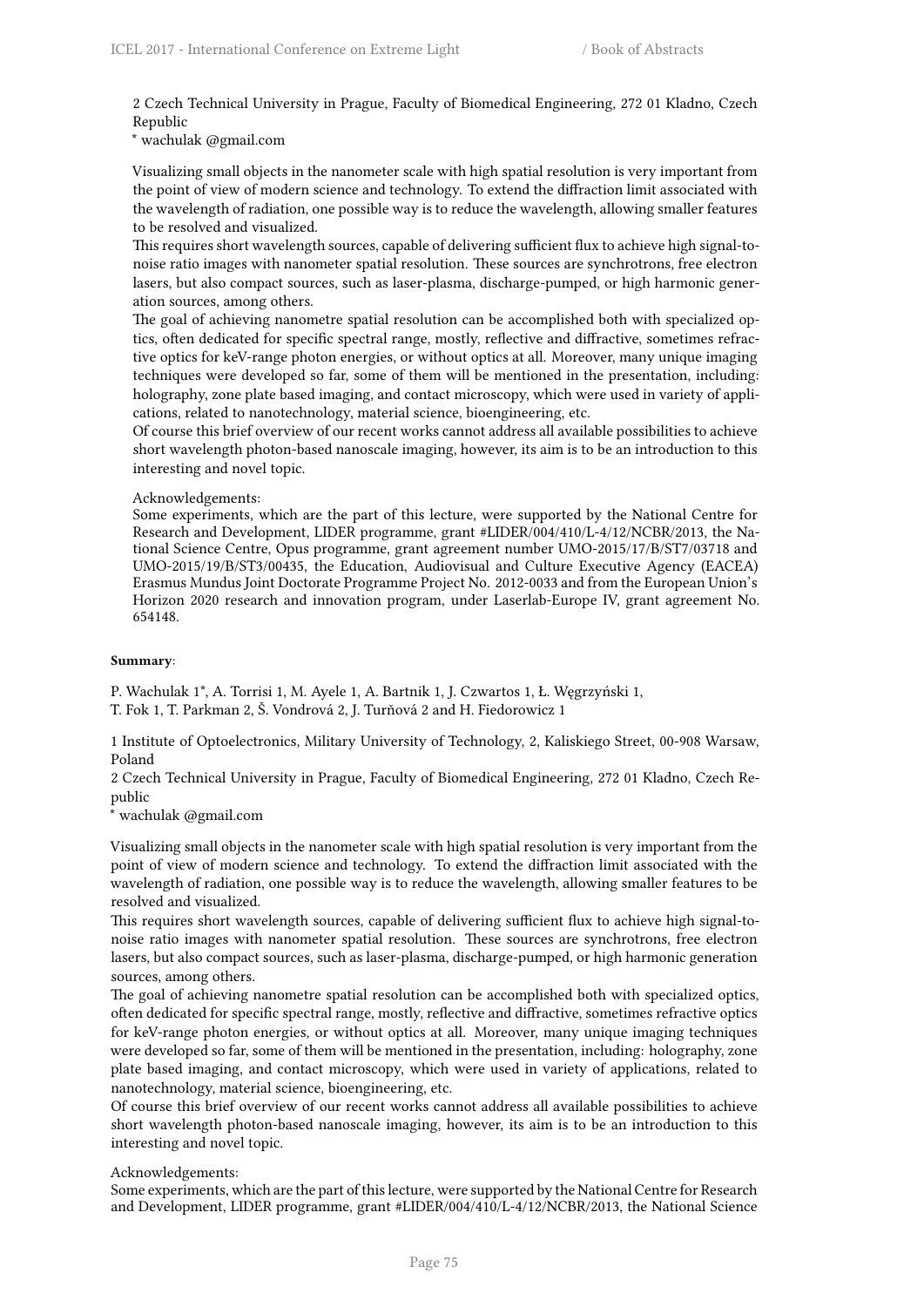2 Czech Technical University in Prague, Faculty of Biomedical Engineering, 272 01 Kladno, Czech Republic

\* wachulak @gmail.com

Visualizing small objects in the nanometer scale with high spatial resolution is very important from the point of view of modern science and technology. To extend the diffraction limit associated with the wavelength of radiation, one possible way is to reduce the wavelength, allowing smaller features to be resolved and visualized.

This requires short wavelength sources, capable of delivering sufficient flux to achieve high signal-tonoise ratio images with nanometer spatial resolution. These sources are synchrotrons, free electron lasers, but also compact sources, such as laser-plasma, discharge-pumped, or high harmonic generation sources, among others.

The goal of achieving nanometre spatial resolution can be accomplished both with specialized optics, often dedicated for specific spectral range, mostly, reflective and diffractive, sometimes refractive optics for keV-range photon energies, or without optics at all. Moreover, many unique imaging techniques were developed so far, some of them will be mentioned in the presentation, including: holography, zone plate based imaging, and contact microscopy, which were used in variety of applications, related to nanotechnology, material science, bioengineering, etc.

Of course this brief overview of our recent works cannot address all available possibilities to achieve short wavelength photon-based nanoscale imaging, however, its aim is to be an introduction to this interesting and novel topic.

### Acknowledgements:

Some experiments, which are the part of this lecture, were supported by the National Centre for Research and Development, LIDER programme, grant #LIDER/004/410/L-4/12/NCBR/2013, the National Science Centre, Opus programme, grant agreement number UMO-2015/17/B/ST7/03718 and UMO-2015/19/B/ST3/00435, the Education, Audiovisual and Culture Executive Agency (EACEA) Erasmus Mundus Joint Doctorate Programme Project No. 2012-0033 and from the European Union's Horizon 2020 research and innovation program, under Laserlab-Europe IV, grant agreement No. 654148.

### **Summary**:

P. Wachulak 1\*, A. Torrisi 1, M. Ayele 1, A. Bartnik 1, J. Czwartos 1, Ł. Węgrzyński 1, T. Fok 1, T. Parkman 2, Š. Vondrová 2, J. Turňová 2 and H. Fiedorowicz 1

1 Institute of Optoelectronics, Military University of Technology, 2, Kaliskiego Street, 00-908 Warsaw, Poland

2 Czech Technical University in Prague, Faculty of Biomedical Engineering, 272 01 Kladno, Czech Republic

\* wachulak @gmail.com

Visualizing small objects in the nanometer scale with high spatial resolution is very important from the point of view of modern science and technology. To extend the diffraction limit associated with the wavelength of radiation, one possible way is to reduce the wavelength, allowing smaller features to be resolved and visualized.

This requires short wavelength sources, capable of delivering sufficient flux to achieve high signal-tonoise ratio images with nanometer spatial resolution. These sources are synchrotrons, free electron lasers, but also compact sources, such as laser-plasma, discharge-pumped, or high harmonic generation sources, among others.

The goal of achieving nanometre spatial resolution can be accomplished both with specialized optics, often dedicated for specific spectral range, mostly, reflective and diffractive, sometimes refractive optics for keV-range photon energies, or without optics at all. Moreover, many unique imaging techniques were developed so far, some of them will be mentioned in the presentation, including: holography, zone plate based imaging, and contact microscopy, which were used in variety of applications, related to nanotechnology, material science, bioengineering, etc.

Of course this brief overview of our recent works cannot address all available possibilities to achieve short wavelength photon-based nanoscale imaging, however, its aim is to be an introduction to this interesting and novel topic.

### Acknowledgements:

Some experiments, which are the part of this lecture, were supported by the National Centre for Research and Development, LIDER programme, grant #LIDER/004/410/L-4/12/NCBR/2013, the National Science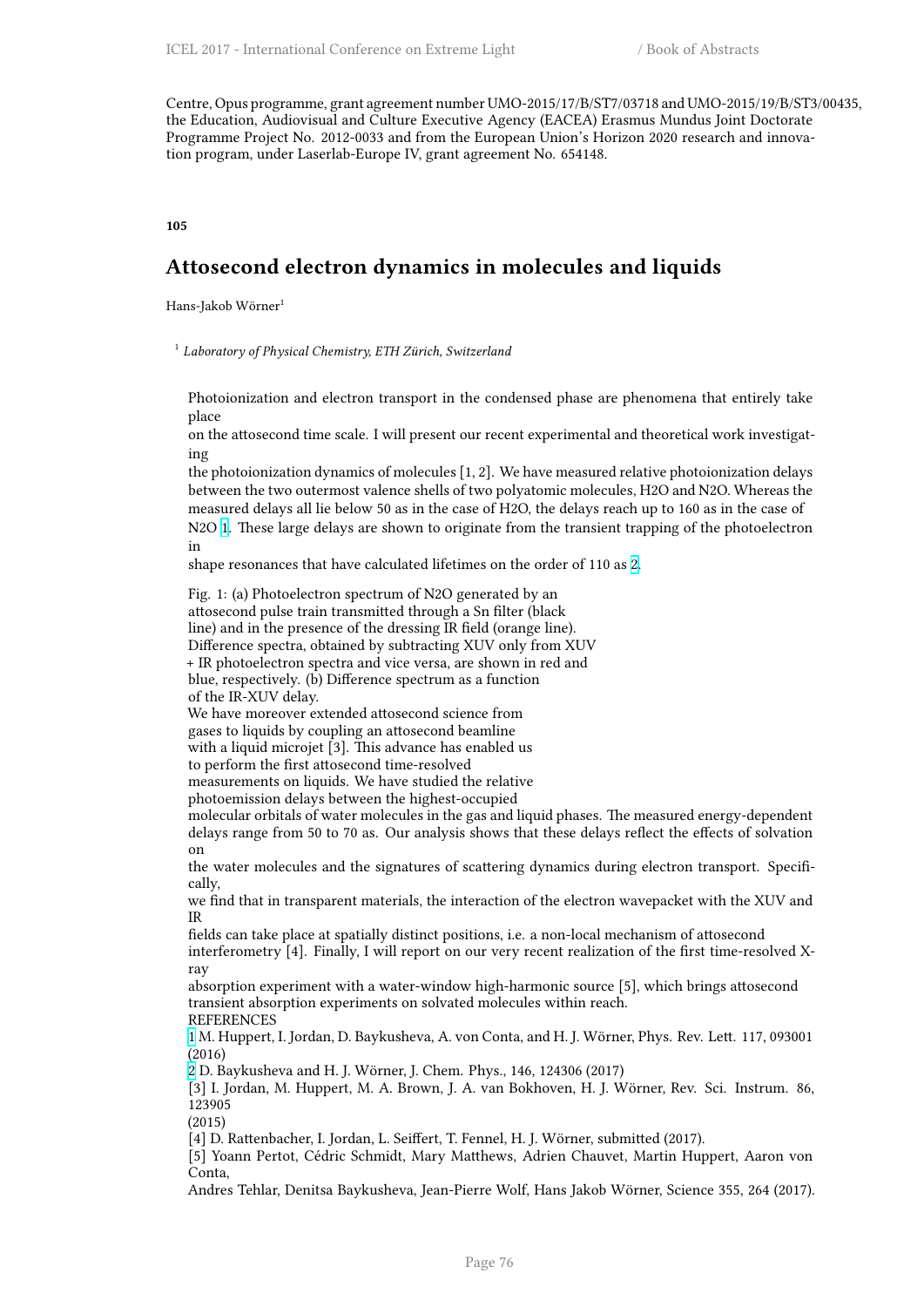Centre, Opus programme, grant agreement number UMO-2015/17/B/ST7/03718 and UMO-2015/19/B/ST3/00435, the Education, Audiovisual and Culture Executive Agency (EACEA) Erasmus Mundus Joint Doctorate Programme Project No. 2012-0033 and from the European Union's Horizon 2020 research and innovation program, under Laserlab-Europe IV, grant agreement No. 654148.

#### **105**

# **Attosecond electron dynamics in molecules and liquids**

Hans-Jakob Wörner<sup>1</sup>

1 *Laboratory of Physical Chemistry, ETH Zürich, Switzerland*

Photoionization and electron transport in the condensed phase are phenomena that entirely take place

on the attosecond time scale. I will present our recent experimental and theoretical work investigating

the photoionization dynamics of molecules [1, 2]. We have measured relative photoionization delays between the two outermost valence shells of two polyatomic molecules, H2O and N2O. Whereas the measured delays all lie below 50 as in the case of H2O, the delays reach up to 160 as in the case of N2O 1. These large delays are shown to originate from the transient trapping of the photoelectron in

shape resonances that have calculated lifetimes on the order of 110 as 2.

Fig. 1: (a) Photoelectron spectrum of N2O generated by an attos[ec](http://cfile216.uf.daum.net/image/99D8A43359BB6FCF2E4D1F)ond pulse train transmitted through a Sn filter (black line) and in the presence of the dressing IR field (orange line). Difference spectra, obtained by subtracting XUV only from XUV + IR photoelectron spectra and vice versa, are shown in red and blue, respectively. (b) Difference spectrum as a function of the IR-XUV delay.

We have moreover extended attosecond science from gases to liquids by coupling an attosecond beamline with a liquid microjet [3]. This advance has enabled us to perform the first attosecond time-resolved

measurements on liquids. We have studied the relative

photoemission delays between the highest-occupied

molecular orbitals of water molecules in the gas and liquid phases. The measured energy-dependent delays range from 50 to 70 as. Our analysis shows that these delays reflect the effects of solvation on

the water molecules and the signatures of scattering dynamics during electron transport. Specifically,

we find that in transparent materials, the interaction of the electron wavepacket with the XUV and IR

fields can take place at spatially distinct positions, i.e. a non-local mechanism of attosecond interferometry [4]. Finally, I will report on our very recent realization of the first time-resolved Xray

absorption experiment with a water-window high-harmonic source [5], which brings attosecond transient absorption experiments on solvated molecules within reach.

REFERENCES

1 M. Huppert, I. Jordan, D. Baykusheva, A. von Conta, and H. J. Wörner, Phys. Rev. Lett. 117, 093001 (2016)

2 D. Baykusheva and H. J. Wörner, J. Chem. Phys., 146, 124306 (2017)

[3] I. Jordan, M. Huppert, M. A. Brown, J. A. van Bokhoven, H. J. Wörner, Rev. Sci. Instrum. 86, 123905

[\(2](http://cfile216.uf.daum.net/image/99D8A43359BB6FCF2E4D1F)015)

[4] D. Rattenbacher, I. Jordan, L. Seiffert, T. Fennel, H. J. Wörner, submitted (2017).

[\[5](http://i67.tinypic.com/bej0gk.png)] Yoann Pertot, Cédric Schmidt, Mary Matthews, Adrien Chauvet, Martin Huppert, Aaron von Conta,

Andres Tehlar, Denitsa Baykusheva, Jean-Pierre Wolf, Hans Jakob Wörner, Science 355, 264 (2017).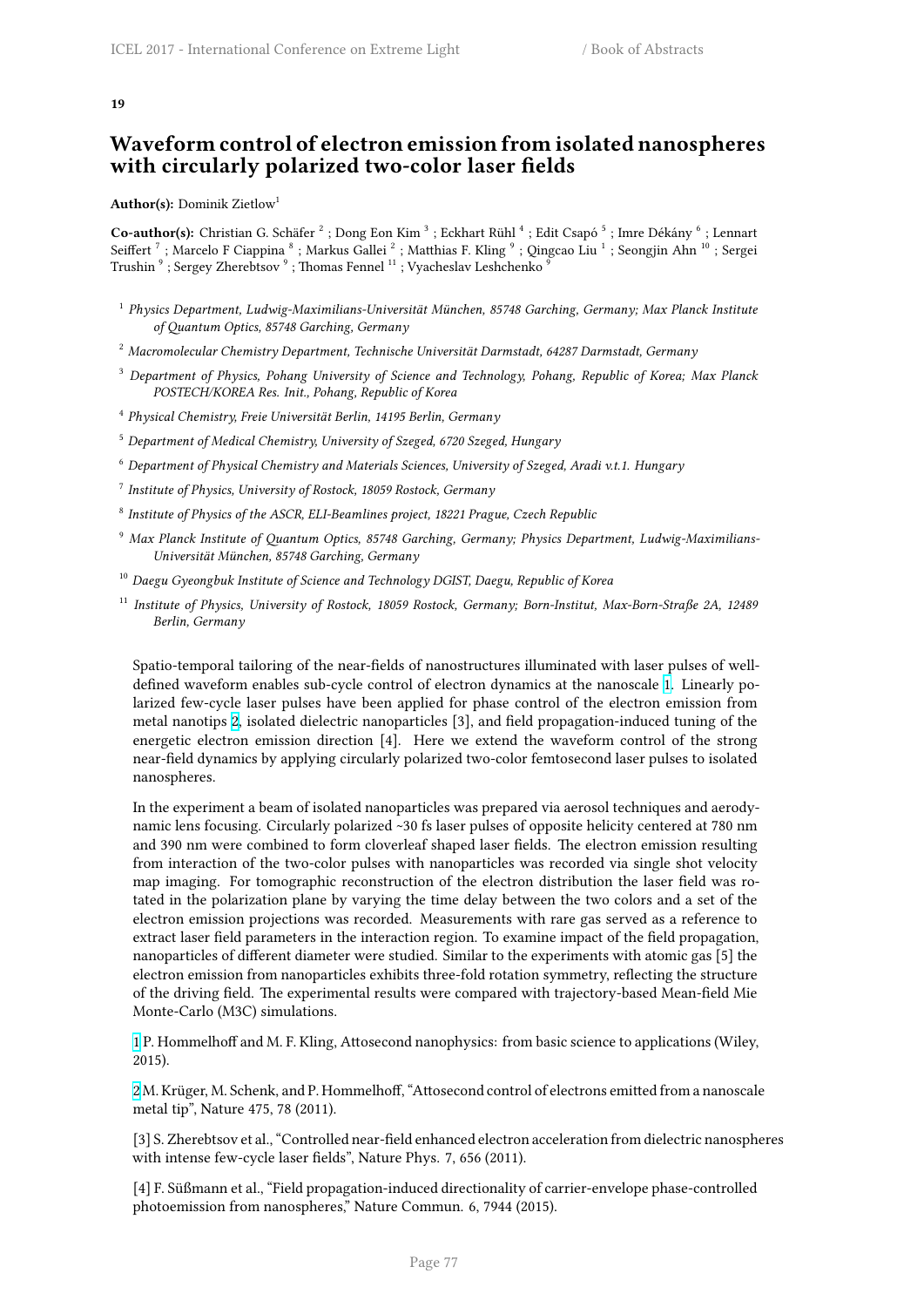# **Waveform control of electron emission from isolated nanospheres with circularly polarized two-color laser fields**

**Author(s):** Dominik Zietlow<sup>1</sup>

Co-author(s): Christian G. Schäfer <sup>2</sup> ; Dong Eon Kim <sup>3</sup> ; Eckhart Rühl <sup>4</sup> ; Edit Csapó <sup>5</sup> ; Imre Dékány <sup>6</sup> ; Lennart Seiffert  $^7$  ; Marcelo F Ciappina  $^8$  ; Markus Gallei  $^2$  ; Matthias F. Kling  $^9$  ; Qingcao Liu  $^1$  ; Seongjin Ahn  $^{10}$  ; Sergei Trushin  $^9$  ; Sergey Zherebtsov  $^9$  ; Thomas Fennel  $^{11}$  ; Vyacheslav Leshchenko  $^9$ 

- 1 *Physics Department, Ludwig-Maximilians-Universität München, 85748 Garching, Germany; Max Planck Institute of Quantum Optics, 85748 Garching, Germany*
- <sup>2</sup> *Macromolecular Chemistry Department, Technische Universität Darmstadt, 64287 Darmstadt, Germany*
- <sup>3</sup> *Department of Physics, Pohang University of Science and Technology, Pohang, Republic of Korea; Max Planck POSTECH/KOREA Res. Init., Pohang, Republic of Korea*
- 4 *Physical Chemistry, Freie Universität Berlin, 14195 Berlin, Germany*
- <sup>5</sup> *Department of Medical Chemistry, University of Szeged, 6720 Szeged, Hungary*
- <sup>6</sup> *Department of Physical Chemistry and Materials Sciences, University of Szeged, Aradi v.t.1. Hungary*
- 7 *Institute of Physics, University of Rostock, 18059 Rostock, Germany*
- 8 *Institute of Physics of the ASCR, ELI-Beamlines project, 18221 Prague, Czech Republic*
- <sup>9</sup> *Max Planck Institute of Quantum Optics, 85748 Garching, Germany; Physics Department, Ludwig-Maximilians-Universität München, 85748 Garching, Germany*
- <sup>10</sup> *Daegu Gyeongbuk Institute of Science and Technology DGIST, Daegu, Republic of Korea*
- <sup>11</sup> *Institute of Physics, University of Rostock, 18059 Rostock, Germany; Born-Institut, Max-Born-Straße 2A, 12489 Berlin, Germany*

Spatio-temporal tailoring of the near-fields of nanostructures illuminated with laser pulses of welldefined waveform enables sub-cycle control of electron dynamics at the nanoscale 1. Linearly polarized few-cycle laser pulses have been applied for phase control of the electron emission from metal nanotips 2, isolated dielectric nanoparticles [3], and field propagation-induced tuning of the energetic electron emission direction [4]. Here we extend the waveform control of the strong near-field dynamics by applying circularly polarized two-color femtosecond laser p[uls](http://cfile216.uf.daum.net/image/99D8A43359BB6FCF2E4D1F)es to isolated nanospheres.

In the experim[en](http://i67.tinypic.com/bej0gk.png)t a beam of isolated nanoparticles was prepared via aerosol techniques and aerodynamic lens focusing. Circularly polarized ~30 fs laser pulses of opposite helicity centered at 780 nm and 390 nm were combined to form cloverleaf shaped laser fields. The electron emission resulting from interaction of the two-color pulses with nanoparticles was recorded via single shot velocity map imaging. For tomographic reconstruction of the electron distribution the laser field was rotated in the polarization plane by varying the time delay between the two colors and a set of the electron emission projections was recorded. Measurements with rare gas served as a reference to extract laser field parameters in the interaction region. To examine impact of the field propagation, nanoparticles of different diameter were studied. Similar to the experiments with atomic gas [5] the electron emission from nanoparticles exhibits three-fold rotation symmetry, reflecting the structure of the driving field. The experimental results were compared with trajectory-based Mean-field Mie Monte-Carlo (M3C) simulations.

1 P. Hommelhoff and M. F. Kling, Attosecond nanophysics: from basic science to applications (Wiley, 2015).

2 M. Krüger, M. Schenk, and P. Hommelhoff, "Attosecond control of electrons emitted from a nanoscale [m](http://cfile216.uf.daum.net/image/99D8A43359BB6FCF2E4D1F)etal tip", Nature 475, 78 (2011).

[3] S. Zherebtsov et al., "Controlled near-field enhanced electron acceleration from dielectric nanospheres [w](http://i67.tinypic.com/bej0gk.png)ith intense few-cycle laser fields", Nature Phys. 7, 656 (2011).

[4] F. Süßmann et al., "Field propagation-induced directionality of carrier-envelope phase-controlled photoemission from nanospheres," Nature Commun. 6, 7944 (2015).